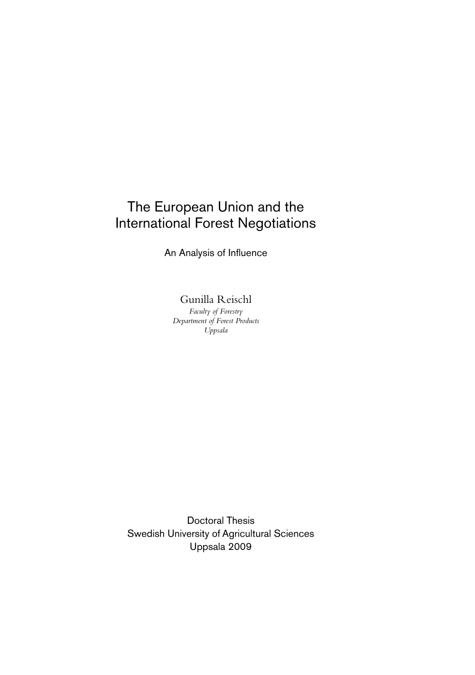## The European Union and the International Forest Negotiations

An Analysis of Influence

Gunilla Reischl

*Faculty of Forestry Department of Forest Products Uppsala* 

Doctoral Thesis Swedish University of Agricultural Sciences Uppsala 2009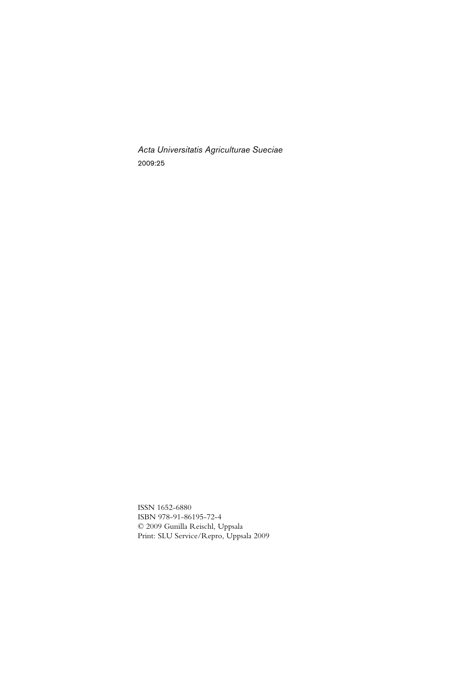*Acta Universitatis Agriculturae Sueciae*  2009:25

ISSN 1652-6880 ISBN 978-91-86195-72-4 © 2009 Gunilla Reischl, Uppsala Print: SLU Service/Repro, Uppsala 2009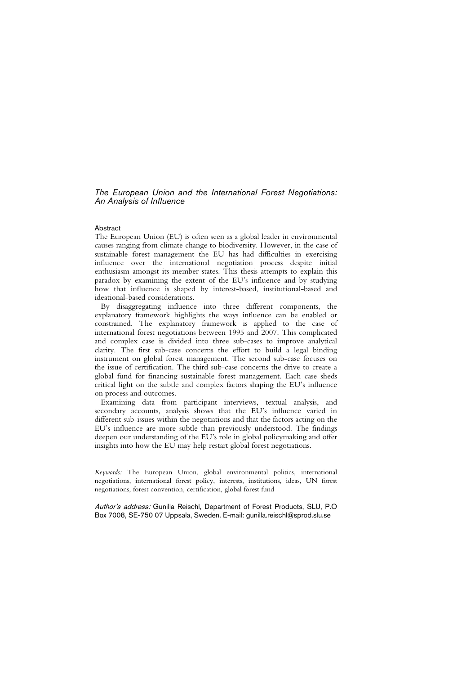*The European Union and the International Forest Negotiations: An Analysis of Influence* 

#### Abstract

The European Union (EU) is often seen as a global leader in environmental causes ranging from climate change to biodiversity. However, in the case of sustainable forest management the EU has had difficulties in exercising influence over the international negotiation process despite initial enthusiasm amongst its member states. This thesis attempts to explain this paradox by examining the extent of the EU's influence and by studying how that influence is shaped by interest-based, institutional-based and ideational-based considerations.

By disaggregating influence into three different components, the explanatory framework highlights the ways influence can be enabled or constrained. The explanatory framework is applied to the case of international forest negotiations between 1995 and 2007. This complicated and complex case is divided into three sub-cases to improve analytical clarity. The first sub-case concerns the effort to build a legal binding instrument on global forest management. The second sub-case focuses on the issue of certification. The third sub-case concerns the drive to create a global fund for financing sustainable forest management. Each case sheds critical light on the subtle and complex factors shaping the EU's influence on process and outcomes.

Examining data from participant interviews, textual analysis, and secondary accounts, analysis shows that the EU's influence varied in different sub-issues within the negotiations and that the factors acting on the EU's influence are more subtle than previously understood. The findings deepen our understanding of the EU's role in global policymaking and offer insights into how the EU may help restart global forest negotiations.

*Keywords:* The European Union, global environmental politics, international negotiations, international forest policy, interests, institutions, ideas, UN forest negotiations, forest convention, certification, global forest fund

Author's address: Gunilla Reischl, Department of Forest Products, SLU, P.O. Box 7008, SE-750 07 Uppsala, Sweden. E-mail: gunilla.reischl@sprod.slu.se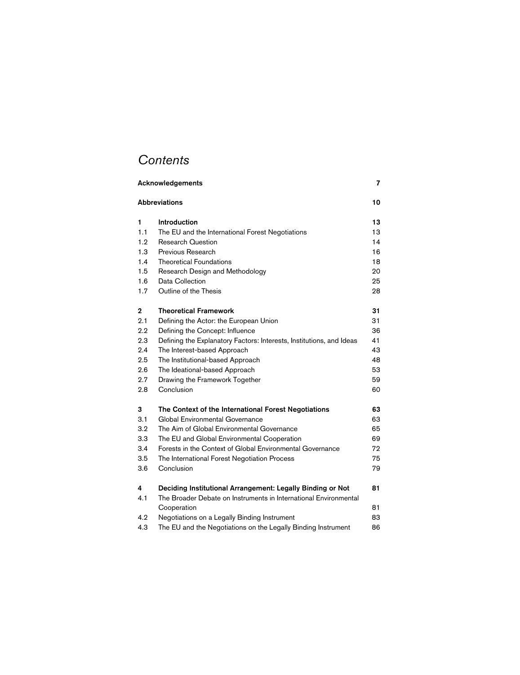# *Contents*

| Acknowledgements     |                                                                                 | 7  |
|----------------------|---------------------------------------------------------------------------------|----|
| <b>Abbreviations</b> |                                                                                 | 10 |
| 1                    | <b>Introduction</b>                                                             | 13 |
| 1.1                  | The EU and the International Forest Negotiations                                | 13 |
| 1.2                  | <b>Research Question</b>                                                        | 14 |
| 1.3                  | Previous Research                                                               | 16 |
| 1.4                  | <b>Theoretical Foundations</b>                                                  | 18 |
| 1.5                  | Research Design and Methodology                                                 | 20 |
| 1.6                  | Data Collection                                                                 | 25 |
| 1.7                  | Outline of the Thesis                                                           | 28 |
| $\mathbf 2$          | <b>Theoretical Framework</b>                                                    | 31 |
| 2.1                  | Defining the Actor: the European Union                                          | 31 |
| $2.2\,$              | Defining the Concept: Influence                                                 | 36 |
| 2.3                  | Defining the Explanatory Factors: Interests, Institutions, and Ideas            | 41 |
| 2.4                  | The Interest-based Approach                                                     | 43 |
| 2.5                  | The Institutional-based Approach                                                | 48 |
| 2.6                  | The Ideational-based Approach                                                   | 53 |
| 2.7                  | Drawing the Framework Together                                                  | 59 |
| 2.8                  | Conclusion                                                                      | 60 |
| 3                    | The Context of the International Forest Negotiations                            | 63 |
| 3.1                  | Global Environmental Governance                                                 | 63 |
| 3.2                  | The Aim of Global Environmental Governance                                      | 65 |
| 3.3                  | The EU and Global Environmental Cooperation                                     | 69 |
| 3.4                  | Forests in the Context of Global Environmental Governance                       | 72 |
| 3.5                  | The International Forest Negotiation Process                                    | 75 |
| 3.6                  | Conclusion                                                                      | 79 |
| 4                    | Deciding Institutional Arrangement: Legally Binding or Not                      | 81 |
| 4.1                  | The Broader Debate on Instruments in International Environmental<br>Cooperation | 81 |
| 4.2                  | Negotiations on a Legally Binding Instrument                                    | 83 |
| 4.3                  | The EU and the Negotiations on the Legally Binding Instrument                   | 86 |
|                      |                                                                                 |    |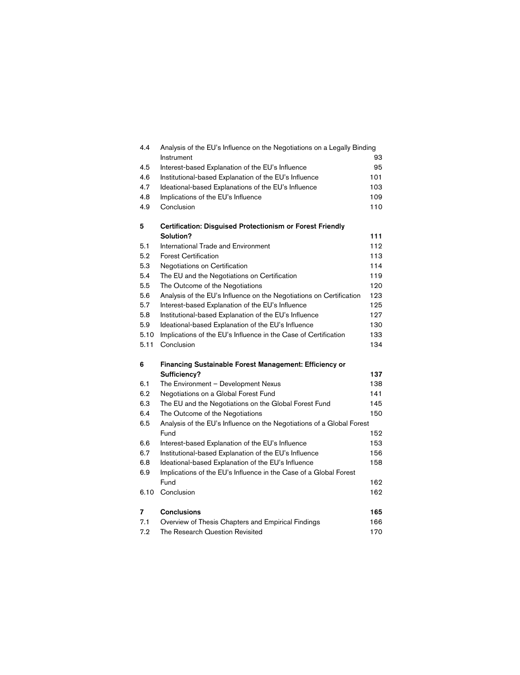| 4.4  | Analysis of the EU's Influence on the Negotiations on a Legally Binding |     |
|------|-------------------------------------------------------------------------|-----|
|      | Instrument                                                              | 93  |
| 4.5  | Interest-based Explanation of the EU's Influence                        | 95  |
| 4.6  | Institutional-based Explanation of the EU's Influence                   | 101 |
| 4.7  | Ideational-based Explanations of the EU's Influence                     | 103 |
| 4.8  | Implications of the EU's Influence                                      | 109 |
| 4.9  | Conclusion                                                              | 110 |
| 5    | <b>Certification: Disguised Protectionism or Forest Friendly</b>        |     |
|      | Solution?                                                               | 111 |
| 5.1  | <b>International Trade and Environment</b>                              | 112 |
| 5.2  | <b>Forest Certification</b>                                             | 113 |
| 5.3  | Negotiations on Certification                                           | 114 |
| 5.4  | The EU and the Negotiations on Certification                            | 119 |
| 5.5  | The Outcome of the Negotiations                                         | 120 |
| 5.6  | Analysis of the EU's Influence on the Negotiations on Certification     | 123 |
| 5.7  | Interest-based Explanation of the EU's Influence                        | 125 |
| 5.8  | Institutional-based Explanation of the EU's Influence                   | 127 |
| 5.9  | Ideational-based Explanation of the EU's Influence                      | 130 |
| 5.10 | Implications of the EU's Influence in the Case of Certification         | 133 |
| 5.11 | Conclusion                                                              | 134 |
| 6    | <b>Financing Sustainable Forest Management: Efficiency or</b>           |     |
|      | Sufficiency?                                                            | 137 |
| 6.1  | The Environment - Development Nexus                                     | 138 |
| 6.2  | Negotiations on a Global Forest Fund                                    | 141 |
| 6.3  | The EU and the Negotiations on the Global Forest Fund                   | 145 |
| 6.4  | The Outcome of the Negotiations                                         | 150 |
| 6.5  | Analysis of the EU's Influence on the Negotiations of a Global Forest   |     |
|      | Fund                                                                    | 152 |
| 6.6  | Interest-based Explanation of the EU's Influence                        | 153 |
| 6.7  | Institutional-based Explanation of the EU's Influence                   | 156 |
| 6.8  | Ideational-based Explanation of the EU's Influence                      | 158 |
| 6.9  | Implications of the EU's Influence in the Case of a Global Forest       |     |
|      | Fund                                                                    | 162 |
| 6.10 | Conclusion                                                              | 162 |
| 7    |                                                                         |     |
|      | <b>Conclusions</b>                                                      | 165 |
| 7.1  | Overview of Thesis Chapters and Empirical Findings                      | 166 |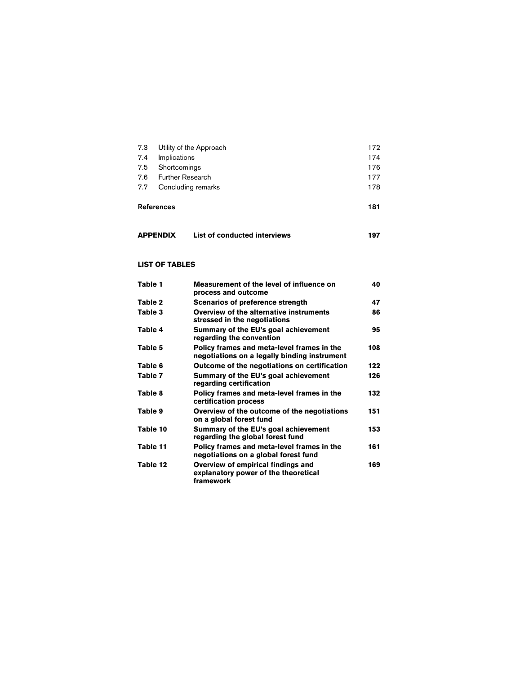|     | 7.3 Utility of the Approach | 172 |
|-----|-----------------------------|-----|
| 7.4 | Implications                | 174 |
|     | 7.5 Shortcomings            | 176 |
|     | 7.6 Further Research        | 177 |
|     | 7.7 Concluding remarks      | 178 |
|     |                             |     |

### References 181

| <b>APPENDIX</b> | List of conducted interviews | 197 |
|-----------------|------------------------------|-----|
|-----------------|------------------------------|-----|

#### **LIST OF TABLES**

| Table 1  | Measurement of the level of influence on<br>process and outcome                            | 40  |
|----------|--------------------------------------------------------------------------------------------|-----|
| Table 2  | <b>Scenarios of preference strength</b>                                                    | 47  |
| Table 3  | Overview of the alternative instruments<br>stressed in the negotiations                    | 86  |
| Table 4  | Summary of the EU's goal achievement<br>regarding the convention                           | 95  |
| Table 5  | Policy frames and meta-level frames in the<br>negotiations on a legally binding instrument | 108 |
| Table 6  | Outcome of the negotiations on certification                                               | 122 |
| Table 7  | Summary of the EU's goal achievement<br>regarding certification                            | 126 |
| Table 8  | Policy frames and meta-level frames in the<br>certification process                        | 132 |
| Table 9  | Overview of the outcome of the negotiations<br>on a global forest fund                     | 151 |
| Table 10 | Summary of the EU's goal achievement<br>regarding the global forest fund                   | 153 |
| Table 11 | Policy frames and meta-level frames in the<br>negotiations on a global forest fund         | 161 |
| Table 12 | Overview of empirical findings and<br>explanatory power of the theoretical<br>framework    | 169 |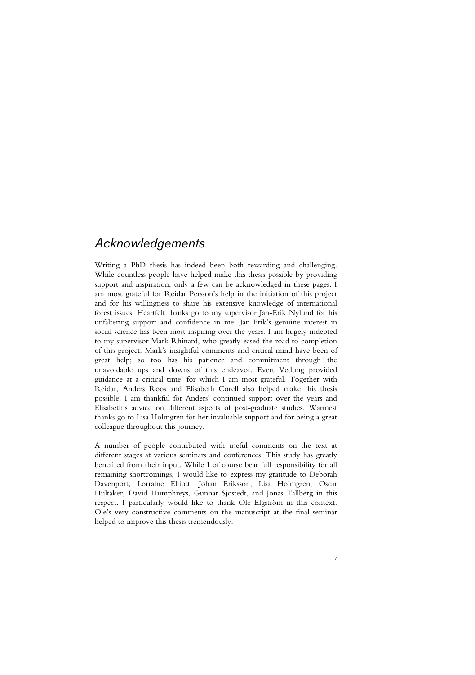## *Acknowledgements*

Writing a PhD thesis has indeed been both rewarding and challenging. While countless people have helped make this thesis possible by providing support and inspiration, only a few can be acknowledged in these pages. I am most grateful for Reidar Persson's help in the initiation of this project and for his willingness to share his extensive knowledge of international forest issues. Heartfelt thanks go to my supervisor Jan-Erik Nylund for his unfaltering support and confidence in me. Jan-Erik's genuine interest in social science has been most inspiring over the years. I am hugely indebted to my supervisor Mark Rhinard, who greatly eased the road to completion of this project. Mark's insightful comments and critical mind have been of great help; so too has his patience and commitment through the unavoidable ups and downs of this endeavor. Evert Vedung provided guidance at a critical time, for which I am most grateful. Together with Reidar, Anders Roos and Elisabeth Corell also helped make this thesis possible. I am thankful for Anders' continued support over the years and Elisabeth's advice on different aspects of post-graduate studies. Warmest thanks go to Lisa Holmgren for her invaluable support and for being a great colleague throughout this journey.

A number of people contributed with useful comments on the text at different stages at various seminars and conferences. This study has greatly benefited from their input. While I of course bear full responsibility for all remaining shortcomings, I would like to express my gratitude to Deborah Davenport, Lorraine Elliott, Johan Eriksson, Lisa Holmgren, Oscar Hultåker, David Humphreys, Gunnar Sjöstedt, and Jonas Tallberg in this respect. I particularly would like to thank Ole Elgström in this context. Ole's very constructive comments on the manuscript at the final seminar helped to improve this thesis tremendously.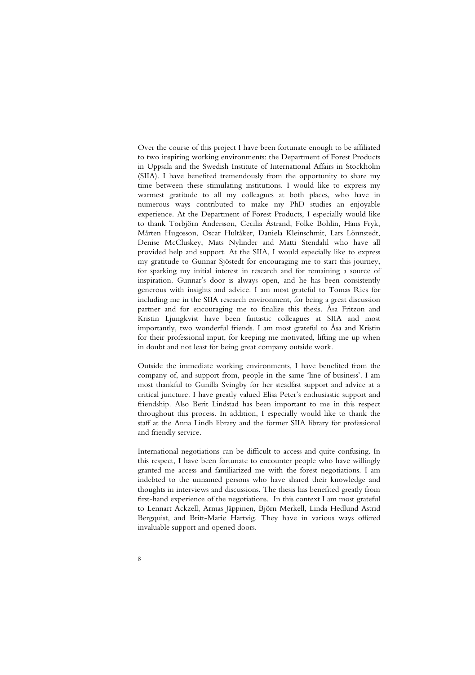Over the course of this project I have been fortunate enough to be affiliated to two inspiring working environments: the Department of Forest Products in Uppsala and the Swedish Institute of International Affairs in Stockholm (SIIA). I have benefited tremendously from the opportunity to share my time between these stimulating institutions. I would like to express my warmest gratitude to all my colleagues at both places, who have in numerous ways contributed to make my PhD studies an enjoyable experience. At the Department of Forest Products, I especially would like to thank Torbjörn Andersson, Cecilia Åstrand, Folke Bohlin, Hans Fryk, Mårten Hugosson, Oscar Hultåker, Daniela Kleinschmit, Lars Lönnstedt, Denise McCluskey, Mats Nylinder and Matti Stendahl who have all provided help and support. At the SIIA, I would especially like to express my gratitude to Gunnar Sjöstedt for encouraging me to start this journey, for sparking my initial interest in research and for remaining a source of inspiration. Gunnar's door is always open, and he has been consistently generous with insights and advice. I am most grateful to Tomas Ries for including me in the SIIA research environment, for being a great discussion partner and for encouraging me to finalize this thesis. Åsa Fritzon and Kristin Ljungkvist have been fantastic colleagues at SIIA and most importantly, two wonderful friends. I am most grateful to Åsa and Kristin for their professional input, for keeping me motivated, lifting me up when in doubt and not least for being great company outside work.

Outside the immediate working environments, I have benefited from the company of, and support from, people in the same 'line of business'. I am most thankful to Gunilla Svingby for her steadfast support and advice at a critical juncture. I have greatly valued Elisa Peter's enthusiastic support and friendship. Also Berit Lindstad has been important to me in this respect throughout this process. In addition, I especially would like to thank the staff at the Anna Lindh library and the former SIIA library for professional and friendly service.

International negotiations can be difficult to access and quite confusing. In this respect, I have been fortunate to encounter people who have willingly granted me access and familiarized me with the forest negotiations. I am indebted to the unnamed persons who have shared their knowledge and thoughts in interviews and discussions. The thesis has benefited greatly from first-hand experience of the negotiations. In this context I am most grateful to Lennart Ackzell, Armas Jäppinen, Björn Merkell, Linda Hedlund Astrid Bergquist, and Britt-Marie Hartvig. They have in various ways offered invaluable support and opened doors.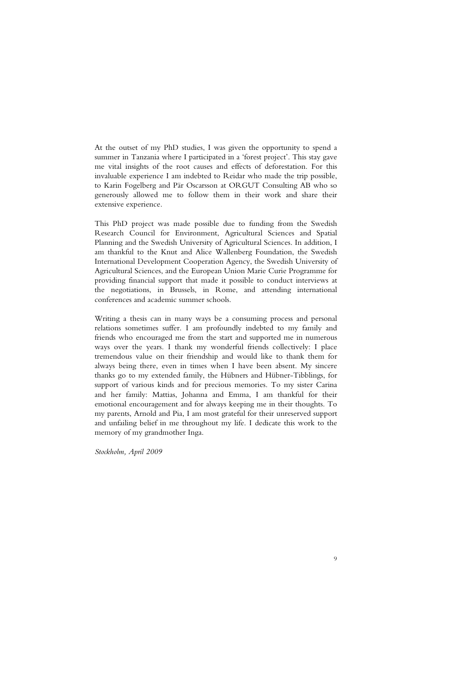At the outset of my PhD studies, I was given the opportunity to spend a summer in Tanzania where I participated in a 'forest project'. This stay gave me vital insights of the root causes and effects of deforestation. For this invaluable experience I am indebted to Reidar who made the trip possible, to Karin Fogelberg and Pär Oscarsson at ORGUT Consulting AB who so generously allowed me to follow them in their work and share their extensive experience.

This PhD project was made possible due to funding from the Swedish Research Council for Environment, Agricultural Sciences and Spatial Planning and the Swedish University of Agricultural Sciences. In addition, I am thankful to the Knut and Alice Wallenberg Foundation, the Swedish International Development Cooperation Agency, the Swedish University of Agricultural Sciences, and the European Union Marie Curie Programme for providing financial support that made it possible to conduct interviews at the negotiations, in Brussels, in Rome, and attending international conferences and academic summer schools.

Writing a thesis can in many ways be a consuming process and personal relations sometimes suffer. I am profoundly indebted to my family and friends who encouraged me from the start and supported me in numerous ways over the years. I thank my wonderful friends collectively: I place tremendous value on their friendship and would like to thank them for always being there, even in times when I have been absent. My sincere thanks go to my extended family, the Hübners and Hübner-Tibblings, for support of various kinds and for precious memories. To my sister Carina and her family: Mattias, Johanna and Emma, I am thankful for their emotional encouragement and for always keeping me in their thoughts. To my parents, Arnold and Pia, I am most grateful for their unreserved support and unfailing belief in me throughout my life. I dedicate this work to the memory of my grandmother Inga.

*Stockholm, April 2009*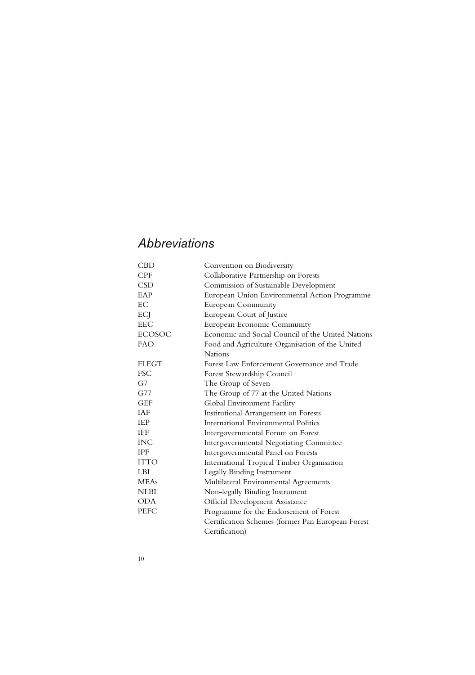## *Abbreviations*

| <b>CBD</b>    | Convention on Biodiversity                        |
|---------------|---------------------------------------------------|
| <b>CPF</b>    | Collaborative Partnership on Forests              |
| <b>CSD</b>    | Commission of Sustainable Development             |
| EAP           | European Union Environmental Action Programme     |
| EC            | <b>European Community</b>                         |
| ECJ           | European Court of Justice                         |
| <b>EEC</b>    | European Economic Community                       |
| <b>ECOSOC</b> | Economic and Social Council of the United Nations |
| <b>FAO</b>    | Food and Agriculture Organisation of the United   |
|               | Nations                                           |
| <b>FLEGT</b>  | Forest Law Enforcement Governance and Trade       |
| <b>FSC</b>    | Forest Stewardship Council                        |
| G7            | The Group of Seven                                |
| G77           | The Group of 77 at the United Nations             |
| <b>GEF</b>    | Global Environment Facility                       |
| <b>IAF</b>    | Institutional Arrangement on Forests              |
| <b>IEP</b>    | <b>International Environmental Politics</b>       |
| <b>IFF</b>    | Intergovernmental Forum on Forest                 |
| <b>INC</b>    | Intergovernmental Negotiating Committee           |
| <b>IPF</b>    | Intergovernmental Panel on Forests                |
| <b>ITTO</b>   | International Tropical Timber Organisation        |
| LBI           | Legally Binding Instrument                        |
| <b>MEAs</b>   | Multilateral Environmental Agreements             |
| <b>NLBI</b>   | Non-legally Binding Instrument                    |
| ODA           | <b>Official Development Assistance</b>            |
| <b>PEFC</b>   | Programme for the Endorsement of Forest           |
|               | Certification Schemes (former Pan European Forest |
|               | Certification)                                    |
|               |                                                   |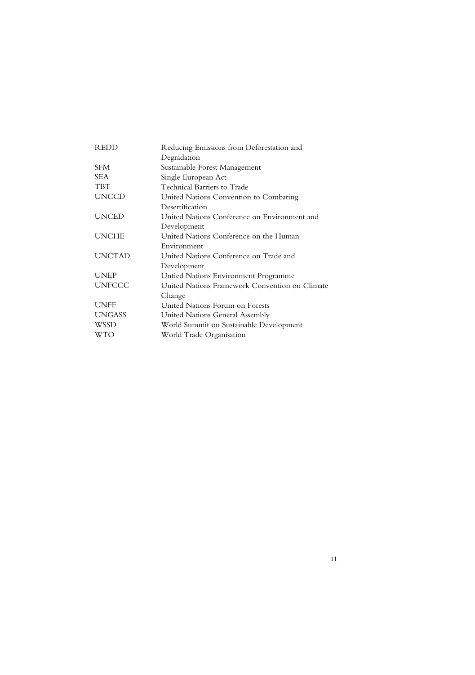| <b>REDD</b>   | Reducing Emissions from Deforestation and      |
|---------------|------------------------------------------------|
|               | Degradation                                    |
| <b>SFM</b>    | Sustainable Forest Management                  |
| SEA           | Single European Act                            |
| <b>TBT</b>    | Technical Barriers to Trade                    |
| <b>UNCCD</b>  | United Nations Convention to Combating         |
|               | Desertification                                |
| <b>UNCED</b>  | United Nations Conference on Environment and   |
|               | Development                                    |
| <b>UNCHE</b>  | United Nations Conference on the Human         |
|               | Environment                                    |
| <b>UNCTAD</b> | United Nations Conference on Trade and         |
|               | Development                                    |
| <b>UNEP</b>   | Untied Nations Environment Programme           |
| <b>UNFCCC</b> | United Nations Framework Convention on Climate |
|               | Change                                         |
| <b>UNFF</b>   | United Nations Forum on Forests                |
| <b>UNGASS</b> | United Nations General Assembly                |
| WSSD          | World Summit on Sustainable Development        |
| WTO           | World Trade Organisation                       |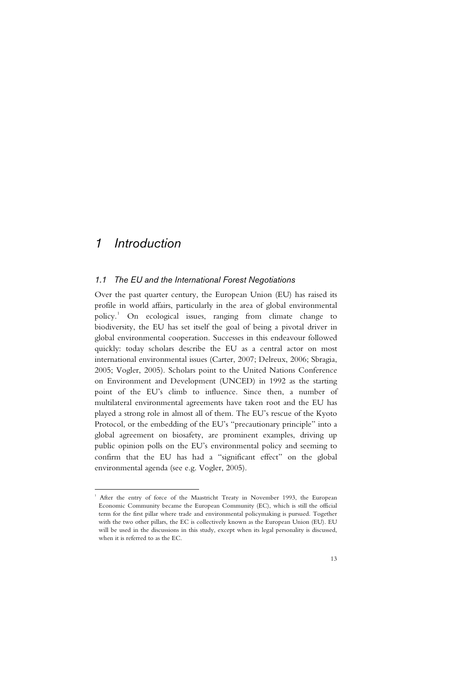### *1 Introduction*

l

#### *1.1 The EU and the International Forest Negotiations*

Over the past quarter century, the European Union (EU) has raised its profile in world affairs, particularly in the area of global environmental policy.<sup>1</sup> On ecological issues, ranging from climate change to biodiversity, the EU has set itself the goal of being a pivotal driver in global environmental cooperation. Successes in this endeavour followed quickly: today scholars describe the EU as a central actor on most international environmental issues (Carter, 2007; Delreux, 2006; Sbragia, 2005; Vogler, 2005). Scholars point to the United Nations Conference on Environment and Development (UNCED) in 1992 as the starting point of the EU's climb to influence. Since then, a number of multilateral environmental agreements have taken root and the EU has played a strong role in almost all of them. The EU's rescue of the Kyoto Protocol, or the embedding of the EU's "precautionary principle" into a global agreement on biosafety, are prominent examples, driving up public opinion polls on the EU's environmental policy and seeming to confirm that the EU has had a "significant effect" on the global environmental agenda (see e.g. Vogler, 2005).

<sup>&</sup>lt;sup>1</sup> After the entry of force of the Maastricht Treaty in November 1993, the European Economic Community became the European Community (EC), which is still the official term for the first pillar where trade and environmental policymaking is pursued. Together with the two other pillars, the EC is collectively known as the European Union (EU). EU will be used in the discussions in this study, except when its legal personality is discussed, when it is referred to as the EC.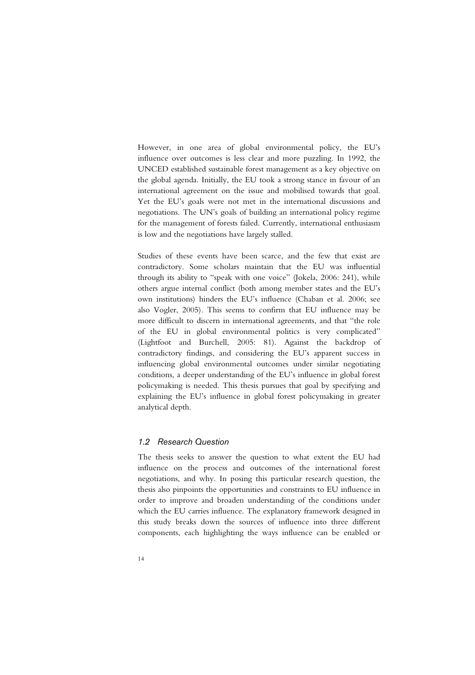However, in one area of global environmental policy, the EU's influence over outcomes is less clear and more puzzling. In 1992, the UNCED established sustainable forest management as a key objective on the global agenda. Initially, the EU took a strong stance in favour of an international agreement on the issue and mobilised towards that goal. Yet the EU's goals were not met in the international discussions and negotiations. The UN's goals of building an international policy regime for the management of forests failed. Currently, international enthusiasm is low and the negotiations have largely stalled.

Studies of these events have been scarce, and the few that exist are contradictory. Some scholars maintain that the EU was influential through its ability to "speak with one voice" (Jokela, 2006: 241), while others argue internal conflict (both among member states and the EU's own institutions) hinders the EU's influence (Chaban et al. 2006; see also Vogler, 2005). This seems to confirm that EU influence may be more difficult to discern in international agreements, and that "the role of the EU in global environmental politics is very complicated" (Lightfoot and Burchell, 2005: 81). Against the backdrop of contradictory findings, and considering the EU's apparent success in influencing global environmental outcomes under similar negotiating conditions, a deeper understanding of the EU's influence in global forest policymaking is needed. This thesis pursues that goal by specifying and explaining the EU's influence in global forest policymaking in greater analytical depth.

#### *1.2 Research Question*

The thesis seeks to answer the question to what extent the EU had influence on the process and outcomes of the international forest negotiations, and why. In posing this particular research question, the thesis also pinpoints the opportunities and constraints to EU influence in order to improve and broaden understanding of the conditions under which the EU carries influence. The explanatory framework designed in this study breaks down the sources of influence into three different components, each highlighting the ways influence can be enabled or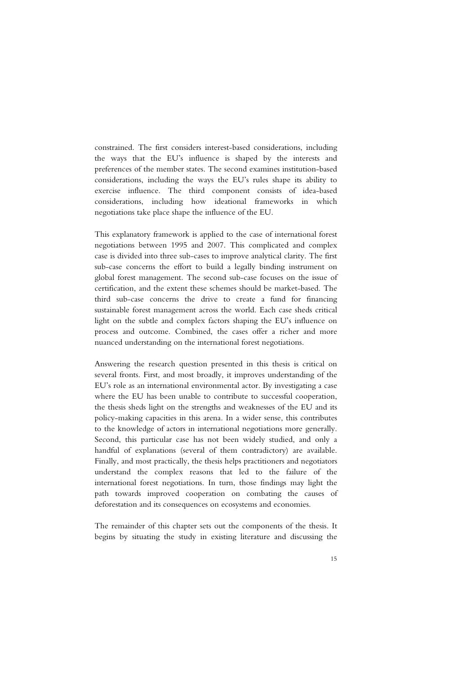constrained. The first considers interest-based considerations, including the ways that the EU's influence is shaped by the interests and preferences of the member states. The second examines institution-based considerations, including the ways the EU's rules shape its ability to exercise influence. The third component consists of idea-based considerations, including how ideational frameworks in which negotiations take place shape the influence of the EU.

This explanatory framework is applied to the case of international forest negotiations between 1995 and 2007. This complicated and complex case is divided into three sub-cases to improve analytical clarity. The first sub-case concerns the effort to build a legally binding instrument on global forest management. The second sub-case focuses on the issue of certification, and the extent these schemes should be market-based. The third sub-case concerns the drive to create a fund for financing sustainable forest management across the world. Each case sheds critical light on the subtle and complex factors shaping the EU's influence on process and outcome. Combined, the cases offer a richer and more nuanced understanding on the international forest negotiations.

Answering the research question presented in this thesis is critical on several fronts. First, and most broadly, it improves understanding of the EU's role as an international environmental actor. By investigating a case where the EU has been unable to contribute to successful cooperation, the thesis sheds light on the strengths and weaknesses of the EU and its policy-making capacities in this arena. In a wider sense, this contributes to the knowledge of actors in international negotiations more generally. Second, this particular case has not been widely studied, and only a handful of explanations (several of them contradictory) are available. Finally, and most practically, the thesis helps practitioners and negotiators understand the complex reasons that led to the failure of the international forest negotiations. In turn, those findings may light the path towards improved cooperation on combating the causes of deforestation and its consequences on ecosystems and economies.

The remainder of this chapter sets out the components of the thesis. It begins by situating the study in existing literature and discussing the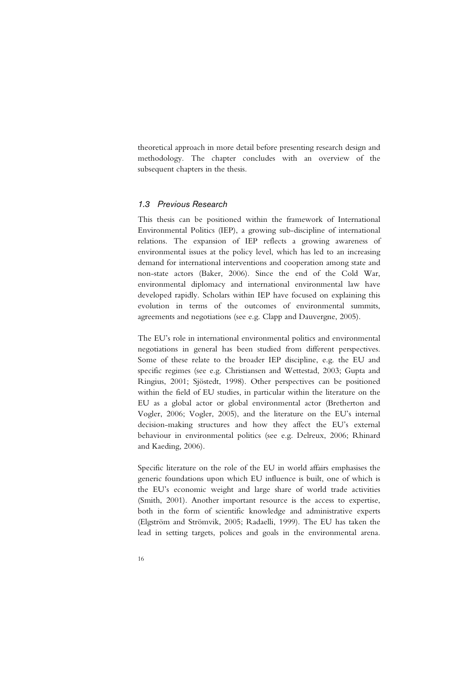theoretical approach in more detail before presenting research design and methodology. The chapter concludes with an overview of the subsequent chapters in the thesis.

#### *1.3 Previous Research*

This thesis can be positioned within the framework of International Environmental Politics (IEP), a growing sub-discipline of international relations. The expansion of IEP reflects a growing awareness of environmental issues at the policy level, which has led to an increasing demand for international interventions and cooperation among state and non-state actors (Baker, 2006). Since the end of the Cold War, environmental diplomacy and international environmental law have developed rapidly. Scholars within IEP have focused on explaining this evolution in terms of the outcomes of environmental summits, agreements and negotiations (see e.g. Clapp and Dauvergne, 2005).

The EU's role in international environmental politics and environmental negotiations in general has been studied from different perspectives. Some of these relate to the broader IEP discipline, e.g. the EU and specific regimes (see e.g. Christiansen and Wettestad, 2003; Gupta and Ringius, 2001; Sjöstedt, 1998). Other perspectives can be positioned within the field of EU studies, in particular within the literature on the EU as a global actor or global environmental actor (Bretherton and Vogler, 2006; Vogler, 2005), and the literature on the EU's internal decision-making structures and how they affect the EU's external behaviour in environmental politics (see e.g. Delreux, 2006; Rhinard and Kaeding, 2006).

Specific literature on the role of the EU in world affairs emphasises the generic foundations upon which EU influence is built, one of which is the EU's economic weight and large share of world trade activities (Smith, 2001). Another important resource is the access to expertise, both in the form of scientific knowledge and administrative experts (Elgström and Strömvik, 2005; Radaelli, 1999). The EU has taken the lead in setting targets, polices and goals in the environmental arena.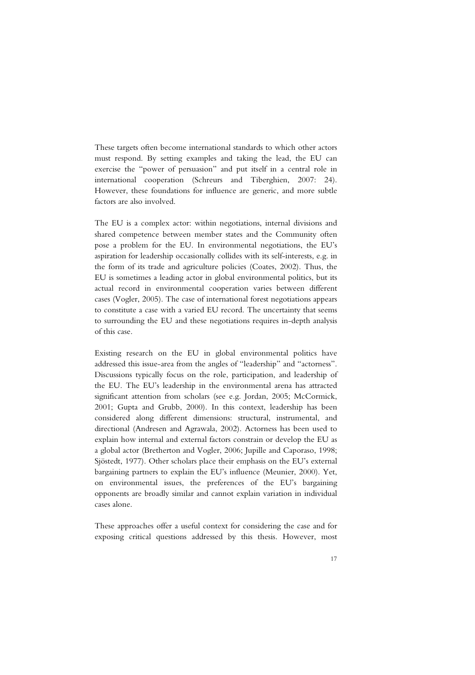These targets often become international standards to which other actors must respond. By setting examples and taking the lead, the EU can exercise the "power of persuasion" and put itself in a central role in international cooperation (Schreurs and Tiberghien, 2007: 24). However, these foundations for influence are generic, and more subtle factors are also involved.

The EU is a complex actor: within negotiations, internal divisions and shared competence between member states and the Community often pose a problem for the EU. In environmental negotiations, the EU's aspiration for leadership occasionally collides with its self-interests, e.g. in the form of its trade and agriculture policies (Coates, 2002). Thus, the EU is sometimes a leading actor in global environmental politics, but its actual record in environmental cooperation varies between different cases (Vogler, 2005). The case of international forest negotiations appears to constitute a case with a varied EU record. The uncertainty that seems to surrounding the EU and these negotiations requires in-depth analysis of this case.

Existing research on the EU in global environmental politics have addressed this issue-area from the angles of "leadership" and "actorness". Discussions typically focus on the role, participation, and leadership of the EU. The EU's leadership in the environmental arena has attracted significant attention from scholars (see e.g. Jordan, 2005; McCormick, 2001; Gupta and Grubb, 2000). In this context, leadership has been considered along different dimensions: structural, instrumental, and directional (Andresen and Agrawala, 2002). Actorness has been used to explain how internal and external factors constrain or develop the EU as a global actor (Bretherton and Vogler, 2006; Jupille and Caporaso, 1998; Sjöstedt, 1977). Other scholars place their emphasis on the EU's external bargaining partners to explain the EU's influence (Meunier, 2000). Yet, on environmental issues, the preferences of the EU's bargaining opponents are broadly similar and cannot explain variation in individual cases alone.

These approaches offer a useful context for considering the case and for exposing critical questions addressed by this thesis. However, most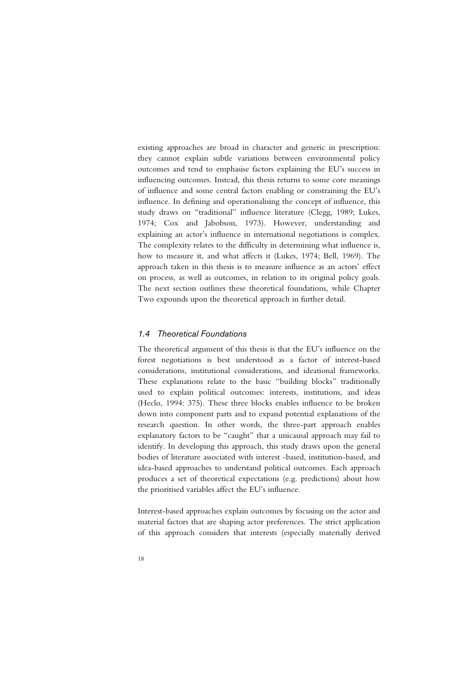existing approaches are broad in character and generic in prescription: they cannot explain subtle variations between environmental policy outcomes and tend to emphasise factors explaining the EU's success in influencing outcomes. Instead, this thesis returns to some core meanings of influence and some central factors enabling or constraining the EU's influence. In defining and operationalising the concept of influence, this study draws on "traditional" influence literature (Clegg, 1989; Lukes, 1974; Cox and Jabobson, 1973). However, understanding and explaining an actor's influence in international negotiations is complex. The complexity relates to the difficulty in determining what influence is, how to measure it, and what affects it (Lukes, 1974; Bell, 1969). The approach taken in this thesis is to measure influence as an actors' effect on process, as well as outcomes, in relation to its original policy goals. The next section outlines these theoretical foundations, while Chapter Two expounds upon the theoretical approach in further detail.

#### *1.4 Theoretical Foundations*

The theoretical argument of this thesis is that the EU's influence on the forest negotiations is best understood as a factor of interest-based considerations, institutional considerations, and ideational frameworks. These explanations relate to the basic "building blocks" traditionally used to explain political outcomes: interests, institutions, and ideas (Heclo, 1994: 375). These three blocks enables influence to be broken down into component parts and to expand potential explanations of the research question. In other words, the three-part approach enables explanatory factors to be "caught" that a unicausal approach may fail to identify. In developing this approach, this study draws upon the general bodies of literature associated with interest -based, institution-based, and idea-based approaches to understand political outcomes. Each approach produces a set of theoretical expectations (e.g. predictions) about how the prioritised variables affect the EU's influence.

Interest-based approaches explain outcomes by focusing on the actor and material factors that are shaping actor preferences. The strict application of this approach considers that interests (especially materially derived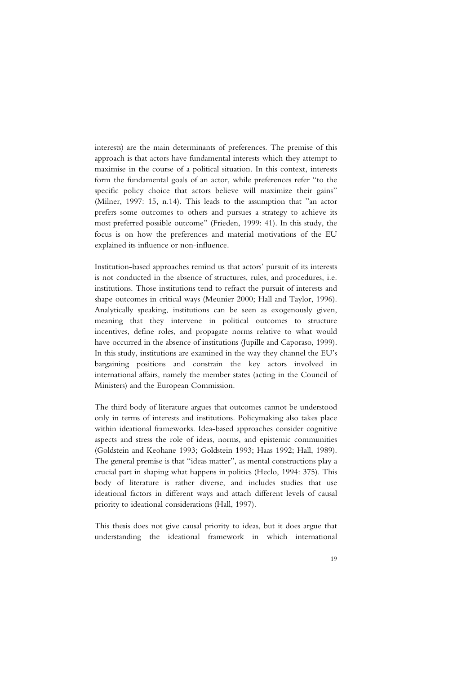interests) are the main determinants of preferences. The premise of this approach is that actors have fundamental interests which they attempt to maximise in the course of a political situation. In this context, interests form the fundamental goals of an actor, while preferences refer "to the specific policy choice that actors believe will maximize their gains" (Milner, 1997: 15, n.14). This leads to the assumption that "an actor prefers some outcomes to others and pursues a strategy to achieve its most preferred possible outcome" (Frieden, 1999: 41). In this study, the focus is on how the preferences and material motivations of the EU explained its influence or non-influence.

Institution-based approaches remind us that actors' pursuit of its interests is not conducted in the absence of structures, rules, and procedures, i.e. institutions. Those institutions tend to refract the pursuit of interests and shape outcomes in critical ways (Meunier 2000; Hall and Taylor, 1996). Analytically speaking, institutions can be seen as exogenously given, meaning that they intervene in political outcomes to structure incentives, define roles, and propagate norms relative to what would have occurred in the absence of institutions (Jupille and Caporaso, 1999). In this study, institutions are examined in the way they channel the EU's bargaining positions and constrain the key actors involved in international affairs, namely the member states (acting in the Council of Ministers) and the European Commission.

The third body of literature argues that outcomes cannot be understood only in terms of interests and institutions. Policymaking also takes place within ideational frameworks. Idea-based approaches consider cognitive aspects and stress the role of ideas, norms, and epistemic communities (Goldstein and Keohane 1993; Goldstein 1993; Haas 1992; Hall, 1989). The general premise is that "ideas matter", as mental constructions play a crucial part in shaping what happens in politics (Heclo, 1994: 375). This body of literature is rather diverse, and includes studies that use ideational factors in different ways and attach different levels of causal priority to ideational considerations (Hall, 1997).

This thesis does not give causal priority to ideas, but it does argue that understanding the ideational framework in which international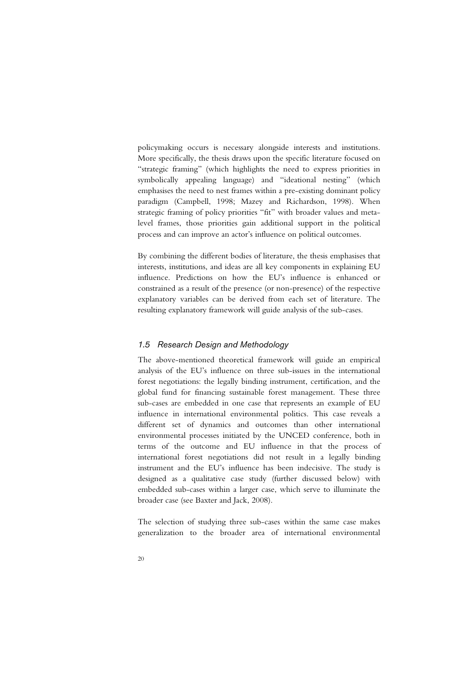policymaking occurs is necessary alongside interests and institutions. More specifically, the thesis draws upon the specific literature focused on "strategic framing" (which highlights the need to express priorities in symbolically appealing language) and "ideational nesting" (which emphasises the need to nest frames within a pre-existing dominant policy paradigm (Campbell, 1998; Mazey and Richardson, 1998). When strategic framing of policy priorities "fit" with broader values and metalevel frames, those priorities gain additional support in the political process and can improve an actor's influence on political outcomes.

By combining the different bodies of literature, the thesis emphasises that interests, institutions, and ideas are all key components in explaining EU influence. Predictions on how the EU's influence is enhanced or constrained as a result of the presence (or non-presence) of the respective explanatory variables can be derived from each set of literature. The resulting explanatory framework will guide analysis of the sub-cases.

#### *1.5 Research Design and Methodology*

The above-mentioned theoretical framework will guide an empirical analysis of the EU's influence on three sub-issues in the international forest negotiations: the legally binding instrument, certification, and the global fund for financing sustainable forest management. These three sub-cases are embedded in one case that represents an example of EU influence in international environmental politics. This case reveals a different set of dynamics and outcomes than other international environmental processes initiated by the UNCED conference, both in terms of the outcome and EU influence in that the process of international forest negotiations did not result in a legally binding instrument and the EU's influence has been indecisive. The study is designed as a qualitative case study (further discussed below) with embedded sub-cases within a larger case, which serve to illuminate the broader case (see Baxter and Jack, 2008).

The selection of studying three sub-cases within the same case makes generalization to the broader area of international environmental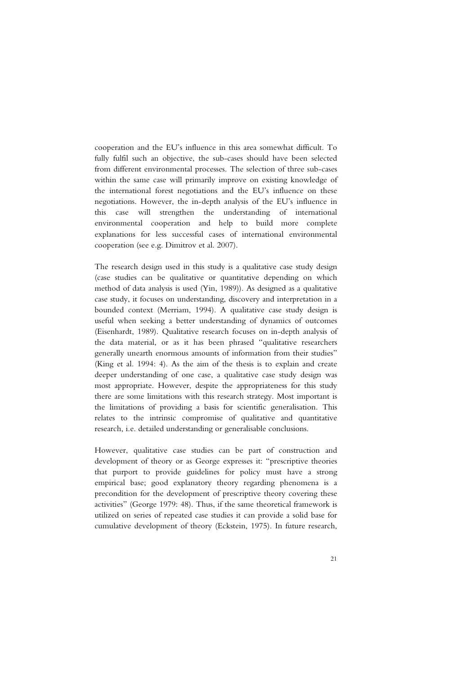cooperation and the EU's influence in this area somewhat difficult. To fully fulfil such an objective, the sub-cases should have been selected from different environmental processes. The selection of three sub-cases within the same case will primarily improve on existing knowledge of the international forest negotiations and the EU's influence on these negotiations. However, the in-depth analysis of the EU's influence in this case will strengthen the understanding of international environmental cooperation and help to build more complete explanations for less successful cases of international environmental cooperation (see e.g. Dimitrov et al. 2007).

The research design used in this study is a qualitative case study design (case studies can be qualitative or quantitative depending on which method of data analysis is used (Yin, 1989)). As designed as a qualitative case study, it focuses on understanding, discovery and interpretation in a bounded context (Merriam, 1994). A qualitative case study design is useful when seeking a better understanding of dynamics of outcomes (Eisenhardt, 1989). Qualitative research focuses on in-depth analysis of the data material, or as it has been phrased "qualitative researchers generally unearth enormous amounts of information from their studies" (King et al. 1994: 4). As the aim of the thesis is to explain and create deeper understanding of one case, a qualitative case study design was most appropriate. However, despite the appropriateness for this study there are some limitations with this research strategy. Most important is the limitations of providing a basis for scientific generalisation. This relates to the intrinsic compromise of qualitative and quantitative research, i.e. detailed understanding or generalisable conclusions.

However, qualitative case studies can be part of construction and development of theory or as George expresses it: "prescriptive theories that purport to provide guidelines for policy must have a strong empirical base; good explanatory theory regarding phenomena is a precondition for the development of prescriptive theory covering these activities" (George 1979: 48). Thus, if the same theoretical framework is utilized on series of repeated case studies it can provide a solid base for cumulative development of theory (Eckstein, 1975). In future research,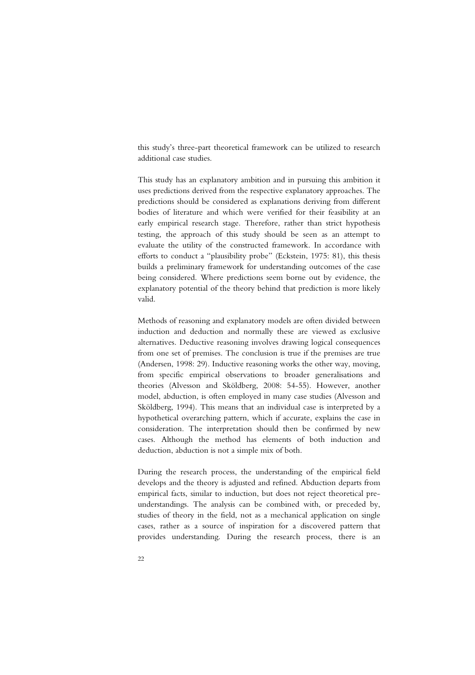this study's three-part theoretical framework can be utilized to research additional case studies.

This study has an explanatory ambition and in pursuing this ambition it uses predictions derived from the respective explanatory approaches. The predictions should be considered as explanations deriving from different bodies of literature and which were verified for their feasibility at an early empirical research stage. Therefore, rather than strict hypothesis testing, the approach of this study should be seen as an attempt to evaluate the utility of the constructed framework. In accordance with efforts to conduct a "plausibility probe" (Eckstein, 1975: 81), this thesis builds a preliminary framework for understanding outcomes of the case being considered. Where predictions seem borne out by evidence, the explanatory potential of the theory behind that prediction is more likely valid.

Methods of reasoning and explanatory models are often divided between induction and deduction and normally these are viewed as exclusive alternatives. Deductive reasoning involves drawing logical consequences from one set of premises. The conclusion is true if the premises are true (Andersen, 1998: 29). Inductive reasoning works the other way, moving, from specific empirical observations to broader generalisations and theories (Alvesson and Sköldberg, 2008: 54-55). However, another model, abduction, is often employed in many case studies (Alvesson and Sköldberg, 1994). This means that an individual case is interpreted by a hypothetical overarching pattern, which if accurate, explains the case in consideration. The interpretation should then be confirmed by new cases. Although the method has elements of both induction and deduction, abduction is not a simple mix of both.

During the research process, the understanding of the empirical field develops and the theory is adjusted and refined. Abduction departs from empirical facts, similar to induction, but does not reject theoretical preunderstandings. The analysis can be combined with, or preceded by, studies of theory in the field, not as a mechanical application on single cases, rather as a source of inspiration for a discovered pattern that provides understanding. During the research process, there is an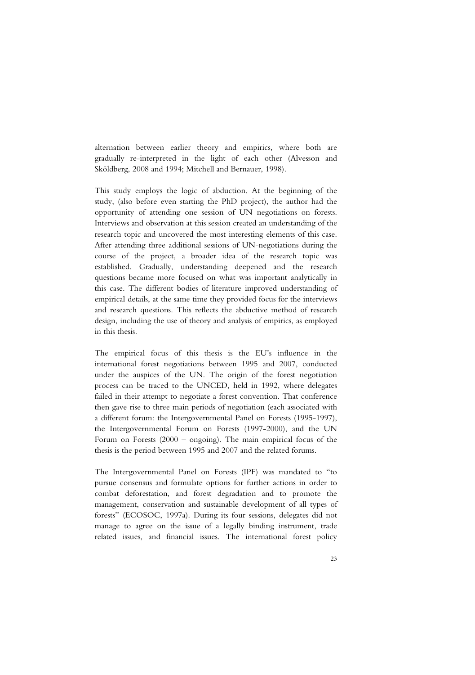alternation between earlier theory and empirics, where both are gradually re-interpreted in the light of each other (Alvesson and Sköldberg, 2008 and 1994; Mitchell and Bernauer, 1998).

This study employs the logic of abduction. At the beginning of the study, (also before even starting the PhD project), the author had the opportunity of attending one session of UN negotiations on forests. Interviews and observation at this session created an understanding of the research topic and uncovered the most interesting elements of this case. After attending three additional sessions of UN-negotiations during the course of the project, a broader idea of the research topic was established. Gradually, understanding deepened and the research questions became more focused on what was important analytically in this case. The different bodies of literature improved understanding of empirical details, at the same time they provided focus for the interviews and research questions. This reflects the abductive method of research design, including the use of theory and analysis of empirics, as employed in this thesis.

The empirical focus of this thesis is the EU's influence in the international forest negotiations between 1995 and 2007, conducted under the auspices of the UN. The origin of the forest negotiation process can be traced to the UNCED, held in 1992, where delegates failed in their attempt to negotiate a forest convention. That conference then gave rise to three main periods of negotiation (each associated with a different forum: the Intergovernmental Panel on Forests (1995-1997), the Intergovernmental Forum on Forests (1997-2000), and the UN Forum on Forests (2000 – ongoing). The main empirical focus of the thesis is the period between 1995 and 2007 and the related forums.

The Intergovernmental Panel on Forests (IPF) was mandated to "to pursue consensus and formulate options for further actions in order to combat deforestation, and forest degradation and to promote the management, conservation and sustainable development of all types of forests" (ECOSOC, 1997a). During its four sessions, delegates did not manage to agree on the issue of a legally binding instrument, trade related issues, and financial issues. The international forest policy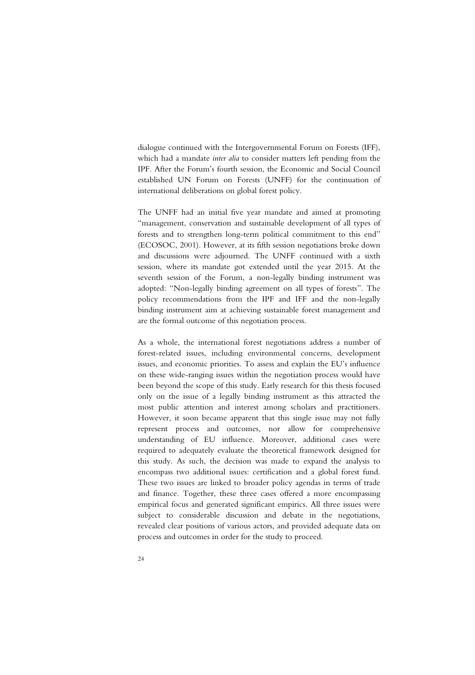dialogue continued with the Intergovernmental Forum on Forests (IFF), which had a mandate *inter alia* to consider matters left pending from the IPF. After the Forum's fourth session, the Economic and Social Council established UN Forum on Forests (UNFF) for the continuation of international deliberations on global forest policy.

The UNFF had an initial five year mandate and aimed at promoting "management, conservation and sustainable development of all types of forests and to strengthen long-term political commitment to this end" (ECOSOC, 2001). However, at its fifth session negotiations broke down and discussions were adjourned. The UNFF continued with a sixth session, where its mandate got extended until the year 2015. At the seventh session of the Forum, a non-legally binding instrument was adopted: "Non-legally binding agreement on all types of forests". The policy recommendations from the IPF and IFF and the non-legally binding instrument aim at achieving sustainable forest management and are the formal outcome of this negotiation process.

As a whole, the international forest negotiations address a number of forest-related issues, including environmental concerns, development issues, and economic priorities. To assess and explain the EU's influence on these wide-ranging issues within the negotiation process would have been beyond the scope of this study. Early research for this thesis focused only on the issue of a legally binding instrument as this attracted the most public attention and interest among scholars and practitioners. However, it soon became apparent that this single issue may not fully represent process and outcomes, nor allow for comprehensive understanding of EU influence. Moreover, additional cases were required to adequately evaluate the theoretical framework designed for this study. As such, the decision was made to expand the analysis to encompass two additional issues: certification and a global forest fund. These two issues are linked to broader policy agendas in terms of trade and finance. Together, these three cases offered a more encompassing empirical focus and generated significant empirics. All three issues were subject to considerable discussion and debate in the negotiations, revealed clear positions of various actors, and provided adequate data on process and outcomes in order for the study to proceed.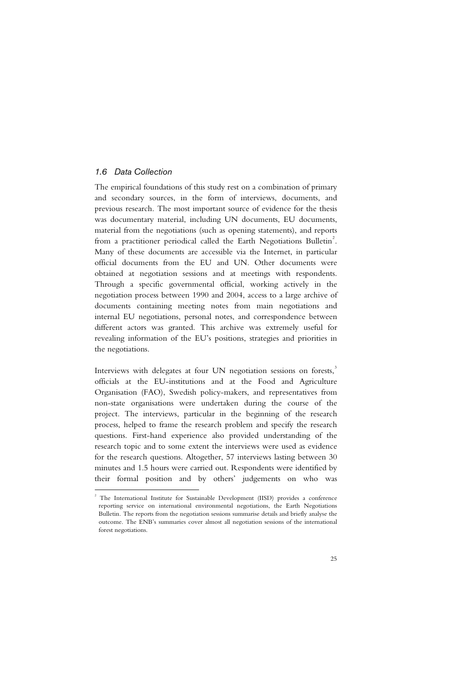#### *1.6 Data Collection*

-

The empirical foundations of this study rest on a combination of primary and secondary sources, in the form of interviews, documents, and previous research. The most important source of evidence for the thesis was documentary material, including UN documents, EU documents, material from the negotiations (such as opening statements), and reports from a practitioner periodical called the Earth Negotiations Bulletin<sup>2</sup>. Many of these documents are accessible via the Internet, in particular official documents from the EU and UN. Other documents were obtained at negotiation sessions and at meetings with respondents. Through a specific governmental official, working actively in the negotiation process between 1990 and 2004, access to a large archive of documents containing meeting notes from main negotiations and internal EU negotiations, personal notes, and correspondence between different actors was granted. This archive was extremely useful for revealing information of the EU's positions, strategies and priorities in the negotiations.

Interviews with delegates at four UN negotiation sessions on forests,<sup>3</sup> officials at the EU-institutions and at the Food and Agriculture Organisation (FAO), Swedish policy-makers, and representatives from non-state organisations were undertaken during the course of the project. The interviews, particular in the beginning of the research process, helped to frame the research problem and specify the research questions. First-hand experience also provided understanding of the research topic and to some extent the interviews were used as evidence for the research questions. Altogether, 57 interviews lasting between 30 minutes and 1.5 hours were carried out. Respondents were identified by their formal position and by others' judgements on who was

<sup>&</sup>lt;sup>2</sup> The International Institute for Sustainable Development (IISD) provides a conference reporting service on international environmental negotiations, the Earth Negotiations Bulletin. The reports from the negotiation sessions summarise details and briefly analyse the outcome. The ENB's summaries cover almost all negotiation sessions of the international forest negotiations.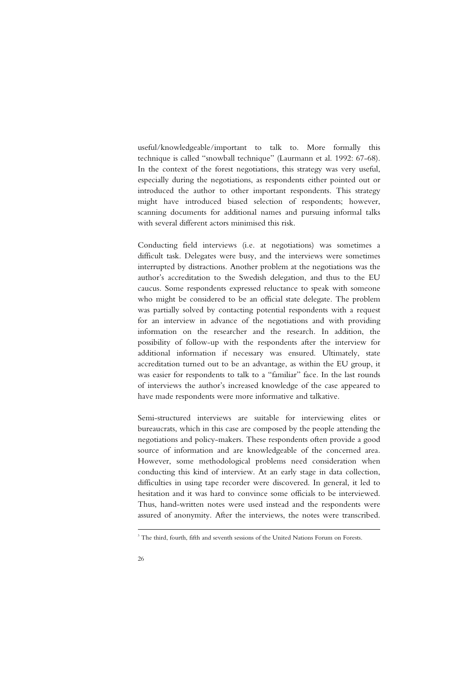useful/knowledgeable/important to talk to. More formally this technique is called "snowball technique" (Laurmann et al. 1992: 67-68). In the context of the forest negotiations, this strategy was very useful, especially during the negotiations, as respondents either pointed out or introduced the author to other important respondents. This strategy might have introduced biased selection of respondents; however, scanning documents for additional names and pursuing informal talks with several different actors minimised this risk.

Conducting field interviews (i.e. at negotiations) was sometimes a difficult task. Delegates were busy, and the interviews were sometimes interrupted by distractions. Another problem at the negotiations was the author's accreditation to the Swedish delegation, and thus to the EU caucus. Some respondents expressed reluctance to speak with someone who might be considered to be an official state delegate. The problem was partially solved by contacting potential respondents with a request for an interview in advance of the negotiations and with providing information on the researcher and the research. In addition, the possibility of follow-up with the respondents after the interview for additional information if necessary was ensured. Ultimately, state accreditation turned out to be an advantage, as within the EU group, it was easier for respondents to talk to a "familiar" face. In the last rounds of interviews the author's increased knowledge of the case appeared to have made respondents were more informative and talkative.

Semi-structured interviews are suitable for interviewing elites or bureaucrats, which in this case are composed by the people attending the negotiations and policy-makers. These respondents often provide a good source of information and are knowledgeable of the concerned area. However, some methodological problems need consideration when conducting this kind of interview. At an early stage in data collection, difficulties in using tape recorder were discovered. In general, it led to hesitation and it was hard to convince some officials to be interviewed. Thus, hand-written notes were used instead and the respondents were assured of anonymity. After the interviews, the notes were transcribed.

-

<sup>&</sup>lt;sup>3</sup> The third, fourth, fifth and seventh sessions of the United Nations Forum on Forests.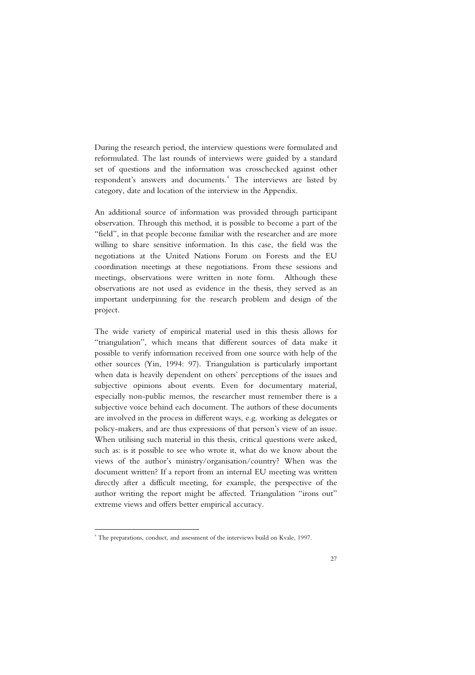During the research period, the interview questions were formulated and reformulated. The last rounds of interviews were guided by a standard set of questions and the information was crosschecked against other respondent's answers and documents.<sup>4</sup> The interviews are listed by category, date and location of the interview in the Appendix.

An additional source of information was provided through participant observation. Through this method, it is possible to become a part of the "field", in that people become familiar with the researcher and are more willing to share sensitive information. In this case, the field was the negotiations at the United Nations Forum on Forests and the EU coordination meetings at these negotiations. From these sessions and meetings, observations were written in note form. Although these observations are not used as evidence in the thesis, they served as an important underpinning for the research problem and design of the project.

The wide variety of empirical material used in this thesis allows for "triangulation", which means that different sources of data make it possible to verify information received from one source with help of the other sources (Yin, 1994: 97). Triangulation is particularly important when data is heavily dependent on others' perceptions of the issues and subjective opinions about events. Even for documentary material, especially non-public memos, the researcher must remember there is a subjective voice behind each document. The authors of these documents are involved in the process in different ways, e.g. working as delegates or policy-makers, and are thus expressions of that person's view of an issue. When utilising such material in this thesis, critical questions were asked, such as: is it possible to see who wrote it, what do we know about the views of the author's ministry/organisation/country? When was the document written? If a report from an internal EU meeting was written directly after a difficult meeting, for example, the perspective of the author writing the report might be affected. Triangulation "irons out" extreme views and offers better empirical accuracy.

-

<sup>4</sup> The preparations, conduct, and assessment of the interviews build on Kvale, 1997.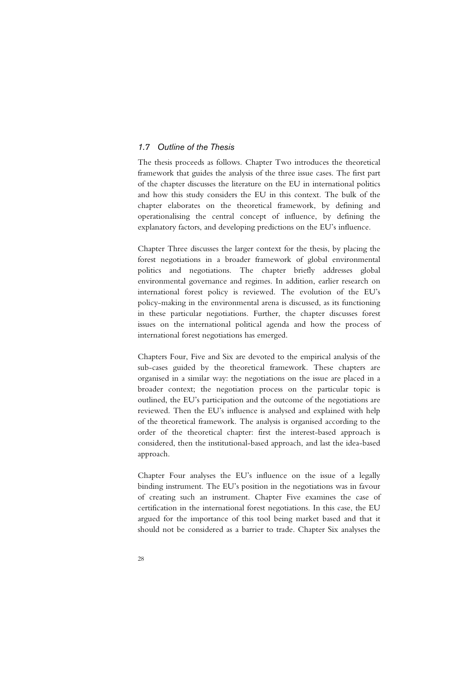#### *1.7 Outline of the Thesis*

The thesis proceeds as follows. Chapter Two introduces the theoretical framework that guides the analysis of the three issue cases. The first part of the chapter discusses the literature on the EU in international politics and how this study considers the EU in this context. The bulk of the chapter elaborates on the theoretical framework, by defining and operationalising the central concept of influence, by defining the explanatory factors, and developing predictions on the EU's influence.

Chapter Three discusses the larger context for the thesis, by placing the forest negotiations in a broader framework of global environmental politics and negotiations. The chapter briefly addresses global environmental governance and regimes. In addition, earlier research on international forest policy is reviewed. The evolution of the EU's policy-making in the environmental arena is discussed, as its functioning in these particular negotiations. Further, the chapter discusses forest issues on the international political agenda and how the process of international forest negotiations has emerged.

Chapters Four, Five and Six are devoted to the empirical analysis of the sub-cases guided by the theoretical framework. These chapters are organised in a similar way: the negotiations on the issue are placed in a broader context; the negotiation process on the particular topic is outlined, the EU's participation and the outcome of the negotiations are reviewed. Then the EU's influence is analysed and explained with help of the theoretical framework. The analysis is organised according to the order of the theoretical chapter: first the interest-based approach is considered, then the institutional-based approach, and last the idea-based approach.

Chapter Four analyses the EU's influence on the issue of a legally binding instrument. The EU's position in the negotiations was in favour of creating such an instrument. Chapter Five examines the case of certification in the international forest negotiations. In this case, the EU argued for the importance of this tool being market based and that it should not be considered as a barrier to trade. Chapter Six analyses the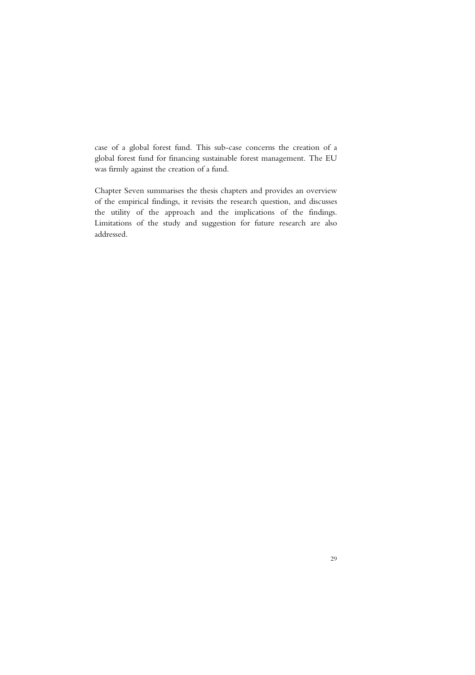case of a global forest fund. This sub-case concerns the creation of a global forest fund for financing sustainable forest management. The EU was firmly against the creation of a fund.

Chapter Seven summarises the thesis chapters and provides an overview of the empirical findings, it revisits the research question, and discusses the utility of the approach and the implications of the findings. Limitations of the study and suggestion for future research are also addressed.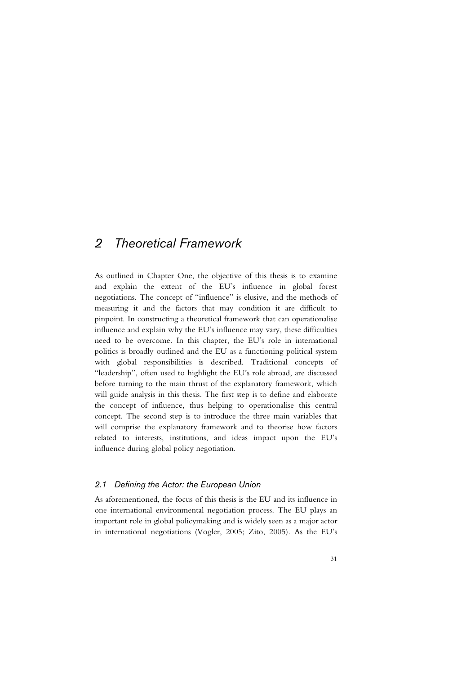## *2 Theoretical Framework*

As outlined in Chapter One, the objective of this thesis is to examine and explain the extent of the EU's influence in global forest negotiations. The concept of "influence" is elusive, and the methods of measuring it and the factors that may condition it are difficult to pinpoint. In constructing a theoretical framework that can operationalise influence and explain why the EU's influence may vary, these difficulties need to be overcome. In this chapter, the EU's role in international politics is broadly outlined and the EU as a functioning political system with global responsibilities is described. Traditional concepts of "leadership", often used to highlight the EU's role abroad, are discussed before turning to the main thrust of the explanatory framework, which will guide analysis in this thesis. The first step is to define and elaborate the concept of influence, thus helping to operationalise this central concept. The second step is to introduce the three main variables that will comprise the explanatory framework and to theorise how factors related to interests, institutions, and ideas impact upon the EU's influence during global policy negotiation.

#### *2.1 Defining the Actor: the European Union*

As aforementioned, the focus of this thesis is the EU and its influence in one international environmental negotiation process. The EU plays an important role in global policymaking and is widely seen as a major actor in international negotiations (Vogler, 2005; Zito, 2005). As the EU's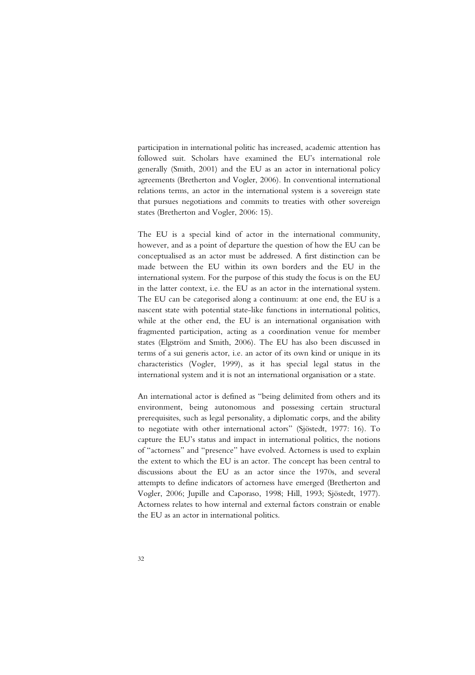participation in international politic has increased, academic attention has followed suit. Scholars have examined the EU's international role generally (Smith, 2001) and the EU as an actor in international policy agreements (Bretherton and Vogler, 2006). In conventional international relations terms, an actor in the international system is a sovereign state that pursues negotiations and commits to treaties with other sovereign states (Bretherton and Vogler, 2006: 15).

The EU is a special kind of actor in the international community, however, and as a point of departure the question of how the EU can be conceptualised as an actor must be addressed. A first distinction can be made between the EU within its own borders and the EU in the international system. For the purpose of this study the focus is on the EU in the latter context, i.e. the EU as an actor in the international system. The EU can be categorised along a continuum: at one end, the EU is a nascent state with potential state-like functions in international politics, while at the other end, the EU is an international organisation with fragmented participation, acting as a coordination venue for member states (Elgström and Smith, 2006). The EU has also been discussed in terms of a sui generis actor, i.e. an actor of its own kind or unique in its characteristics (Vogler, 1999), as it has special legal status in the international system and it is not an international organisation or a state.

An international actor is defined as "being delimited from others and its environment, being autonomous and possessing certain structural prerequisites, such as legal personality, a diplomatic corps, and the ability to negotiate with other international actors" (Sjöstedt, 1977: 16). To capture the EU's status and impact in international politics, the notions of "actorness" and "presence" have evolved. Actorness is used to explain the extent to which the EU is an actor. The concept has been central to discussions about the EU as an actor since the 1970s, and several attempts to define indicators of actorness have emerged (Bretherton and Vogler, 2006; Jupille and Caporaso, 1998; Hill, 1993; Sjöstedt, 1977). Actorness relates to how internal and external factors constrain or enable the EU as an actor in international politics.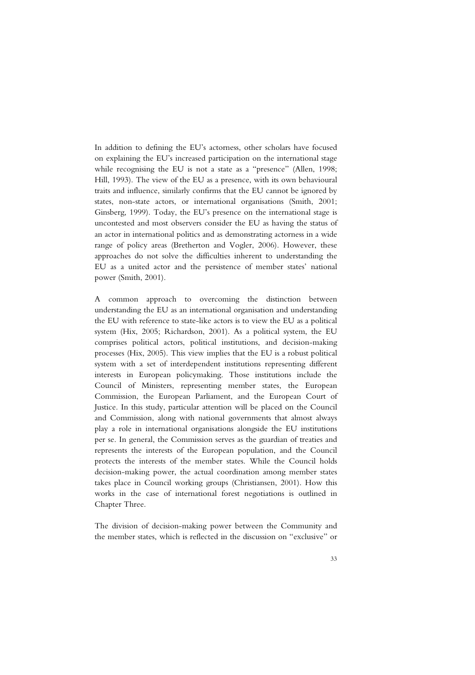In addition to defining the EU's actorness, other scholars have focused on explaining the EU's increased participation on the international stage while recognising the EU is not a state as a "presence" (Allen, 1998; Hill, 1993). The view of the EU as a presence, with its own behavioural traits and influence, similarly confirms that the EU cannot be ignored by states, non-state actors, or international organisations (Smith, 2001; Ginsberg, 1999). Today, the EU's presence on the international stage is uncontested and most observers consider the EU as having the status of an actor in international politics and as demonstrating actorness in a wide range of policy areas (Bretherton and Vogler, 2006). However, these approaches do not solve the difficulties inherent to understanding the EU as a united actor and the persistence of member states' national power (Smith, 2001).

A common approach to overcoming the distinction between understanding the EU as an international organisation and understanding the EU with reference to state-like actors is to view the EU as a political system (Hix, 2005; Richardson, 2001). As a political system, the EU comprises political actors, political institutions, and decision-making processes (Hix, 2005). This view implies that the EU is a robust political system with a set of interdependent institutions representing different interests in European policymaking. Those institutions include the Council of Ministers, representing member states, the European Commission, the European Parliament, and the European Court of Justice. In this study, particular attention will be placed on the Council and Commission, along with national governments that almost always play a role in international organisations alongside the EU institutions per se. In general, the Commission serves as the guardian of treaties and represents the interests of the European population, and the Council protects the interests of the member states. While the Council holds decision-making power, the actual coordination among member states takes place in Council working groups (Christiansen, 2001). How this works in the case of international forest negotiations is outlined in Chapter Three.

The division of decision-making power between the Community and the member states, which is reflected in the discussion on "exclusive" or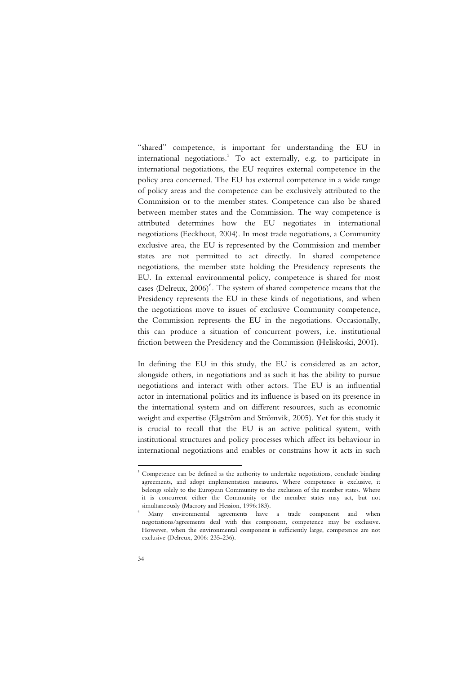"shared" competence, is important for understanding the EU in international negotiations.<sup>5</sup> To act externally, e.g. to participate in international negotiations, the EU requires external competence in the policy area concerned. The EU has external competence in a wide range of policy areas and the competence can be exclusively attributed to the Commission or to the member states. Competence can also be shared between member states and the Commission. The way competence is attributed determines how the EU negotiates in international negotiations (Eeckhout, 2004). In most trade negotiations, a Community exclusive area, the EU is represented by the Commission and member states are not permitted to act directly. In shared competence negotiations, the member state holding the Presidency represents the EU. In external environmental policy, competence is shared for most cases (Delreux,  $2006$ <sup>6</sup>. The system of shared competence means that the Presidency represents the EU in these kinds of negotiations, and when the negotiations move to issues of exclusive Community competence, the Commission represents the EU in the negotiations. Occasionally, this can produce a situation of concurrent powers, i.e. institutional friction between the Presidency and the Commission (Heliskoski, 2001).

In defining the EU in this study, the EU is considered as an actor, alongside others, in negotiations and as such it has the ability to pursue negotiations and interact with other actors. The EU is an influential actor in international politics and its influence is based on its presence in the international system and on different resources, such as economic weight and expertise (Elgström and Strömvik, 2005). Yet for this study it is crucial to recall that the EU is an active political system, with institutional structures and policy processes which affect its behaviour in international negotiations and enables or constrains how it acts in such

-

6

<sup>&</sup>lt;sup>5</sup> Competence can be defined as the authority to undertake negotiations, conclude binding agreements, and adopt implementation measures. Where competence is exclusive, it belongs solely to the European Community to the exclusion of the member states. Where it is concurrent either the Community or the member states may act, but not simultaneously (Macrory and Hession, 1996:183).

Many environmental agreements have a trade component and when negotiations/agreements deal with this component, competence may be exclusive. However, when the environmental component is sufficiently large, competence are not exclusive (Delreux, 2006: 235-236).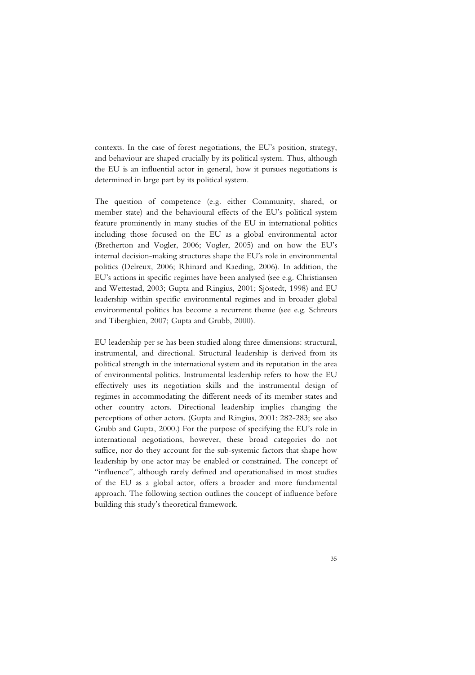contexts. In the case of forest negotiations, the EU's position, strategy, and behaviour are shaped crucially by its political system. Thus, although the EU is an influential actor in general, how it pursues negotiations is determined in large part by its political system.

The question of competence (e.g. either Community, shared, or member state) and the behavioural effects of the EU's political system feature prominently in many studies of the EU in international politics including those focused on the EU as a global environmental actor (Bretherton and Vogler, 2006; Vogler, 2005) and on how the EU's internal decision-making structures shape the EU's role in environmental politics (Delreux, 2006; Rhinard and Kaeding, 2006). In addition, the EU's actions in specific regimes have been analysed (see e.g. Christiansen and Wettestad, 2003; Gupta and Ringius, 2001; Sjöstedt, 1998) and EU leadership within specific environmental regimes and in broader global environmental politics has become a recurrent theme (see e.g. Schreurs and Tiberghien, 2007; Gupta and Grubb, 2000).

EU leadership per se has been studied along three dimensions: structural, instrumental, and directional. Structural leadership is derived from its political strength in the international system and its reputation in the area of environmental politics. Instrumental leadership refers to how the EU effectively uses its negotiation skills and the instrumental design of regimes in accommodating the different needs of its member states and other country actors. Directional leadership implies changing the perceptions of other actors. (Gupta and Ringius, 2001: 282-283; see also Grubb and Gupta, 2000.) For the purpose of specifying the EU's role in international negotiations, however, these broad categories do not suffice, nor do they account for the sub-systemic factors that shape how leadership by one actor may be enabled or constrained. The concept of "influence", although rarely defined and operationalised in most studies of the EU as a global actor, offers a broader and more fundamental approach. The following section outlines the concept of influence before building this study's theoretical framework.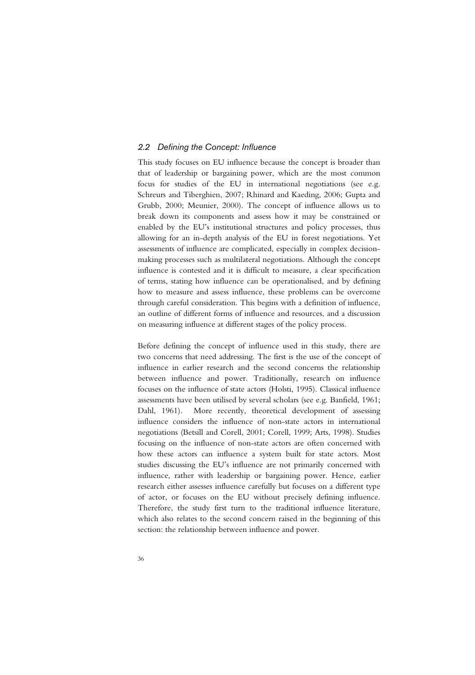## *2.2 Defining the Concept: Influence*

This study focuses on EU influence because the concept is broader than that of leadership or bargaining power, which are the most common focus for studies of the EU in international negotiations (see e.g. Schreurs and Tiberghien, 2007; Rhinard and Kaeding, 2006; Gupta and Grubb, 2000; Meunier, 2000). The concept of influence allows us to break down its components and assess how it may be constrained or enabled by the EU's institutional structures and policy processes, thus allowing for an in-depth analysis of the EU in forest negotiations. Yet assessments of influence are complicated, especially in complex decisionmaking processes such as multilateral negotiations. Although the concept influence is contested and it is difficult to measure, a clear specification of terms, stating how influence can be operationalised, and by defining how to measure and assess influence, these problems can be overcome through careful consideration. This begins with a definition of influence, an outline of different forms of influence and resources, and a discussion on measuring influence at different stages of the policy process.

Before defining the concept of influence used in this study, there are two concerns that need addressing. The first is the use of the concept of influence in earlier research and the second concerns the relationship between influence and power. Traditionally, research on influence focuses on the influence of state actors (Holsti, 1995). Classical influence assessments have been utilised by several scholars (see e.g. Banfield, 1961; Dahl, 1961). More recently, theoretical development of assessing influence considers the influence of non-state actors in international negotiations (Betsill and Corell, 2001; Corell, 1999; Arts, 1998). Studies focusing on the influence of non-state actors are often concerned with how these actors can influence a system built for state actors. Most studies discussing the EU's influence are not primarily concerned with influence, rather with leadership or bargaining power. Hence, earlier research either assesses influence carefully but focuses on a different type of actor, or focuses on the EU without precisely defining influence. Therefore, the study first turn to the traditional influence literature, which also relates to the second concern raised in the beginning of this section: the relationship between influence and power.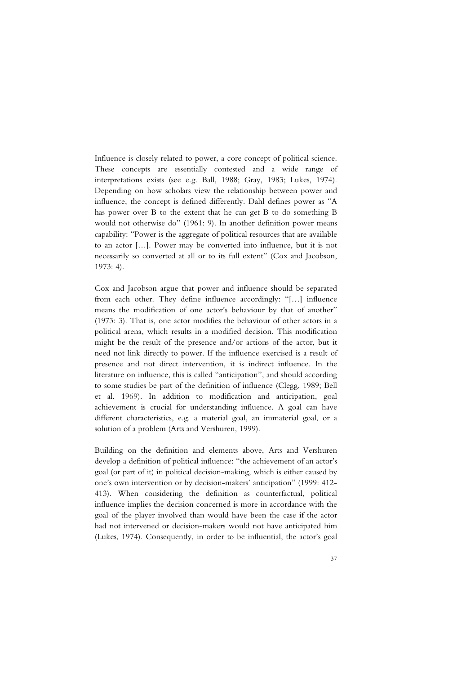Influence is closely related to power, a core concept of political science. These concepts are essentially contested and a wide range of interpretations exists (see e.g. Ball, 1988; Gray, 1983; Lukes, 1974). Depending on how scholars view the relationship between power and influence, the concept is defined differently. Dahl defines power as "A has power over B to the extent that he can get B to do something B would not otherwise do" (1961: 9). In another definition power means capability: "Power is the aggregate of political resources that are available to an actor […]. Power may be converted into influence, but it is not necessarily so converted at all or to its full extent" (Cox and Jacobson, 1973: 4).

Cox and Jacobson argue that power and influence should be separated from each other. They define influence accordingly: "[…] influence means the modification of one actor's behaviour by that of another" (1973: 3). That is, one actor modifies the behaviour of other actors in a political arena, which results in a modified decision. This modification might be the result of the presence and/or actions of the actor, but it need not link directly to power. If the influence exercised is a result of presence and not direct intervention, it is indirect influence. In the literature on influence, this is called "anticipation", and should according to some studies be part of the definition of influence (Clegg, 1989; Bell et al. 1969). In addition to modification and anticipation, goal achievement is crucial for understanding influence. A goal can have different characteristics, e.g. a material goal, an immaterial goal, or a solution of a problem (Arts and Vershuren, 1999).

Building on the definition and elements above, Arts and Vershuren develop a definition of political influence: "the achievement of an actor's goal (or part of it) in political decision-making, which is either caused by one's own intervention or by decision-makers' anticipation" (1999: 412- 413). When considering the definition as counterfactual, political influence implies the decision concerned is more in accordance with the goal of the player involved than would have been the case if the actor had not intervened or decision-makers would not have anticipated him (Lukes, 1974). Consequently, in order to be influential, the actor's goal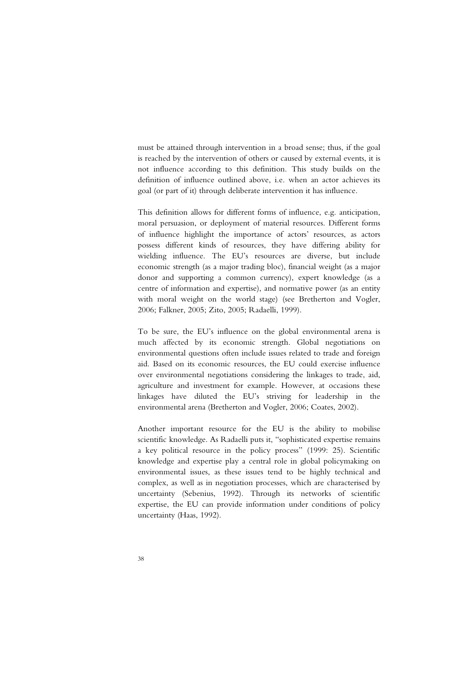must be attained through intervention in a broad sense; thus, if the goal is reached by the intervention of others or caused by external events, it is not influence according to this definition. This study builds on the definition of influence outlined above, i.e. when an actor achieves its goal (or part of it) through deliberate intervention it has influence.

This definition allows for different forms of influence, e.g. anticipation, moral persuasion, or deployment of material resources. Different forms of influence highlight the importance of actors' resources, as actors possess different kinds of resources, they have differing ability for wielding influence. The EU's resources are diverse, but include economic strength (as a major trading bloc), financial weight (as a major donor and supporting a common currency), expert knowledge (as a centre of information and expertise), and normative power (as an entity with moral weight on the world stage) (see Bretherton and Vogler, 2006; Falkner, 2005; Zito, 2005; Radaelli, 1999).

To be sure, the EU's influence on the global environmental arena is much affected by its economic strength. Global negotiations on environmental questions often include issues related to trade and foreign aid. Based on its economic resources, the EU could exercise influence over environmental negotiations considering the linkages to trade, aid, agriculture and investment for example. However, at occasions these linkages have diluted the EU's striving for leadership in the environmental arena (Bretherton and Vogler, 2006; Coates, 2002).

Another important resource for the EU is the ability to mobilise scientific knowledge. As Radaelli puts it, "sophisticated expertise remains a key political resource in the policy process" (1999: 25). Scientific knowledge and expertise play a central role in global policymaking on environmental issues, as these issues tend to be highly technical and complex, as well as in negotiation processes, which are characterised by uncertainty (Sebenius, 1992). Through its networks of scientific expertise, the EU can provide information under conditions of policy uncertainty (Haas, 1992).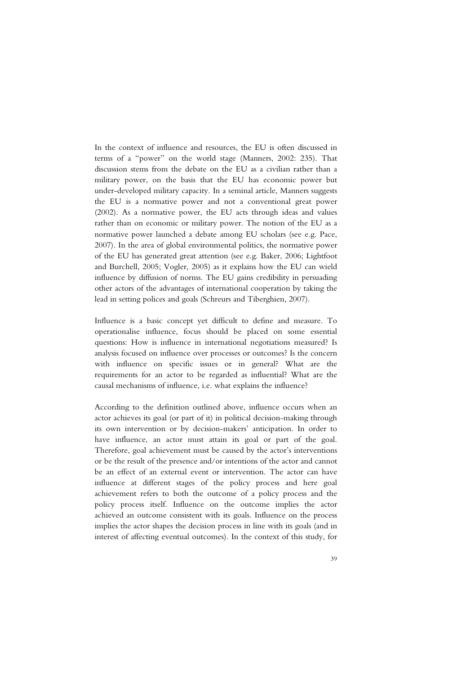In the context of influence and resources, the EU is often discussed in terms of a "power" on the world stage (Manners, 2002: 235). That discussion stems from the debate on the EU as a civilian rather than a military power, on the basis that the EU has economic power but under-developed military capacity. In a seminal article, Manners suggests the EU is a normative power and not a conventional great power (2002). As a normative power, the EU acts through ideas and values rather than on economic or military power. The notion of the EU as a normative power launched a debate among EU scholars (see e.g. Pace, 2007). In the area of global environmental politics, the normative power of the EU has generated great attention (see e.g. Baker, 2006; Lightfoot and Burchell, 2005; Vogler, 2005) as it explains how the EU can wield influence by diffusion of norms. The EU gains credibility in persuading other actors of the advantages of international cooperation by taking the lead in setting polices and goals (Schreurs and Tiberghien, 2007).

Influence is a basic concept yet difficult to define and measure. To operationalise influence, focus should be placed on some essential questions: How is influence in international negotiations measured? Is analysis focused on influence over processes or outcomes? Is the concern with influence on specific issues or in general? What are the requirements for an actor to be regarded as influential? What are the causal mechanisms of influence, i.e. what explains the influence?

According to the definition outlined above, influence occurs when an actor achieves its goal (or part of it) in political decision-making through its own intervention or by decision-makers' anticipation. In order to have influence, an actor must attain its goal or part of the goal. Therefore, goal achievement must be caused by the actor's interventions or be the result of the presence and/or intentions of the actor and cannot be an effect of an external event or intervention. The actor can have influence at different stages of the policy process and here goal achievement refers to both the outcome of a policy process and the policy process itself. Influence on the outcome implies the actor achieved an outcome consistent with its goals. Influence on the process implies the actor shapes the decision process in line with its goals (and in interest of affecting eventual outcomes). In the context of this study, for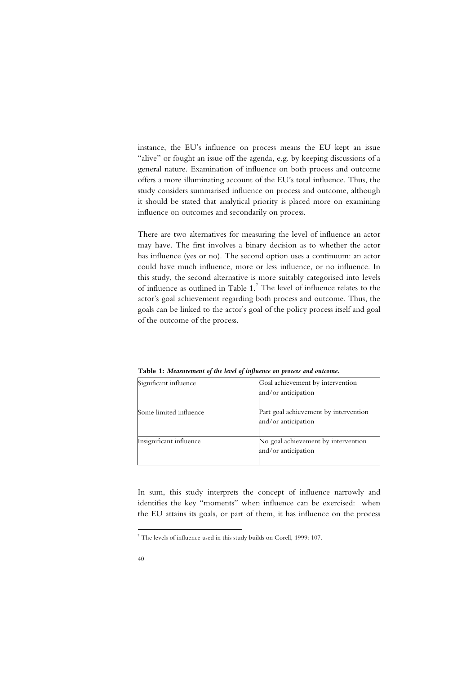instance, the EU's influence on process means the EU kept an issue "alive" or fought an issue off the agenda, e.g. by keeping discussions of a general nature. Examination of influence on both process and outcome offers a more illuminating account of the EU's total influence. Thus, the study considers summarised influence on process and outcome, although it should be stated that analytical priority is placed more on examining influence on outcomes and secondarily on process.

There are two alternatives for measuring the level of influence an actor may have. The first involves a binary decision as to whether the actor has influence (yes or no). The second option uses a continuum: an actor could have much influence, more or less influence, or no influence. In this study, the second alternative is more suitably categorised into levels of influence as outlined in Table  $1<sup>7</sup>$ . The level of influence relates to the actor's goal achievement regarding both process and outcome. Thus, the goals can be linked to the actor's goal of the policy process itself and goal of the outcome of the process.

| Significant influence   | Goal achievement by intervention<br>and/or anticipation      |  |  |
|-------------------------|--------------------------------------------------------------|--|--|
| Some limited influence  | Part goal achievement by intervention<br>and/or anticipation |  |  |
| Insignificant influence | No goal achievement by intervention<br>and/or anticipation   |  |  |

**Table 1:** *Measurement of the level of influence on process and outcome.* 

In sum, this study interprets the concept of influence narrowly and identifies the key "moments" when influence can be exercised: when the EU attains its goals, or part of them, it has influence on the process

-

 $^7$  The levels of influence used in this study builds on Corell, 1999: 107.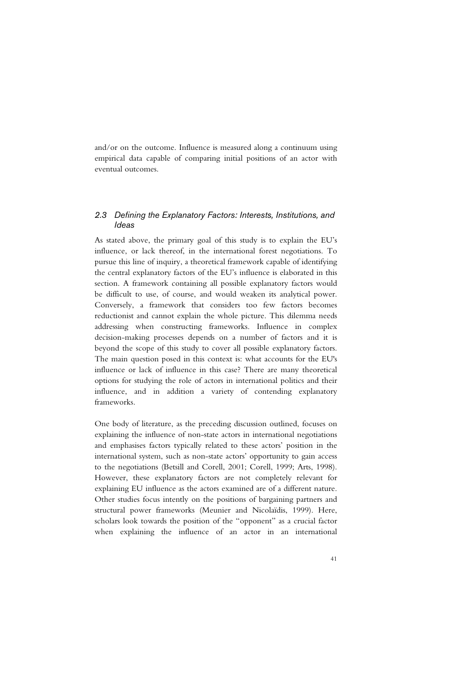and/or on the outcome. Influence is measured along a continuum using empirical data capable of comparing initial positions of an actor with eventual outcomes.

## *2.3 Defining the Explanatory Factors: Interests, Institutions, and Ideas*

As stated above, the primary goal of this study is to explain the EU's influence, or lack thereof, in the international forest negotiations. To pursue this line of inquiry, a theoretical framework capable of identifying the central explanatory factors of the EU's influence is elaborated in this section. A framework containing all possible explanatory factors would be difficult to use, of course, and would weaken its analytical power. Conversely, a framework that considers too few factors becomes reductionist and cannot explain the whole picture. This dilemma needs addressing when constructing frameworks. Influence in complex decision-making processes depends on a number of factors and it is beyond the scope of this study to cover all possible explanatory factors. The main question posed in this context is: what accounts for the EU's influence or lack of influence in this case? There are many theoretical options for studying the role of actors in international politics and their influence, and in addition a variety of contending explanatory frameworks.

One body of literature, as the preceding discussion outlined, focuses on explaining the influence of non-state actors in international negotiations and emphasises factors typically related to these actors' position in the international system, such as non-state actors' opportunity to gain access to the negotiations (Betsill and Corell, 2001; Corell, 1999; Arts, 1998). However, these explanatory factors are not completely relevant for explaining EU influence as the actors examined are of a different nature. Other studies focus intently on the positions of bargaining partners and structural power frameworks (Meunier and Nicolaïdis, 1999). Here, scholars look towards the position of the "opponent" as a crucial factor when explaining the influence of an actor in an international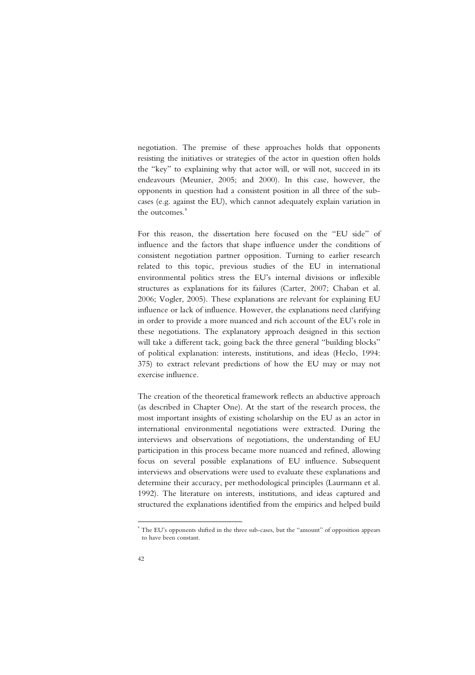negotiation. The premise of these approaches holds that opponents resisting the initiatives or strategies of the actor in question often holds the "key" to explaining why that actor will, or will not, succeed in its endeavours (Meunier, 2005; and 2000). In this case, however, the opponents in question had a consistent position in all three of the subcases (e.g. against the EU), which cannot adequately explain variation in the outcomes.<sup>8</sup>

For this reason, the dissertation here focused on the "EU side" of influence and the factors that shape influence under the conditions of consistent negotiation partner opposition. Turning to earlier research related to this topic, previous studies of the EU in international environmental politics stress the EU's internal divisions or inflexible structures as explanations for its failures (Carter, 2007; Chaban et al. 2006; Vogler, 2005). These explanations are relevant for explaining EU influence or lack of influence. However, the explanations need clarifying in order to provide a more nuanced and rich account of the EU's role in these negotiations. The explanatory approach designed in this section will take a different tack, going back the three general "building blocks" of political explanation: interests, institutions, and ideas (Heclo, 1994: 375) to extract relevant predictions of how the EU may or may not exercise influence.

The creation of the theoretical framework reflects an abductive approach (as described in Chapter One). At the start of the research process, the most important insights of existing scholarship on the EU as an actor in international environmental negotiations were extracted. During the interviews and observations of negotiations, the understanding of EU participation in this process became more nuanced and refined, allowing focus on several possible explanations of EU influence. Subsequent interviews and observations were used to evaluate these explanations and determine their accuracy, per methodological principles (Laurmann et al. 1992). The literature on interests, institutions, and ideas captured and structured the explanations identified from the empirics and helped build

-

<sup>8</sup> The EU's opponents shifted in the three sub-cases, but the "amount" of opposition appears to have been constant.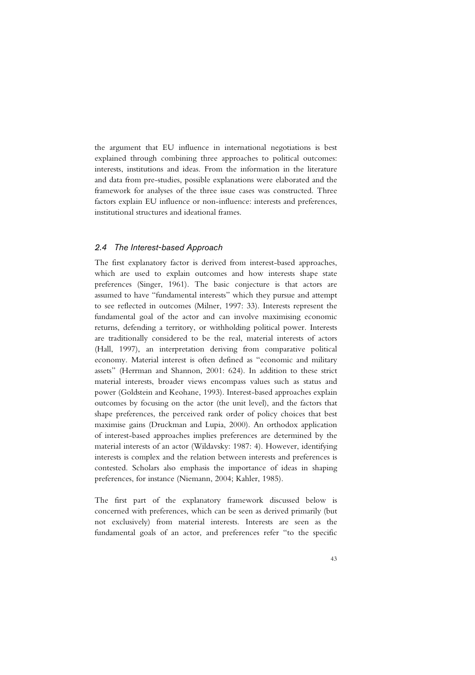the argument that EU influence in international negotiations is best explained through combining three approaches to political outcomes: interests, institutions and ideas. From the information in the literature and data from pre-studies, possible explanations were elaborated and the framework for analyses of the three issue cases was constructed. Three factors explain EU influence or non-influence: interests and preferences, institutional structures and ideational frames.

#### *2.4 The Interest-based Approach*

The first explanatory factor is derived from interest-based approaches, which are used to explain outcomes and how interests shape state preferences (Singer, 1961). The basic conjecture is that actors are assumed to have "fundamental interests" which they pursue and attempt to see reflected in outcomes (Milner, 1997: 33). Interests represent the fundamental goal of the actor and can involve maximising economic returns, defending a territory, or withholding political power. Interests are traditionally considered to be the real, material interests of actors (Hall, 1997), an interpretation deriving from comparative political economy. Material interest is often defined as "economic and military assets" (Herrman and Shannon, 2001: 624). In addition to these strict material interests, broader views encompass values such as status and power (Goldstein and Keohane, 1993). Interest-based approaches explain outcomes by focusing on the actor (the unit level), and the factors that shape preferences, the perceived rank order of policy choices that best maximise gains (Druckman and Lupia, 2000). An orthodox application of interest-based approaches implies preferences are determined by the material interests of an actor (Wildavsky: 1987: 4). However, identifying interests is complex and the relation between interests and preferences is contested. Scholars also emphasis the importance of ideas in shaping preferences, for instance (Niemann, 2004; Kahler, 1985).

The first part of the explanatory framework discussed below is concerned with preferences, which can be seen as derived primarily (but not exclusively) from material interests. Interests are seen as the fundamental goals of an actor, and preferences refer "to the specific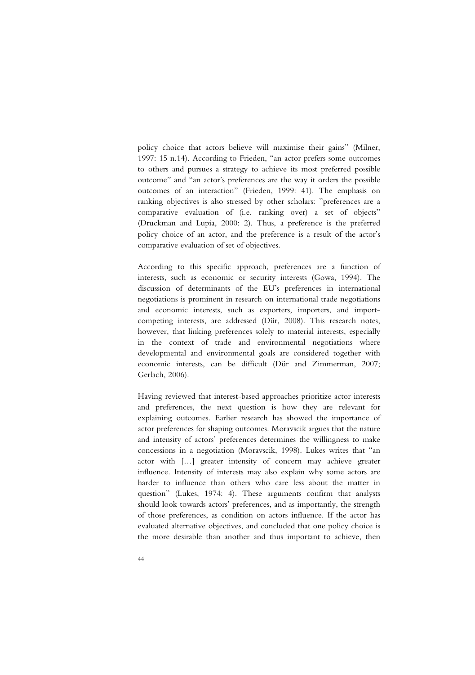policy choice that actors believe will maximise their gains" (Milner, 1997: 15 n.14). According to Frieden, "an actor prefers some outcomes to others and pursues a strategy to achieve its most preferred possible outcome" and "an actor's preferences are the way it orders the possible outcomes of an interaction" (Frieden, 1999: 41). The emphasis on ranking objectives is also stressed by other scholars: "preferences are a comparative evaluation of (i.e. ranking over) a set of objects" (Druckman and Lupia, 2000: 2). Thus, a preference is the preferred policy choice of an actor, and the preference is a result of the actor's comparative evaluation of set of objectives.

According to this specific approach, preferences are a function of interests, such as economic or security interests (Gowa, 1994). The discussion of determinants of the EU's preferences in international negotiations is prominent in research on international trade negotiations and economic interests, such as exporters, importers, and importcompeting interests, are addressed (Dür, 2008). This research notes, however, that linking preferences solely to material interests, especially in the context of trade and environmental negotiations where developmental and environmental goals are considered together with economic interests, can be difficult (Dür and Zimmerman, 2007; Gerlach, 2006).

Having reviewed that interest-based approaches prioritize actor interests and preferences, the next question is how they are relevant for explaining outcomes. Earlier research has showed the importance of actor preferences for shaping outcomes. Moravscik argues that the nature and intensity of actors' preferences determines the willingness to make concessions in a negotiation (Moravscik, 1998). Lukes writes that "an actor with […] greater intensity of concern may achieve greater influence. Intensity of interests may also explain why some actors are harder to influence than others who care less about the matter in question" (Lukes, 1974: 4). These arguments confirm that analysts should look towards actors' preferences, and as importantly, the strength of those preferences, as condition on actors influence. If the actor has evaluated alternative objectives, and concluded that one policy choice is the more desirable than another and thus important to achieve, then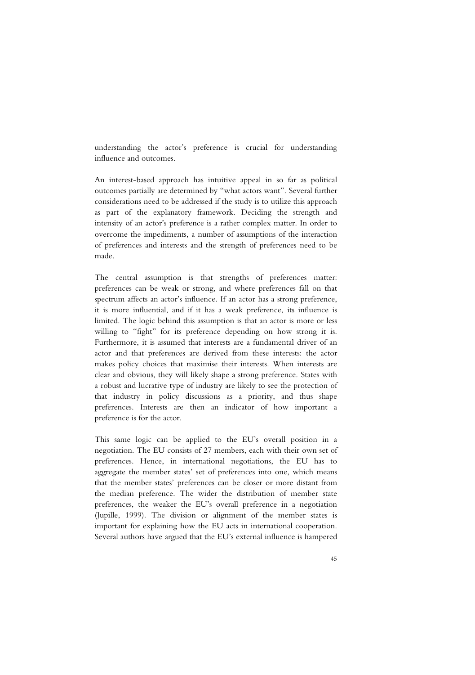understanding the actor's preference is crucial for understanding influence and outcomes.

An interest-based approach has intuitive appeal in so far as political outcomes partially are determined by "what actors want". Several further considerations need to be addressed if the study is to utilize this approach as part of the explanatory framework. Deciding the strength and intensity of an actor's preference is a rather complex matter. In order to overcome the impediments, a number of assumptions of the interaction of preferences and interests and the strength of preferences need to be made.

The central assumption is that strengths of preferences matter: preferences can be weak or strong, and where preferences fall on that spectrum affects an actor's influence. If an actor has a strong preference, it is more influential, and if it has a weak preference, its influence is limited. The logic behind this assumption is that an actor is more or less willing to "fight" for its preference depending on how strong it is. Furthermore, it is assumed that interests are a fundamental driver of an actor and that preferences are derived from these interests: the actor makes policy choices that maximise their interests. When interests are clear and obvious, they will likely shape a strong preference. States with a robust and lucrative type of industry are likely to see the protection of that industry in policy discussions as a priority, and thus shape preferences. Interests are then an indicator of how important a preference is for the actor.

This same logic can be applied to the EU's overall position in a negotiation. The EU consists of 27 members, each with their own set of preferences. Hence, in international negotiations, the EU has to aggregate the member states' set of preferences into one, which means that the member states' preferences can be closer or more distant from the median preference. The wider the distribution of member state preferences, the weaker the EU's overall preference in a negotiation (Jupille, 1999). The division or alignment of the member states is important for explaining how the EU acts in international cooperation. Several authors have argued that the EU's external influence is hampered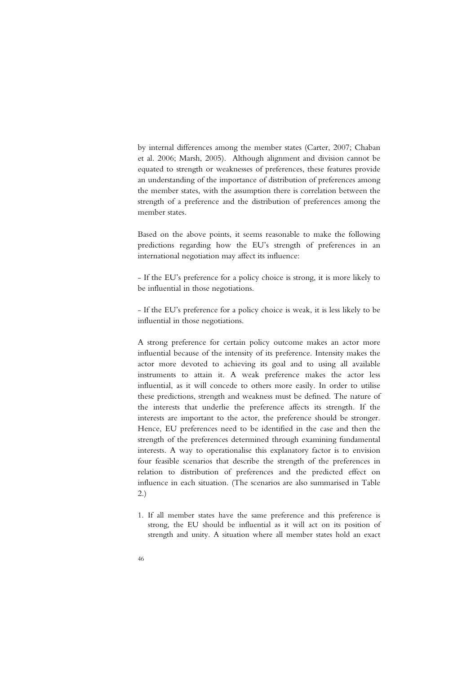by internal differences among the member states (Carter, 2007; Chaban et al. 2006; Marsh, 2005). Although alignment and division cannot be equated to strength or weaknesses of preferences, these features provide an understanding of the importance of distribution of preferences among the member states, with the assumption there is correlation between the strength of a preference and the distribution of preferences among the member states.

Based on the above points, it seems reasonable to make the following predictions regarding how the EU's strength of preferences in an international negotiation may affect its influence:

- If the EU's preference for a policy choice is strong, it is more likely to be influential in those negotiations.

- If the EU's preference for a policy choice is weak, it is less likely to be influential in those negotiations.

A strong preference for certain policy outcome makes an actor more influential because of the intensity of its preference. Intensity makes the actor more devoted to achieving its goal and to using all available instruments to attain it. A weak preference makes the actor less influential, as it will concede to others more easily. In order to utilise these predictions, strength and weakness must be defined. The nature of the interests that underlie the preference affects its strength. If the interests are important to the actor, the preference should be stronger. Hence, EU preferences need to be identified in the case and then the strength of the preferences determined through examining fundamental interests. A way to operationalise this explanatory factor is to envision four feasible scenarios that describe the strength of the preferences in relation to distribution of preferences and the predicted effect on influence in each situation. (The scenarios are also summarised in Table 2.)

1. If all member states have the same preference and this preference is strong, the EU should be influential as it will act on its position of strength and unity. A situation where all member states hold an exact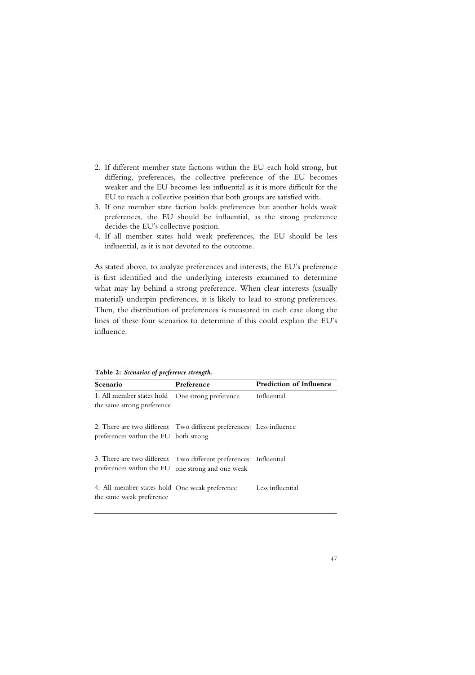- 2. If different member state factions within the EU each hold strong, but differing, preferences, the collective preference of the EU becomes weaker and the EU becomes less influential as it is more difficult for the EU to reach a collective position that both groups are satisfied with.
- 3. If one member state faction holds preferences but another holds weak preferences, the EU should be influential, as the strong preference decides the EU's collective position.
- 4. If all member states hold weak preferences, the EU should be less influential, as it is not devoted to the outcome.

As stated above, to analyze preferences and interests, the EU's preference is first identified and the underlying interests examined to determine what may lay behind a strong preference. When clear interests (usually material) underpin preferences, it is likely to lead to strong preferences. Then, the distribution of preferences is measured in each case along the lines of these four scenarios to determine if this could explain the EU's influence.

**Table 2:** *Scenarios of preference strength.* 

| Scenario                                                                                                      | Preference                                                        | <b>Prediction of Influence</b> |
|---------------------------------------------------------------------------------------------------------------|-------------------------------------------------------------------|--------------------------------|
| 1. All member states hold<br>the same strong preference                                                       | One strong preference                                             | Influential                    |
| 2. There are two different Two different preferences: Less influence<br>preferences within the EU both strong |                                                                   |                                |
| preferences within the EU one strong and one weak                                                             | 3. There are two different Two different preferences: Influential |                                |
| 4. All member states hold One weak preference<br>the same weak preference                                     |                                                                   | Less influential               |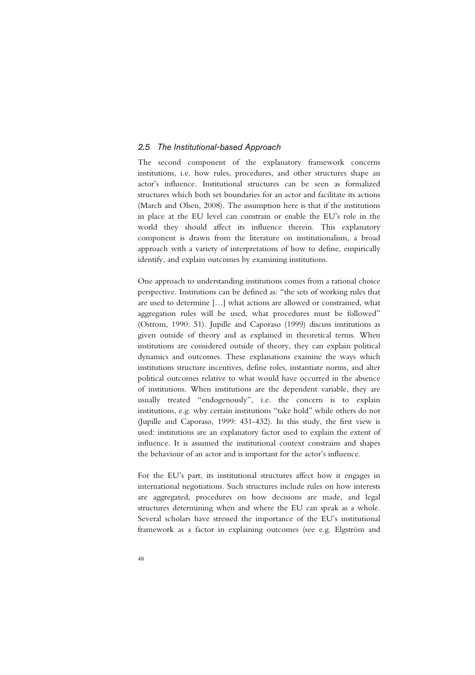## *2.5 The Institutional-based Approach*

The second component of the explanatory framework concerns institutions, i.e. how rules, procedures, and other structures shape an actor's influence. Institutional structures can be seen as formalized structures which both set boundaries for an actor and facilitate its actions (March and Olsen, 2008). The assumption here is that if the institutions in place at the EU level can constrain or enable the EU's role in the world they should affect its influence therein. This explanatory component is drawn from the literature on institutionalism, a broad approach with a variety of interpretations of how to define, empirically identify, and explain outcomes by examining institutions.

One approach to understanding institutions comes from a rational choice perspective. Institutions can be defined as: "the sets of working rules that are used to determine […] what actions are allowed or constrained, what aggregation rules will be used, what procedures must be followed" (Ostrom, 1990: 51). Jupille and Caporaso (1999) discuss institutions as given outside of theory and as explained in theoretical terms. When institutions are considered outside of theory, they can explain political dynamics and outcomes. These explanations examine the ways which institutions structure incentives, define roles, instantiate norms, and alter political outcomes relative to what would have occurred in the absence of institutions. When institutions are the dependent variable, they are usually treated "endogenously", i.e. the concern is to explain institutions, e.g. why certain institutions "take hold" while others do not (Jupille and Caporaso, 1999: 431-432). In this study, the first view is used: institutions are an explanatory factor used to explain the extent of influence. It is assumed the institutional context constrains and shapes the behaviour of an actor and is important for the actor's influence.

For the EU's part, its institutional structures affect how it engages in international negotiations. Such structures include rules on how interests are aggregated, procedures on how decisions are made, and legal structures determining when and where the EU can speak as a whole. Several scholars have stressed the importance of the EU's institutional framework as a factor in explaining outcomes (see e.g. Elgström and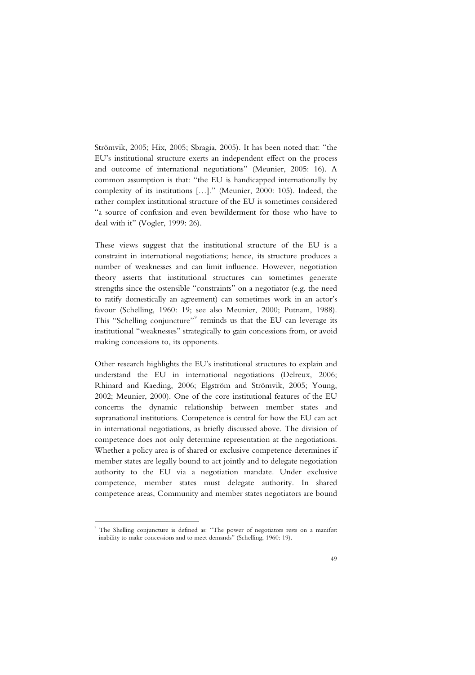Strömvik, 2005; Hix, 2005; Sbragia, 2005). It has been noted that: "the EU's institutional structure exerts an independent effect on the process and outcome of international negotiations" (Meunier, 2005: 16). A common assumption is that: "the EU is handicapped internationally by complexity of its institutions […]." (Meunier, 2000: 105). Indeed, the rather complex institutional structure of the EU is sometimes considered "a source of confusion and even bewilderment for those who have to deal with it" (Vogler, 1999: 26).

These views suggest that the institutional structure of the EU is a constraint in international negotiations; hence, its structure produces a number of weaknesses and can limit influence. However, negotiation theory asserts that institutional structures can sometimes generate strengths since the ostensible "constraints" on a negotiator (e.g. the need to ratify domestically an agreement) can sometimes work in an actor's favour (Schelling, 1960: 19; see also Meunier, 2000; Putnam, 1988). This "Schelling conjuncture"<sup>9</sup> reminds us that the EU can leverage its institutional "weaknesses" strategically to gain concessions from, or avoid making concessions to, its opponents.

Other research highlights the EU's institutional structures to explain and understand the EU in international negotiations (Delreux, 2006; Rhinard and Kaeding, 2006; Elgström and Strömvik, 2005; Young, 2002; Meunier, 2000). One of the core institutional features of the EU concerns the dynamic relationship between member states and supranational institutions. Competence is central for how the EU can act in international negotiations, as briefly discussed above. The division of competence does not only determine representation at the negotiations. Whether a policy area is of shared or exclusive competence determines if member states are legally bound to act jointly and to delegate negotiation authority to the EU via a negotiation mandate. Under exclusive competence, member states must delegate authority. In shared competence areas, Community and member states negotiators are bound

j

<sup>9</sup> The Shelling conjuncture is defined as: "The power of negotiators rests on a manifest inability to make concessions and to meet demands" (Schelling, 1960: 19).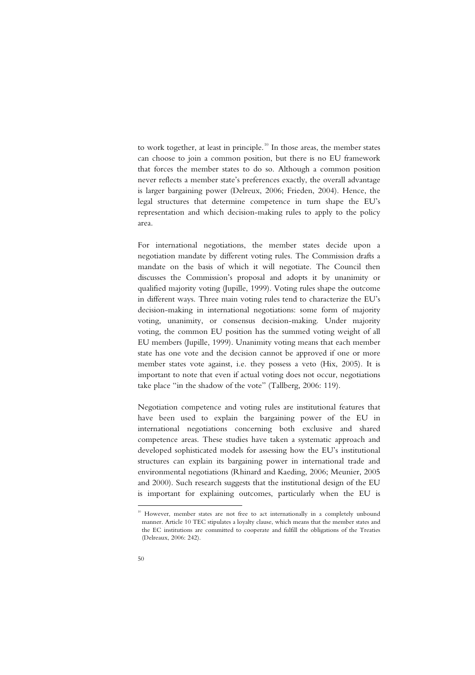to work together, at least in principle. $10$  In those areas, the member states can choose to join a common position, but there is no EU framework that forces the member states to do so. Although a common position never reflects a member state's preferences exactly, the overall advantage is larger bargaining power (Delreux, 2006; Frieden, 2004). Hence, the legal structures that determine competence in turn shape the EU's representation and which decision-making rules to apply to the policy area.

For international negotiations, the member states decide upon a negotiation mandate by different voting rules. The Commission drafts a mandate on the basis of which it will negotiate. The Council then discusses the Commission's proposal and adopts it by unanimity or qualified majority voting (Jupille, 1999). Voting rules shape the outcome in different ways. Three main voting rules tend to characterize the EU's decision-making in international negotiations: some form of majority voting, unanimity, or consensus decision-making. Under majority voting, the common EU position has the summed voting weight of all EU members (Jupille, 1999). Unanimity voting means that each member state has one vote and the decision cannot be approved if one or more member states vote against, i.e. they possess a veto (Hix, 2005). It is important to note that even if actual voting does not occur, negotiations take place "in the shadow of the vote" (Tallberg, 2006: 119).

Negotiation competence and voting rules are institutional features that have been used to explain the bargaining power of the EU in international negotiations concerning both exclusive and shared competence areas. These studies have taken a systematic approach and developed sophisticated models for assessing how the EU's institutional structures can explain its bargaining power in international trade and environmental negotiations (Rhinard and Kaeding, 2006; Meunier, 2005 and 2000). Such research suggests that the institutional design of the EU is important for explaining outcomes, particularly when the EU is

<sup>-</sup>

<sup>&</sup>lt;sup>10</sup> However, member states are not free to act internationally in a completely unbound manner. Article 10 TEC stipulates a loyalty clause, which means that the member states and the EC institutions are committed to cooperate and fulfill the obligations of the Treaties (Delreaux, 2006: 242).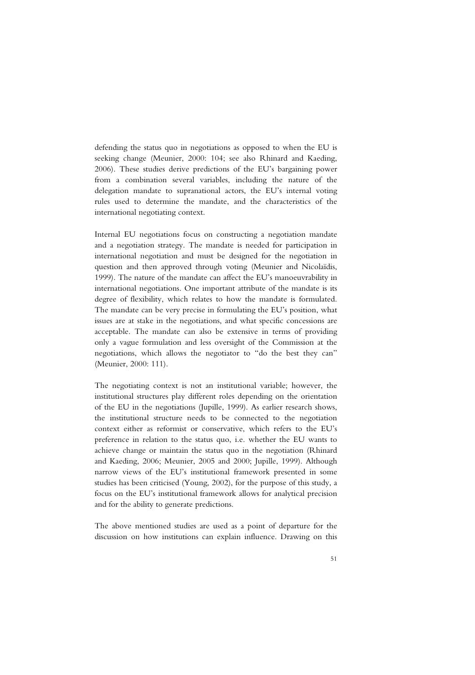defending the status quo in negotiations as opposed to when the EU is seeking change (Meunier, 2000: 104; see also Rhinard and Kaeding, 2006). These studies derive predictions of the EU's bargaining power from a combination several variables, including the nature of the delegation mandate to supranational actors, the EU's internal voting rules used to determine the mandate, and the characteristics of the international negotiating context.

Internal EU negotiations focus on constructing a negotiation mandate and a negotiation strategy. The mandate is needed for participation in international negotiation and must be designed for the negotiation in question and then approved through voting (Meunier and Nicolaïdis, 1999). The nature of the mandate can affect the EU's manoeuvrability in international negotiations. One important attribute of the mandate is its degree of flexibility, which relates to how the mandate is formulated. The mandate can be very precise in formulating the EU's position, what issues are at stake in the negotiations, and what specific concessions are acceptable. The mandate can also be extensive in terms of providing only a vague formulation and less oversight of the Commission at the negotiations, which allows the negotiator to "do the best they can" (Meunier, 2000: 111).

The negotiating context is not an institutional variable; however, the institutional structures play different roles depending on the orientation of the EU in the negotiations (Jupille, 1999). As earlier research shows, the institutional structure needs to be connected to the negotiation context either as reformist or conservative, which refers to the EU's preference in relation to the status quo, i.e. whether the EU wants to achieve change or maintain the status quo in the negotiation (Rhinard and Kaeding, 2006; Meunier, 2005 and 2000; Jupille, 1999). Although narrow views of the EU's institutional framework presented in some studies has been criticised (Young, 2002), for the purpose of this study, a focus on the EU's institutional framework allows for analytical precision and for the ability to generate predictions.

The above mentioned studies are used as a point of departure for the discussion on how institutions can explain influence. Drawing on this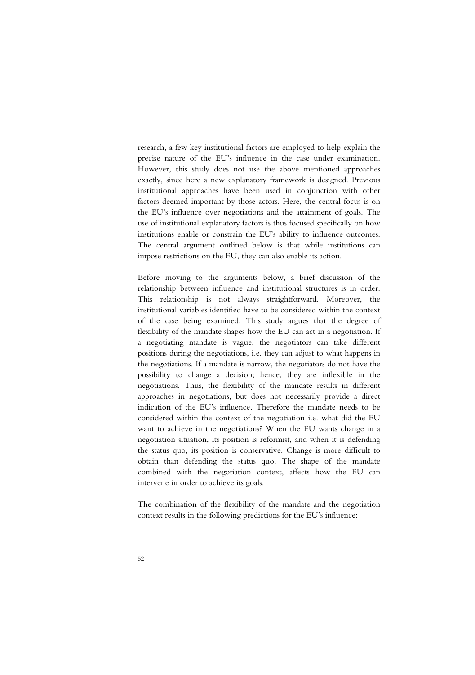research, a few key institutional factors are employed to help explain the precise nature of the EU's influence in the case under examination. However, this study does not use the above mentioned approaches exactly, since here a new explanatory framework is designed. Previous institutional approaches have been used in conjunction with other factors deemed important by those actors. Here, the central focus is on the EU's influence over negotiations and the attainment of goals. The use of institutional explanatory factors is thus focused specifically on how institutions enable or constrain the EU's ability to influence outcomes. The central argument outlined below is that while institutions can impose restrictions on the EU, they can also enable its action.

Before moving to the arguments below, a brief discussion of the relationship between influence and institutional structures is in order. This relationship is not always straightforward. Moreover, the institutional variables identified have to be considered within the context of the case being examined. This study argues that the degree of flexibility of the mandate shapes how the EU can act in a negotiation. If a negotiating mandate is vague, the negotiators can take different positions during the negotiations, i.e. they can adjust to what happens in the negotiations. If a mandate is narrow, the negotiators do not have the possibility to change a decision; hence, they are inflexible in the negotiations. Thus, the flexibility of the mandate results in different approaches in negotiations, but does not necessarily provide a direct indication of the EU's influence. Therefore the mandate needs to be considered within the context of the negotiation i.e. what did the EU want to achieve in the negotiations? When the EU wants change in a negotiation situation, its position is reformist, and when it is defending the status quo, its position is conservative. Change is more difficult to obtain than defending the status quo. The shape of the mandate combined with the negotiation context, affects how the EU can intervene in order to achieve its goals.

The combination of the flexibility of the mandate and the negotiation context results in the following predictions for the EU's influence: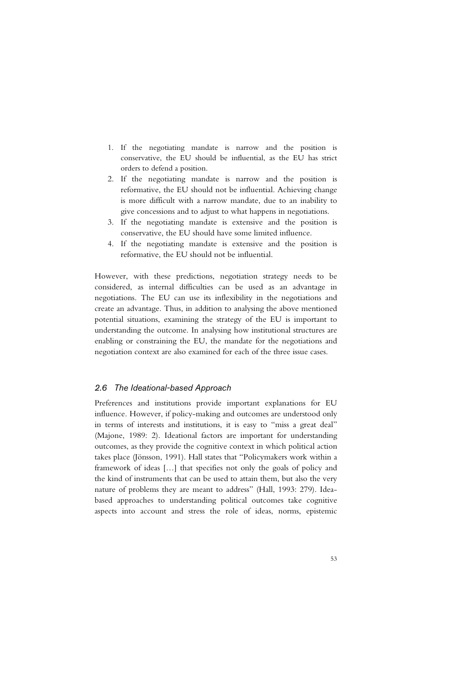- 1. If the negotiating mandate is narrow and the position is conservative, the EU should be influential, as the EU has strict orders to defend a position.
- 2. If the negotiating mandate is narrow and the position is reformative, the EU should not be influential. Achieving change is more difficult with a narrow mandate, due to an inability to give concessions and to adjust to what happens in negotiations.
- 3. If the negotiating mandate is extensive and the position is conservative, the EU should have some limited influence.
- 4. If the negotiating mandate is extensive and the position is reformative, the EU should not be influential.

However, with these predictions, negotiation strategy needs to be considered, as internal difficulties can be used as an advantage in negotiations. The EU can use its inflexibility in the negotiations and create an advantage. Thus, in addition to analysing the above mentioned potential situations, examining the strategy of the EU is important to understanding the outcome. In analysing how institutional structures are enabling or constraining the EU, the mandate for the negotiations and negotiation context are also examined for each of the three issue cases.

#### *2.6 The Ideational-based Approach*

Preferences and institutions provide important explanations for EU influence. However, if policy-making and outcomes are understood only in terms of interests and institutions, it is easy to "miss a great deal" (Majone, 1989: 2). Ideational factors are important for understanding outcomes, as they provide the cognitive context in which political action takes place (Jönsson, 1991). Hall states that "Policymakers work within a framework of ideas […] that specifies not only the goals of policy and the kind of instruments that can be used to attain them, but also the very nature of problems they are meant to address" (Hall, 1993: 279). Ideabased approaches to understanding political outcomes take cognitive aspects into account and stress the role of ideas, norms, epistemic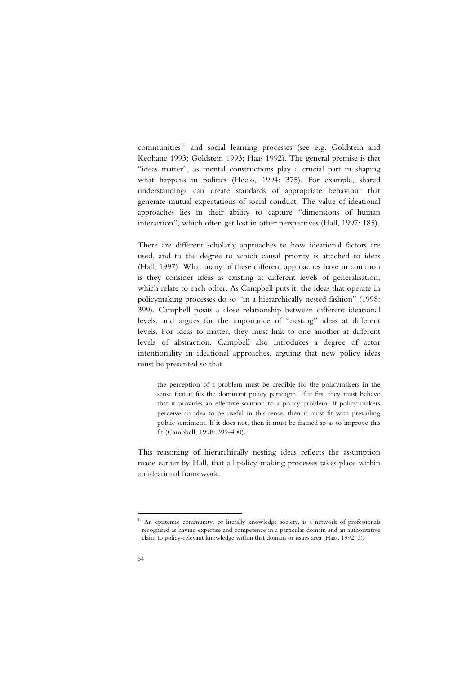$communties<sup>11</sup>$  and social learning processes (see e.g. Goldstein and Keohane 1993; Goldstein 1993; Haas 1992). The general premise is that "ideas matter", as mental constructions play a crucial part in shaping what happens in politics (Heclo, 1994: 375). For example, shared understandings can create standards of appropriate behaviour that generate mutual expectations of social conduct. The value of ideational approaches lies in their ability to capture "dimensions of human interaction", which often get lost in other perspectives (Hall, 1997: 185).

There are different scholarly approaches to how ideational factors are used, and to the degree to which causal priority is attached to ideas (Hall, 1997). What many of these different approaches have in common is they consider ideas as existing at different levels of generalisation, which relate to each other. As Campbell puts it, the ideas that operate in policymaking processes do so "in a hierarchically nested fashion" (1998: 399). Campbell posits a close relationship between different ideational levels, and argues for the importance of "nesting" ideas at different levels. For ideas to matter, they must link to one another at different levels of abstraction. Campbell also introduces a degree of actor intentionality in ideational approaches, arguing that new policy ideas must be presented so that

the perception of a problem must be credible for the policymakers in the sense that it fits the dominant policy paradigm. If it fits, they must believe that it provides an effective solution to a policy problem. If policy makers perceive an idea to be useful in this sense, then it must fit with prevailing public sentiment. If it does not, then it must be framed so as to improve this fit (Campbell, 1998: 399-400).

This reasoning of hierarchically nesting ideas reflects the assumption made earlier by Hall, that all policy-making processes takes place within an ideational framework.

-

<sup>&</sup>lt;sup>11</sup> An epistemic community, or literally knowledge society, is a network of professionals recognised as having expertise and competence in a particular domain and an authoritative claim to policy-relevant knowledge within that domain or issues area (Haas, 1992: 3).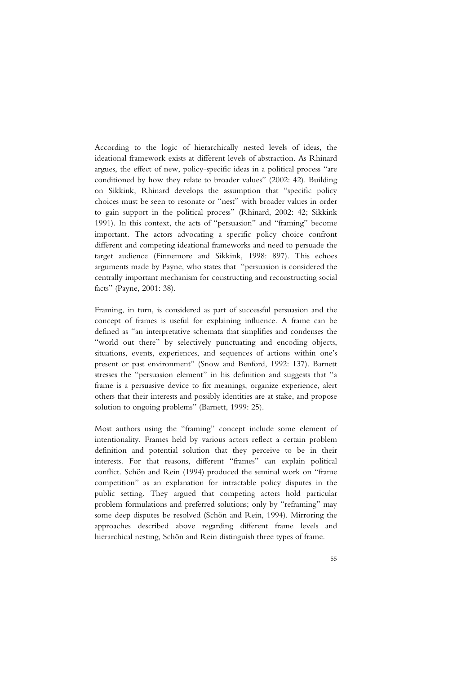According to the logic of hierarchically nested levels of ideas, the ideational framework exists at different levels of abstraction. As Rhinard argues, the effect of new, policy-specific ideas in a political process "are conditioned by how they relate to broader values" (2002: 42). Building on Sikkink, Rhinard develops the assumption that "specific policy choices must be seen to resonate or "nest" with broader values in order to gain support in the political process" (Rhinard, 2002: 42; Sikkink 1991). In this context, the acts of "persuasion" and "framing" become important. The actors advocating a specific policy choice confront different and competing ideational frameworks and need to persuade the target audience (Finnemore and Sikkink, 1998: 897). This echoes arguments made by Payne, who states that "persuasion is considered the centrally important mechanism for constructing and reconstructing social facts" (Payne, 2001: 38).

Framing, in turn, is considered as part of successful persuasion and the concept of frames is useful for explaining influence. A frame can be defined as "an interpretative schemata that simplifies and condenses the "world out there" by selectively punctuating and encoding objects, situations, events, experiences, and sequences of actions within one's present or past environment" (Snow and Benford, 1992: 137). Barnett stresses the "persuasion element" in his definition and suggests that "a frame is a persuasive device to fix meanings, organize experience, alert others that their interests and possibly identities are at stake, and propose solution to ongoing problems" (Barnett, 1999: 25).

Most authors using the "framing" concept include some element of intentionality. Frames held by various actors reflect a certain problem definition and potential solution that they perceive to be in their interests. For that reasons, different "frames" can explain political conflict. Schön and Rein (1994) produced the seminal work on "frame competition" as an explanation for intractable policy disputes in the public setting. They argued that competing actors hold particular problem formulations and preferred solutions; only by "reframing" may some deep disputes be resolved (Schön and Rein, 1994). Mirroring the approaches described above regarding different frame levels and hierarchical nesting, Schön and Rein distinguish three types of frame.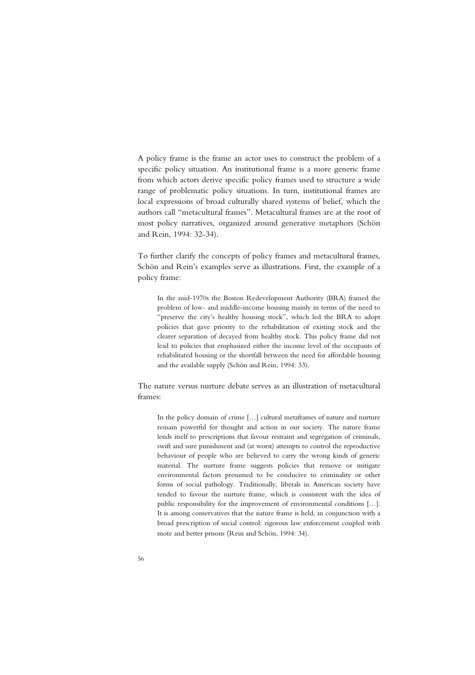A policy frame is the frame an actor uses to construct the problem of a specific policy situation. An institutional frame is a more generic frame from which actors derive specific policy frames used to structure a wide range of problematic policy situations. In turn, institutional frames are local expressions of broad culturally shared systems of belief, which the authors call "metacultural frames". Metacultural frames are at the root of most policy narratives, organized around generative metaphors (Schön and Rein, 1994: 32-34).

To further clarify the concepts of policy frames and metacultural frames, Schön and Rein's examples serve as illustrations. First, the example of a policy frame:

In the mid-1970s the Boston Redevelopment Authority (BRA) framed the problem of low- and middle-income housing mainly in terms of the need to "preserve the city's healthy housing stock", which led the BRA to adopt policies that gave priority to the rehabilitation of existing stock and the clearer separation of decayed from healthy stock. This policy frame did not lead to policies that emphasized either the income level of the occupants of rehabilitated housing or the shortfall between the need for affordable housing and the available supply (Schön and Rein, 1994: 33).

The nature versus nurture debate serves as an illustration of metacultural frames:

In the policy domain of crime […] cultural metaframes of nature and nurture remain powerful for thought and action in our society. The nature frame lends itself to prescriptions that favour restraint and segregation of criminals, swift and sure punishment and (at worst) attempts to control the reproductive behaviour of people who are believed to carry the wrong kinds of generic material. The nurture frame suggests policies that remove or mitigate environmental factors presumed to be conducive to criminality or other forms of social pathology. Traditionally, liberals in American society have tended to favour the nurture frame, which is consistent with the idea of public responsibility for the improvement of environmental conditions […]. It is among conservatives that the nature frame is held, in conjunction with a broad prescription of social control: rigorous law enforcement coupled with mote and better prisons (Rein and Schön, 1994: 34).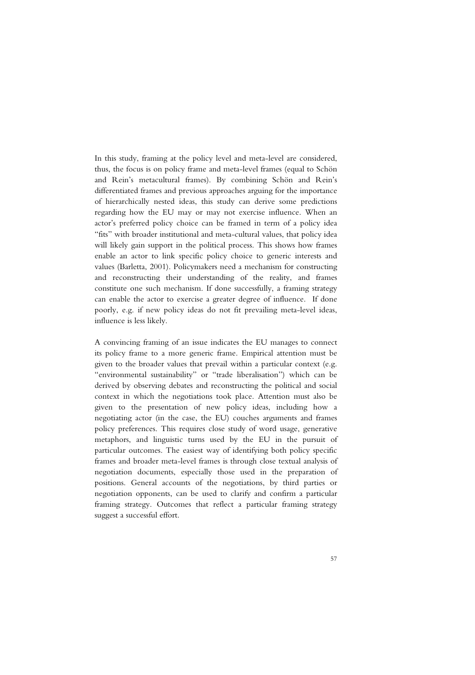In this study, framing at the policy level and meta-level are considered, thus, the focus is on policy frame and meta-level frames (equal to Schön and Rein's metacultural frames). By combining Schön and Rein's differentiated frames and previous approaches arguing for the importance of hierarchically nested ideas, this study can derive some predictions regarding how the EU may or may not exercise influence. When an actor's preferred policy choice can be framed in term of a policy idea "fits" with broader institutional and meta-cultural values, that policy idea will likely gain support in the political process. This shows how frames enable an actor to link specific policy choice to generic interests and values (Barletta, 2001). Policymakers need a mechanism for constructing and reconstructing their understanding of the reality, and frames constitute one such mechanism. If done successfully, a framing strategy can enable the actor to exercise a greater degree of influence. If done poorly, e.g. if new policy ideas do not fit prevailing meta-level ideas, influence is less likely.

A convincing framing of an issue indicates the EU manages to connect its policy frame to a more generic frame. Empirical attention must be given to the broader values that prevail within a particular context (e.g. "environmental sustainability" or "trade liberalisation") which can be derived by observing debates and reconstructing the political and social context in which the negotiations took place. Attention must also be given to the presentation of new policy ideas, including how a negotiating actor (in the case, the EU) couches arguments and frames policy preferences. This requires close study of word usage, generative metaphors, and linguistic turns used by the EU in the pursuit of particular outcomes. The easiest way of identifying both policy specific frames and broader meta-level frames is through close textual analysis of negotiation documents, especially those used in the preparation of positions. General accounts of the negotiations, by third parties or negotiation opponents, can be used to clarify and confirm a particular framing strategy. Outcomes that reflect a particular framing strategy suggest a successful effort.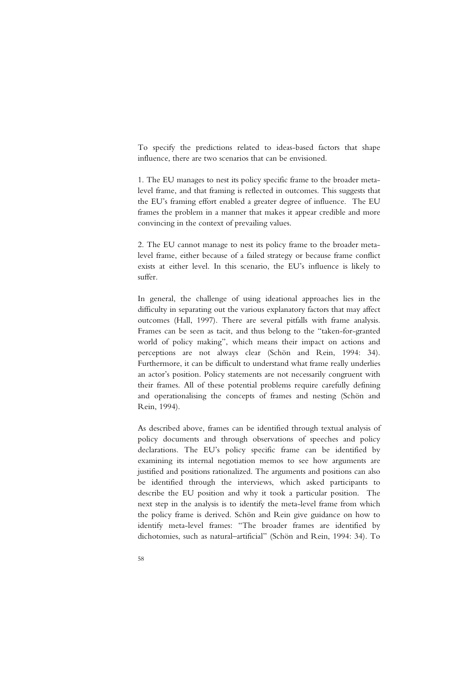To specify the predictions related to ideas-based factors that shape influence, there are two scenarios that can be envisioned.

1. The EU manages to nest its policy specific frame to the broader metalevel frame, and that framing is reflected in outcomes. This suggests that the EU's framing effort enabled a greater degree of influence. The EU frames the problem in a manner that makes it appear credible and more convincing in the context of prevailing values.

2. The EU cannot manage to nest its policy frame to the broader metalevel frame, either because of a failed strategy or because frame conflict exists at either level. In this scenario, the EU's influence is likely to suffer.

In general, the challenge of using ideational approaches lies in the difficulty in separating out the various explanatory factors that may affect outcomes (Hall, 1997). There are several pitfalls with frame analysis. Frames can be seen as tacit, and thus belong to the "taken-for-granted world of policy making", which means their impact on actions and perceptions are not always clear (Schön and Rein, 1994: 34). Furthermore, it can be difficult to understand what frame really underlies an actor's position. Policy statements are not necessarily congruent with their frames. All of these potential problems require carefully defining and operationalising the concepts of frames and nesting (Schön and Rein, 1994).

As described above, frames can be identified through textual analysis of policy documents and through observations of speeches and policy declarations. The EU's policy specific frame can be identified by examining its internal negotiation memos to see how arguments are justified and positions rationalized. The arguments and positions can also be identified through the interviews, which asked participants to describe the EU position and why it took a particular position. The next step in the analysis is to identify the meta-level frame from which the policy frame is derived. Schön and Rein give guidance on how to identify meta-level frames: "The broader frames are identified by dichotomies, such as natural–artificial" (Schön and Rein, 1994: 34). To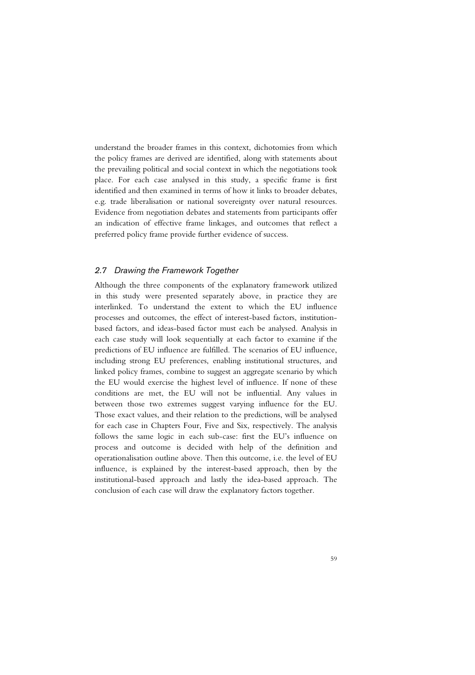understand the broader frames in this context, dichotomies from which the policy frames are derived are identified, along with statements about the prevailing political and social context in which the negotiations took place. For each case analysed in this study, a specific frame is first identified and then examined in terms of how it links to broader debates, e.g. trade liberalisation or national sovereignty over natural resources. Evidence from negotiation debates and statements from participants offer an indication of effective frame linkages, and outcomes that reflect a preferred policy frame provide further evidence of success.

## *2.7 Drawing the Framework Together*

Although the three components of the explanatory framework utilized in this study were presented separately above, in practice they are interlinked. To understand the extent to which the EU influence processes and outcomes, the effect of interest-based factors, institutionbased factors, and ideas-based factor must each be analysed. Analysis in each case study will look sequentially at each factor to examine if the predictions of EU influence are fulfilled. The scenarios of EU influence, including strong EU preferences, enabling institutional structures, and linked policy frames, combine to suggest an aggregate scenario by which the EU would exercise the highest level of influence. If none of these conditions are met, the EU will not be influential. Any values in between those two extremes suggest varying influence for the EU. Those exact values, and their relation to the predictions, will be analysed for each case in Chapters Four, Five and Six, respectively. The analysis follows the same logic in each sub-case: first the EU's influence on process and outcome is decided with help of the definition and operationalisation outline above. Then this outcome, i.e. the level of EU influence, is explained by the interest-based approach, then by the institutional-based approach and lastly the idea-based approach. The conclusion of each case will draw the explanatory factors together.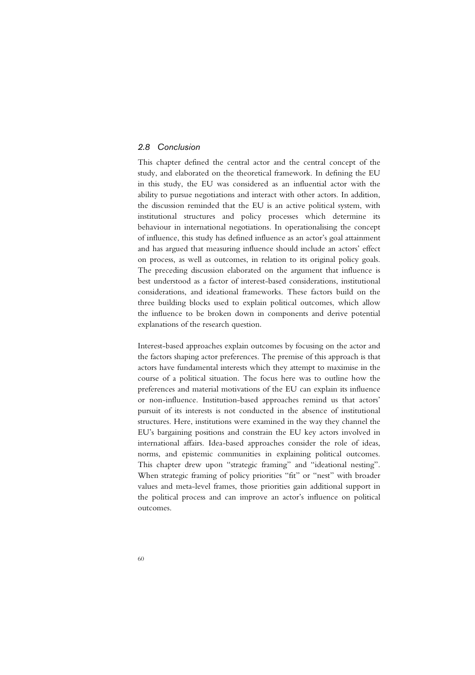## *2.8 Conclusion*

This chapter defined the central actor and the central concept of the study, and elaborated on the theoretical framework. In defining the EU in this study, the EU was considered as an influential actor with the ability to pursue negotiations and interact with other actors. In addition, the discussion reminded that the EU is an active political system, with institutional structures and policy processes which determine its behaviour in international negotiations. In operationalising the concept of influence, this study has defined influence as an actor's goal attainment and has argued that measuring influence should include an actors' effect on process, as well as outcomes, in relation to its original policy goals. The preceding discussion elaborated on the argument that influence is best understood as a factor of interest-based considerations, institutional considerations, and ideational frameworks. These factors build on the three building blocks used to explain political outcomes, which allow the influence to be broken down in components and derive potential explanations of the research question.

Interest-based approaches explain outcomes by focusing on the actor and the factors shaping actor preferences. The premise of this approach is that actors have fundamental interests which they attempt to maximise in the course of a political situation. The focus here was to outline how the preferences and material motivations of the EU can explain its influence or non-influence. Institution-based approaches remind us that actors' pursuit of its interests is not conducted in the absence of institutional structures. Here, institutions were examined in the way they channel the EU's bargaining positions and constrain the EU key actors involved in international affairs. Idea-based approaches consider the role of ideas, norms, and epistemic communities in explaining political outcomes. This chapter drew upon "strategic framing" and "ideational nesting". When strategic framing of policy priorities "fit" or "nest" with broader values and meta-level frames, those priorities gain additional support in the political process and can improve an actor's influence on political outcomes.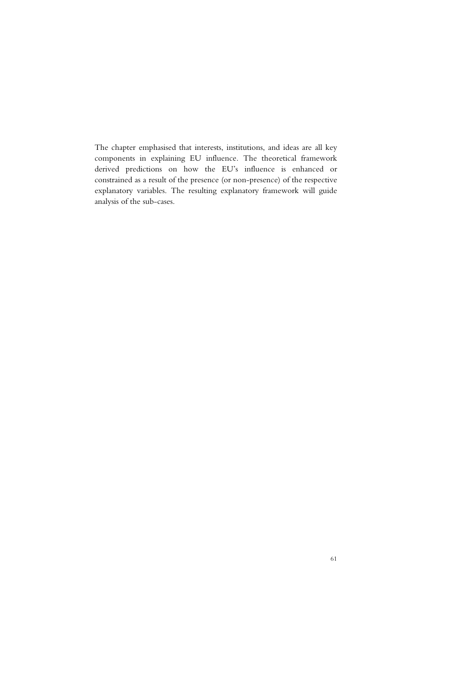The chapter emphasised that interests, institutions, and ideas are all key components in explaining EU influence. The theoretical framework derived predictions on how the EU's influence is enhanced or constrained as a result of the presence (or non-presence) of the respective explanatory variables. The resulting explanatory framework will guide analysis of the sub-cases.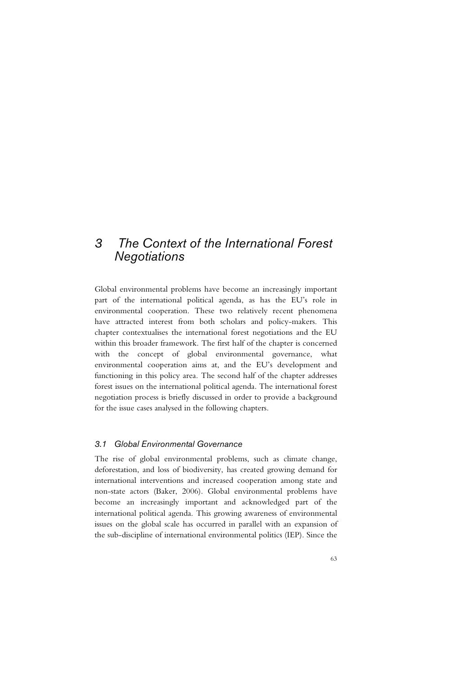# *3 The Context of the International Forest Negotiations*

Global environmental problems have become an increasingly important part of the international political agenda, as has the EU's role in environmental cooperation. These two relatively recent phenomena have attracted interest from both scholars and policy-makers. This chapter contextualises the international forest negotiations and the EU within this broader framework. The first half of the chapter is concerned with the concept of global environmental governance, what environmental cooperation aims at, and the EU's development and functioning in this policy area. The second half of the chapter addresses forest issues on the international political agenda. The international forest negotiation process is briefly discussed in order to provide a background for the issue cases analysed in the following chapters.

## *3.1 Global Environmental Governance*

The rise of global environmental problems, such as climate change, deforestation, and loss of biodiversity, has created growing demand for international interventions and increased cooperation among state and non-state actors (Baker, 2006). Global environmental problems have become an increasingly important and acknowledged part of the international political agenda. This growing awareness of environmental issues on the global scale has occurred in parallel with an expansion of the sub-discipline of international environmental politics (IEP). Since the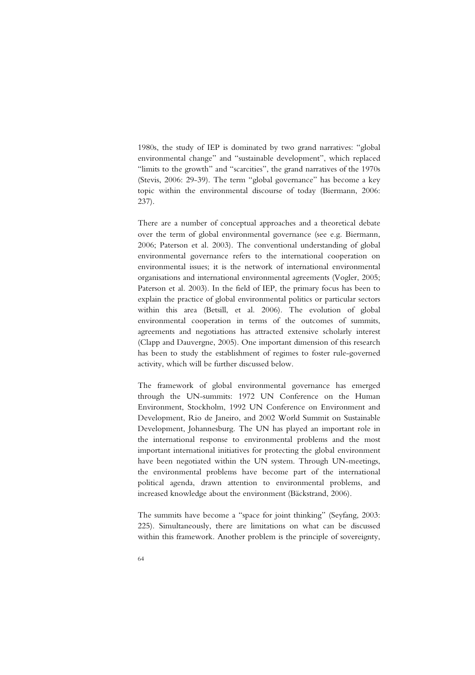1980s, the study of IEP is dominated by two grand narratives: "global environmental change" and "sustainable development", which replaced "limits to the growth" and "scarcities", the grand narratives of the 1970s (Stevis, 2006: 29-39). The term "global governance" has become a key topic within the environmental discourse of today (Biermann, 2006: 237).

There are a number of conceptual approaches and a theoretical debate over the term of global environmental governance (see e.g. Biermann, 2006; Paterson et al. 2003). The conventional understanding of global environmental governance refers to the international cooperation on environmental issues; it is the network of international environmental organisations and international environmental agreements (Vogler, 2005; Paterson et al. 2003). In the field of IEP, the primary focus has been to explain the practice of global environmental politics or particular sectors within this area (Betsill, et al. 2006). The evolution of global environmental cooperation in terms of the outcomes of summits, agreements and negotiations has attracted extensive scholarly interest (Clapp and Dauvergne, 2005). One important dimension of this research has been to study the establishment of regimes to foster rule-governed activity, which will be further discussed below.

The framework of global environmental governance has emerged through the UN-summits: 1972 UN Conference on the Human Environment, Stockholm, 1992 UN Conference on Environment and Development, Rio de Janeiro, and 2002 World Summit on Sustainable Development, Johannesburg. The UN has played an important role in the international response to environmental problems and the most important international initiatives for protecting the global environment have been negotiated within the UN system. Through UN-meetings, the environmental problems have become part of the international political agenda, drawn attention to environmental problems, and increased knowledge about the environment (Bäckstrand, 2006).

The summits have become a "space for joint thinking" (Seyfang, 2003: 225). Simultaneously, there are limitations on what can be discussed within this framework. Another problem is the principle of sovereignty,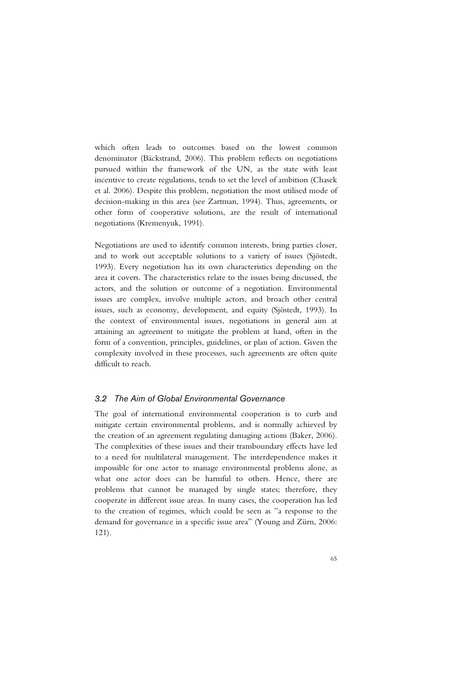which often leads to outcomes based on the lowest common denominator (Bäckstrand, 2006). This problem reflects on negotiations pursued within the framework of the UN, as the state with least incentive to create regulations, tends to set the level of ambition (Chasek et al. 2006). Despite this problem, negotiation the most utilised mode of decision-making in this area (see Zartman, 1994). Thus, agreements, or other form of cooperative solutions, are the result of international negotiations (Kremenyuk, 1991).

Negotiations are used to identify common interests, bring parties closer, and to work out acceptable solutions to a variety of issues (Sjöstedt, 1993). Every negotiation has its own characteristics depending on the area it covers. The characteristics relate to the issues being discussed, the actors, and the solution or outcome of a negotiation. Environmental issues are complex, involve multiple actors, and broach other central issues, such as economy, development, and equity (Sjöstedt, 1993). In the context of environmental issues, negotiations in general aim at attaining an agreement to mitigate the problem at hand, often in the form of a convention, principles, guidelines, or plan of action. Given the complexity involved in these processes, such agreements are often quite difficult to reach.

#### *3.2 The Aim of Global Environmental Governance*

The goal of international environmental cooperation is to curb and mitigate certain environmental problems, and is normally achieved by the creation of an agreement regulating damaging actions (Baker, 2006). The complexities of these issues and their transboundary effects have led to a need for multilateral management. The interdependence makes it impossible for one actor to manage environmental problems alone, as what one actor does can be harmful to others. Hence, there are problems that cannot be managed by single states; therefore, they cooperate in different issue areas. In many cases, the cooperation has led to the creation of regimes, which could be seen as "a response to the demand for governance in a specific issue area" (Young and Zürn, 2006: 121).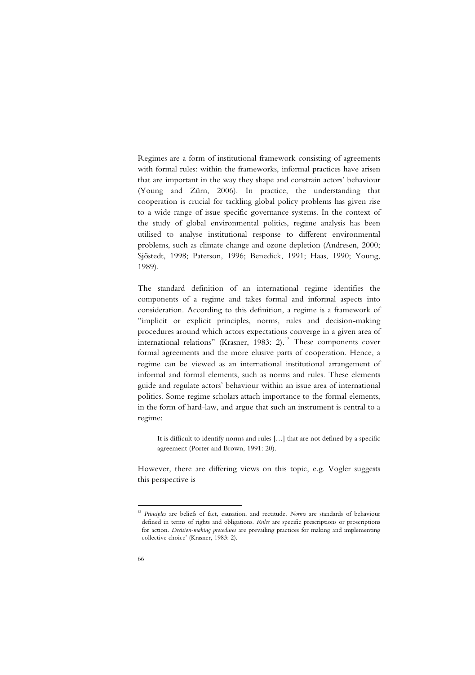Regimes are a form of institutional framework consisting of agreements with formal rules: within the frameworks, informal practices have arisen that are important in the way they shape and constrain actors' behaviour (Young and Zürn, 2006). In practice, the understanding that cooperation is crucial for tackling global policy problems has given rise to a wide range of issue specific governance systems. In the context of the study of global environmental politics, regime analysis has been utilised to analyse institutional response to different environmental problems, such as climate change and ozone depletion (Andresen, 2000; Sjöstedt, 1998; Paterson, 1996; Benedick, 1991; Haas, 1990; Young, 1989).

The standard definition of an international regime identifies the components of a regime and takes formal and informal aspects into consideration. According to this definition, a regime is a framework of "implicit or explicit principles, norms, rules and decision-making procedures around which actors expectations converge in a given area of international relations" (Krasner, 1983: 2).<sup>12</sup> These components cover formal agreements and the more elusive parts of cooperation. Hence, a regime can be viewed as an international institutional arrangement of informal and formal elements, such as norms and rules. These elements guide and regulate actors' behaviour within an issue area of international politics. Some regime scholars attach importance to the formal elements, in the form of hard-law, and argue that such an instrument is central to a regime:

It is difficult to identify norms and rules […] that are not defined by a specific agreement (Porter and Brown, 1991: 20).

However, there are differing views on this topic, e.g. Vogler suggests this perspective is

<sup>-</sup>

<sup>12</sup> *Principles* are beliefs of fact, causation, and rectitude. *Norms* are standards of behaviour defined in terms of rights and obligations. *Rules* are specific prescriptions or proscriptions for action. *Decision-making procedures* are prevailing practices for making and implementing collective choice' (Krasner, 1983: 2).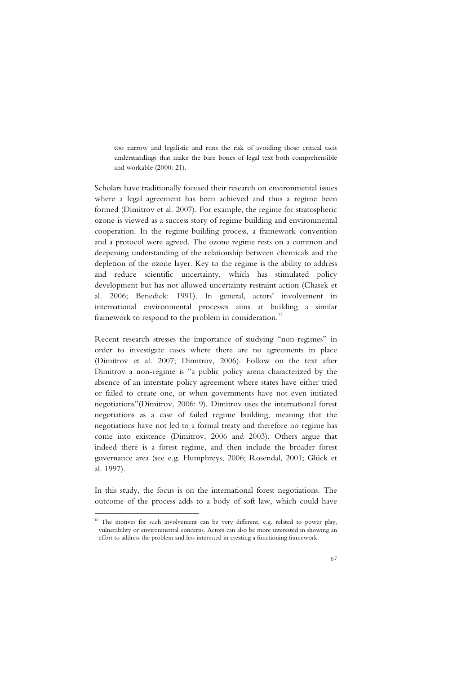too narrow and legalistic and runs the risk of avoiding those critical tacit understandings that make the bare bones of legal text both comprehensible and workable (2000: 21).

Scholars have traditionally focused their research on environmental issues where a legal agreement has been achieved and thus a regime been formed (Dimitrov et al. 2007). For example, the regime for stratospheric ozone is viewed as a success story of regime building and environmental cooperation. In the regime-building process, a framework convention and a protocol were agreed. The ozone regime rests on a common and deepening understanding of the relationship between chemicals and the depletion of the ozone layer. Key to the regime is the ability to address and reduce scientific uncertainty, which has stimulated policy development but has not allowed uncertainty restraint action (Chasek et al. 2006; Benedick: 1991). In general, actors' involvement in international environmental processes aims at building a similar framework to respond to the problem in consideration.<sup>13</sup>

Recent research stresses the importance of studying "non-regimes" in order to investigate cases where there are no agreements in place (Dimitrov et al. 2007; Dimitrov, 2006). Follow on the text after Dimitrov a non-regime is "a public policy arena characterized by the absence of an interstate policy agreement where states have either tried or failed to create one, or when governments have not even initiated negotiations"(Dimitrov, 2006: 9). Dimitrov uses the international forest negotiations as a case of failed regime building, meaning that the negotiations have not led to a formal treaty and therefore no regime has come into existence (Dimitrov, 2006 and 2003). Others argue that indeed there is a forest regime, and then include the broader forest governance area (see e.g. Humphreys, 2006; Rosendal, 2001; Glück et al. 1997).

In this study, the focus is on the international forest negotiations. The outcome of the process adds to a body of soft law, which could have

-

<sup>&</sup>lt;sup>13</sup> The motives for such involvement can be very different, e.g. related to power play, vulnerability or environmental concerns. Actors can also be more interested in showing an effort to address the problem and less interested in creating a functioning framework.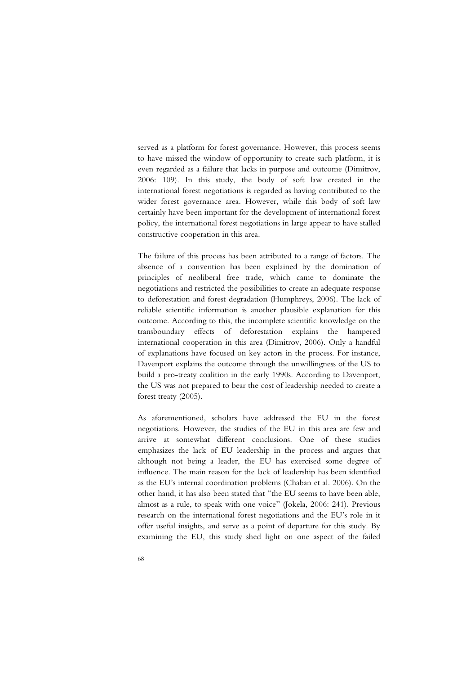served as a platform for forest governance. However, this process seems to have missed the window of opportunity to create such platform, it is even regarded as a failure that lacks in purpose and outcome (Dimitrov, 2006: 109). In this study, the body of soft law created in the international forest negotiations is regarded as having contributed to the wider forest governance area. However, while this body of soft law certainly have been important for the development of international forest policy, the international forest negotiations in large appear to have stalled constructive cooperation in this area.

The failure of this process has been attributed to a range of factors. The absence of a convention has been explained by the domination of principles of neoliberal free trade, which came to dominate the negotiations and restricted the possibilities to create an adequate response to deforestation and forest degradation (Humphreys, 2006). The lack of reliable scientific information is another plausible explanation for this outcome. According to this, the incomplete scientific knowledge on the transboundary effects of deforestation explains the hampered international cooperation in this area (Dimitrov, 2006). Only a handful of explanations have focused on key actors in the process. For instance, Davenport explains the outcome through the unwillingness of the US to build a pro-treaty coalition in the early 1990s. According to Davenport, the US was not prepared to bear the cost of leadership needed to create a forest treaty (2005).

As aforementioned, scholars have addressed the EU in the forest negotiations. However, the studies of the EU in this area are few and arrive at somewhat different conclusions. One of these studies emphasizes the lack of EU leadership in the process and argues that although not being a leader, the EU has exercised some degree of influence. The main reason for the lack of leadership has been identified as the EU's internal coordination problems (Chaban et al. 2006). On the other hand, it has also been stated that "the EU seems to have been able, almost as a rule, to speak with one voice" (Jokela, 2006: 241). Previous research on the international forest negotiations and the EU's role in it offer useful insights, and serve as a point of departure for this study. By examining the EU, this study shed light on one aspect of the failed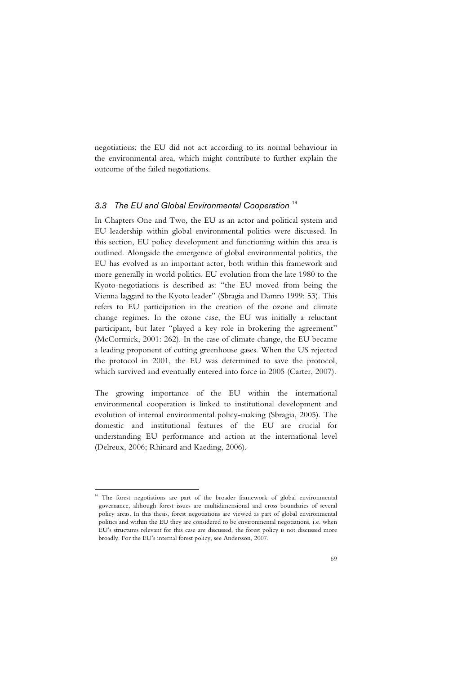negotiations: the EU did not act according to its normal behaviour in the environmental area, which might contribute to further explain the outcome of the failed negotiations.

## *3.3 The EU and Global Environmental Cooperation* <sup>14</sup>

In Chapters One and Two, the EU as an actor and political system and EU leadership within global environmental politics were discussed. In this section, EU policy development and functioning within this area is outlined. Alongside the emergence of global environmental politics, the EU has evolved as an important actor, both within this framework and more generally in world politics. EU evolution from the late 1980 to the Kyoto-negotiations is described as: "the EU moved from being the Vienna laggard to the Kyoto leader" (Sbragia and Damro 1999: 53). This refers to EU participation in the creation of the ozone and climate change regimes. In the ozone case, the EU was initially a reluctant participant, but later "played a key role in brokering the agreement" (McCormick, 2001: 262). In the case of climate change, the EU became a leading proponent of cutting greenhouse gases. When the US rejected the protocol in 2001, the EU was determined to save the protocol, which survived and eventually entered into force in 2005 (Carter, 2007).

The growing importance of the EU within the international environmental cooperation is linked to institutional development and evolution of internal environmental policy-making (Sbragia, 2005). The domestic and institutional features of the EU are crucial for understanding EU performance and action at the international level (Delreux, 2006; Rhinard and Kaeding, 2006).

ł

<sup>&</sup>lt;sup>14</sup> The forest negotiations are part of the broader framework of global environmental governance, although forest issues are multidimensional and cross boundaries of several policy areas. In this thesis, forest negotiations are viewed as part of global environmental politics and within the EU they are considered to be environmental negotiations, i.e. when EU's structures relevant for this case are discussed, the forest policy is not discussed more broadly. For the EU's internal forest policy, see Andersson, 2007.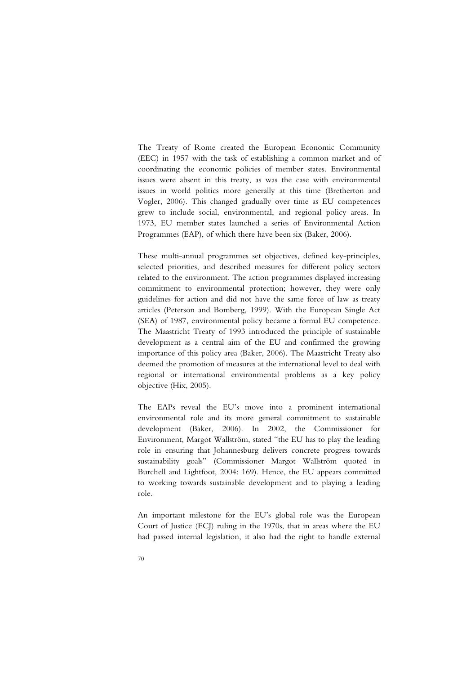The Treaty of Rome created the European Economic Community (EEC) in 1957 with the task of establishing a common market and of coordinating the economic policies of member states. Environmental issues were absent in this treaty, as was the case with environmental issues in world politics more generally at this time (Bretherton and Vogler, 2006). This changed gradually over time as EU competences grew to include social, environmental, and regional policy areas. In 1973, EU member states launched a series of Environmental Action Programmes (EAP), of which there have been six (Baker, 2006).

These multi-annual programmes set objectives, defined key-principles, selected priorities, and described measures for different policy sectors related to the environment. The action programmes displayed increasing commitment to environmental protection; however, they were only guidelines for action and did not have the same force of law as treaty articles (Peterson and Bomberg, 1999). With the European Single Act (SEA) of 1987, environmental policy became a formal EU competence. The Maastricht Treaty of 1993 introduced the principle of sustainable development as a central aim of the EU and confirmed the growing importance of this policy area (Baker, 2006). The Maastricht Treaty also deemed the promotion of measures at the international level to deal with regional or international environmental problems as a key policy objective (Hix, 2005).

The EAPs reveal the EU's move into a prominent international environmental role and its more general commitment to sustainable development (Baker, 2006). In 2002, the Commissioner for Environment, Margot Wallström, stated "the EU has to play the leading role in ensuring that Johannesburg delivers concrete progress towards sustainability goals" (Commissioner Margot Wallström quoted in Burchell and Lightfoot, 2004: 169). Hence, the EU appears committed to working towards sustainable development and to playing a leading role.

An important milestone for the EU's global role was the European Court of Justice (ECJ) ruling in the 1970s, that in areas where the EU had passed internal legislation, it also had the right to handle external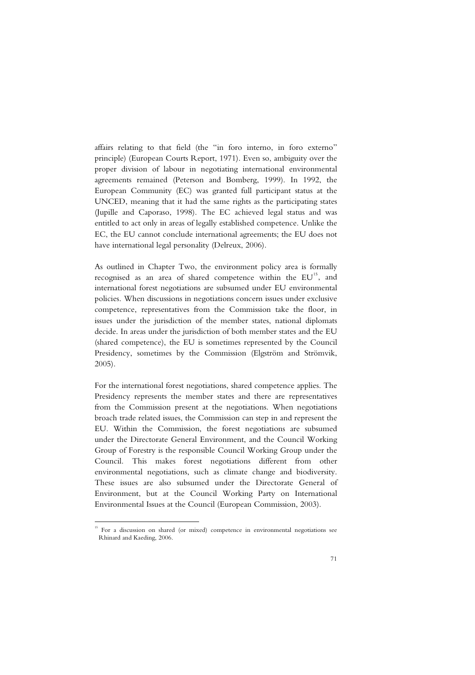affairs relating to that field (the "in foro interno, in foro externo" principle) (European Courts Report, 1971). Even so, ambiguity over the proper division of labour in negotiating international environmental agreements remained (Peterson and Bomberg, 1999). In 1992, the European Community (EC) was granted full participant status at the UNCED, meaning that it had the same rights as the participating states (Jupille and Caporaso, 1998). The EC achieved legal status and was entitled to act only in areas of legally established competence. Unlike the EC, the EU cannot conclude international agreements; the EU does not have international legal personality (Delreux, 2006).

As outlined in Chapter Two, the environment policy area is formally recognised as an area of shared competence within the  $EU<sup>15</sup>$ , and international forest negotiations are subsumed under EU environmental policies. When discussions in negotiations concern issues under exclusive competence, representatives from the Commission take the floor, in issues under the jurisdiction of the member states, national diplomats decide. In areas under the jurisdiction of both member states and the EU (shared competence), the EU is sometimes represented by the Council Presidency, sometimes by the Commission (Elgström and Strömvik, 2005).

For the international forest negotiations, shared competence applies. The Presidency represents the member states and there are representatives from the Commission present at the negotiations. When negotiations broach trade related issues, the Commission can step in and represent the EU. Within the Commission, the forest negotiations are subsumed under the Directorate General Environment, and the Council Working Group of Forestry is the responsible Council Working Group under the Council. This makes forest negotiations different from other environmental negotiations, such as climate change and biodiversity. These issues are also subsumed under the Directorate General of Environment, but at the Council Working Party on International Environmental Issues at the Council (European Commission, 2003).

j

<sup>&</sup>lt;sup>15</sup> For a discussion on shared (or mixed) competence in environmental negotiations see Rhinard and Kaeding, 2006.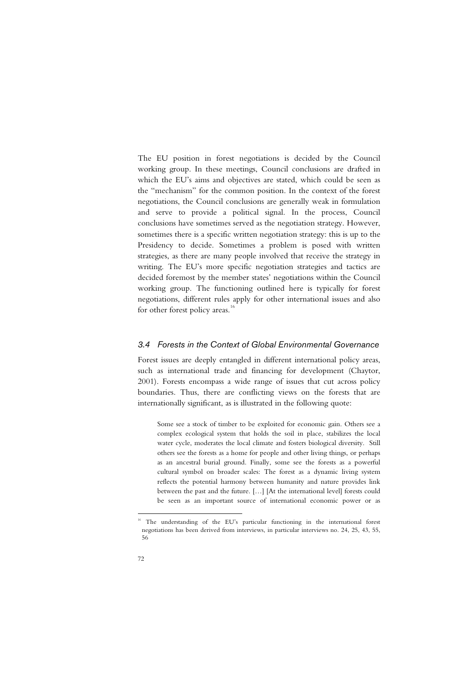The EU position in forest negotiations is decided by the Council working group. In these meetings, Council conclusions are drafted in which the EU's aims and objectives are stated, which could be seen as the "mechanism" for the common position. In the context of the forest negotiations, the Council conclusions are generally weak in formulation and serve to provide a political signal. In the process, Council conclusions have sometimes served as the negotiation strategy. However, sometimes there is a specific written negotiation strategy: this is up to the Presidency to decide. Sometimes a problem is posed with written strategies, as there are many people involved that receive the strategy in writing. The EU's more specific negotiation strategies and tactics are decided foremost by the member states' negotiations within the Council working group. The functioning outlined here is typically for forest negotiations, different rules apply for other international issues and also for other forest policy areas.<sup>16</sup>

## *3.4 Forests in the Context of Global Environmental Governance*

Forest issues are deeply entangled in different international policy areas, such as international trade and financing for development (Chaytor, 2001). Forests encompass a wide range of issues that cut across policy boundaries. Thus, there are conflicting views on the forests that are internationally significant, as is illustrated in the following quote:

Some see a stock of timber to be exploited for economic gain. Others see a complex ecological system that holds the soil in place, stabilizes the local water cycle, moderates the local climate and fosters biological diversity. Still others see the forests as a home for people and other living things, or perhaps as an ancestral burial ground. Finally, some see the forests as a powerful cultural symbol on broader scales: The forest as a dynamic living system reflects the potential harmony between humanity and nature provides link between the past and the future. […] [At the international level] forests could be seen as an important source of international economic power or as

-

The understanding of the EU's particular functioning in the international forest negotiations has been derived from interviews, in particular interviews no. 24, 25, 43, 55, 56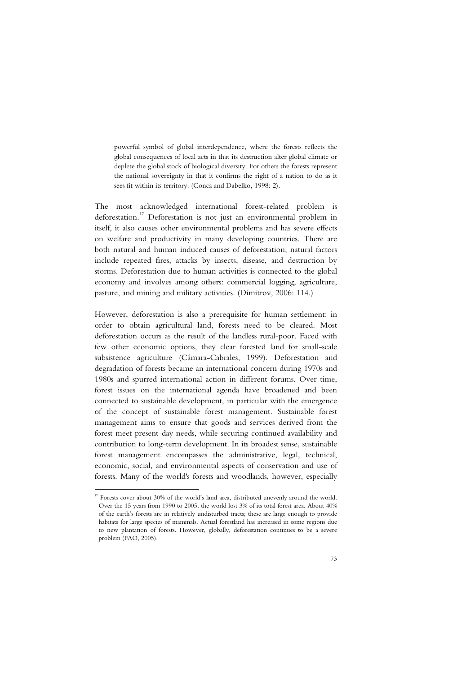powerful symbol of global interdependence, where the forests reflects the global consequences of local acts in that its destruction alter global climate or deplete the global stock of biological diversity. For others the forests represent the national sovereignty in that it confirms the right of a nation to do as it sees fit within its territory. (Conca and Dabelko, 1998: 2).

The most acknowledged international forest-related problem is deforestation.<sup>17</sup> Deforestation is not just an environmental problem in itself, it also causes other environmental problems and has severe effects on welfare and productivity in many developing countries. There are both natural and human induced causes of deforestation; natural factors include repeated fires, attacks by insects, disease, and destruction by storms. Deforestation due to human activities is connected to the global economy and involves among others: commercial logging, agriculture, pasture, and mining and military activities. (Dimitrov, 2006: 114.)

However, deforestation is also a prerequisite for human settlement: in order to obtain agricultural land, forests need to be cleared. Most deforestation occurs as the result of the landless rural-poor. Faced with few other economic options, they clear forested land for small-scale subsistence agriculture (Cámara-Cabrales, 1999). Deforestation and degradation of forests became an international concern during 1970s and 1980s and spurred international action in different forums. Over time, forest issues on the international agenda have broadened and been connected to sustainable development, in particular with the emergence of the concept of sustainable forest management. Sustainable forest management aims to ensure that goods and services derived from the forest meet present-day needs, while securing continued availability and contribution to long-term development. In its broadest sense, sustainable forest management encompasses the administrative, legal, technical, economic, social, and environmental aspects of conservation and use of forests. Many of the world's forests and woodlands, however, especially

l

<sup>&</sup>lt;sup>17</sup> Forests cover about 30% of the world's land area, distributed unevenly around the world. Over the 15 years from 1990 to 2005, the world lost 3% of its total forest area. About 40% of the earth's forests are in relatively undisturbed tracts; these are large enough to provide habitats for large species of mammals. Actual forestland has increased in some regions due to new plantation of forests. However, globally, deforestation continues to be a severe problem (FAO, 2005).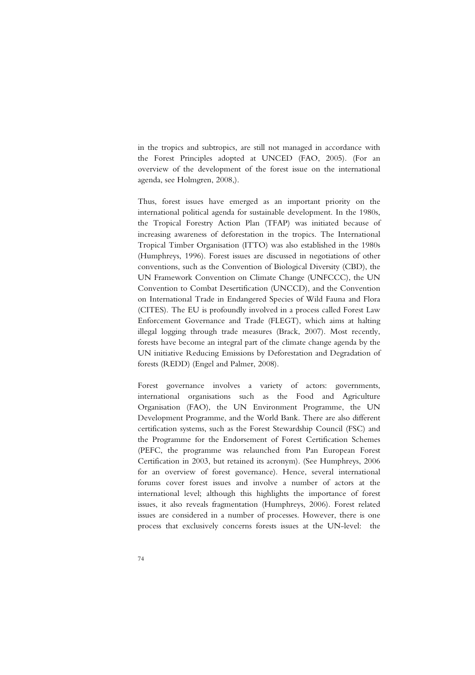in the tropics and subtropics, are still not managed in accordance with the Forest Principles adopted at UNCED (FAO, 2005). (For an overview of the development of the forest issue on the international agenda, see Holmgren, 2008,).

Thus, forest issues have emerged as an important priority on the international political agenda for sustainable development. In the 1980s, the Tropical Forestry Action Plan (TFAP) was initiated because of increasing awareness of deforestation in the tropics. The International Tropical Timber Organisation (ITTO) was also established in the 1980s (Humphreys, 1996). Forest issues are discussed in negotiations of other conventions, such as the Convention of Biological Diversity (CBD), the UN Framework Convention on Climate Change (UNFCCC), the UN Convention to Combat Desertification (UNCCD), and the Convention on International Trade in Endangered Species of Wild Fauna and Flora (CITES). The EU is profoundly involved in a process called Forest Law Enforcement Governance and Trade (FLEGT), which aims at halting illegal logging through trade measures (Brack, 2007). Most recently, forests have become an integral part of the climate change agenda by the UN initiative Reducing Emissions by Deforestation and Degradation of forests (REDD) (Engel and Palmer, 2008).

Forest governance involves a variety of actors: governments, international organisations such as the Food and Agriculture Organisation (FAO), the UN Environment Programme, the UN Development Programme, and the World Bank. There are also different certification systems, such as the Forest Stewardship Council (FSC) and the Programme for the Endorsement of Forest Certification Schemes (PEFC, the programme was relaunched from Pan European Forest Certification in 2003, but retained its acronym). (See Humphreys, 2006 for an overview of forest governance). Hence, several international forums cover forest issues and involve a number of actors at the international level; although this highlights the importance of forest issues, it also reveals fragmentation (Humphreys, 2006). Forest related issues are considered in a number of processes. However, there is one process that exclusively concerns forests issues at the UN-level: the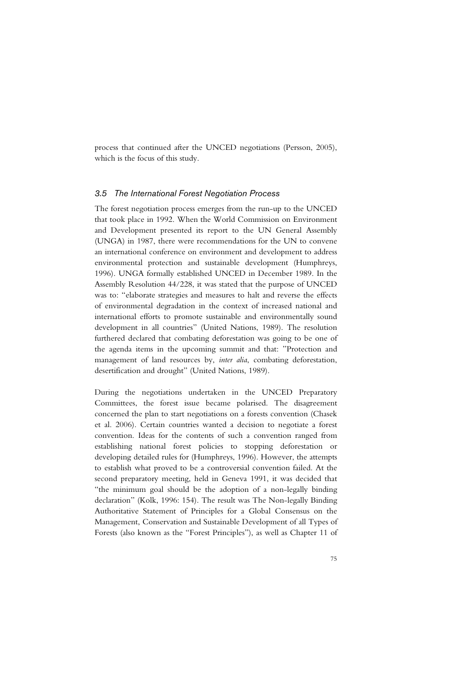process that continued after the UNCED negotiations (Persson, 2005), which is the focus of this study.

### *3.5 The International Forest Negotiation Process*

The forest negotiation process emerges from the run-up to the UNCED that took place in 1992. When the World Commission on Environment and Development presented its report to the UN General Assembly (UNGA) in 1987, there were recommendations for the UN to convene an international conference on environment and development to address environmental protection and sustainable development (Humphreys, 1996). UNGA formally established UNCED in December 1989. In the Assembly Resolution 44/228, it was stated that the purpose of UNCED was to: "elaborate strategies and measures to halt and reverse the effects of environmental degradation in the context of increased national and international efforts to promote sustainable and environmentally sound development in all countries" (United Nations, 1989). The resolution furthered declared that combating deforestation was going to be one of the agenda items in the upcoming summit and that: "Protection and management of land resources by, *inter alia*, combating deforestation, desertification and drought" (United Nations, 1989).

During the negotiations undertaken in the UNCED Preparatory Committees, the forest issue became polarised. The disagreement concerned the plan to start negotiations on a forests convention (Chasek et al. 2006). Certain countries wanted a decision to negotiate a forest convention. Ideas for the contents of such a convention ranged from establishing national forest policies to stopping deforestation or developing detailed rules for (Humphreys, 1996). However, the attempts to establish what proved to be a controversial convention failed. At the second preparatory meeting, held in Geneva 1991, it was decided that "the minimum goal should be the adoption of a non-legally binding declaration" (Kolk, 1996: 154). The result was The Non-legally Binding Authoritative Statement of Principles for a Global Consensus on the Management, Conservation and Sustainable Development of all Types of Forests (also known as the "Forest Principles"), as well as Chapter 11 of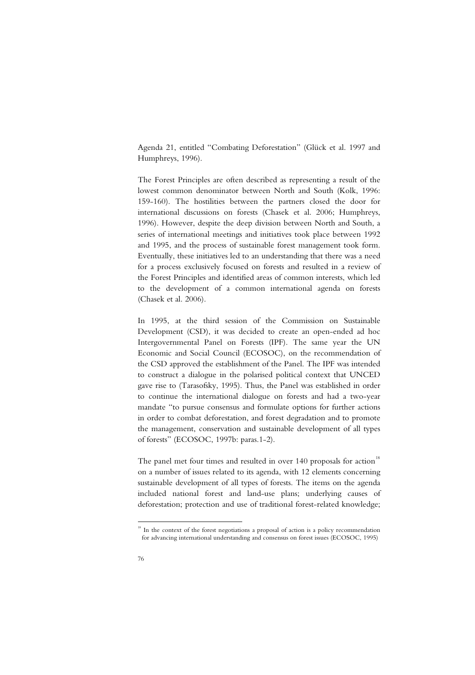Agenda 21, entitled "Combating Deforestation" (Glück et al. 1997 and Humphreys, 1996).

The Forest Principles are often described as representing a result of the lowest common denominator between North and South (Kolk, 1996: 159-160). The hostilities between the partners closed the door for international discussions on forests (Chasek et al. 2006; Humphreys, 1996). However, despite the deep division between North and South, a series of international meetings and initiatives took place between 1992 and 1995, and the process of sustainable forest management took form. Eventually, these initiatives led to an understanding that there was a need for a process exclusively focused on forests and resulted in a review of the Forest Principles and identified areas of common interests, which led to the development of a common international agenda on forests (Chasek et al. 2006).

In 1995, at the third session of the Commission on Sustainable Development (CSD), it was decided to create an open-ended ad hoc Intergovernmental Panel on Forests (IPF). The same year the UN Economic and Social Council (ECOSOC), on the recommendation of the CSD approved the establishment of the Panel. The IPF was intended to construct a dialogue in the polarised political context that UNCED gave rise to (Tarasofsky, 1995). Thus, the Panel was established in order to continue the international dialogue on forests and had a two-year mandate "to pursue consensus and formulate options for further actions in order to combat deforestation, and forest degradation and to promote the management, conservation and sustainable development of all types of forests" (ECOSOC, 1997b: paras.1-2).

The panel met four times and resulted in over 140 proposals for action<sup>18</sup> on a number of issues related to its agenda, with 12 elements concerning sustainable development of all types of forests. The items on the agenda included national forest and land-use plans; underlying causes of deforestation; protection and use of traditional forest-related knowledge;

-

<sup>&</sup>lt;sup>18</sup> In the context of the forest negotiations a proposal of action is a policy recommendation for advancing international understanding and consensus on forest issues (ECOSOC, 1995)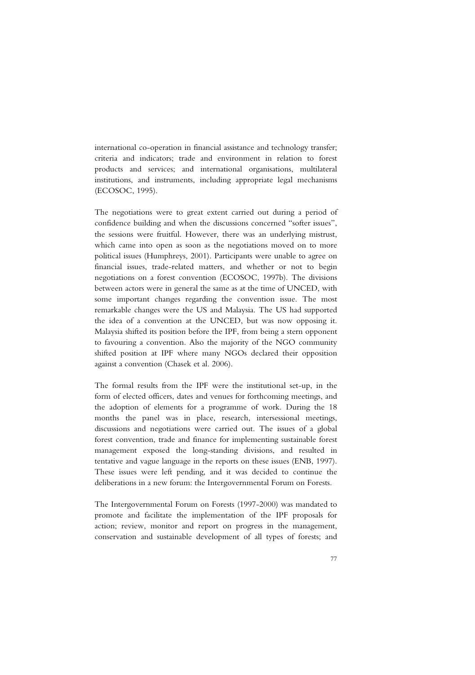international co-operation in financial assistance and technology transfer; criteria and indicators; trade and environment in relation to forest products and services; and international organisations, multilateral institutions, and instruments, including appropriate legal mechanisms (ECOSOC, 1995).

The negotiations were to great extent carried out during a period of confidence building and when the discussions concerned "softer issues", the sessions were fruitful. However, there was an underlying mistrust, which came into open as soon as the negotiations moved on to more political issues (Humphreys, 2001). Participants were unable to agree on financial issues, trade-related matters, and whether or not to begin negotiations on a forest convention (ECOSOC, 1997b). The divisions between actors were in general the same as at the time of UNCED, with some important changes regarding the convention issue. The most remarkable changes were the US and Malaysia. The US had supported the idea of a convention at the UNCED, but was now opposing it. Malaysia shifted its position before the IPF, from being a stern opponent to favouring a convention. Also the majority of the NGO community shifted position at IPF where many NGOs declared their opposition against a convention (Chasek et al. 2006).

The formal results from the IPF were the institutional set-up, in the form of elected officers, dates and venues for forthcoming meetings, and the adoption of elements for a programme of work. During the 18 months the panel was in place, research, intersessional meetings, discussions and negotiations were carried out. The issues of a global forest convention, trade and finance for implementing sustainable forest management exposed the long-standing divisions, and resulted in tentative and vague language in the reports on these issues (ENB, 1997). These issues were left pending, and it was decided to continue the deliberations in a new forum: the Intergovernmental Forum on Forests.

The Intergovernmental Forum on Forests (1997-2000) was mandated to promote and facilitate the implementation of the IPF proposals for action; review, monitor and report on progress in the management, conservation and sustainable development of all types of forests; and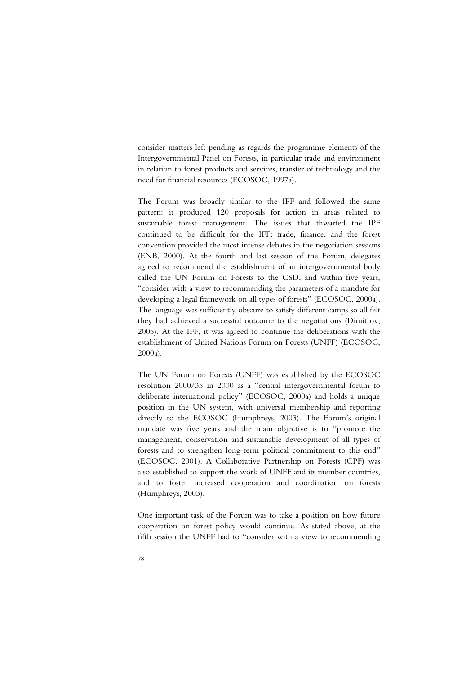consider matters left pending as regards the programme elements of the Intergovernmental Panel on Forests, in particular trade and environment in relation to forest products and services, transfer of technology and the need for financial resources (ECOSOC, 1997a).

The Forum was broadly similar to the IPF and followed the same pattern: it produced 120 proposals for action in areas related to sustainable forest management. The issues that thwarted the IPF continued to be difficult for the IFF: trade, finance, and the forest convention provided the most intense debates in the negotiation sessions (ENB, 2000). At the fourth and last session of the Forum, delegates agreed to recommend the establishment of an intergovernmental body called the UN Forum on Forests to the CSD, and within five years, "consider with a view to recommending the parameters of a mandate for developing a legal framework on all types of forests" (ECOSOC, 2000a). The language was sufficiently obscure to satisfy different camps so all felt they had achieved a successful outcome to the negotiations (Dimitrov, 2005). At the IFF, it was agreed to continue the deliberations with the establishment of United Nations Forum on Forests (UNFF) (ECOSOC, 2000a).

The UN Forum on Forests (UNFF) was established by the ECOSOC resolution 2000/35 in 2000 as a "central intergovernmental forum to deliberate international policy" (ECOSOC, 2000a) and holds a unique position in the UN system, with universal membership and reporting directly to the ECOSOC (Humphreys, 2003). The Forum's original mandate was five years and the main objective is to "promote the management, conservation and sustainable development of all types of forests and to strengthen long-term political commitment to this end" (ECOSOC, 2001). A Collaborative Partnership on Forests (CPF) was also established to support the work of UNFF and its member countries, and to foster increased cooperation and coordination on forests (Humphreys, 2003).

One important task of the Forum was to take a position on how future cooperation on forest policy would continue. As stated above, at the fifth session the UNFF had to "consider with a view to recommending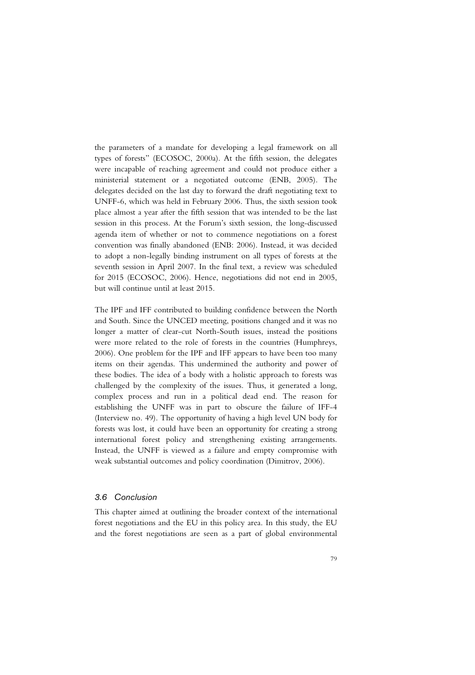the parameters of a mandate for developing a legal framework on all types of forests" (ECOSOC, 2000a). At the fifth session, the delegates were incapable of reaching agreement and could not produce either a ministerial statement or a negotiated outcome (ENB, 2005). The delegates decided on the last day to forward the draft negotiating text to UNFF-6, which was held in February 2006. Thus, the sixth session took place almost a year after the fifth session that was intended to be the last session in this process. At the Forum's sixth session, the long-discussed agenda item of whether or not to commence negotiations on a forest convention was finally abandoned (ENB: 2006). Instead, it was decided to adopt a non-legally binding instrument on all types of forests at the seventh session in April 2007. In the final text, a review was scheduled for 2015 (ECOSOC, 2006). Hence, negotiations did not end in 2005, but will continue until at least 2015.

The IPF and IFF contributed to building confidence between the North and South. Since the UNCED meeting, positions changed and it was no longer a matter of clear-cut North-South issues, instead the positions were more related to the role of forests in the countries (Humphreys, 2006). One problem for the IPF and IFF appears to have been too many items on their agendas. This undermined the authority and power of these bodies. The idea of a body with a holistic approach to forests was challenged by the complexity of the issues. Thus, it generated a long, complex process and run in a political dead end. The reason for establishing the UNFF was in part to obscure the failure of IFF-4 (Interview no. 49). The opportunity of having a high level UN body for forests was lost, it could have been an opportunity for creating a strong international forest policy and strengthening existing arrangements. Instead, the UNFF is viewed as a failure and empty compromise with weak substantial outcomes and policy coordination (Dimitrov, 2006).

### *3.6 Conclusion*

This chapter aimed at outlining the broader context of the international forest negotiations and the EU in this policy area. In this study, the EU and the forest negotiations are seen as a part of global environmental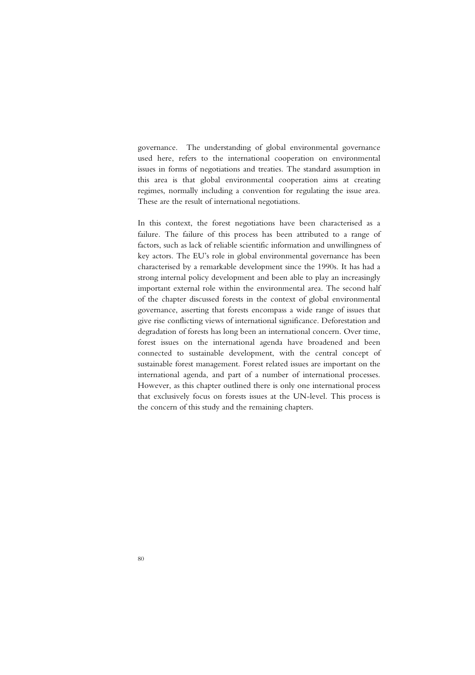governance. The understanding of global environmental governance used here, refers to the international cooperation on environmental issues in forms of negotiations and treaties. The standard assumption in this area is that global environmental cooperation aims at creating regimes, normally including a convention for regulating the issue area. These are the result of international negotiations.

In this context, the forest negotiations have been characterised as a failure. The failure of this process has been attributed to a range of factors, such as lack of reliable scientific information and unwillingness of key actors. The EU's role in global environmental governance has been characterised by a remarkable development since the 1990s. It has had a strong internal policy development and been able to play an increasingly important external role within the environmental area. The second half of the chapter discussed forests in the context of global environmental governance, asserting that forests encompass a wide range of issues that give rise conflicting views of international significance. Deforestation and degradation of forests has long been an international concern. Over time, forest issues on the international agenda have broadened and been connected to sustainable development, with the central concept of sustainable forest management. Forest related issues are important on the international agenda, and part of a number of international processes. However, as this chapter outlined there is only one international process that exclusively focus on forests issues at the UN-level. This process is the concern of this study and the remaining chapters.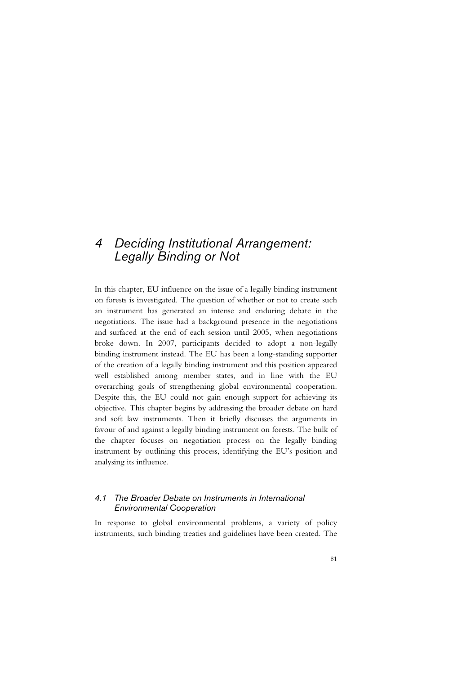# *4 Deciding Institutional Arrangement: Legally Binding or Not*

In this chapter, EU influence on the issue of a legally binding instrument on forests is investigated. The question of whether or not to create such an instrument has generated an intense and enduring debate in the negotiations. The issue had a background presence in the negotiations and surfaced at the end of each session until 2005, when negotiations broke down. In 2007, participants decided to adopt a non-legally binding instrument instead. The EU has been a long-standing supporter of the creation of a legally binding instrument and this position appeared well established among member states, and in line with the EU overarching goals of strengthening global environmental cooperation. Despite this, the EU could not gain enough support for achieving its objective. This chapter begins by addressing the broader debate on hard and soft law instruments. Then it briefly discusses the arguments in favour of and against a legally binding instrument on forests. The bulk of the chapter focuses on negotiation process on the legally binding instrument by outlining this process, identifying the EU's position and analysing its influence.

# *4.1 The Broader Debate on Instruments in International Environmental Cooperation*

In response to global environmental problems, a variety of policy instruments, such binding treaties and guidelines have been created. The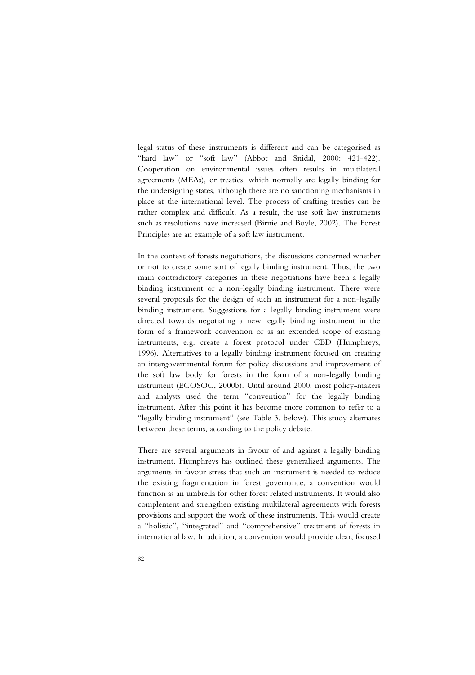legal status of these instruments is different and can be categorised as "hard law" or "soft law" (Abbot and Snidal, 2000: 421-422). Cooperation on environmental issues often results in multilateral agreements (MEAs), or treaties, which normally are legally binding for the undersigning states, although there are no sanctioning mechanisms in place at the international level. The process of crafting treaties can be rather complex and difficult. As a result, the use soft law instruments such as resolutions have increased (Birnie and Boyle, 2002). The Forest Principles are an example of a soft law instrument.

In the context of forests negotiations, the discussions concerned whether or not to create some sort of legally binding instrument. Thus, the two main contradictory categories in these negotiations have been a legally binding instrument or a non-legally binding instrument. There were several proposals for the design of such an instrument for a non-legally binding instrument. Suggestions for a legally binding instrument were directed towards negotiating a new legally binding instrument in the form of a framework convention or as an extended scope of existing instruments, e.g. create a forest protocol under CBD (Humphreys, 1996). Alternatives to a legally binding instrument focused on creating an intergovernmental forum for policy discussions and improvement of the soft law body for forests in the form of a non-legally binding instrument (ECOSOC, 2000b). Until around 2000, most policy-makers and analysts used the term "convention" for the legally binding instrument. After this point it has become more common to refer to a "legally binding instrument" (see Table 3. below). This study alternates between these terms, according to the policy debate.

There are several arguments in favour of and against a legally binding instrument. Humphreys has outlined these generalized arguments. The arguments in favour stress that such an instrument is needed to reduce the existing fragmentation in forest governance, a convention would function as an umbrella for other forest related instruments. It would also complement and strengthen existing multilateral agreements with forests provisions and support the work of these instruments. This would create a "holistic", "integrated" and "comprehensive" treatment of forests in international law. In addition, a convention would provide clear, focused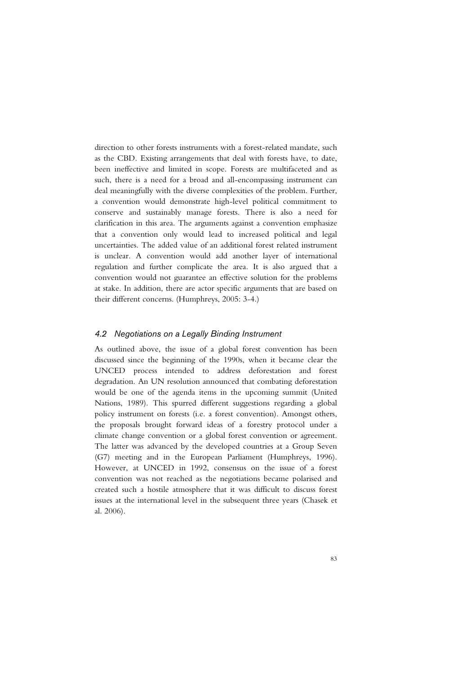direction to other forests instruments with a forest-related mandate, such as the CBD. Existing arrangements that deal with forests have, to date, been ineffective and limited in scope. Forests are multifaceted and as such, there is a need for a broad and all-encompassing instrument can deal meaningfully with the diverse complexities of the problem. Further, a convention would demonstrate high-level political commitment to conserve and sustainably manage forests. There is also a need for clarification in this area. The arguments against a convention emphasize that a convention only would lead to increased political and legal uncertainties. The added value of an additional forest related instrument is unclear. A convention would add another layer of international regulation and further complicate the area. It is also argued that a convention would not guarantee an effective solution for the problems at stake. In addition, there are actor specific arguments that are based on their different concerns. (Humphreys, 2005: 3-4.)

### *4.2 Negotiations on a Legally Binding Instrument*

As outlined above, the issue of a global forest convention has been discussed since the beginning of the 1990s, when it became clear the UNCED process intended to address deforestation and forest degradation. An UN resolution announced that combating deforestation would be one of the agenda items in the upcoming summit (United Nations, 1989). This spurred different suggestions regarding a global policy instrument on forests (i.e. a forest convention). Amongst others, the proposals brought forward ideas of a forestry protocol under a climate change convention or a global forest convention or agreement. The latter was advanced by the developed countries at a Group Seven (G7) meeting and in the European Parliament (Humphreys, 1996). However, at UNCED in 1992, consensus on the issue of a forest convention was not reached as the negotiations became polarised and created such a hostile atmosphere that it was difficult to discuss forest issues at the international level in the subsequent three years (Chasek et al. 2006).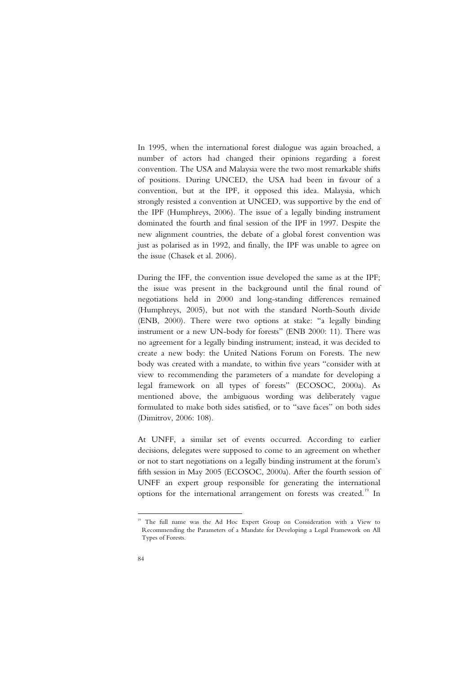In 1995, when the international forest dialogue was again broached, a number of actors had changed their opinions regarding a forest convention. The USA and Malaysia were the two most remarkable shifts of positions. During UNCED, the USA had been in favour of a convention, but at the IPF, it opposed this idea. Malaysia, which strongly resisted a convention at UNCED, was supportive by the end of the IPF (Humphreys, 2006). The issue of a legally binding instrument dominated the fourth and final session of the IPF in 1997. Despite the new alignment countries, the debate of a global forest convention was just as polarised as in 1992, and finally, the IPF was unable to agree on the issue (Chasek et al. 2006).

During the IFF, the convention issue developed the same as at the IPF; the issue was present in the background until the final round of negotiations held in 2000 and long-standing differences remained (Humphreys, 2005), but not with the standard North-South divide (ENB, 2000). There were two options at stake: "a legally binding instrument or a new UN-body for forests" (ENB 2000: 11). There was no agreement for a legally binding instrument; instead, it was decided to create a new body: the United Nations Forum on Forests. The new body was created with a mandate, to within five years "consider with at view to recommending the parameters of a mandate for developing a legal framework on all types of forests" (ECOSOC, 2000a). As mentioned above, the ambiguous wording was deliberately vague formulated to make both sides satisfied, or to "save faces" on both sides (Dimitrov, 2006: 108).

At UNFF, a similar set of events occurred. According to earlier decisions, delegates were supposed to come to an agreement on whether or not to start negotiations on a legally binding instrument at the forum's fifth session in May 2005 (ECOSOC, 2000a). After the fourth session of UNFF an expert group responsible for generating the international options for the international arrangement on forests was created.<sup>19</sup> In

<sup>-</sup><sup>19</sup> The full name was the Ad Hoc Expert Group on Consideration with a View to Recommending the Parameters of a Mandate for Developing a Legal Framework on All Types of Forests.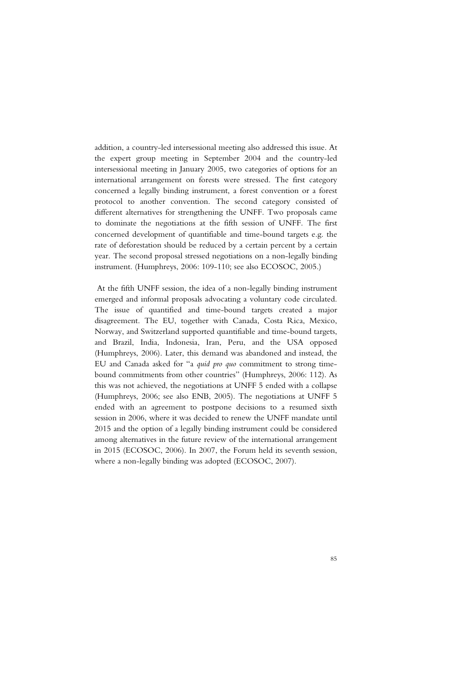addition, a country-led intersessional meeting also addressed this issue. At the expert group meeting in September 2004 and the country-led intersessional meeting in January 2005, two categories of options for an international arrangement on forests were stressed. The first category concerned a legally binding instrument, a forest convention or a forest protocol to another convention. The second category consisted of different alternatives for strengthening the UNFF. Two proposals came to dominate the negotiations at the fifth session of UNFF. The first concerned development of quantifiable and time-bound targets e.g. the rate of deforestation should be reduced by a certain percent by a certain year. The second proposal stressed negotiations on a non-legally binding instrument. (Humphreys, 2006: 109-110; see also ECOSOC, 2005.)

 At the fifth UNFF session, the idea of a non-legally binding instrument emerged and informal proposals advocating a voluntary code circulated. The issue of quantified and time-bound targets created a major disagreement. The EU, together with Canada, Costa Rica, Mexico, Norway, and Switzerland supported quantifiable and time-bound targets, and Brazil, India, Indonesia, Iran, Peru, and the USA opposed (Humphreys, 2006). Later, this demand was abandoned and instead, the EU and Canada asked for "a *quid pro quo* commitment to strong timebound commitments from other countries" (Humphreys, 2006: 112). As this was not achieved, the negotiations at UNFF 5 ended with a collapse (Humphreys, 2006; see also ENB, 2005). The negotiations at UNFF 5 ended with an agreement to postpone decisions to a resumed sixth session in 2006, where it was decided to renew the UNFF mandate until 2015 and the option of a legally binding instrument could be considered among alternatives in the future review of the international arrangement in 2015 (ECOSOC, 2006). In 2007, the Forum held its seventh session, where a non-legally binding was adopted (ECOSOC, 2007).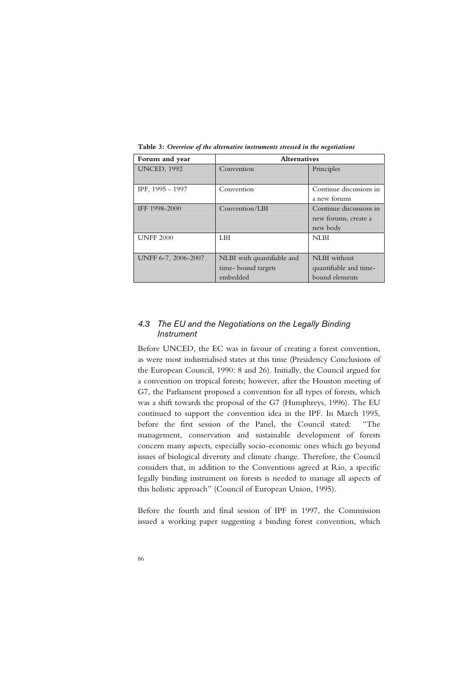| Forum and year      | <b>Alternatives</b>        |                         |  |
|---------------------|----------------------------|-------------------------|--|
| <b>UNCED, 1992</b>  | Convention                 | Principles              |  |
|                     |                            |                         |  |
| IPF, 1995 - 1997    | Convention                 | Continue discussions in |  |
|                     |                            | a new forums            |  |
| IFF 1998-2000       | Convention/LBI             | Continue discussions in |  |
|                     |                            | new forums, create a    |  |
|                     |                            | new body                |  |
| <b>UNFF 2000</b>    | LBI                        | <b>NLBI</b>             |  |
|                     |                            |                         |  |
| UNFF 6-7, 2006-2007 | NLBI with quantifiable and | NLBI without            |  |
|                     | time-bound targets         | quantifiable and time-  |  |
|                     | embedded                   | bound elements          |  |

**Table 3:** *Overview of the alternative instruments stressed in the negotiations*

# *4.3 The EU and the Negotiations on the Legally Binding Instrument*

Before UNCED, the EC was in favour of creating a forest convention, as were most industrialised states at this time (Presidency Conclusions of the European Council, 1990: 8 and 26). Initially, the Council argued for a convention on tropical forests; however, after the Houston meeting of G7, the Parliament proposed a convention for all types of forests, which was a shift towards the proposal of the G7 (Humphreys, 1996). The EU continued to support the convention idea in the IPF. In March 1995, before the first session of the Panel, the Council stated: "The management, conservation and sustainable development of forests concern many aspects, especially socio-economic ones which go beyond issues of biological diversity and climate change. Therefore, the Council considers that, in addition to the Conventions agreed at Rio, a specific legally binding instrument on forests is needed to manage all aspects of this holistic approach" (Council of European Union, 1995).

Before the fourth and final session of IPF in 1997, the Commission issued a working paper suggesting a binding forest convention, which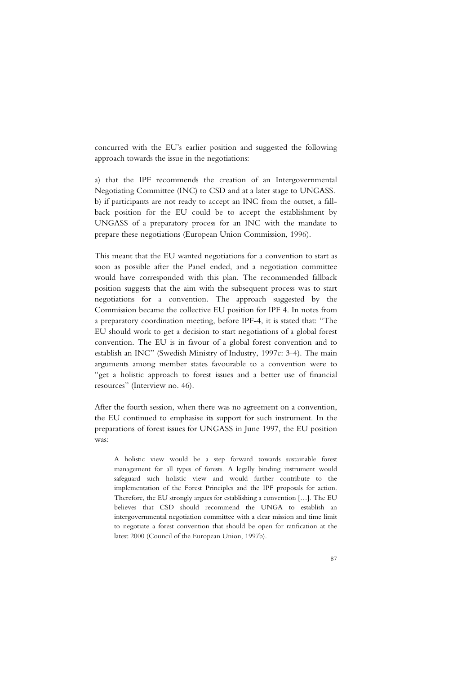concurred with the EU's earlier position and suggested the following approach towards the issue in the negotiations:

a) that the IPF recommends the creation of an Intergovernmental Negotiating Committee (INC) to CSD and at a later stage to UNGASS. b) if participants are not ready to accept an INC from the outset, a fallback position for the EU could be to accept the establishment by UNGASS of a preparatory process for an INC with the mandate to prepare these negotiations (European Union Commission, 1996).

This meant that the EU wanted negotiations for a convention to start as soon as possible after the Panel ended, and a negotiation committee would have corresponded with this plan. The recommended fallback position suggests that the aim with the subsequent process was to start negotiations for a convention. The approach suggested by the Commission became the collective EU position for IPF 4. In notes from a preparatory coordination meeting, before IPF-4, it is stated that: "The EU should work to get a decision to start negotiations of a global forest convention. The EU is in favour of a global forest convention and to establish an INC" (Swedish Ministry of Industry, 1997c: 3-4). The main arguments among member states favourable to a convention were to "get a holistic approach to forest issues and a better use of financial resources" (Interview no. 46).

After the fourth session, when there was no agreement on a convention, the EU continued to emphasise its support for such instrument. In the preparations of forest issues for UNGASS in June 1997, the EU position was:

A holistic view would be a step forward towards sustainable forest management for all types of forests. A legally binding instrument would safeguard such holistic view and would further contribute to the implementation of the Forest Principles and the IPF proposals for action. Therefore, the EU strongly argues for establishing a convention […]. The EU believes that CSD should recommend the UNGA to establish an intergovernmental negotiation committee with a clear mission and time limit to negotiate a forest convention that should be open for ratification at the latest 2000 (Council of the European Union, 1997b).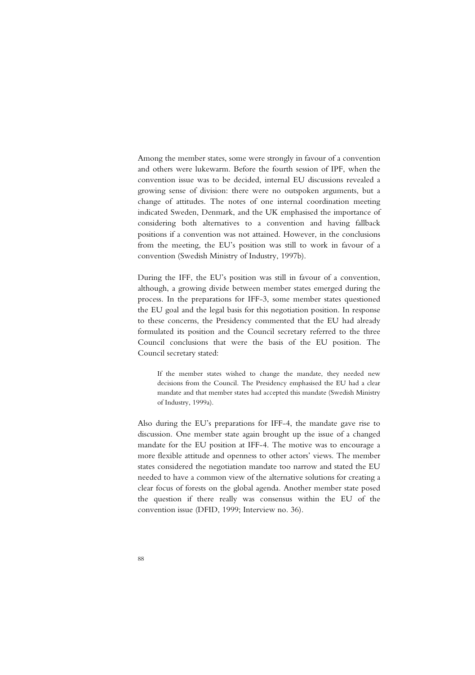Among the member states, some were strongly in favour of a convention and others were lukewarm. Before the fourth session of IPF, when the convention issue was to be decided, internal EU discussions revealed a growing sense of division: there were no outspoken arguments, but a change of attitudes. The notes of one internal coordination meeting indicated Sweden, Denmark, and the UK emphasised the importance of considering both alternatives to a convention and having fallback positions if a convention was not attained. However, in the conclusions from the meeting, the EU's position was still to work in favour of a convention (Swedish Ministry of Industry, 1997b).

During the IFF, the EU's position was still in favour of a convention, although, a growing divide between member states emerged during the process. In the preparations for IFF-3, some member states questioned the EU goal and the legal basis for this negotiation position. In response to these concerns, the Presidency commented that the EU had already formulated its position and the Council secretary referred to the three Council conclusions that were the basis of the EU position. The Council secretary stated:

If the member states wished to change the mandate, they needed new decisions from the Council. The Presidency emphasised the EU had a clear mandate and that member states had accepted this mandate (Swedish Ministry of Industry, 1999a).

Also during the EU's preparations for IFF-4, the mandate gave rise to discussion. One member state again brought up the issue of a changed mandate for the EU position at IFF-4. The motive was to encourage a more flexible attitude and openness to other actors' views. The member states considered the negotiation mandate too narrow and stated the EU needed to have a common view of the alternative solutions for creating a clear focus of forests on the global agenda. Another member state posed the question if there really was consensus within the EU of the convention issue (DFID, 1999; Interview no. 36).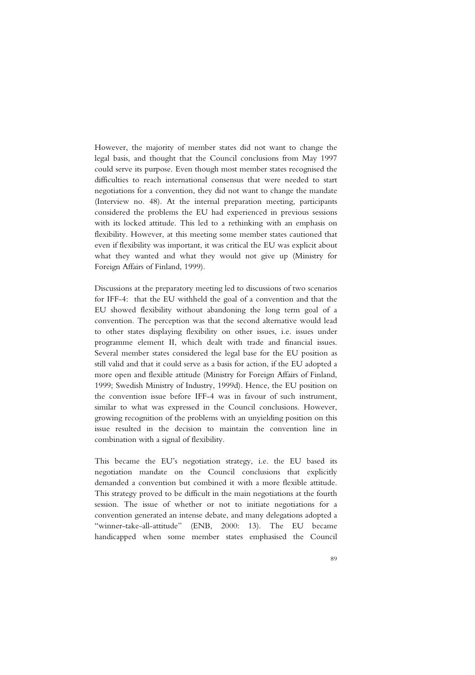However, the majority of member states did not want to change the legal basis, and thought that the Council conclusions from May 1997 could serve its purpose. Even though most member states recognised the difficulties to reach international consensus that were needed to start negotiations for a convention, they did not want to change the mandate (Interview no. 48). At the internal preparation meeting, participants considered the problems the EU had experienced in previous sessions with its locked attitude. This led to a rethinking with an emphasis on flexibility. However, at this meeting some member states cautioned that even if flexibility was important, it was critical the EU was explicit about what they wanted and what they would not give up (Ministry for Foreign Affairs of Finland, 1999).

Discussions at the preparatory meeting led to discussions of two scenarios for IFF-4: that the EU withheld the goal of a convention and that the EU showed flexibility without abandoning the long term goal of a convention. The perception was that the second alternative would lead to other states displaying flexibility on other issues, i.e. issues under programme element II, which dealt with trade and financial issues. Several member states considered the legal base for the EU position as still valid and that it could serve as a basis for action, if the EU adopted a more open and flexible attitude (Ministry for Foreign Affairs of Finland, 1999; Swedish Ministry of Industry, 1999d). Hence, the EU position on the convention issue before IFF-4 was in favour of such instrument, similar to what was expressed in the Council conclusions. However, growing recognition of the problems with an unyielding position on this issue resulted in the decision to maintain the convention line in combination with a signal of flexibility.

This became the EU's negotiation strategy, i.e. the EU based its negotiation mandate on the Council conclusions that explicitly demanded a convention but combined it with a more flexible attitude. This strategy proved to be difficult in the main negotiations at the fourth session. The issue of whether or not to initiate negotiations for a convention generated an intense debate, and many delegations adopted a "winner-take-all-attitude" (ENB, 2000: 13). The EU became handicapped when some member states emphasised the Council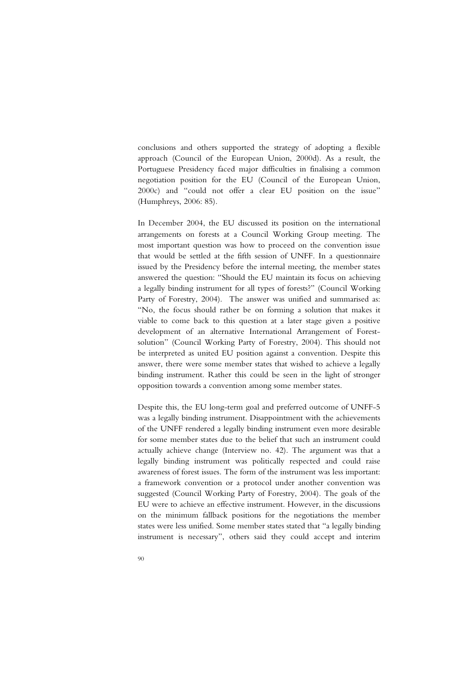conclusions and others supported the strategy of adopting a flexible approach (Council of the European Union, 2000d). As a result, the Portuguese Presidency faced major difficulties in finalising a common negotiation position for the EU (Council of the European Union, 2000c) and "could not offer a clear EU position on the issue" (Humphreys, 2006: 85).

In December 2004, the EU discussed its position on the international arrangements on forests at a Council Working Group meeting. The most important question was how to proceed on the convention issue that would be settled at the fifth session of UNFF. In a questionnaire issued by the Presidency before the internal meeting, the member states answered the question: "Should the EU maintain its focus on achieving a legally binding instrument for all types of forests?" (Council Working Party of Forestry, 2004). The answer was unified and summarised as: "No, the focus should rather be on forming a solution that makes it viable to come back to this question at a later stage given a positive development of an alternative International Arrangement of Forestsolution" (Council Working Party of Forestry, 2004). This should not be interpreted as united EU position against a convention. Despite this answer, there were some member states that wished to achieve a legally binding instrument. Rather this could be seen in the light of stronger opposition towards a convention among some member states.

Despite this, the EU long-term goal and preferred outcome of UNFF-5 was a legally binding instrument. Disappointment with the achievements of the UNFF rendered a legally binding instrument even more desirable for some member states due to the belief that such an instrument could actually achieve change (Interview no. 42). The argument was that a legally binding instrument was politically respected and could raise awareness of forest issues. The form of the instrument was less important: a framework convention or a protocol under another convention was suggested (Council Working Party of Forestry, 2004). The goals of the EU were to achieve an effective instrument. However, in the discussions on the minimum fallback positions for the negotiations the member states were less unified. Some member states stated that "a legally binding instrument is necessary", others said they could accept and interim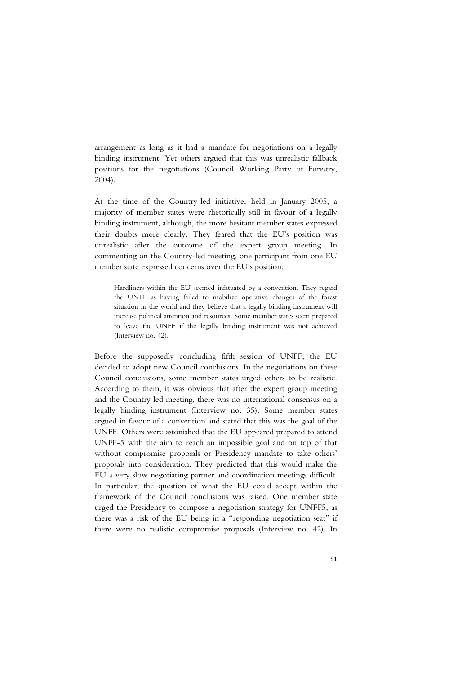arrangement as long as it had a mandate for negotiations on a legally binding instrument. Yet others argued that this was unrealistic fallback positions for the negotiations (Council Working Party of Forestry, 2004).

At the time of the Country-led initiative, held in January 2005, a majority of member states were rhetorically still in favour of a legally binding instrument, although, the more hesitant member states expressed their doubts more clearly. They feared that the EU's position was unrealistic after the outcome of the expert group meeting. In commenting on the Country-led meeting, one participant from one EU member state expressed concerns over the EU's position:

Hardliners within the EU seemed infatuated by a convention. They regard the UNFF as having failed to mobilize operative changes of the forest situation in the world and they believe that a legally binding instrument will increase political attention and resources. Some member states seem prepared to leave the UNFF if the legally binding instrument was not achieved (Interview no. 42).

Before the supposedly concluding fifth session of UNFF, the EU decided to adopt new Council conclusions. In the negotiations on these Council conclusions, some member states urged others to be realistic. According to them, it was obvious that after the expert group meeting and the Country led meeting, there was no international consensus on a legally binding instrument (Interview no. 35). Some member states argued in favour of a convention and stated that this was the goal of the UNFF. Others were astonished that the EU appeared prepared to attend UNFF-5 with the aim to reach an impossible goal and on top of that without compromise proposals or Presidency mandate to take others' proposals into consideration. They predicted that this would make the EU a very slow negotiating partner and coordination meetings difficult. In particular, the question of what the EU could accept within the framework of the Council conclusions was raised. One member state urged the Presidency to compose a negotiation strategy for UNFF5, as there was a risk of the EU being in a "responding negotiation seat" if there were no realistic compromise proposals (Interview no. 42). In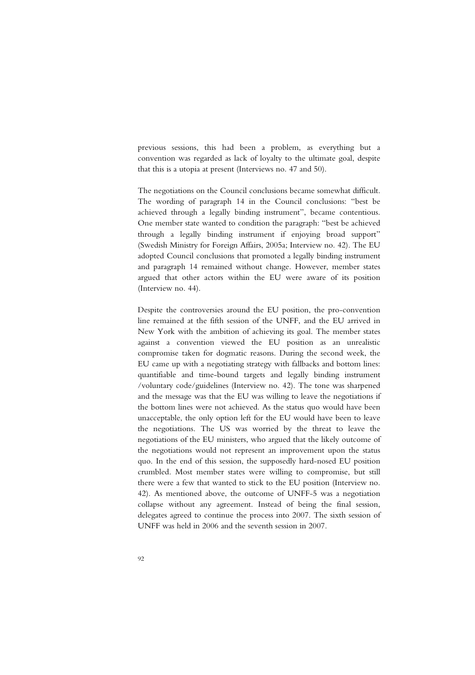previous sessions, this had been a problem, as everything but a convention was regarded as lack of loyalty to the ultimate goal, despite that this is a utopia at present (Interviews no. 47 and 50).

The negotiations on the Council conclusions became somewhat difficult. The wording of paragraph 14 in the Council conclusions: "best be achieved through a legally binding instrument", became contentious. One member state wanted to condition the paragraph: "best be achieved through a legally binding instrument if enjoying broad support" (Swedish Ministry for Foreign Affairs, 2005a; Interview no. 42). The EU adopted Council conclusions that promoted a legally binding instrument and paragraph 14 remained without change. However, member states argued that other actors within the EU were aware of its position (Interview no. 44).

Despite the controversies around the EU position, the pro-convention line remained at the fifth session of the UNFF, and the EU arrived in New York with the ambition of achieving its goal. The member states against a convention viewed the EU position as an unrealistic compromise taken for dogmatic reasons. During the second week, the EU came up with a negotiating strategy with fallbacks and bottom lines: quantifiable and time-bound targets and legally binding instrument /voluntary code/guidelines (Interview no. 42). The tone was sharpened and the message was that the EU was willing to leave the negotiations if the bottom lines were not achieved. As the status quo would have been unacceptable, the only option left for the EU would have been to leave the negotiations. The US was worried by the threat to leave the negotiations of the EU ministers, who argued that the likely outcome of the negotiations would not represent an improvement upon the status quo. In the end of this session, the supposedly hard-nosed EU position crumbled. Most member states were willing to compromise, but still there were a few that wanted to stick to the EU position (Interview no. 42). As mentioned above, the outcome of UNFF-5 was a negotiation collapse without any agreement. Instead of being the final session, delegates agreed to continue the process into 2007. The sixth session of UNFF was held in 2006 and the seventh session in 2007.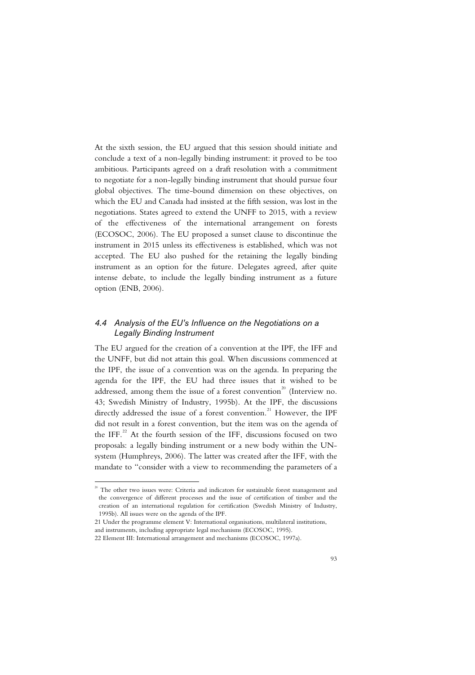At the sixth session, the EU argued that this session should initiate and conclude a text of a non-legally binding instrument: it proved to be too ambitious. Participants agreed on a draft resolution with a commitment to negotiate for a non-legally binding instrument that should pursue four global objectives. The time-bound dimension on these objectives, on which the EU and Canada had insisted at the fifth session, was lost in the negotiations. States agreed to extend the UNFF to 2015, with a review of the effectiveness of the international arrangement on forests (ECOSOC, 2006). The EU proposed a sunset clause to discontinue the instrument in 2015 unless its effectiveness is established, which was not accepted. The EU also pushed for the retaining the legally binding instrument as an option for the future. Delegates agreed, after quite intense debate, to include the legally binding instrument as a future option (ENB, 2006).

# *4.4 Analysis of the EU's Influence on the Negotiations on a Legally Binding Instrument*

The EU argued for the creation of a convention at the IPF, the IFF and the UNFF, but did not attain this goal. When discussions commenced at the IPF, the issue of a convention was on the agenda. In preparing the agenda for the IPF, the EU had three issues that it wished to be addressed, among them the issue of a forest convention<sup>20</sup> (Interview no. 43; Swedish Ministry of Industry, 1995b). At the IPF, the discussions directly addressed the issue of a forest convention.<sup>21</sup> However, the IPF did not result in a forest convention, but the item was on the agenda of the IFF.<sup>22</sup> At the fourth session of the IFF, discussions focused on two proposals: a legally binding instrument or a new body within the UNsystem (Humphreys, 2006). The latter was created after the IFF, with the mandate to "consider with a view to recommending the parameters of a

j

 $20$  The other two issues were: Criteria and indicators for sustainable forest management and the convergence of different processes and the issue of certification of timber and the creation of an international regulation for certification (Swedish Ministry of Industry, 1995b). All issues were on the agenda of the IPF.

<sup>21</sup> Under the programme element V: International organisations, multilateral institutions, and instruments, including appropriate legal mechanisms (ECOSOC, 1995).

<sup>22</sup> Element III: International arrangement and mechanisms (ECOSOC, 1997a).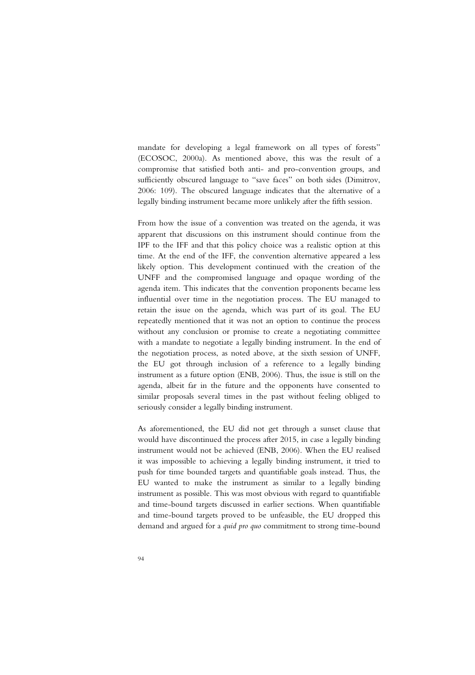mandate for developing a legal framework on all types of forests" (ECOSOC, 2000a). As mentioned above, this was the result of a compromise that satisfied both anti- and pro-convention groups, and sufficiently obscured language to "save faces" on both sides (Dimitrov, 2006: 109). The obscured language indicates that the alternative of a legally binding instrument became more unlikely after the fifth session.

From how the issue of a convention was treated on the agenda, it was apparent that discussions on this instrument should continue from the IPF to the IFF and that this policy choice was a realistic option at this time. At the end of the IFF, the convention alternative appeared a less likely option. This development continued with the creation of the UNFF and the compromised language and opaque wording of the agenda item. This indicates that the convention proponents became less influential over time in the negotiation process. The EU managed to retain the issue on the agenda, which was part of its goal. The EU repeatedly mentioned that it was not an option to continue the process without any conclusion or promise to create a negotiating committee with a mandate to negotiate a legally binding instrument. In the end of the negotiation process, as noted above, at the sixth session of UNFF, the EU got through inclusion of a reference to a legally binding instrument as a future option (ENB, 2006). Thus, the issue is still on the agenda, albeit far in the future and the opponents have consented to similar proposals several times in the past without feeling obliged to seriously consider a legally binding instrument.

As aforementioned, the EU did not get through a sunset clause that would have discontinued the process after 2015, in case a legally binding instrument would not be achieved (ENB, 2006). When the EU realised it was impossible to achieving a legally binding instrument, it tried to push for time bounded targets and quantifiable goals instead. Thus, the EU wanted to make the instrument as similar to a legally binding instrument as possible. This was most obvious with regard to quantifiable and time-bound targets discussed in earlier sections. When quantifiable and time-bound targets proved to be unfeasible, the EU dropped this demand and argued for a *quid pro quo* commitment to strong time-bound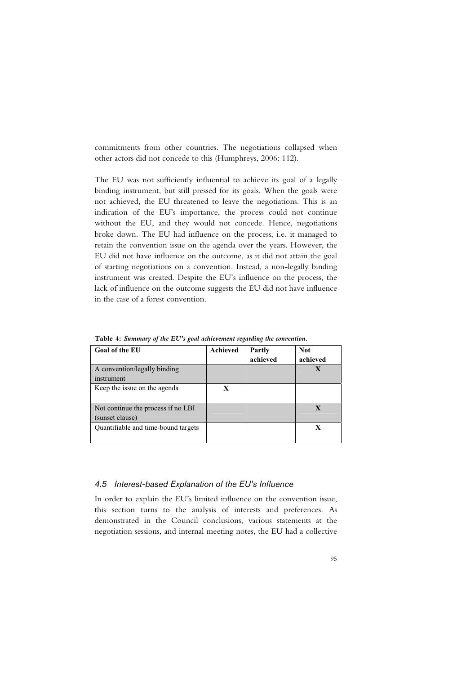commitments from other countries. The negotiations collapsed when other actors did not concede to this (Humphreys, 2006: 112).

The EU was not sufficiently influential to achieve its goal of a legally binding instrument, but still pressed for its goals. When the goals were not achieved, the EU threatened to leave the negotiations. This is an indication of the EU's importance, the process could not continue without the EU, and they would not concede. Hence, negotiations broke down. The EU had influence on the process, i.e. it managed to retain the convention issue on the agenda over the years. However, the EU did not have influence on the outcome, as it did not attain the goal of starting negotiations on a convention. Instead, a non-legally binding instrument was created. Despite the EU's influence on the process, the lack of influence on the outcome suggests the EU did not have influence in the case of a forest convention.

| Goal of the EU                                        | Achieved    | <b>Partly</b><br>achieved | <b>Not</b><br>achieved |
|-------------------------------------------------------|-------------|---------------------------|------------------------|
| A convention/legally binding<br>instrument            |             |                           |                        |
| Keep the issue on the agenda                          | $\mathbf x$ |                           |                        |
| Not continue the process if no LBI<br>(sunset clause) |             |                           | $\mathbf x$            |
| Quantifiable and time-bound targets                   |             |                           | X                      |

**Table 4:** *Summary of the EU's goal achievement regarding the convention.*

## *4.5 Interest-based Explanation of the EU's Influence*

In order to explain the EU's limited influence on the convention issue, this section turns to the analysis of interests and preferences. As demonstrated in the Council conclusions, various statements at the negotiation sessions, and internal meeting notes, the EU had a collective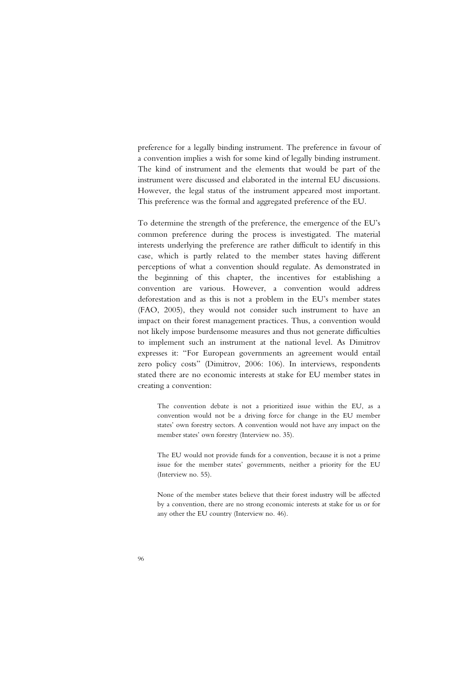preference for a legally binding instrument. The preference in favour of a convention implies a wish for some kind of legally binding instrument. The kind of instrument and the elements that would be part of the instrument were discussed and elaborated in the internal EU discussions. However, the legal status of the instrument appeared most important. This preference was the formal and aggregated preference of the EU.

To determine the strength of the preference, the emergence of the EU's common preference during the process is investigated. The material interests underlying the preference are rather difficult to identify in this case, which is partly related to the member states having different perceptions of what a convention should regulate. As demonstrated in the beginning of this chapter, the incentives for establishing a convention are various. However, a convention would address deforestation and as this is not a problem in the EU's member states (FAO, 2005), they would not consider such instrument to have an impact on their forest management practices. Thus, a convention would not likely impose burdensome measures and thus not generate difficulties to implement such an instrument at the national level. As Dimitrov expresses it: "For European governments an agreement would entail zero policy costs" (Dimitrov, 2006: 106). In interviews, respondents stated there are no economic interests at stake for EU member states in creating a convention:

The convention debate is not a prioritized issue within the EU, as a convention would not be a driving force for change in the EU member states' own forestry sectors. A convention would not have any impact on the member states' own forestry (Interview no. 35).

The EU would not provide funds for a convention, because it is not a prime issue for the member states' governments, neither a priority for the EU (Interview no. 55).

None of the member states believe that their forest industry will be affected by a convention, there are no strong economic interests at stake for us or for any other the EU country (Interview no. 46).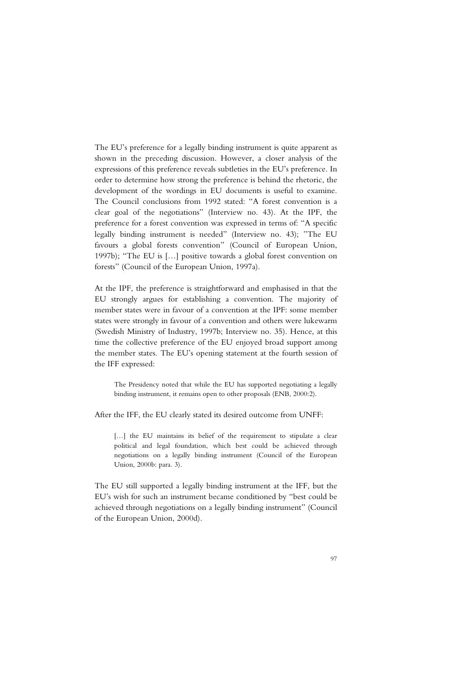The EU's preference for a legally binding instrument is quite apparent as shown in the preceding discussion. However, a closer analysis of the expressions of this preference reveals subtleties in the EU's preference. In order to determine how strong the preference is behind the rhetoric, the development of the wordings in EU documents is useful to examine. The Council conclusions from 1992 stated: "A forest convention is a clear goal of the negotiations" (Interview no. 43). At the IPF, the preference for a forest convention was expressed in terms of: "A specific legally binding instrument is needed" (Interview no. 43); "The EU favours a global forests convention" (Council of European Union, 1997b); "The EU is […] positive towards a global forest convention on forests" (Council of the European Union, 1997a).

At the IPF, the preference is straightforward and emphasised in that the EU strongly argues for establishing a convention. The majority of member states were in favour of a convention at the IPF: some member states were strongly in favour of a convention and others were lukewarm (Swedish Ministry of Industry, 1997b; Interview no. 35). Hence, at this time the collective preference of the EU enjoyed broad support among the member states. The EU's opening statement at the fourth session of the IFF expressed:

The Presidency noted that while the EU has supported negotiating a legally binding instrument, it remains open to other proposals (ENB, 2000:2).

After the IFF, the EU clearly stated its desired outcome from UNFF:

[...] the EU maintains its belief of the requirement to stipulate a clear political and legal foundation, which best could be achieved through negotiations on a legally binding instrument (Council of the European Union, 2000b: para. 3).

The EU still supported a legally binding instrument at the IFF, but the EU's wish for such an instrument became conditioned by "best could be achieved through negotiations on a legally binding instrument" (Council of the European Union, 2000d).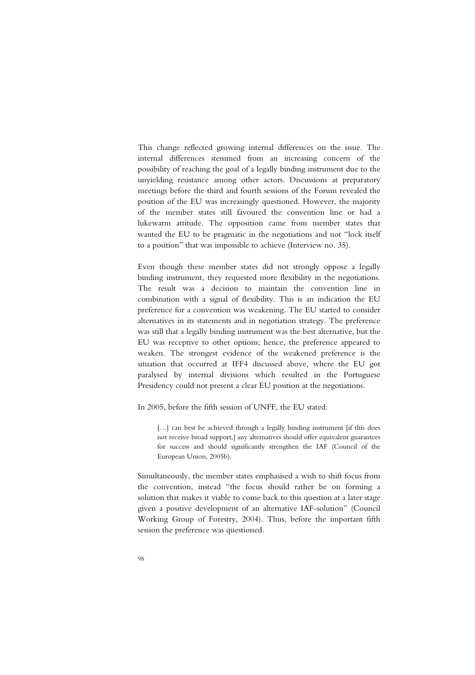This change reflected growing internal differences on the issue. The internal differences stemmed from an increasing concern of the possibility of reaching the goal of a legally binding instrument due to the unyielding resistance among other actors. Discussions at preparatory meetings before the third and fourth sessions of the Forum revealed the position of the EU was increasingly questioned. However, the majority of the member states still favoured the convention line or had a lukewarm attitude. The opposition came from member states that wanted the EU to be pragmatic in the negotiations and not "lock itself to a position" that was impossible to achieve (Interview no. 35).

Even though these member states did not strongly oppose a legally binding instrument, they requested more flexibility in the negotiations. The result was a decision to maintain the convention line in combination with a signal of flexibility. This is an indication the EU preference for a convention was weakening. The EU started to consider alternatives in its statements and in negotiation strategy. The preference was still that a legally binding instrument was the best alternative, but the EU was receptive to other options; hence, the preference appeared to weaken. The strongest evidence of the weakened preference is the situation that occurred at IFF4 discussed above, where the EU got paralysed by internal divisions which resulted in the Portuguese Presidency could not present a clear EU position at the negotiations.

In 2005, before the fifth session of UNFF, the EU stated:

[...] can best be achieved through a legally binding instrument [if this does not receive broad support,] any alternatives should offer equivalent guarantees for success and should significantly strengthen the IAF (Council of the European Union, 2005b).

Simultaneously, the member states emphasised a wish to shift focus from the convention, instead "the focus should rather be on forming a solution that makes it viable to come back to this question at a later stage given a positive development of an alternative IAF-solution" (Council Working Group of Forestry, 2004). Thus, before the important fifth session the preference was questioned.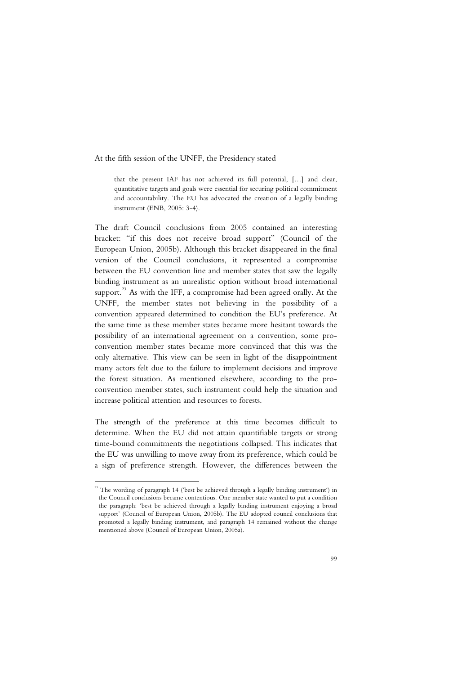At the fifth session of the UNFF, the Presidency stated

that the present IAF has not achieved its full potential, […] and clear, quantitative targets and goals were essential for securing political commitment and accountability. The EU has advocated the creation of a legally binding instrument (ENB, 2005: 3-4).

The draft Council conclusions from 2005 contained an interesting bracket: "if this does not receive broad support" (Council of the European Union, 2005b). Although this bracket disappeared in the final version of the Council conclusions, it represented a compromise between the EU convention line and member states that saw the legally binding instrument as an unrealistic option without broad international support. $^{23}$  As with the IFF, a compromise had been agreed orally. At the UNFF, the member states not believing in the possibility of a convention appeared determined to condition the EU's preference. At the same time as these member states became more hesitant towards the possibility of an international agreement on a convention, some proconvention member states became more convinced that this was the only alternative. This view can be seen in light of the disappointment many actors felt due to the failure to implement decisions and improve the forest situation. As mentioned elsewhere, according to the proconvention member states, such instrument could help the situation and increase political attention and resources to forests.

The strength of the preference at this time becomes difficult to determine. When the EU did not attain quantifiable targets or strong time-bound commitments the negotiations collapsed. This indicates that the EU was unwilling to move away from its preference, which could be a sign of preference strength. However, the differences between the

j

 $23$  The wording of paragraph 14 ('best be achieved through a legally binding instrument') in the Council conclusions became contentious. One member state wanted to put a condition the paragraph: 'best be achieved through a legally binding instrument enjoying a broad support' (Council of European Union, 2005b). The EU adopted council conclusions that promoted a legally binding instrument, and paragraph 14 remained without the change mentioned above (Council of European Union, 2005a).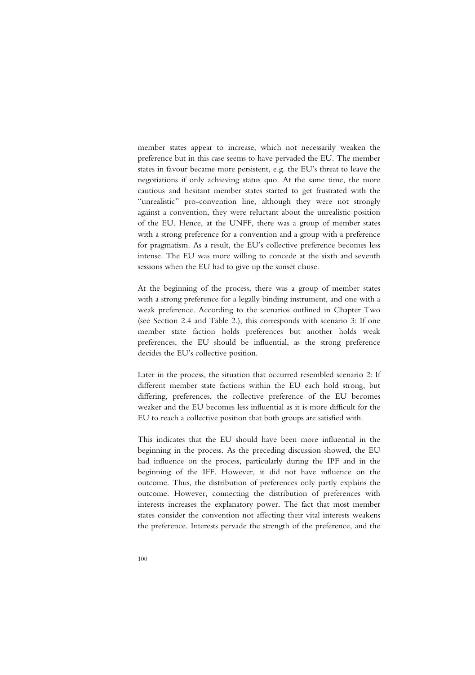member states appear to increase, which not necessarily weaken the preference but in this case seems to have pervaded the EU. The member states in favour became more persistent, e.g. the EU's threat to leave the negotiations if only achieving status quo. At the same time, the more cautious and hesitant member states started to get frustrated with the "unrealistic" pro-convention line, although they were not strongly against a convention, they were reluctant about the unrealistic position of the EU. Hence, at the UNFF, there was a group of member states with a strong preference for a convention and a group with a preference for pragmatism. As a result, the EU's collective preference becomes less intense. The EU was more willing to concede at the sixth and seventh sessions when the EU had to give up the sunset clause.

At the beginning of the process, there was a group of member states with a strong preference for a legally binding instrument, and one with a weak preference. According to the scenarios outlined in Chapter Two (see Section 2.4 and Table 2.), this corresponds with scenario 3: If one member state faction holds preferences but another holds weak preferences, the EU should be influential, as the strong preference decides the EU's collective position.

Later in the process, the situation that occurred resembled scenario 2: If different member state factions within the EU each hold strong, but differing, preferences, the collective preference of the EU becomes weaker and the EU becomes less influential as it is more difficult for the EU to reach a collective position that both groups are satisfied with.

This indicates that the EU should have been more influential in the beginning in the process. As the preceding discussion showed, the EU had influence on the process, particularly during the IPF and in the beginning of the IFF. However, it did not have influence on the outcome. Thus, the distribution of preferences only partly explains the outcome. However, connecting the distribution of preferences with interests increases the explanatory power. The fact that most member states consider the convention not affecting their vital interests weakens the preference. Interests pervade the strength of the preference, and the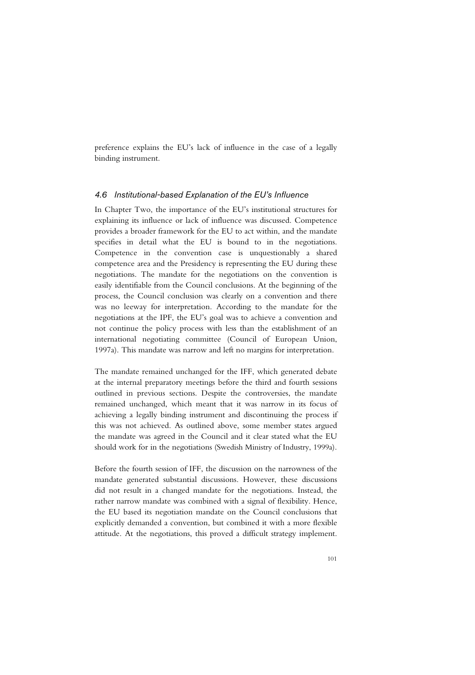preference explains the EU's lack of influence in the case of a legally binding instrument.

### *4.6 Institutional-based Explanation of the EU's Influence*

In Chapter Two, the importance of the EU's institutional structures for explaining its influence or lack of influence was discussed. Competence provides a broader framework for the EU to act within, and the mandate specifies in detail what the EU is bound to in the negotiations. Competence in the convention case is unquestionably a shared competence area and the Presidency is representing the EU during these negotiations. The mandate for the negotiations on the convention is easily identifiable from the Council conclusions. At the beginning of the process, the Council conclusion was clearly on a convention and there was no leeway for interpretation. According to the mandate for the negotiations at the IPF, the EU's goal was to achieve a convention and not continue the policy process with less than the establishment of an international negotiating committee (Council of European Union, 1997a). This mandate was narrow and left no margins for interpretation.

The mandate remained unchanged for the IFF, which generated debate at the internal preparatory meetings before the third and fourth sessions outlined in previous sections. Despite the controversies, the mandate remained unchanged, which meant that it was narrow in its focus of achieving a legally binding instrument and discontinuing the process if this was not achieved. As outlined above, some member states argued the mandate was agreed in the Council and it clear stated what the EU should work for in the negotiations (Swedish Ministry of Industry, 1999a).

Before the fourth session of IFF, the discussion on the narrowness of the mandate generated substantial discussions. However, these discussions did not result in a changed mandate for the negotiations. Instead, the rather narrow mandate was combined with a signal of flexibility. Hence, the EU based its negotiation mandate on the Council conclusions that explicitly demanded a convention, but combined it with a more flexible attitude. At the negotiations, this proved a difficult strategy implement.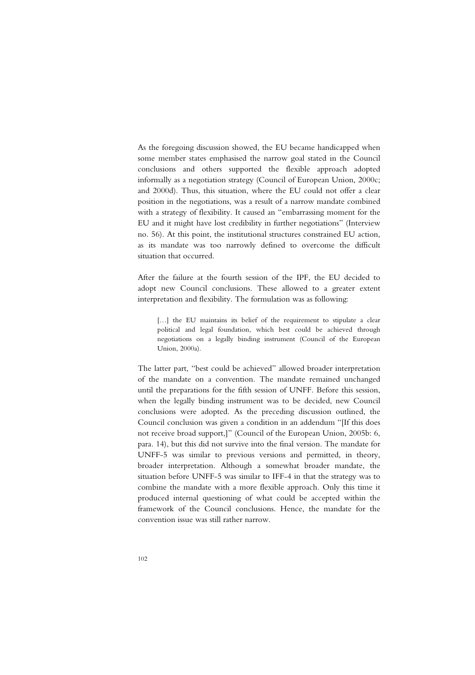As the foregoing discussion showed, the EU became handicapped when some member states emphasised the narrow goal stated in the Council conclusions and others supported the flexible approach adopted informally as a negotiation strategy (Council of European Union, 2000c; and 2000d). Thus, this situation, where the EU could not offer a clear position in the negotiations, was a result of a narrow mandate combined with a strategy of flexibility. It caused an "embarrassing moment for the EU and it might have lost credibility in further negotiations" (Interview no. 56). At this point, the institutional structures constrained EU action, as its mandate was too narrowly defined to overcome the difficult situation that occurred.

After the failure at the fourth session of the IPF, the EU decided to adopt new Council conclusions. These allowed to a greater extent interpretation and flexibility. The formulation was as following:

[...] the EU maintains its belief of the requirement to stipulate a clear political and legal foundation, which best could be achieved through negotiations on a legally binding instrument (Council of the European Union, 2000a).

The latter part, "best could be achieved" allowed broader interpretation of the mandate on a convention. The mandate remained unchanged until the preparations for the fifth session of UNFF. Before this session, when the legally binding instrument was to be decided, new Council conclusions were adopted. As the preceding discussion outlined, the Council conclusion was given a condition in an addendum "[If this does not receive broad support,]" (Council of the European Union, 2005b: 6, para. 14), but this did not survive into the final version. The mandate for UNFF-5 was similar to previous versions and permitted, in theory, broader interpretation. Although a somewhat broader mandate, the situation before UNFF-5 was similar to IFF-4 in that the strategy was to combine the mandate with a more flexible approach. Only this time it produced internal questioning of what could be accepted within the framework of the Council conclusions. Hence, the mandate for the convention issue was still rather narrow.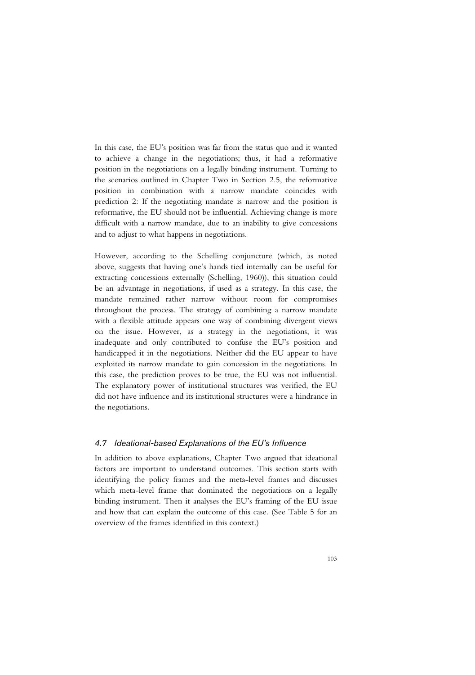In this case, the EU's position was far from the status quo and it wanted to achieve a change in the negotiations; thus, it had a reformative position in the negotiations on a legally binding instrument. Turning to the scenarios outlined in Chapter Two in Section 2.5, the reformative position in combination with a narrow mandate coincides with prediction 2: If the negotiating mandate is narrow and the position is reformative, the EU should not be influential. Achieving change is more difficult with a narrow mandate, due to an inability to give concessions and to adjust to what happens in negotiations.

However, according to the Schelling conjuncture (which, as noted above, suggests that having one's hands tied internally can be useful for extracting concessions externally (Schelling, 1960)), this situation could be an advantage in negotiations, if used as a strategy. In this case, the mandate remained rather narrow without room for compromises throughout the process. The strategy of combining a narrow mandate with a flexible attitude appears one way of combining divergent views on the issue. However, as a strategy in the negotiations, it was inadequate and only contributed to confuse the EU's position and handicapped it in the negotiations. Neither did the EU appear to have exploited its narrow mandate to gain concession in the negotiations. In this case, the prediction proves to be true, the EU was not influential. The explanatory power of institutional structures was verified, the EU did not have influence and its institutional structures were a hindrance in the negotiations.

## *4.7 Ideational-based Explanations of the EU's Influence*

In addition to above explanations, Chapter Two argued that ideational factors are important to understand outcomes. This section starts with identifying the policy frames and the meta-level frames and discusses which meta-level frame that dominated the negotiations on a legally binding instrument. Then it analyses the EU's framing of the EU issue and how that can explain the outcome of this case. (See Table 5 for an overview of the frames identified in this context.)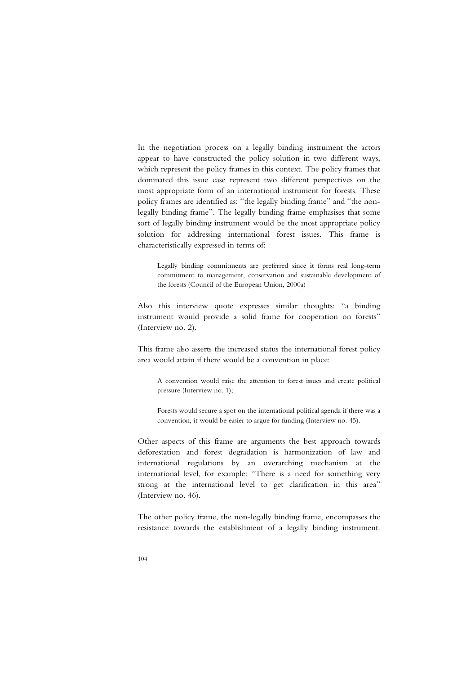In the negotiation process on a legally binding instrument the actors appear to have constructed the policy solution in two different ways, which represent the policy frames in this context. The policy frames that dominated this issue case represent two different perspectives on the most appropriate form of an international instrument for forests. These policy frames are identified as: "the legally binding frame" and "the nonlegally binding frame". The legally binding frame emphasises that some sort of legally binding instrument would be the most appropriate policy solution for addressing international forest issues. This frame is characteristically expressed in terms of:

Legally binding commitments are preferred since it forms real long-term commitment to management, conservation and sustainable development of the forests (Council of the European Union, 2000a)

Also this interview quote expresses similar thoughts: "a binding instrument would provide a solid frame for cooperation on forests" (Interview no. 2).

This frame also asserts the increased status the international forest policy area would attain if there would be a convention in place:

A convention would raise the attention to forest issues and create political pressure (Interview no. 1);

Forests would secure a spot on the international political agenda if there was a convention, it would be easier to argue for funding (Interview no. 45).

Other aspects of this frame are arguments the best approach towards deforestation and forest degradation is harmonization of law and international regulations by an overarching mechanism at the international level, for example: "There is a need for something very strong at the international level to get clarification in this area" (Interview no. 46).

The other policy frame, the non-legally binding frame, encompasses the resistance towards the establishment of a legally binding instrument.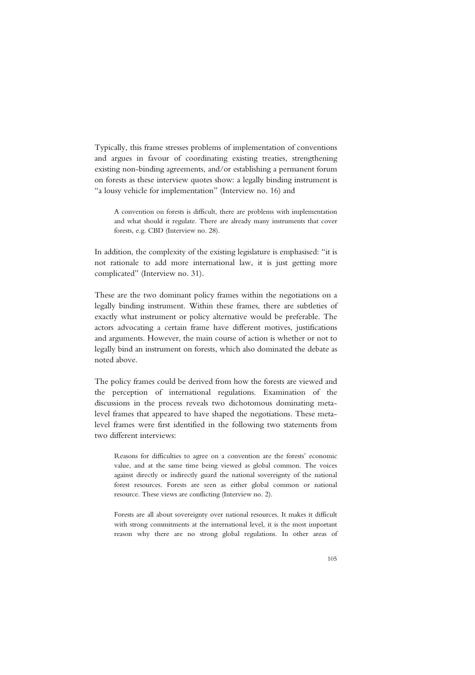Typically, this frame stresses problems of implementation of conventions and argues in favour of coordinating existing treaties, strengthening existing non-binding agreements, and/or establishing a permanent forum on forests as these interview quotes show: a legally binding instrument is "a lousy vehicle for implementation" (Interview no. 16) and

A convention on forests is difficult, there are problems with implementation and what should it regulate. There are already many instruments that cover forests, e.g. CBD (Interview no. 28).

In addition, the complexity of the existing legislature is emphasised: "it is not rationale to add more international law, it is just getting more complicated" (Interview no. 31).

These are the two dominant policy frames within the negotiations on a legally binding instrument. Within these frames, there are subtleties of exactly what instrument or policy alternative would be preferable. The actors advocating a certain frame have different motives, justifications and arguments. However, the main course of action is whether or not to legally bind an instrument on forests, which also dominated the debate as noted above.

The policy frames could be derived from how the forests are viewed and the perception of international regulations. Examination of the discussions in the process reveals two dichotomous dominating metalevel frames that appeared to have shaped the negotiations. These metalevel frames were first identified in the following two statements from two different interviews:

Reasons for difficulties to agree on a convention are the forests' economic value, and at the same time being viewed as global common. The voices against directly or indirectly guard the national sovereignty of the national forest resources. Forests are seen as either global common or national resource. These views are conflicting (Interview no. 2).

Forests are all about sovereignty over national resources. It makes it difficult with strong commitments at the international level, it is the most important reason why there are no strong global regulations. In other areas of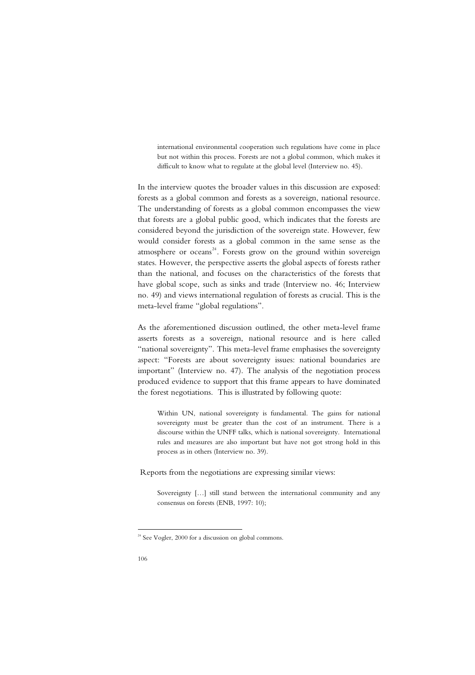international environmental cooperation such regulations have come in place but not within this process. Forests are not a global common, which makes it difficult to know what to regulate at the global level (Interview no. 45).

In the interview quotes the broader values in this discussion are exposed: forests as a global common and forests as a sovereign, national resource. The understanding of forests as a global common encompasses the view that forests are a global public good, which indicates that the forests are considered beyond the jurisdiction of the sovereign state. However, few would consider forests as a global common in the same sense as the atmosphere or oceans<sup>24</sup>. Forests grow on the ground within sovereign states. However, the perspective asserts the global aspects of forests rather than the national, and focuses on the characteristics of the forests that have global scope, such as sinks and trade (Interview no. 46; Interview no. 49) and views international regulation of forests as crucial. This is the meta-level frame "global regulations".

As the aforementioned discussion outlined, the other meta-level frame asserts forests as a sovereign, national resource and is here called "national sovereignty". This meta-level frame emphasises the sovereignty aspect: "Forests are about sovereignty issues: national boundaries are important" (Interview no. 47). The analysis of the negotiation process produced evidence to support that this frame appears to have dominated the forest negotiations. This is illustrated by following quote:

Within UN, national sovereignty is fundamental. The gains for national sovereignty must be greater than the cost of an instrument. There is a discourse within the UNFF talks, which is national sovereignty. International rules and measures are also important but have not got strong hold in this process as in others (Interview no. 39).

Reports from the negotiations are expressing similar views:

Sovereignty […] still stand between the international community and any consensus on forests (ENB, 1997: 10);

-

 $24$  See Vogler, 2000 for a discussion on global commons.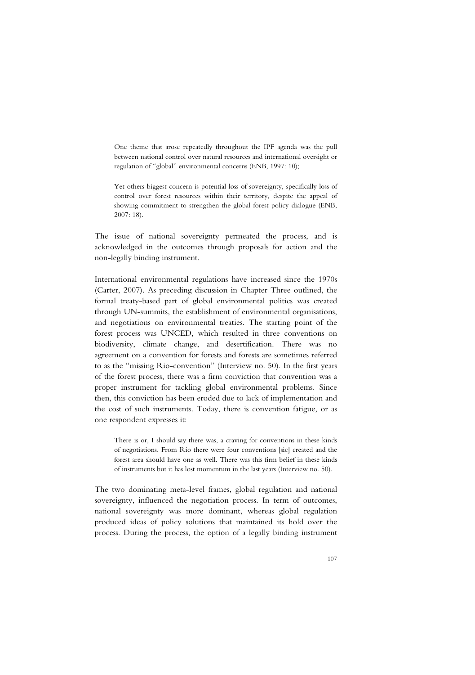One theme that arose repeatedly throughout the IPF agenda was the pull between national control over natural resources and international oversight or regulation of "global" environmental concerns (ENB, 1997: 10);

Yet others biggest concern is potential loss of sovereignty, specifically loss of control over forest resources within their territory, despite the appeal of showing commitment to strengthen the global forest policy dialogue (ENB, 2007: 18).

The issue of national sovereignty permeated the process, and is acknowledged in the outcomes through proposals for action and the non-legally binding instrument.

International environmental regulations have increased since the 1970s (Carter, 2007). As preceding discussion in Chapter Three outlined, the formal treaty-based part of global environmental politics was created through UN-summits, the establishment of environmental organisations, and negotiations on environmental treaties. The starting point of the forest process was UNCED, which resulted in three conventions on biodiversity, climate change, and desertification. There was no agreement on a convention for forests and forests are sometimes referred to as the "missing Rio-convention" (Interview no. 50). In the first years of the forest process, there was a firm conviction that convention was a proper instrument for tackling global environmental problems. Since then, this conviction has been eroded due to lack of implementation and the cost of such instruments. Today, there is convention fatigue, or as one respondent expresses it:

There is or, I should say there was, a craving for conventions in these kinds of negotiations. From Rio there were four conventions [sic] created and the forest area should have one as well. There was this firm belief in these kinds of instruments but it has lost momentum in the last years (Interview no. 50).

The two dominating meta-level frames, global regulation and national sovereignty, influenced the negotiation process. In term of outcomes, national sovereignty was more dominant, whereas global regulation produced ideas of policy solutions that maintained its hold over the process. During the process, the option of a legally binding instrument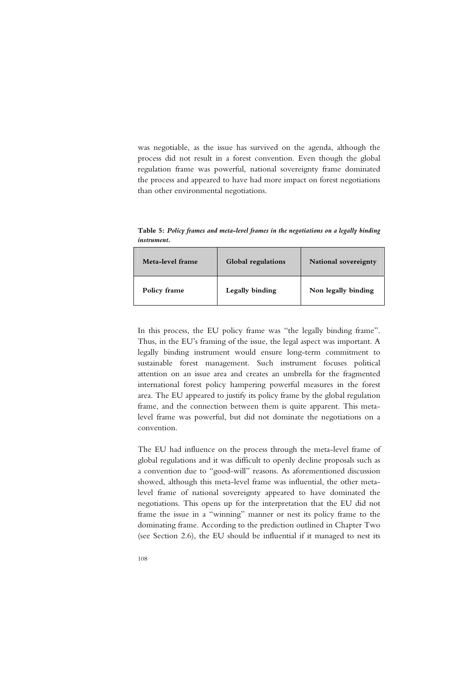was negotiable, as the issue has survived on the agenda, although the process did not result in a forest convention. Even though the global regulation frame was powerful, national sovereignty frame dominated the process and appeared to have had more impact on forest negotiations than other environmental negotiations.

**Table 5:** *Policy frames and meta-level frames in the negotiations on a legally binding instrument.* 

| Meta-level frame | Global regulations | National sovereignty |
|------------------|--------------------|----------------------|
| Policy frame     | Legally binding    | Non legally binding  |

In this process, the EU policy frame was "the legally binding frame". Thus, in the EU's framing of the issue, the legal aspect was important. A legally binding instrument would ensure long-term commitment to sustainable forest management. Such instrument focuses political attention on an issue area and creates an umbrella for the fragmented international forest policy hampering powerful measures in the forest area. The EU appeared to justify its policy frame by the global regulation frame, and the connection between them is quite apparent. This metalevel frame was powerful, but did not dominate the negotiations on a convention.

The EU had influence on the process through the meta-level frame of global regulations and it was difficult to openly decline proposals such as a convention due to "good-will" reasons. As aforementioned discussion showed, although this meta-level frame was influential, the other metalevel frame of national sovereignty appeared to have dominated the negotiations. This opens up for the interpretation that the EU did not frame the issue in a "winning" manner or nest its policy frame to the dominating frame. According to the prediction outlined in Chapter Two (see Section 2.6), the EU should be influential if it managed to nest its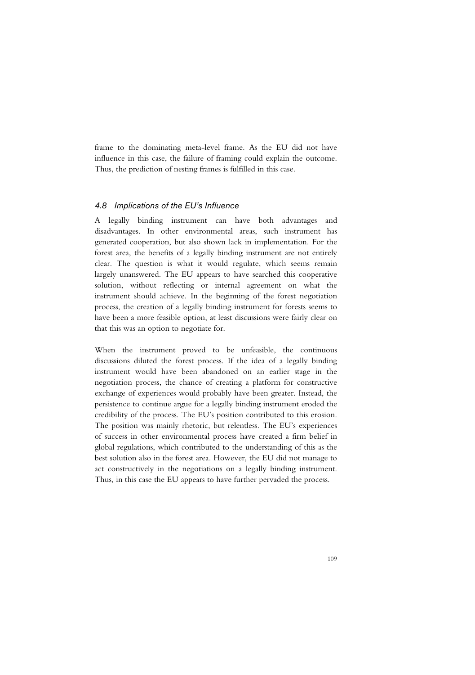frame to the dominating meta-level frame. As the EU did not have influence in this case, the failure of framing could explain the outcome. Thus, the prediction of nesting frames is fulfilled in this case.

## *4.8 Implications of the EU's Influence*

A legally binding instrument can have both advantages and disadvantages. In other environmental areas, such instrument has generated cooperation, but also shown lack in implementation. For the forest area, the benefits of a legally binding instrument are not entirely clear. The question is what it would regulate, which seems remain largely unanswered. The EU appears to have searched this cooperative solution, without reflecting or internal agreement on what the instrument should achieve. In the beginning of the forest negotiation process, the creation of a legally binding instrument for forests seems to have been a more feasible option, at least discussions were fairly clear on that this was an option to negotiate for.

When the instrument proved to be unfeasible, the continuous discussions diluted the forest process. If the idea of a legally binding instrument would have been abandoned on an earlier stage in the negotiation process, the chance of creating a platform for constructive exchange of experiences would probably have been greater. Instead, the persistence to continue argue for a legally binding instrument eroded the credibility of the process. The EU's position contributed to this erosion. The position was mainly rhetoric, but relentless. The EU's experiences of success in other environmental process have created a firm belief in global regulations, which contributed to the understanding of this as the best solution also in the forest area. However, the EU did not manage to act constructively in the negotiations on a legally binding instrument. Thus, in this case the EU appears to have further pervaded the process.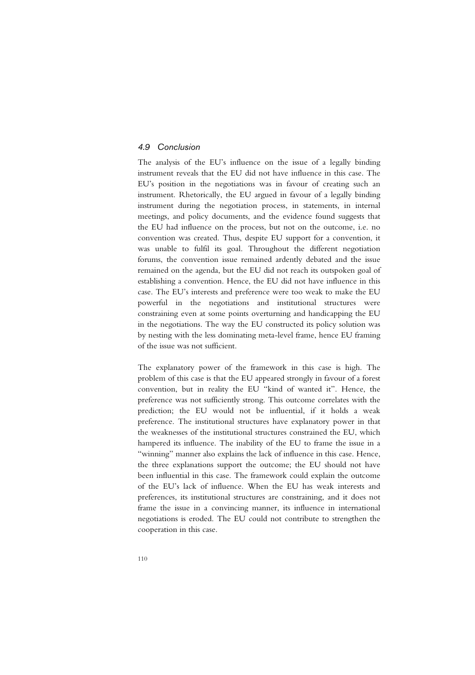## *4.9 Conclusion*

The analysis of the EU's influence on the issue of a legally binding instrument reveals that the EU did not have influence in this case. The EU's position in the negotiations was in favour of creating such an instrument. Rhetorically, the EU argued in favour of a legally binding instrument during the negotiation process, in statements, in internal meetings, and policy documents, and the evidence found suggests that the EU had influence on the process, but not on the outcome, i.e. no convention was created. Thus, despite EU support for a convention, it was unable to fulfil its goal. Throughout the different negotiation forums, the convention issue remained ardently debated and the issue remained on the agenda, but the EU did not reach its outspoken goal of establishing a convention. Hence, the EU did not have influence in this case. The EU's interests and preference were too weak to make the EU powerful in the negotiations and institutional structures were constraining even at some points overturning and handicapping the EU in the negotiations. The way the EU constructed its policy solution was by nesting with the less dominating meta-level frame, hence EU framing of the issue was not sufficient.

The explanatory power of the framework in this case is high. The problem of this case is that the EU appeared strongly in favour of a forest convention, but in reality the EU "kind of wanted it". Hence, the preference was not sufficiently strong. This outcome correlates with the prediction; the EU would not be influential, if it holds a weak preference. The institutional structures have explanatory power in that the weaknesses of the institutional structures constrained the EU, which hampered its influence. The inability of the EU to frame the issue in a "winning" manner also explains the lack of influence in this case. Hence, the three explanations support the outcome; the EU should not have been influential in this case. The framework could explain the outcome of the EU's lack of influence. When the EU has weak interests and preferences, its institutional structures are constraining, and it does not frame the issue in a convincing manner, its influence in international negotiations is eroded. The EU could not contribute to strengthen the cooperation in this case.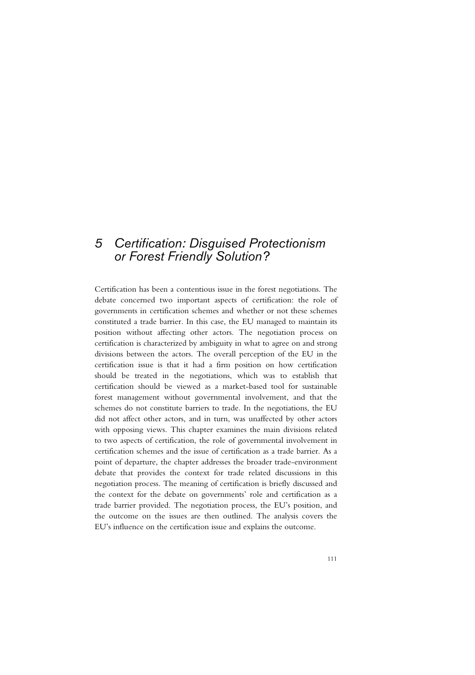# *5 Certification: Disguised Protectionism or Forest Friendly Solution?*

Certification has been a contentious issue in the forest negotiations. The debate concerned two important aspects of certification: the role of governments in certification schemes and whether or not these schemes constituted a trade barrier. In this case, the EU managed to maintain its position without affecting other actors. The negotiation process on certification is characterized by ambiguity in what to agree on and strong divisions between the actors. The overall perception of the EU in the certification issue is that it had a firm position on how certification should be treated in the negotiations, which was to establish that certification should be viewed as a market-based tool for sustainable forest management without governmental involvement, and that the schemes do not constitute barriers to trade. In the negotiations, the EU did not affect other actors, and in turn, was unaffected by other actors with opposing views. This chapter examines the main divisions related to two aspects of certification, the role of governmental involvement in certification schemes and the issue of certification as a trade barrier. As a point of departure, the chapter addresses the broader trade-environment debate that provides the context for trade related discussions in this negotiation process. The meaning of certification is briefly discussed and the context for the debate on governments' role and certification as a trade barrier provided. The negotiation process, the EU's position, and the outcome on the issues are then outlined. The analysis covers the EU's influence on the certification issue and explains the outcome.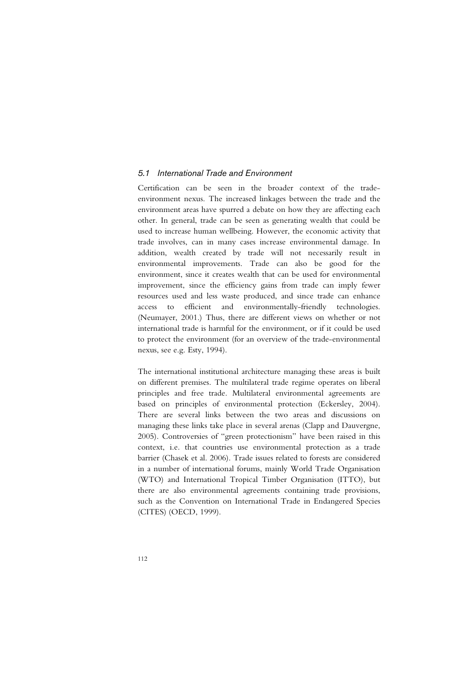## *5.1 International Trade and Environment*

Certification can be seen in the broader context of the tradeenvironment nexus. The increased linkages between the trade and the environment areas have spurred a debate on how they are affecting each other. In general, trade can be seen as generating wealth that could be used to increase human wellbeing. However, the economic activity that trade involves, can in many cases increase environmental damage. In addition, wealth created by trade will not necessarily result in environmental improvements. Trade can also be good for the environment, since it creates wealth that can be used for environmental improvement, since the efficiency gains from trade can imply fewer resources used and less waste produced, and since trade can enhance access to efficient and environmentally-friendly technologies. (Neumayer, 2001.) Thus, there are different views on whether or not international trade is harmful for the environment, or if it could be used to protect the environment (for an overview of the trade-environmental nexus, see e.g. Esty, 1994).

The international institutional architecture managing these areas is built on different premises. The multilateral trade regime operates on liberal principles and free trade. Multilateral environmental agreements are based on principles of environmental protection (Eckersley, 2004). There are several links between the two areas and discussions on managing these links take place in several arenas (Clapp and Dauvergne, 2005). Controversies of "green protectionism" have been raised in this context, i.e. that countries use environmental protection as a trade barrier (Chasek et al. 2006). Trade issues related to forests are considered in a number of international forums, mainly World Trade Organisation (WTO) and International Tropical Timber Organisation (ITTO), but there are also environmental agreements containing trade provisions, such as the Convention on International Trade in Endangered Species (CITES) (OECD, 1999).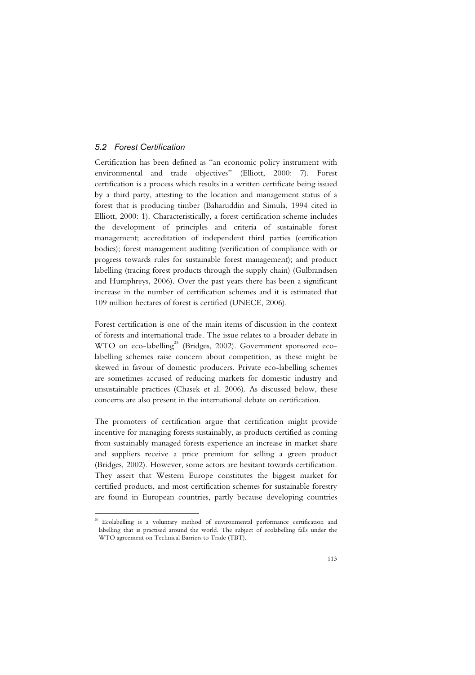## *5.2 Forest Certification*

Certification has been defined as "an economic policy instrument with environmental and trade objectives" (Elliott, 2000: 7). Forest certification is a process which results in a written certificate being issued by a third party, attesting to the location and management status of a forest that is producing timber (Baharuddin and Simula, 1994 cited in Elliott, 2000: 1). Characteristically, a forest certification scheme includes the development of principles and criteria of sustainable forest management; accreditation of independent third parties (certification bodies); forest management auditing (verification of compliance with or progress towards rules for sustainable forest management); and product labelling (tracing forest products through the supply chain) (Gulbrandsen and Humphreys, 2006). Over the past years there has been a significant increase in the number of certification schemes and it is estimated that 109 million hectares of forest is certified (UNECE, 2006).

Forest certification is one of the main items of discussion in the context of forests and international trade. The issue relates to a broader debate in WTO on eco-labelling<sup>25</sup> (Bridges, 2002). Government sponsored ecolabelling schemes raise concern about competition, as these might be skewed in favour of domestic producers. Private eco-labelling schemes are sometimes accused of reducing markets for domestic industry and unsustainable practices (Chasek et al. 2006). As discussed below, these concerns are also present in the international debate on certification.

The promoters of certification argue that certification might provide incentive for managing forests sustainably, as products certified as coming from sustainably managed forests experience an increase in market share and suppliers receive a price premium for selling a green product (Bridges, 2002). However, some actors are hesitant towards certification. They assert that Western Europe constitutes the biggest market for certified products, and most certification schemes for sustainable forestry are found in European countries, partly because developing countries

<sup>-</sup><sup>25</sup> Ecolabelling is a voluntary method of environmental performance certification and labelling that is practised around the world. The subject of ecolabelling falls under the WTO agreement on Technical Barriers to Trade (TBT).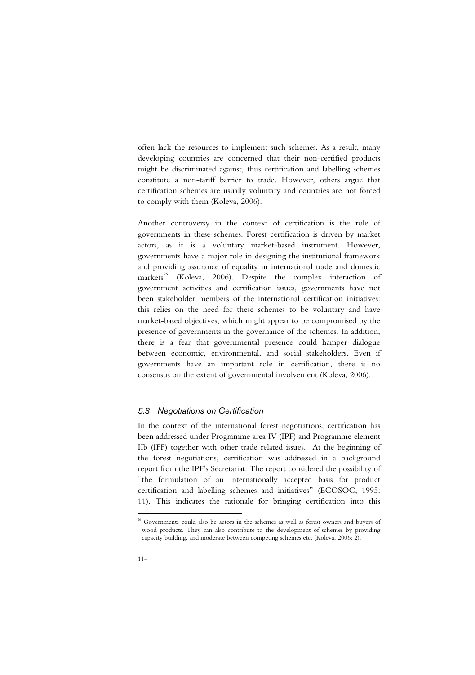often lack the resources to implement such schemes. As a result, many developing countries are concerned that their non-certified products might be discriminated against, thus certification and labelling schemes constitute a non-tariff barrier to trade. However, others argue that certification schemes are usually voluntary and countries are not forced to comply with them (Koleva, 2006).

Another controversy in the context of certification is the role of governments in these schemes. Forest certification is driven by market actors, as it is a voluntary market-based instrument. However, governments have a major role in designing the institutional framework and providing assurance of equality in international trade and domestic markets<sup>26</sup> (Koleva, 2006). Despite the complex interaction of government activities and certification issues, governments have not been stakeholder members of the international certification initiatives: this relies on the need for these schemes to be voluntary and have market-based objectives, which might appear to be compromised by the presence of governments in the governance of the schemes. In addition, there is a fear that governmental presence could hamper dialogue between economic, environmental, and social stakeholders. Even if governments have an important role in certification, there is no consensus on the extent of governmental involvement (Koleva, 2006).

## *5.3 Negotiations on Certification*

In the context of the international forest negotiations, certification has been addressed under Programme area IV (IPF) and Programme element IIb (IFF) together with other trade related issues. At the beginning of the forest negotiations, certification was addressed in a background report from the IPF's Secretariat. The report considered the possibility of "the formulation of an internationally accepted basis for product certification and labelling schemes and initiatives" (ECOSOC, 1995: 11). This indicates the rationale for bringing certification into this

-

 $26$  Governments could also be actors in the schemes as well as forest owners and buyers of wood products. They can also contribute to the development of schemes by providing capacity building, and moderate between competing schemes etc. (Koleva, 2006: 2).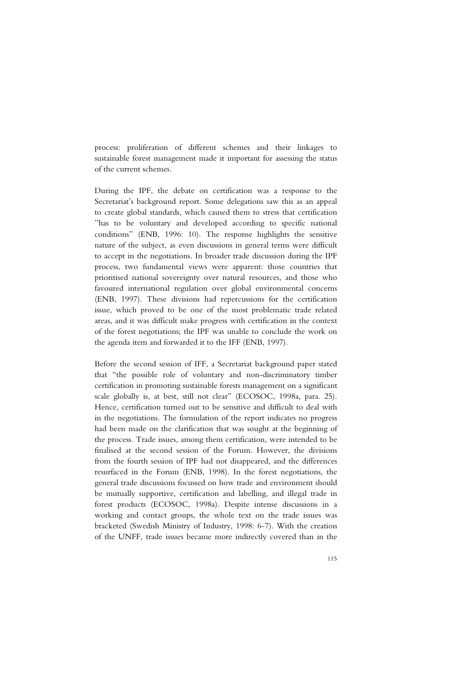process: proliferation of different schemes and their linkages to sustainable forest management made it important for assessing the status of the current schemes.

During the IPF, the debate on certification was a response to the Secretariat's background report. Some delegations saw this as an appeal to create global standards, which caused them to stress that certification "has to be voluntary and developed according to specific national conditions" (ENB, 1996: 10). The response highlights the sensitive nature of the subject, as even discussions in general terms were difficult to accept in the negotiations. In broader trade discussion during the IPF process, two fundamental views were apparent: those countries that prioritised national sovereignty over natural resources, and those who favoured international regulation over global environmental concerns (ENB, 1997). These divisions had repercussions for the certification issue, which proved to be one of the most problematic trade related areas, and it was difficult make progress with certification in the context of the forest negotiations; the IPF was unable to conclude the work on the agenda item and forwarded it to the IFF (ENB, 1997).

Before the second session of IFF, a Secretariat background paper stated that "the possible role of voluntary and non-discriminatory timber certification in promoting sustainable forests management on a significant scale globally is, at best, still not clear" (ECOSOC, 1998a, para. 25). Hence, certification turned out to be sensitive and difficult to deal with in the negotiations. The formulation of the report indicates no progress had been made on the clarification that was sought at the beginning of the process. Trade issues, among them certification, were intended to be finalised at the second session of the Forum. However, the divisions from the fourth session of IPF had not disappeared, and the differences resurfaced in the Forum (ENB, 1998). In the forest negotiations, the general trade discussions focussed on how trade and environment should be mutually supportive, certification and labelling, and illegal trade in forest products (ECOSOC, 1998a). Despite intense discussions in a working and contact groups, the whole text on the trade issues was bracketed (Swedish Ministry of Industry, 1998: 6-7). With the creation of the UNFF, trade issues became more indirectly covered than in the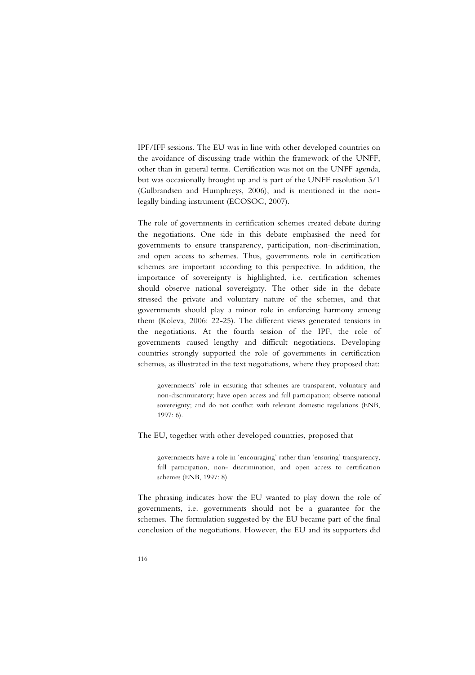IPF/IFF sessions. The EU was in line with other developed countries on the avoidance of discussing trade within the framework of the UNFF, other than in general terms. Certification was not on the UNFF agenda, but was occasionally brought up and is part of the UNFF resolution 3/1 (Gulbrandsen and Humphreys, 2006), and is mentioned in the nonlegally binding instrument (ECOSOC, 2007).

The role of governments in certification schemes created debate during the negotiations. One side in this debate emphasised the need for governments to ensure transparency, participation, non-discrimination, and open access to schemes. Thus, governments role in certification schemes are important according to this perspective. In addition, the importance of sovereignty is highlighted, i.e. certification schemes should observe national sovereignty. The other side in the debate stressed the private and voluntary nature of the schemes, and that governments should play a minor role in enforcing harmony among them (Koleva, 2006: 22-25). The different views generated tensions in the negotiations. At the fourth session of the IPF, the role of governments caused lengthy and difficult negotiations. Developing countries strongly supported the role of governments in certification schemes, as illustrated in the text negotiations, where they proposed that:

governments' role in ensuring that schemes are transparent, voluntary and non-discriminatory; have open access and full participation; observe national sovereignty; and do not conflict with relevant domestic regulations (ENB, 1997: 6).

The EU, together with other developed countries, proposed that

governments have a role in 'encouraging' rather than 'ensuring' transparency, full participation, non- discrimination, and open access to certification schemes (ENB, 1997: 8).

The phrasing indicates how the EU wanted to play down the role of governments, i.e. governments should not be a guarantee for the schemes. The formulation suggested by the EU became part of the final conclusion of the negotiations. However, the EU and its supporters did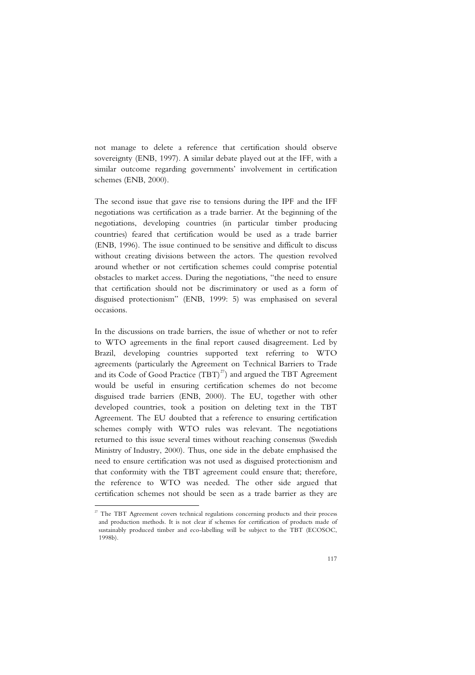not manage to delete a reference that certification should observe sovereignty (ENB, 1997). A similar debate played out at the IFF, with a similar outcome regarding governments' involvement in certification schemes (ENB, 2000).

The second issue that gave rise to tensions during the IPF and the IFF negotiations was certification as a trade barrier. At the beginning of the negotiations, developing countries (in particular timber producing countries) feared that certification would be used as a trade barrier (ENB, 1996). The issue continued to be sensitive and difficult to discuss without creating divisions between the actors. The question revolved around whether or not certification schemes could comprise potential obstacles to market access. During the negotiations, "the need to ensure that certification should not be discriminatory or used as a form of disguised protectionism" (ENB, 1999: 5) was emphasised on several occasions.

In the discussions on trade barriers, the issue of whether or not to refer to WTO agreements in the final report caused disagreement. Led by Brazil, developing countries supported text referring to WTO agreements (particularly the Agreement on Technical Barriers to Trade and its Code of Good Practice  $(TBT)^{27}$  and argued the TBT Agreement would be useful in ensuring certification schemes do not become disguised trade barriers (ENB, 2000). The EU, together with other developed countries, took a position on deleting text in the TBT Agreement. The EU doubted that a reference to ensuring certification schemes comply with WTO rules was relevant. The negotiations returned to this issue several times without reaching consensus (Swedish Ministry of Industry, 2000). Thus, one side in the debate emphasised the need to ensure certification was not used as disguised protectionism and that conformity with the TBT agreement could ensure that; therefore, the reference to WTO was needed. The other side argued that certification schemes not should be seen as a trade barrier as they are

l

 $27$  The TBT Agreement covers technical regulations concerning products and their process and production methods. It is not clear if schemes for certification of products made of sustainably produced timber and eco-labelling will be subject to the TBT (ECOSOC, 1998b).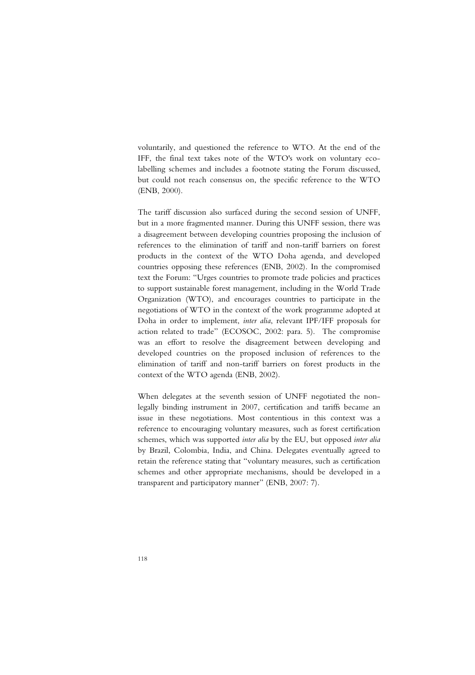voluntarily, and questioned the reference to WTO. At the end of the IFF, the final text takes note of the WTO's work on voluntary ecolabelling schemes and includes a footnote stating the Forum discussed, but could not reach consensus on, the specific reference to the WTO (ENB, 2000).

The tariff discussion also surfaced during the second session of UNFF, but in a more fragmented manner. During this UNFF session, there was a disagreement between developing countries proposing the inclusion of references to the elimination of tariff and non-tariff barriers on forest products in the context of the WTO Doha agenda, and developed countries opposing these references (ENB, 2002). In the compromised text the Forum: "Urges countries to promote trade policies and practices to support sustainable forest management, including in the World Trade Organization (WTO), and encourages countries to participate in the negotiations of WTO in the context of the work programme adopted at Doha in order to implement, *inter alia*, relevant IPF/IFF proposals for action related to trade" (ECOSOC, 2002: para. 5). The compromise was an effort to resolve the disagreement between developing and developed countries on the proposed inclusion of references to the elimination of tariff and non-tariff barriers on forest products in the context of the WTO agenda (ENB, 2002).

When delegates at the seventh session of UNFF negotiated the nonlegally binding instrument in 2007, certification and tariffs became an issue in these negotiations. Most contentious in this context was a reference to encouraging voluntary measures, such as forest certification schemes, which was supported *inter alia* by the EU, but opposed *inter alia* by Brazil, Colombia, India, and China. Delegates eventually agreed to retain the reference stating that "voluntary measures, such as certification schemes and other appropriate mechanisms, should be developed in a transparent and participatory manner" (ENB, 2007: 7).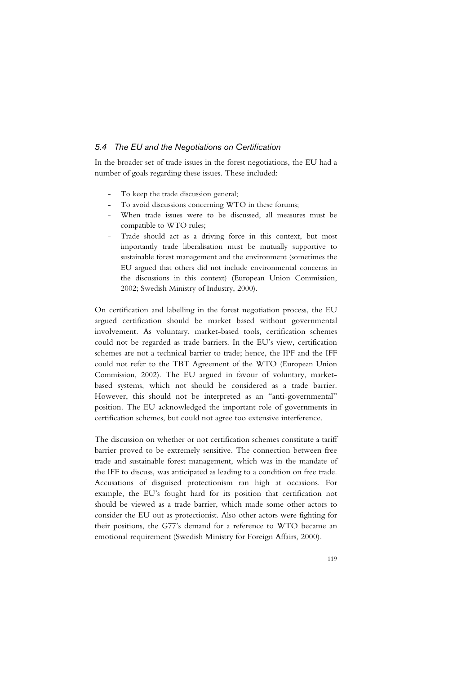## *5.4 The EU and the Negotiations on Certification*

In the broader set of trade issues in the forest negotiations, the EU had a number of goals regarding these issues. These included:

- To keep the trade discussion general;
- To avoid discussions concerning WTO in these forums;
- When trade issues were to be discussed, all measures must be compatible to WTO rules;
- Trade should act as a driving force in this context, but most importantly trade liberalisation must be mutually supportive to sustainable forest management and the environment (sometimes the EU argued that others did not include environmental concerns in the discussions in this context) (European Union Commission, 2002; Swedish Ministry of Industry, 2000).

On certification and labelling in the forest negotiation process, the EU argued certification should be market based without governmental involvement. As voluntary, market-based tools, certification schemes could not be regarded as trade barriers. In the EU's view, certification schemes are not a technical barrier to trade; hence, the IPF and the IFF could not refer to the TBT Agreement of the WTO (European Union Commission, 2002). The EU argued in favour of voluntary, marketbased systems, which not should be considered as a trade barrier. However, this should not be interpreted as an "anti-governmental" position. The EU acknowledged the important role of governments in certification schemes, but could not agree too extensive interference.

The discussion on whether or not certification schemes constitute a tariff barrier proved to be extremely sensitive. The connection between free trade and sustainable forest management, which was in the mandate of the IFF to discuss, was anticipated as leading to a condition on free trade. Accusations of disguised protectionism ran high at occasions. For example, the EU's fought hard for its position that certification not should be viewed as a trade barrier, which made some other actors to consider the EU out as protectionist. Also other actors were fighting for their positions, the G77's demand for a reference to WTO became an emotional requirement (Swedish Ministry for Foreign Affairs, 2000).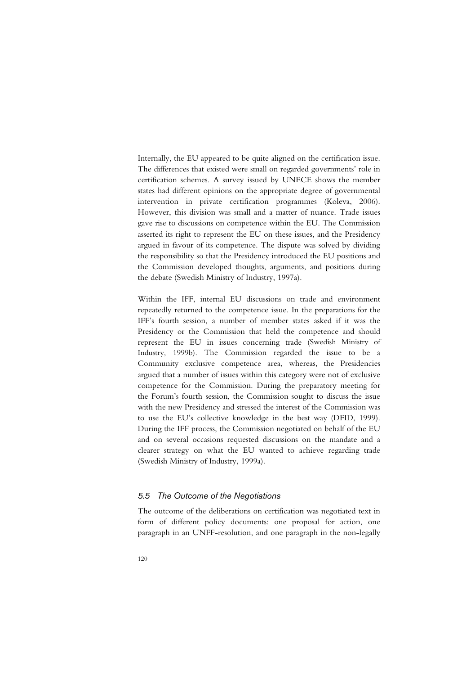Internally, the EU appeared to be quite aligned on the certification issue. The differences that existed were small on regarded governments' role in certification schemes. A survey issued by UNECE shows the member states had different opinions on the appropriate degree of governmental intervention in private certification programmes (Koleva, 2006). However, this division was small and a matter of nuance. Trade issues gave rise to discussions on competence within the EU. The Commission asserted its right to represent the EU on these issues, and the Presidency argued in favour of its competence. The dispute was solved by dividing the responsibility so that the Presidency introduced the EU positions and the Commission developed thoughts, arguments, and positions during the debate (Swedish Ministry of Industry, 1997a).

Within the IFF, internal EU discussions on trade and environment repeatedly returned to the competence issue. In the preparations for the IFF's fourth session, a number of member states asked if it was the Presidency or the Commission that held the competence and should represent the EU in issues concerning trade (Swedish Ministry of Industry, 1999b). The Commission regarded the issue to be a Community exclusive competence area, whereas, the Presidencies argued that a number of issues within this category were not of exclusive competence for the Commission. During the preparatory meeting for the Forum's fourth session, the Commission sought to discuss the issue with the new Presidency and stressed the interest of the Commission was to use the EU's collective knowledge in the best way (DFID, 1999). During the IFF process, the Commission negotiated on behalf of the EU and on several occasions requested discussions on the mandate and a clearer strategy on what the EU wanted to achieve regarding trade (Swedish Ministry of Industry, 1999a).

## *5.5 The Outcome of the Negotiations*

The outcome of the deliberations on certification was negotiated text in form of different policy documents: one proposal for action, one paragraph in an UNFF-resolution, and one paragraph in the non-legally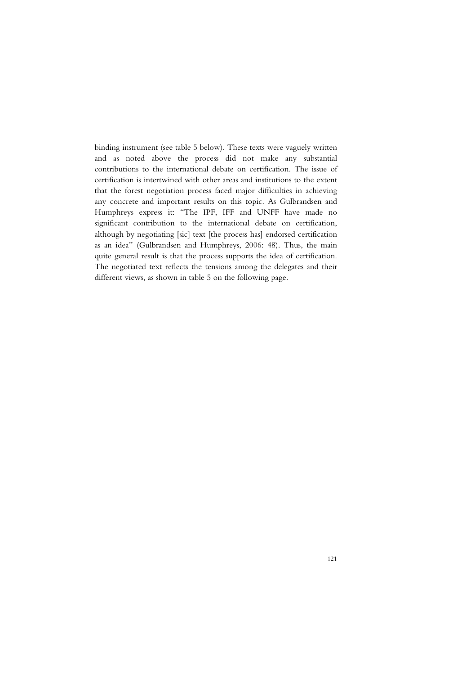binding instrument (see table 5 below). These texts were vaguely written and as noted above the process did not make any substantial contributions to the international debate on certification. The issue of certification is intertwined with other areas and institutions to the extent that the forest negotiation process faced major difficulties in achieving any concrete and important results on this topic. As Gulbrandsen and Humphreys express it: "The IPF, IFF and UNFF have made no significant contribution to the international debate on certification, although by negotiating [sic] text [the process has] endorsed certification as an idea" (Gulbrandsen and Humphreys, 2006: 48). Thus, the main quite general result is that the process supports the idea of certification. The negotiated text reflects the tensions among the delegates and their different views, as shown in table 5 on the following page.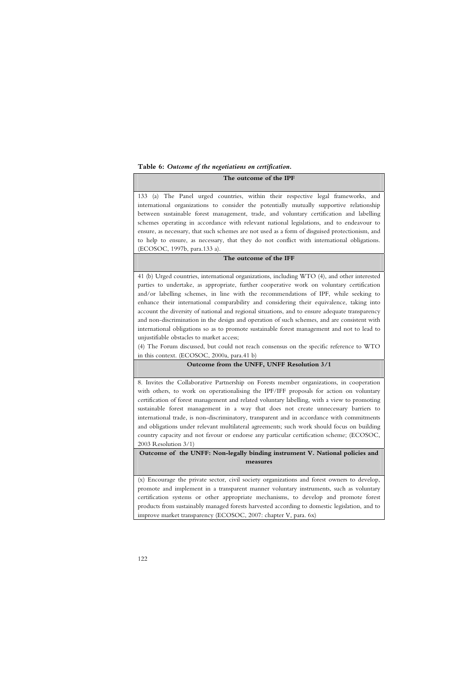**Table 6:** *Outcome of the negotiations on certification.*

#### **The outcome of the IPF**

133 (a) The Panel urged countries, within their respective legal frameworks, and international organizations to consider the potentially mutually supportive relationship between sustainable forest management, trade, and voluntary certification and labelling schemes operating in accordance with relevant national legislations, and to endeavour to ensure, as necessary, that such schemes are not used as a form of disguised protectionism, and to help to ensure, as necessary, that they do not conflict with international obligations. (ECOSOC, 1997b, para.133 a).

### **The outcome of the IFF**

41 (b) Urged countries, international organizations, including WTO (4), and other interested parties to undertake, as appropriate, further cooperative work on voluntary certification and/or labelling schemes, in line with the recommendations of IPF, while seeking to enhance their international comparability and considering their equivalence, taking into account the diversity of national and regional situations, and to ensure adequate transparency and non-discrimination in the design and operation of such schemes, and are consistent with international obligations so as to promote sustainable forest management and not to lead to unjustifiable obstacles to market access;

(4) The Forum discussed, but could not reach consensus on the specific reference to WTO in this context. (ECOSOC, 2000a, para.41 b)

#### **Outcome from the UNFF, UNFF Resolution 3/1**

8. Invites the Collaborative Partnership on Forests member organizations, in cooperation with others, to work on operationalising the IPF/IFF proposals for action on voluntary certification of forest management and related voluntary labelling, with a view to promoting sustainable forest management in a way that does not create unnecessary barriers to international trade, is non-discriminatory, transparent and in accordance with commitments and obligations under relevant multilateral agreements; such work should focus on building country capacity and not favour or endorse any particular certification scheme; (ECOSOC, 2003 Resolution 3/1)

### **Outcome of the UNFF: Non-legally binding instrument V. National policies and measures**

(x) Encourage the private sector, civil society organizations and forest owners to develop, promote and implement in a transparent manner voluntary instruments, such as voluntary certification systems or other appropriate mechanisms, to develop and promote forest products from sustainably managed forests harvested according to domestic legislation, and to improve market transparency (ECOSOC, 2007: chapter V, para. 6x)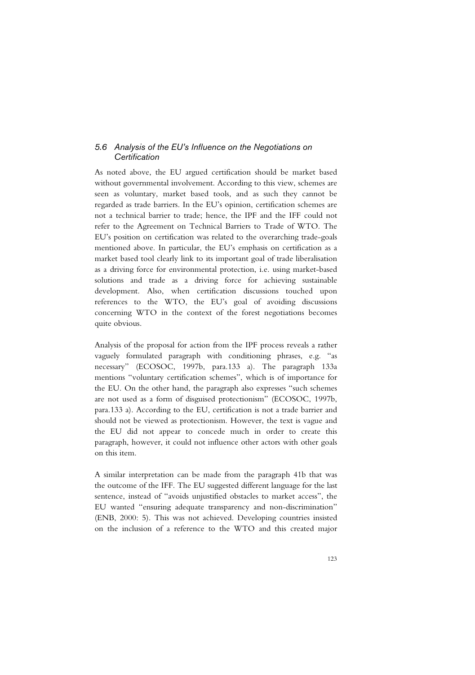## *5.6 Analysis of the EU's Influence on the Negotiations on Certification*

As noted above, the EU argued certification should be market based without governmental involvement. According to this view, schemes are seen as voluntary, market based tools, and as such they cannot be regarded as trade barriers. In the EU's opinion, certification schemes are not a technical barrier to trade; hence, the IPF and the IFF could not refer to the Agreement on Technical Barriers to Trade of WTO. The EU's position on certification was related to the overarching trade-goals mentioned above. In particular, the EU's emphasis on certification as a market based tool clearly link to its important goal of trade liberalisation as a driving force for environmental protection, i.e. using market-based solutions and trade as a driving force for achieving sustainable development. Also, when certification discussions touched upon references to the WTO, the EU's goal of avoiding discussions concerning WTO in the context of the forest negotiations becomes quite obvious.

Analysis of the proposal for action from the IPF process reveals a rather vaguely formulated paragraph with conditioning phrases, e.g. "as necessary" (ECOSOC, 1997b, para.133 a). The paragraph 133a mentions "voluntary certification schemes", which is of importance for the EU. On the other hand, the paragraph also expresses "such schemes are not used as a form of disguised protectionism" (ECOSOC, 1997b, para.133 a). According to the EU, certification is not a trade barrier and should not be viewed as protectionism. However, the text is vague and the EU did not appear to concede much in order to create this paragraph, however, it could not influence other actors with other goals on this item.

A similar interpretation can be made from the paragraph 41b that was the outcome of the IFF. The EU suggested different language for the last sentence, instead of "avoids unjustified obstacles to market access", the EU wanted "ensuring adequate transparency and non-discrimination" (ENB, 2000: 5). This was not achieved. Developing countries insisted on the inclusion of a reference to the WTO and this created major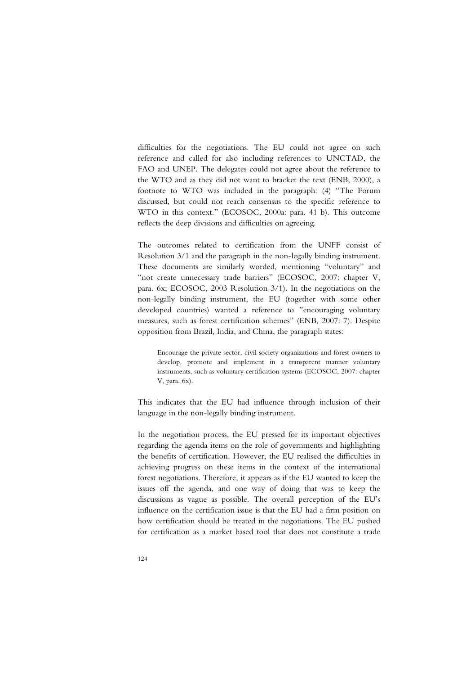difficulties for the negotiations. The EU could not agree on such reference and called for also including references to UNCTAD, the FAO and UNEP. The delegates could not agree about the reference to the WTO and as they did not want to bracket the text (ENB, 2000), a footnote to WTO was included in the paragraph: (4) "The Forum discussed, but could not reach consensus to the specific reference to WTO in this context." (ECOSOC, 2000a: para. 41 b). This outcome reflects the deep divisions and difficulties on agreeing.

The outcomes related to certification from the UNFF consist of Resolution 3/1 and the paragraph in the non-legally binding instrument. These documents are similarly worded, mentioning "voluntary" and "not create unnecessary trade barriers" (ECOSOC, 2007: chapter V, para. 6x; ECOSOC, 2003 Resolution 3/1). In the negotiations on the non-legally binding instrument, the EU (together with some other developed countries) wanted a reference to "encouraging voluntary measures, such as forest certification schemes" (ENB, 2007: 7). Despite opposition from Brazil, India, and China, the paragraph states:

Encourage the private sector, civil society organizations and forest owners to develop, promote and implement in a transparent manner voluntary instruments, such as voluntary certification systems (ECOSOC, 2007: chapter V, para. 6x).

This indicates that the EU had influence through inclusion of their language in the non-legally binding instrument.

In the negotiation process, the EU pressed for its important objectives regarding the agenda items on the role of governments and highlighting the benefits of certification. However, the EU realised the difficulties in achieving progress on these items in the context of the international forest negotiations. Therefore, it appears as if the EU wanted to keep the issues off the agenda, and one way of doing that was to keep the discussions as vague as possible. The overall perception of the EU's influence on the certification issue is that the EU had a firm position on how certification should be treated in the negotiations. The EU pushed for certification as a market based tool that does not constitute a trade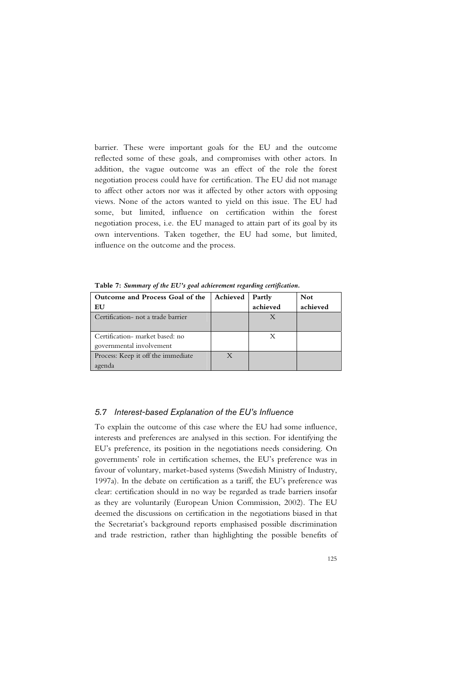barrier. These were important goals for the EU and the outcome reflected some of these goals, and compromises with other actors. In addition, the vague outcome was an effect of the role the forest negotiation process could have for certification. The EU did not manage to affect other actors nor was it affected by other actors with opposing views. None of the actors wanted to yield on this issue. The EU had some, but limited, influence on certification within the forest negotiation process, i.e. the EU managed to attain part of its goal by its own interventions. Taken together, the EU had some, but limited, influence on the outcome and the process.

**Outcome and Process Goal of the EU Achieved Partly achieved Not achieved**  Certification- not a trade barrier and the set of the set of the set of the set of the set of the set of the  $X$ Certification- market based: no governmental involvement **X** Process: Keep it off the immediate agenda X

**Table 7:** *Summary of the EU's goal achievement regarding certification.* 

## *5.7 Interest-based Explanation of the EU's Influence*

To explain the outcome of this case where the EU had some influence, interests and preferences are analysed in this section. For identifying the EU's preference, its position in the negotiations needs considering. On governments' role in certification schemes, the EU's preference was in favour of voluntary, market-based systems (Swedish Ministry of Industry, 1997a). In the debate on certification as a tariff, the EU's preference was clear: certification should in no way be regarded as trade barriers insofar as they are voluntarily (European Union Commission, 2002). The EU deemed the discussions on certification in the negotiations biased in that the Secretariat's background reports emphasised possible discrimination and trade restriction, rather than highlighting the possible benefits of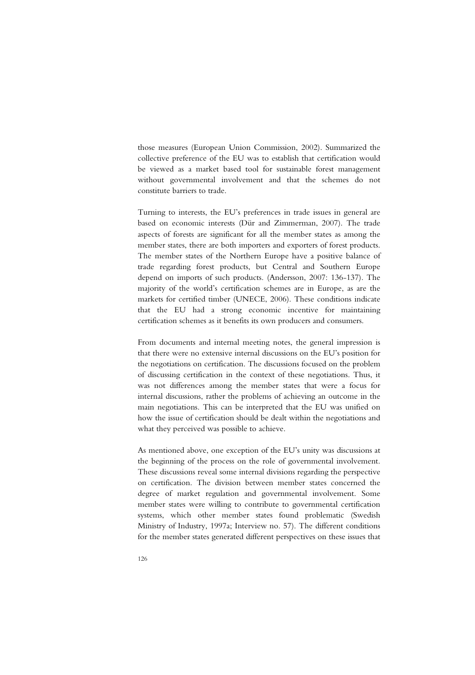those measures (European Union Commission, 2002). Summarized the collective preference of the EU was to establish that certification would be viewed as a market based tool for sustainable forest management without governmental involvement and that the schemes do not constitute barriers to trade.

Turning to interests, the EU's preferences in trade issues in general are based on economic interests (Dür and Zimmerman, 2007). The trade aspects of forests are significant for all the member states as among the member states, there are both importers and exporters of forest products. The member states of the Northern Europe have a positive balance of trade regarding forest products, but Central and Southern Europe depend on imports of such products. (Andersson, 2007: 136-137). The majority of the world's certification schemes are in Europe, as are the markets for certified timber (UNECE, 2006). These conditions indicate that the EU had a strong economic incentive for maintaining certification schemes as it benefits its own producers and consumers.

From documents and internal meeting notes, the general impression is that there were no extensive internal discussions on the EU's position for the negotiations on certification. The discussions focused on the problem of discussing certification in the context of these negotiations. Thus, it was not differences among the member states that were a focus for internal discussions, rather the problems of achieving an outcome in the main negotiations. This can be interpreted that the EU was unified on how the issue of certification should be dealt within the negotiations and what they perceived was possible to achieve.

As mentioned above, one exception of the EU's unity was discussions at the beginning of the process on the role of governmental involvement. These discussions reveal some internal divisions regarding the perspective on certification. The division between member states concerned the degree of market regulation and governmental involvement. Some member states were willing to contribute to governmental certification systems, which other member states found problematic (Swedish Ministry of Industry, 1997a; Interview no. 57). The different conditions for the member states generated different perspectives on these issues that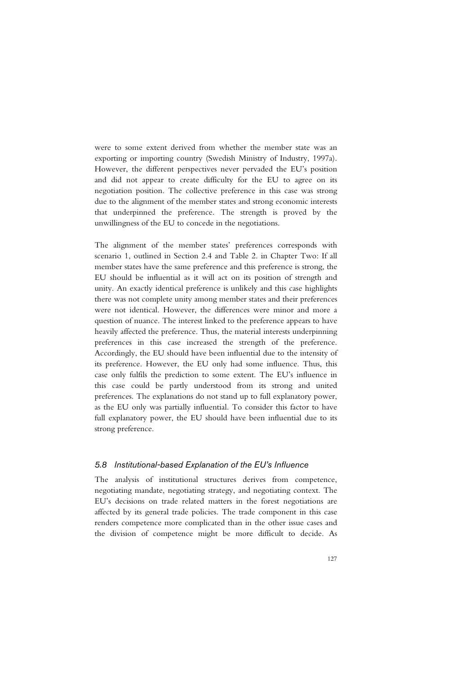were to some extent derived from whether the member state was an exporting or importing country (Swedish Ministry of Industry, 1997a). However, the different perspectives never pervaded the EU's position and did not appear to create difficulty for the EU to agree on its negotiation position. The collective preference in this case was strong due to the alignment of the member states and strong economic interests that underpinned the preference. The strength is proved by the unwillingness of the EU to concede in the negotiations.

The alignment of the member states' preferences corresponds with scenario 1, outlined in Section 2.4 and Table 2. in Chapter Two: If all member states have the same preference and this preference is strong, the EU should be influential as it will act on its position of strength and unity. An exactly identical preference is unlikely and this case highlights there was not complete unity among member states and their preferences were not identical. However, the differences were minor and more a question of nuance. The interest linked to the preference appears to have heavily affected the preference. Thus, the material interests underpinning preferences in this case increased the strength of the preference. Accordingly, the EU should have been influential due to the intensity of its preference. However, the EU only had some influence. Thus, this case only fulfils the prediction to some extent. The EU's influence in this case could be partly understood from its strong and united preferences. The explanations do not stand up to full explanatory power, as the EU only was partially influential. To consider this factor to have full explanatory power, the EU should have been influential due to its strong preference.

## *5.8 Institutional-based Explanation of the EU's Influence*

The analysis of institutional structures derives from competence, negotiating mandate, negotiating strategy, and negotiating context. The EU's decisions on trade related matters in the forest negotiations are affected by its general trade policies. The trade component in this case renders competence more complicated than in the other issue cases and the division of competence might be more difficult to decide. As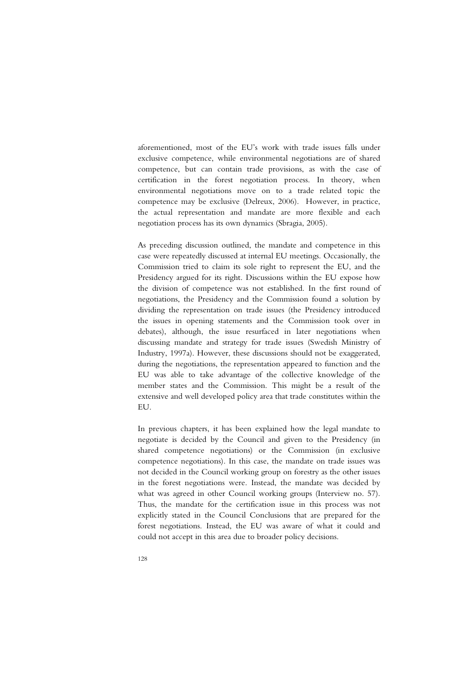aforementioned, most of the EU's work with trade issues falls under exclusive competence, while environmental negotiations are of shared competence, but can contain trade provisions, as with the case of certification in the forest negotiation process. In theory, when environmental negotiations move on to a trade related topic the competence may be exclusive (Delreux, 2006). However, in practice, the actual representation and mandate are more flexible and each negotiation process has its own dynamics (Sbragia, 2005).

As preceding discussion outlined, the mandate and competence in this case were repeatedly discussed at internal EU meetings. Occasionally, the Commission tried to claim its sole right to represent the EU, and the Presidency argued for its right. Discussions within the EU expose how the division of competence was not established. In the first round of negotiations, the Presidency and the Commission found a solution by dividing the representation on trade issues (the Presidency introduced the issues in opening statements and the Commission took over in debates), although, the issue resurfaced in later negotiations when discussing mandate and strategy for trade issues (Swedish Ministry of Industry, 1997a). However, these discussions should not be exaggerated, during the negotiations, the representation appeared to function and the EU was able to take advantage of the collective knowledge of the member states and the Commission. This might be a result of the extensive and well developed policy area that trade constitutes within the EU.

In previous chapters, it has been explained how the legal mandate to negotiate is decided by the Council and given to the Presidency (in shared competence negotiations) or the Commission (in exclusive competence negotiations). In this case, the mandate on trade issues was not decided in the Council working group on forestry as the other issues in the forest negotiations were. Instead, the mandate was decided by what was agreed in other Council working groups (Interview no. 57). Thus, the mandate for the certification issue in this process was not explicitly stated in the Council Conclusions that are prepared for the forest negotiations. Instead, the EU was aware of what it could and could not accept in this area due to broader policy decisions.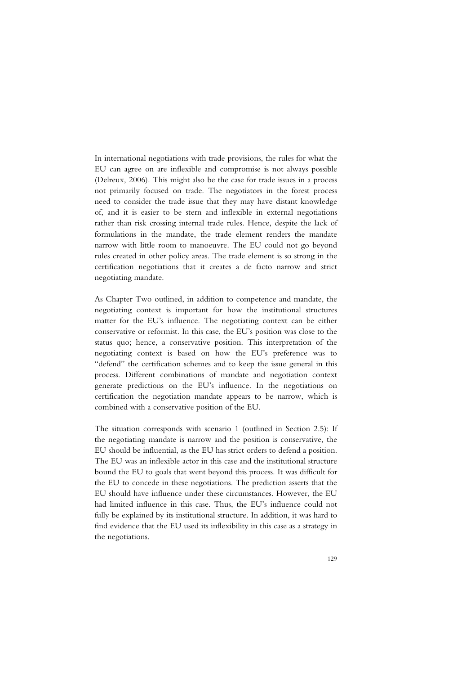In international negotiations with trade provisions, the rules for what the EU can agree on are inflexible and compromise is not always possible (Delreux, 2006). This might also be the case for trade issues in a process not primarily focused on trade. The negotiators in the forest process need to consider the trade issue that they may have distant knowledge of, and it is easier to be stern and inflexible in external negotiations rather than risk crossing internal trade rules. Hence, despite the lack of formulations in the mandate, the trade element renders the mandate narrow with little room to manoeuvre. The EU could not go beyond rules created in other policy areas. The trade element is so strong in the certification negotiations that it creates a de facto narrow and strict negotiating mandate.

As Chapter Two outlined, in addition to competence and mandate, the negotiating context is important for how the institutional structures matter for the EU's influence. The negotiating context can be either conservative or reformist. In this case, the EU's position was close to the status quo; hence, a conservative position. This interpretation of the negotiating context is based on how the EU's preference was to "defend" the certification schemes and to keep the issue general in this process. Different combinations of mandate and negotiation context generate predictions on the EU's influence. In the negotiations on certification the negotiation mandate appears to be narrow, which is combined with a conservative position of the EU.

The situation corresponds with scenario 1 (outlined in Section 2.5): If the negotiating mandate is narrow and the position is conservative, the EU should be influential, as the EU has strict orders to defend a position. The EU was an inflexible actor in this case and the institutional structure bound the EU to goals that went beyond this process. It was difficult for the EU to concede in these negotiations. The prediction asserts that the EU should have influence under these circumstances. However, the EU had limited influence in this case. Thus, the EU's influence could not fully be explained by its institutional structure. In addition, it was hard to find evidence that the EU used its inflexibility in this case as a strategy in the negotiations.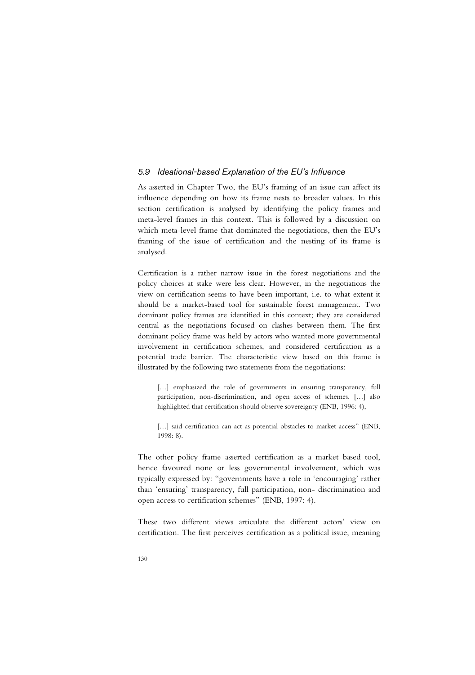## *5.9 Ideational-based Explanation of the EU's Influence*

As asserted in Chapter Two, the EU's framing of an issue can affect its influence depending on how its frame nests to broader values. In this section certification is analysed by identifying the policy frames and meta-level frames in this context. This is followed by a discussion on which meta-level frame that dominated the negotiations, then the EU's framing of the issue of certification and the nesting of its frame is analysed.

Certification is a rather narrow issue in the forest negotiations and the policy choices at stake were less clear. However, in the negotiations the view on certification seems to have been important, i.e. to what extent it should be a market-based tool for sustainable forest management. Two dominant policy frames are identified in this context; they are considered central as the negotiations focused on clashes between them. The first dominant policy frame was held by actors who wanted more governmental involvement in certification schemes, and considered certification as a potential trade barrier. The characteristic view based on this frame is illustrated by the following two statements from the negotiations:

[...] emphasized the role of governments in ensuring transparency, full participation, non-discrimination, and open access of schemes. […] also highlighted that certification should observe sovereignty (ENB, 1996: 4),

[...] said certification can act as potential obstacles to market access" (ENB, 1998: 8).

The other policy frame asserted certification as a market based tool, hence favoured none or less governmental involvement, which was typically expressed by: "governments have a role in 'encouraging' rather than 'ensuring' transparency, full participation, non- discrimination and open access to certification schemes" (ENB, 1997: 4).

These two different views articulate the different actors' view on certification. The first perceives certification as a political issue, meaning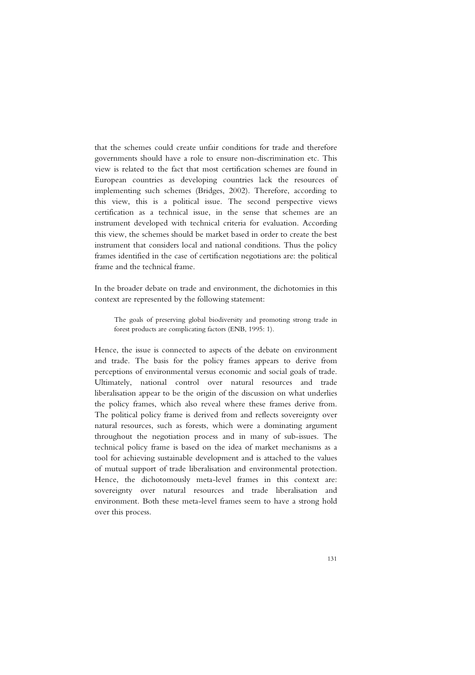that the schemes could create unfair conditions for trade and therefore governments should have a role to ensure non-discrimination etc. This view is related to the fact that most certification schemes are found in European countries as developing countries lack the resources of implementing such schemes (Bridges, 2002). Therefore, according to this view, this is a political issue. The second perspective views certification as a technical issue, in the sense that schemes are an instrument developed with technical criteria for evaluation. According this view, the schemes should be market based in order to create the best instrument that considers local and national conditions. Thus the policy frames identified in the case of certification negotiations are: the political frame and the technical frame.

In the broader debate on trade and environment, the dichotomies in this context are represented by the following statement:

The goals of preserving global biodiversity and promoting strong trade in forest products are complicating factors (ENB, 1995: 1).

Hence, the issue is connected to aspects of the debate on environment and trade. The basis for the policy frames appears to derive from perceptions of environmental versus economic and social goals of trade. Ultimately, national control over natural resources and trade liberalisation appear to be the origin of the discussion on what underlies the policy frames, which also reveal where these frames derive from. The political policy frame is derived from and reflects sovereignty over natural resources, such as forests, which were a dominating argument throughout the negotiation process and in many of sub-issues. The technical policy frame is based on the idea of market mechanisms as a tool for achieving sustainable development and is attached to the values of mutual support of trade liberalisation and environmental protection. Hence, the dichotomously meta-level frames in this context are: sovereignty over natural resources and trade liberalisation and environment. Both these meta-level frames seem to have a strong hold over this process.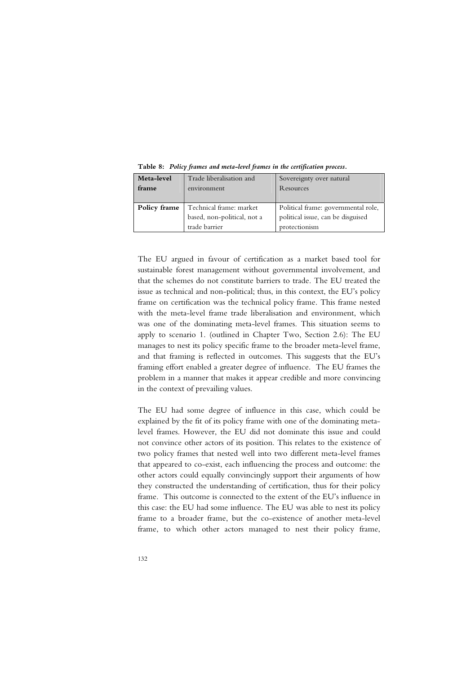| Meta-level   | Trade liberalisation and    | Sovereignty over natural            |
|--------------|-----------------------------|-------------------------------------|
| frame        | environment                 | Resources                           |
|              |                             |                                     |
| Policy frame | Technical frame: market     | Political frame: governmental role, |
|              | based, non-political, not a | political issue, can be disguised   |
|              | trade barrier               | protectionism                       |

**Table 8:** *Policy frames and meta-level frames in the certification process.*

The EU argued in favour of certification as a market based tool for sustainable forest management without governmental involvement, and that the schemes do not constitute barriers to trade. The EU treated the issue as technical and non-political; thus, in this context, the EU's policy frame on certification was the technical policy frame. This frame nested with the meta-level frame trade liberalisation and environment, which was one of the dominating meta-level frames. This situation seems to apply to scenario 1. (outlined in Chapter Two, Section 2.6): The EU manages to nest its policy specific frame to the broader meta-level frame, and that framing is reflected in outcomes. This suggests that the EU's framing effort enabled a greater degree of influence. The EU frames the problem in a manner that makes it appear credible and more convincing in the context of prevailing values.

The EU had some degree of influence in this case, which could be explained by the fit of its policy frame with one of the dominating metalevel frames. However, the EU did not dominate this issue and could not convince other actors of its position. This relates to the existence of two policy frames that nested well into two different meta-level frames that appeared to co-exist, each influencing the process and outcome: the other actors could equally convincingly support their arguments of how they constructed the understanding of certification, thus for their policy frame. This outcome is connected to the extent of the EU's influence in this case: the EU had some influence. The EU was able to nest its policy frame to a broader frame, but the co-existence of another meta-level frame, to which other actors managed to nest their policy frame,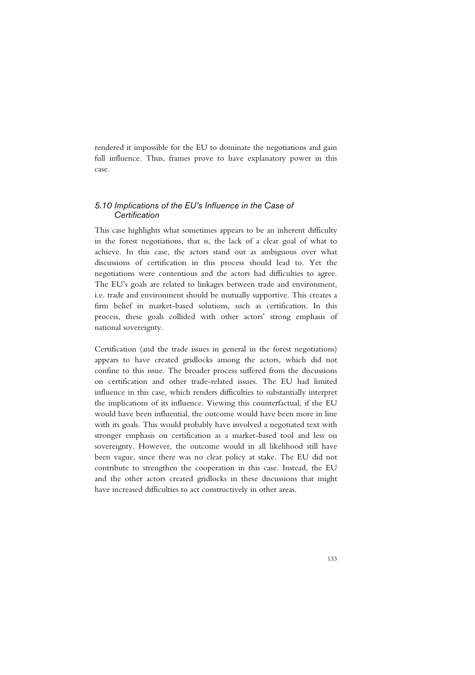rendered it impossible for the EU to dominate the negotiations and gain full influence. Thus, frames prove to have explanatory power in this case.

## *5.10 Implications of the EU's Influence in the Case of Certification*

This case highlights what sometimes appears to be an inherent difficulty in the forest negotiations, that is, the lack of a clear goal of what to achieve. In this case, the actors stand out as ambiguous over what discussions of certification in this process should lead to. Yet the negotiations were contentious and the actors had difficulties to agree. The EU's goals are related to linkages between trade and environment, i.e. trade and environment should be mutually supportive. This creates a firm belief in market-based solutions, such as certification. In this process, these goals collided with other actors' strong emphasis of national sovereignty.

Certification (and the trade issues in general in the forest negotiations) appears to have created gridlocks among the actors, which did not confine to this issue. The broader process suffered from the discussions on certification and other trade-related issues. The EU had limited influence in this case, which renders difficulties to substantially interpret the implications of its influence. Viewing this counterfactual, if the EU would have been influential, the outcome would have been more in line with its goals. This would probably have involved a negotiated text with stronger emphasis on certification as a market-based tool and less on sovereignty. However, the outcome would in all likelihood still have been vague, since there was no clear policy at stake. The EU did not contribute to strengthen the cooperation in this case. Instead, the EU and the other actors created gridlocks in these discussions that might have increased difficulties to act constructively in other areas.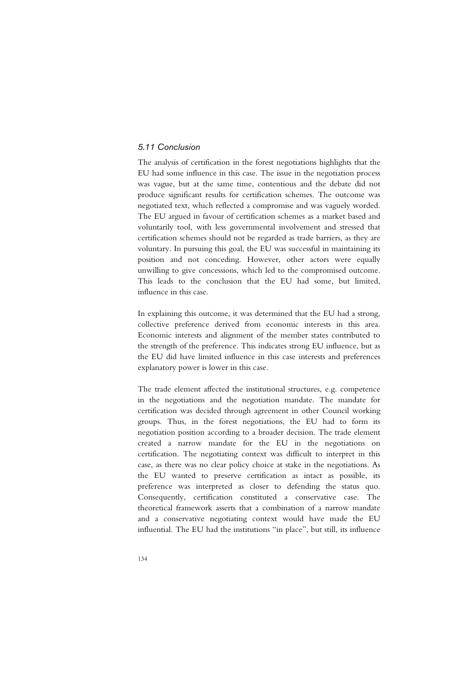## *5.11 Conclusion*

The analysis of certification in the forest negotiations highlights that the EU had some influence in this case. The issue in the negotiation process was vague, but at the same time, contentious and the debate did not produce significant results for certification schemes. The outcome was negotiated text, which reflected a compromise and was vaguely worded. The EU argued in favour of certification schemes as a market based and voluntarily tool, with less governmental involvement and stressed that certification schemes should not be regarded as trade barriers, as they are voluntary. In pursuing this goal, the EU was successful in maintaining its position and not conceding. However, other actors were equally unwilling to give concessions, which led to the compromised outcome. This leads to the conclusion that the EU had some, but limited, influence in this case.

In explaining this outcome, it was determined that the EU had a strong, collective preference derived from economic interests in this area. Economic interests and alignment of the member states contributed to the strength of the preference. This indicates strong EU influence, but as the EU did have limited influence in this case interests and preferences explanatory power is lower in this case.

The trade element affected the institutional structures, e.g. competence in the negotiations and the negotiation mandate. The mandate for certification was decided through agreement in other Council working groups. Thus, in the forest negotiations, the EU had to form its negotiation position according to a broader decision. The trade element created a narrow mandate for the EU in the negotiations on certification. The negotiating context was difficult to interpret in this case, as there was no clear policy choice at stake in the negotiations. As the EU wanted to preserve certification as intact as possible, its preference was interpreted as closer to defending the status quo. Consequently, certification constituted a conservative case. The theoretical framework asserts that a combination of a narrow mandate and a conservative negotiating context would have made the EU influential. The EU had the institutions "in place", but still, its influence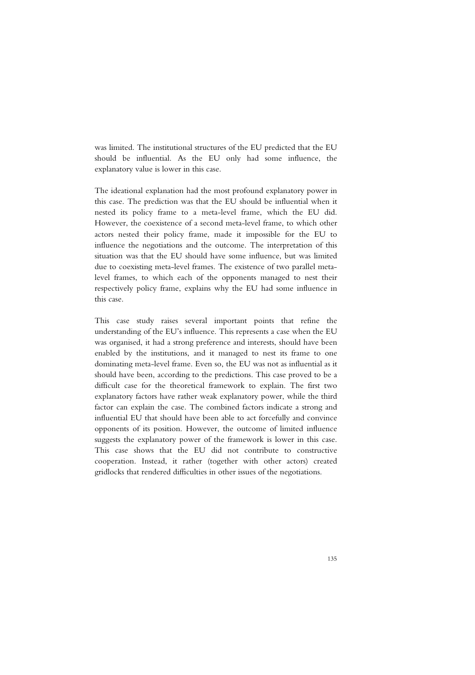was limited. The institutional structures of the EU predicted that the EU should be influential. As the EU only had some influence, the explanatory value is lower in this case.

The ideational explanation had the most profound explanatory power in this case. The prediction was that the EU should be influential when it nested its policy frame to a meta-level frame, which the EU did. However, the coexistence of a second meta-level frame, to which other actors nested their policy frame, made it impossible for the EU to influence the negotiations and the outcome. The interpretation of this situation was that the EU should have some influence, but was limited due to coexisting meta-level frames. The existence of two parallel metalevel frames, to which each of the opponents managed to nest their respectively policy frame, explains why the EU had some influence in this case.

This case study raises several important points that refine the understanding of the EU's influence. This represents a case when the EU was organised, it had a strong preference and interests, should have been enabled by the institutions, and it managed to nest its frame to one dominating meta-level frame. Even so, the EU was not as influential as it should have been, according to the predictions. This case proved to be a difficult case for the theoretical framework to explain. The first two explanatory factors have rather weak explanatory power, while the third factor can explain the case. The combined factors indicate a strong and influential EU that should have been able to act forcefully and convince opponents of its position. However, the outcome of limited influence suggests the explanatory power of the framework is lower in this case. This case shows that the EU did not contribute to constructive cooperation. Instead, it rather (together with other actors) created gridlocks that rendered difficulties in other issues of the negotiations.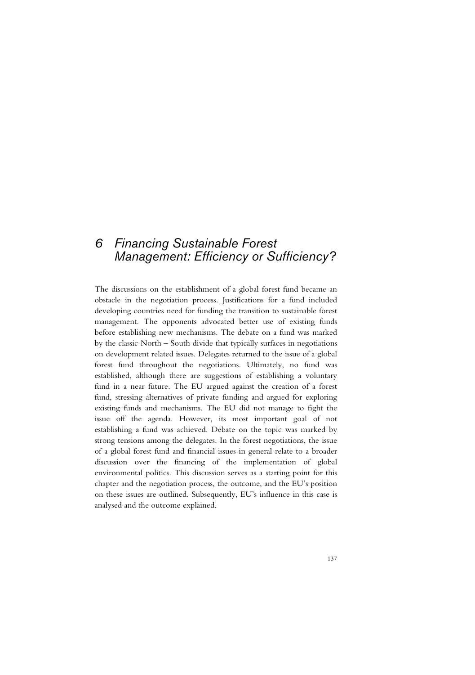# *6 Financing Sustainable Forest Management: Efficiency or Sufficiency?*

The discussions on the establishment of a global forest fund became an obstacle in the negotiation process. Justifications for a fund included developing countries need for funding the transition to sustainable forest management. The opponents advocated better use of existing funds before establishing new mechanisms. The debate on a fund was marked by the classic North – South divide that typically surfaces in negotiations on development related issues. Delegates returned to the issue of a global forest fund throughout the negotiations. Ultimately, no fund was established, although there are suggestions of establishing a voluntary fund in a near future. The EU argued against the creation of a forest fund, stressing alternatives of private funding and argued for exploring existing funds and mechanisms. The EU did not manage to fight the issue off the agenda. However, its most important goal of not establishing a fund was achieved. Debate on the topic was marked by strong tensions among the delegates. In the forest negotiations, the issue of a global forest fund and financial issues in general relate to a broader discussion over the financing of the implementation of global environmental politics. This discussion serves as a starting point for this chapter and the negotiation process, the outcome, and the EU's position on these issues are outlined. Subsequently, EU's influence in this case is analysed and the outcome explained.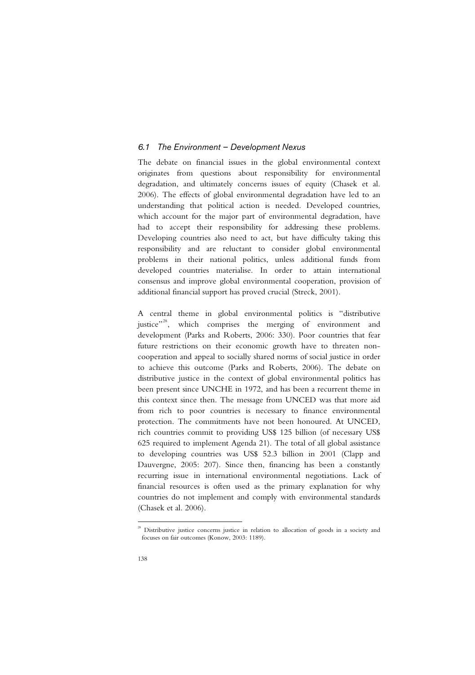## *6.1 The Environment – Development Nexus*

The debate on financial issues in the global environmental context originates from questions about responsibility for environmental degradation, and ultimately concerns issues of equity (Chasek et al. 2006). The effects of global environmental degradation have led to an understanding that political action is needed. Developed countries, which account for the major part of environmental degradation, have had to accept their responsibility for addressing these problems. Developing countries also need to act, but have difficulty taking this responsibility and are reluctant to consider global environmental problems in their national politics, unless additional funds from developed countries materialise. In order to attain international consensus and improve global environmental cooperation, provision of additional financial support has proved crucial (Streck, 2001).

A central theme in global environmental politics is "distributive justice"<sup>28</sup>, which comprises the merging of environment and development (Parks and Roberts, 2006: 330). Poor countries that fear future restrictions on their economic growth have to threaten noncooperation and appeal to socially shared norms of social justice in order to achieve this outcome (Parks and Roberts, 2006). The debate on distributive justice in the context of global environmental politics has been present since UNCHE in 1972, and has been a recurrent theme in this context since then. The message from UNCED was that more aid from rich to poor countries is necessary to finance environmental protection. The commitments have not been honoured. At UNCED, rich countries commit to providing US\$ 125 billion (of necessary US\$ 625 required to implement Agenda 21). The total of all global assistance to developing countries was US\$ 52.3 billion in 2001 (Clapp and Dauvergne, 2005: 207). Since then, financing has been a constantly recurring issue in international environmental negotiations. Lack of financial resources is often used as the primary explanation for why countries do not implement and comply with environmental standards (Chasek et al. 2006).

-

 $28$  Distributive justice concerns justice in relation to allocation of goods in a society and focuses on fair outcomes (Konow, 2003: 1189).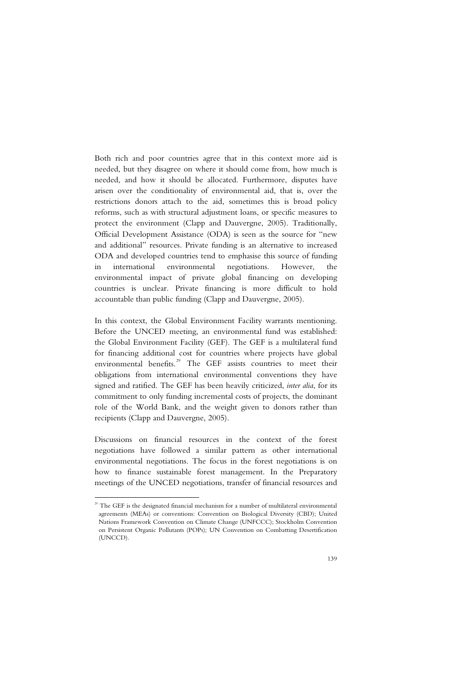Both rich and poor countries agree that in this context more aid is needed, but they disagree on where it should come from, how much is needed, and how it should be allocated. Furthermore, disputes have arisen over the conditionality of environmental aid, that is, over the restrictions donors attach to the aid, sometimes this is broad policy reforms, such as with structural adjustment loans, or specific measures to protect the environment (Clapp and Dauvergne, 2005). Traditionally, Official Development Assistance (ODA) is seen as the source for "new and additional" resources. Private funding is an alternative to increased ODA and developed countries tend to emphasise this source of funding in international environmental negotiations. However, the environmental impact of private global financing on developing countries is unclear. Private financing is more difficult to hold accountable than public funding (Clapp and Dauvergne, 2005).

In this context, the Global Environment Facility warrants mentioning. Before the UNCED meeting, an environmental fund was established: the Global Environment Facility (GEF). The GEF is a multilateral fund for financing additional cost for countries where projects have global environmental benefits.<sup>29</sup> The GEF assists countries to meet their obligations from international environmental conventions they have signed and ratified. The GEF has been heavily criticized, *inter alia*, for its commitment to only funding incremental costs of projects, the dominant role of the World Bank, and the weight given to donors rather than recipients (Clapp and Dauvergne, 2005).

Discussions on financial resources in the context of the forest negotiations have followed a similar pattern as other international environmental negotiations. The focus in the forest negotiations is on how to finance sustainable forest management. In the Preparatory meetings of the UNCED negotiations, transfer of financial resources and

j

<sup>&</sup>lt;sup>29</sup> The GEF is the designated financial mechanism for a number of multilateral environmental agreements (MEAs) or conventions: Convention on Biological Diversity (CBD); United Nations Framework Convention on Climate Change (UNFCCC); Stockholm Convention on Persistent Organic Pollutants (POPs); UN Convention on Combatting Desertification (UNCCD).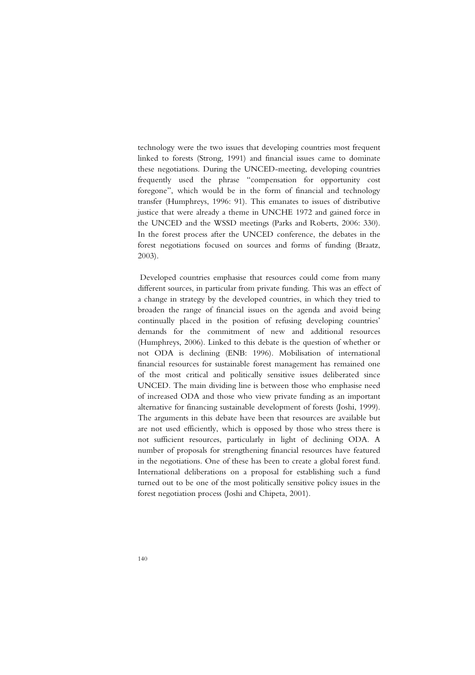technology were the two issues that developing countries most frequent linked to forests (Strong, 1991) and financial issues came to dominate these negotiations. During the UNCED-meeting, developing countries frequently used the phrase "compensation for opportunity cost foregone", which would be in the form of financial and technology transfer (Humphreys, 1996: 91). This emanates to issues of distributive justice that were already a theme in UNCHE 1972 and gained force in the UNCED and the WSSD meetings (Parks and Roberts, 2006: 330). In the forest process after the UNCED conference, the debates in the forest negotiations focused on sources and forms of funding (Braatz, 2003).

 Developed countries emphasise that resources could come from many different sources, in particular from private funding. This was an effect of a change in strategy by the developed countries, in which they tried to broaden the range of financial issues on the agenda and avoid being continually placed in the position of refusing developing countries' demands for the commitment of new and additional resources (Humphreys, 2006). Linked to this debate is the question of whether or not ODA is declining (ENB: 1996). Mobilisation of international financial resources for sustainable forest management has remained one of the most critical and politically sensitive issues deliberated since UNCED. The main dividing line is between those who emphasise need of increased ODA and those who view private funding as an important alternative for financing sustainable development of forests (Joshi, 1999). The arguments in this debate have been that resources are available but are not used efficiently, which is opposed by those who stress there is not sufficient resources, particularly in light of declining ODA. A number of proposals for strengthening financial resources have featured in the negotiations. One of these has been to create a global forest fund. International deliberations on a proposal for establishing such a fund turned out to be one of the most politically sensitive policy issues in the forest negotiation process (Joshi and Chipeta, 2001).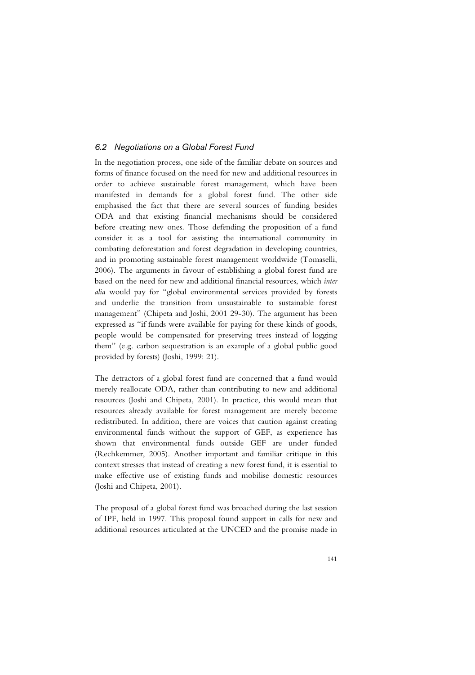## *6.2 Negotiations on a Global Forest Fund*

In the negotiation process, one side of the familiar debate on sources and forms of finance focused on the need for new and additional resources in order to achieve sustainable forest management, which have been manifested in demands for a global forest fund. The other side emphasised the fact that there are several sources of funding besides ODA and that existing financial mechanisms should be considered before creating new ones. Those defending the proposition of a fund consider it as a tool for assisting the international community in combating deforestation and forest degradation in developing countries, and in promoting sustainable forest management worldwide (Tomaselli, 2006). The arguments in favour of establishing a global forest fund are based on the need for new and additional financial resources, which *inter alia* would pay for "global environmental services provided by forests and underlie the transition from unsustainable to sustainable forest management" (Chipeta and Joshi, 2001 29-30). The argument has been expressed as "if funds were available for paying for these kinds of goods, people would be compensated for preserving trees instead of logging them" (e.g. carbon sequestration is an example of a global public good provided by forests) (Joshi, 1999: 21).

The detractors of a global forest fund are concerned that a fund would merely reallocate ODA, rather than contributing to new and additional resources (Joshi and Chipeta, 2001). In practice, this would mean that resources already available for forest management are merely become redistributed. In addition, there are voices that caution against creating environmental funds without the support of GEF, as experience has shown that environmental funds outside GEF are under funded (Rechkemmer, 2005). Another important and familiar critique in this context stresses that instead of creating a new forest fund, it is essential to make effective use of existing funds and mobilise domestic resources (Joshi and Chipeta, 2001).

The proposal of a global forest fund was broached during the last session of IPF, held in 1997. This proposal found support in calls for new and additional resources articulated at the UNCED and the promise made in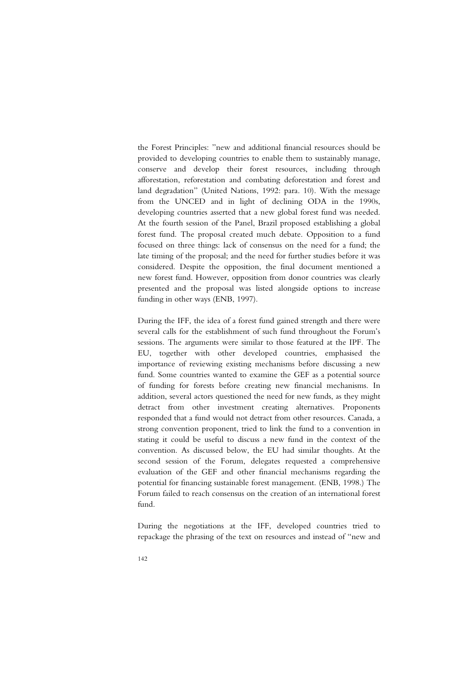the Forest Principles: "new and additional financial resources should be provided to developing countries to enable them to sustainably manage, conserve and develop their forest resources, including through afforestation, reforestation and combating deforestation and forest and land degradation" (United Nations, 1992: para. 10). With the message from the UNCED and in light of declining ODA in the 1990s, developing countries asserted that a new global forest fund was needed. At the fourth session of the Panel, Brazil proposed establishing a global forest fund. The proposal created much debate. Opposition to a fund focused on three things: lack of consensus on the need for a fund; the late timing of the proposal; and the need for further studies before it was considered. Despite the opposition, the final document mentioned a new forest fund. However, opposition from donor countries was clearly presented and the proposal was listed alongside options to increase funding in other ways (ENB, 1997).

During the IFF, the idea of a forest fund gained strength and there were several calls for the establishment of such fund throughout the Forum's sessions. The arguments were similar to those featured at the IPF. The EU, together with other developed countries, emphasised the importance of reviewing existing mechanisms before discussing a new fund. Some countries wanted to examine the GEF as a potential source of funding for forests before creating new financial mechanisms. In addition, several actors questioned the need for new funds, as they might detract from other investment creating alternatives. Proponents responded that a fund would not detract from other resources. Canada, a strong convention proponent, tried to link the fund to a convention in stating it could be useful to discuss a new fund in the context of the convention. As discussed below, the EU had similar thoughts. At the second session of the Forum, delegates requested a comprehensive evaluation of the GEF and other financial mechanisms regarding the potential for financing sustainable forest management. (ENB, 1998.) The Forum failed to reach consensus on the creation of an international forest fund.

During the negotiations at the IFF, developed countries tried to repackage the phrasing of the text on resources and instead of "new and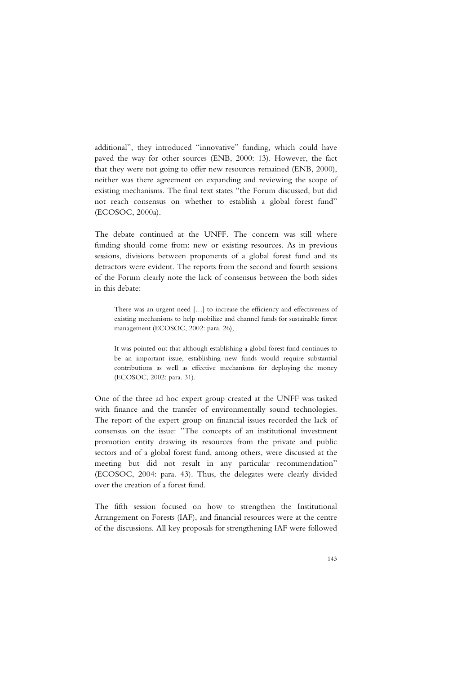additional", they introduced "innovative" funding, which could have paved the way for other sources (ENB, 2000: 13). However, the fact that they were not going to offer new resources remained (ENB, 2000), neither was there agreement on expanding and reviewing the scope of existing mechanisms. The final text states "the Forum discussed, but did not reach consensus on whether to establish a global forest fund" (ECOSOC, 2000a).

The debate continued at the UNFF. The concern was still where funding should come from: new or existing resources. As in previous sessions, divisions between proponents of a global forest fund and its detractors were evident. The reports from the second and fourth sessions of the Forum clearly note the lack of consensus between the both sides in this debate:

There was an urgent need […] to increase the efficiency and effectiveness of existing mechanisms to help mobilize and channel funds for sustainable forest management (ECOSOC, 2002: para. 26),

It was pointed out that although establishing a global forest fund continues to be an important issue, establishing new funds would require substantial contributions as well as effective mechanisms for deploying the money (ECOSOC, 2002: para. 31).

One of the three ad hoc expert group created at the UNFF was tasked with finance and the transfer of environmentally sound technologies. The report of the expert group on financial issues recorded the lack of consensus on the issue: "The concepts of an institutional investment promotion entity drawing its resources from the private and public sectors and of a global forest fund, among others, were discussed at the meeting but did not result in any particular recommendation" (ECOSOC, 2004: para. 43). Thus, the delegates were clearly divided over the creation of a forest fund.

The fifth session focused on how to strengthen the Institutional Arrangement on Forests (IAF), and financial resources were at the centre of the discussions. All key proposals for strengthening IAF were followed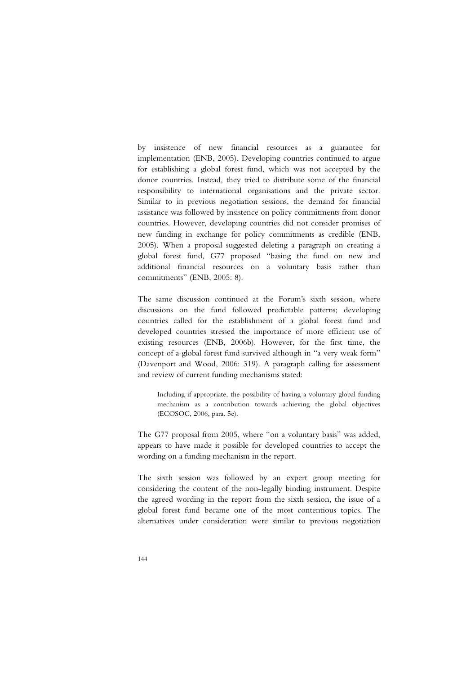by insistence of new financial resources as a guarantee for implementation (ENB, 2005). Developing countries continued to argue for establishing a global forest fund, which was not accepted by the donor countries. Instead, they tried to distribute some of the financial responsibility to international organisations and the private sector. Similar to in previous negotiation sessions, the demand for financial assistance was followed by insistence on policy commitments from donor countries. However, developing countries did not consider promises of new funding in exchange for policy commitments as credible (ENB, 2005). When a proposal suggested deleting a paragraph on creating a global forest fund, G77 proposed "basing the fund on new and additional financial resources on a voluntary basis rather than commitments" (ENB, 2005: 8).

The same discussion continued at the Forum's sixth session, where discussions on the fund followed predictable patterns; developing countries called for the establishment of a global forest fund and developed countries stressed the importance of more efficient use of existing resources (ENB, 2006b). However, for the first time, the concept of a global forest fund survived although in "a very weak form" (Davenport and Wood, 2006: 319). A paragraph calling for assessment and review of current funding mechanisms stated:

Including if appropriate, the possibility of having a voluntary global funding mechanism as a contribution towards achieving the global objectives (ECOSOC, 2006, para. 5e).

The G77 proposal from 2005, where "on a voluntary basis" was added, appears to have made it possible for developed countries to accept the wording on a funding mechanism in the report.

The sixth session was followed by an expert group meeting for considering the content of the non-legally binding instrument. Despite the agreed wording in the report from the sixth session, the issue of a global forest fund became one of the most contentious topics. The alternatives under consideration were similar to previous negotiation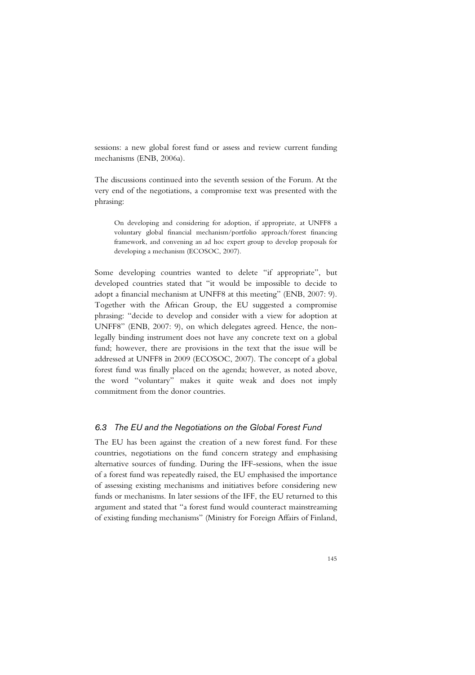sessions: a new global forest fund or assess and review current funding mechanisms (ENB, 2006a).

The discussions continued into the seventh session of the Forum. At the very end of the negotiations, a compromise text was presented with the phrasing:

On developing and considering for adoption, if appropriate, at UNFF8 a voluntary global financial mechanism/portfolio approach/forest financing framework, and convening an ad hoc expert group to develop proposals for developing a mechanism (ECOSOC, 2007).

Some developing countries wanted to delete "if appropriate", but developed countries stated that "it would be impossible to decide to adopt a financial mechanism at UNFF8 at this meeting" (ENB, 2007: 9). Together with the African Group, the EU suggested a compromise phrasing: "decide to develop and consider with a view for adoption at UNFF8" (ENB, 2007: 9), on which delegates agreed. Hence, the nonlegally binding instrument does not have any concrete text on a global fund; however, there are provisions in the text that the issue will be addressed at UNFF8 in 2009 (ECOSOC, 2007). The concept of a global forest fund was finally placed on the agenda; however, as noted above, the word "voluntary" makes it quite weak and does not imply commitment from the donor countries.

# *6.3 The EU and the Negotiations on the Global Forest Fund*

The EU has been against the creation of a new forest fund. For these countries, negotiations on the fund concern strategy and emphasising alternative sources of funding. During the IFF-sessions, when the issue of a forest fund was repeatedly raised, the EU emphasised the importance of assessing existing mechanisms and initiatives before considering new funds or mechanisms. In later sessions of the IFF, the EU returned to this argument and stated that "a forest fund would counteract mainstreaming of existing funding mechanisms" (Ministry for Foreign Affairs of Finland,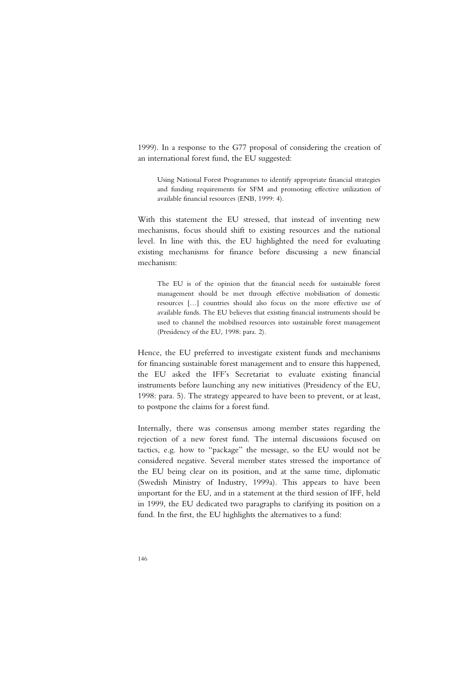1999). In a response to the G77 proposal of considering the creation of an international forest fund, the EU suggested:

Using National Forest Programmes to identify appropriate financial strategies and funding requirements for SFM and promoting effective utilization of available financial resources (ENB, 1999: 4).

With this statement the EU stressed, that instead of inventing new mechanisms, focus should shift to existing resources and the national level. In line with this, the EU highlighted the need for evaluating existing mechanisms for finance before discussing a new financial mechanism:

The EU is of the opinion that the financial needs for sustainable forest management should be met through effective mobilisation of domestic resources […] countries should also focus on the more effective use of available funds. The EU believes that existing financial instruments should be used to channel the mobilised resources into sustainable forest management (Presidency of the EU, 1998: para. 2).

Hence, the EU preferred to investigate existent funds and mechanisms for financing sustainable forest management and to ensure this happened, the EU asked the IFF's Secretariat to evaluate existing financial instruments before launching any new initiatives (Presidency of the EU, 1998: para. 5). The strategy appeared to have been to prevent, or at least, to postpone the claims for a forest fund.

Internally, there was consensus among member states regarding the rejection of a new forest fund. The internal discussions focused on tactics, e.g. how to "package" the message, so the EU would not be considered negative. Several member states stressed the importance of the EU being clear on its position, and at the same time, diplomatic (Swedish Ministry of Industry, 1999a). This appears to have been important for the EU, and in a statement at the third session of IFF, held in 1999, the EU dedicated two paragraphs to clarifying its position on a fund. In the first, the EU highlights the alternatives to a fund: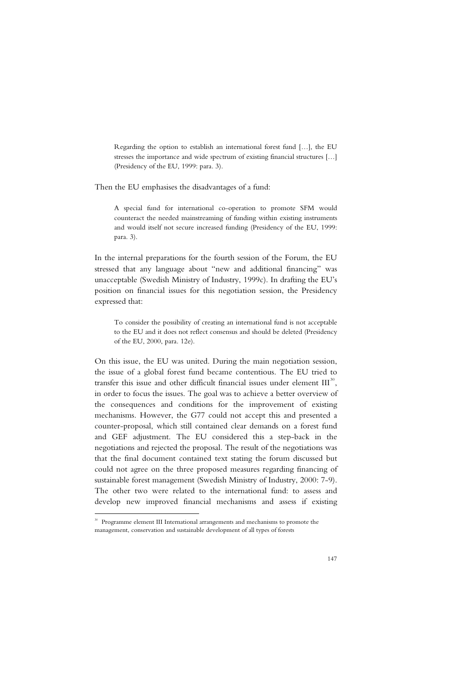Regarding the option to establish an international forest fund […], the EU stresses the importance and wide spectrum of existing financial structures […] (Presidency of the EU, 1999: para. 3).

Then the EU emphasises the disadvantages of a fund:

A special fund for international co-operation to promote SFM would counteract the needed mainstreaming of funding within existing instruments and would itself not secure increased funding (Presidency of the EU, 1999: para. 3).

In the internal preparations for the fourth session of the Forum, the EU stressed that any language about "new and additional financing" was unacceptable (Swedish Ministry of Industry, 1999c). In drafting the EU's position on financial issues for this negotiation session, the Presidency expressed that:

To consider the possibility of creating an international fund is not acceptable to the EU and it does not reflect consensus and should be deleted (Presidency of the EU, 2000, para. 12e).

On this issue, the EU was united. During the main negotiation session, the issue of a global forest fund became contentious. The EU tried to transfer this issue and other difficult financial issues under element  $III^{30}$ , in order to focus the issues. The goal was to achieve a better overview of the consequences and conditions for the improvement of existing mechanisms. However, the G77 could not accept this and presented a counter-proposal, which still contained clear demands on a forest fund and GEF adjustment. The EU considered this a step-back in the negotiations and rejected the proposal. The result of the negotiations was that the final document contained text stating the forum discussed but could not agree on the three proposed measures regarding financing of sustainable forest management (Swedish Ministry of Industry, 2000: 7-9). The other two were related to the international fund: to assess and develop new improved financial mechanisms and assess if existing

-

<sup>&</sup>lt;sup>30</sup> Programme element III International arrangements and mechanisms to promote the management, conservation and sustainable development of all types of forests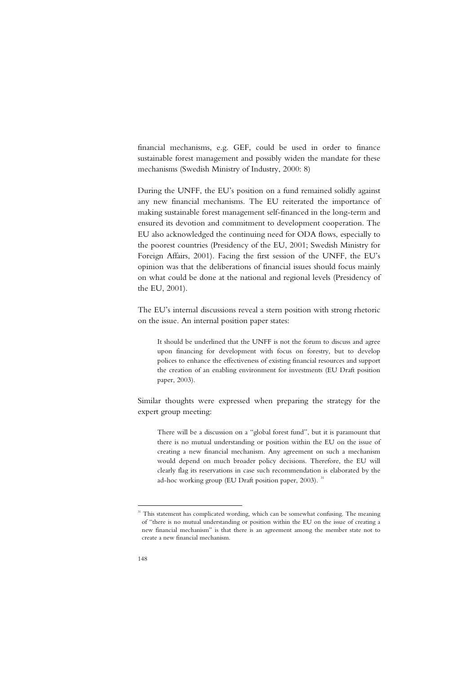financial mechanisms, e.g. GEF, could be used in order to finance sustainable forest management and possibly widen the mandate for these mechanisms (Swedish Ministry of Industry, 2000: 8)

During the UNFF, the EU's position on a fund remained solidly against any new financial mechanisms. The EU reiterated the importance of making sustainable forest management self-financed in the long-term and ensured its devotion and commitment to development cooperation. The EU also acknowledged the continuing need for ODA flows, especially to the poorest countries (Presidency of the EU, 2001; Swedish Ministry for Foreign Affairs, 2001). Facing the first session of the UNFF, the EU's opinion was that the deliberations of financial issues should focus mainly on what could be done at the national and regional levels (Presidency of the EU, 2001).

The EU's internal discussions reveal a stern position with strong rhetoric on the issue. An internal position paper states:

It should be underlined that the UNFF is not the forum to discuss and agree upon financing for development with focus on forestry, but to develop polices to enhance the effectiveness of existing financial resources and support the creation of an enabling environment for investments (EU Draft position paper, 2003).

Similar thoughts were expressed when preparing the strategy for the expert group meeting:

There will be a discussion on a "global forest fund", but it is paramount that there is no mutual understanding or position within the EU on the issue of creating a new financial mechanism. Any agreement on such a mechanism would depend on much broader policy decisions. Therefore, the EU will clearly flag its reservations in case such recommendation is elaborated by the ad-hoc working group (EU Draft position paper, 2003).<sup>31</sup>

<sup>-</sup>

<sup>&</sup>lt;sup>31</sup> This statement has complicated wording, which can be somewhat confusing. The meaning of "there is no mutual understanding or position within the EU on the issue of creating a new financial mechanism" is that there is an agreement among the member state not to create a new financial mechanism.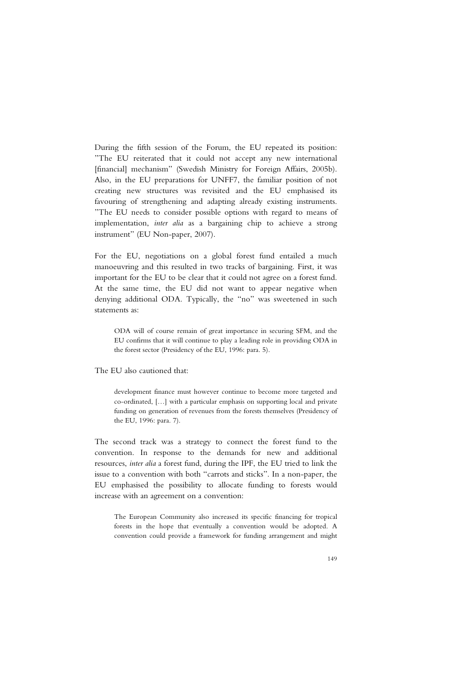During the fifth session of the Forum, the EU repeated its position: "The EU reiterated that it could not accept any new international [financial] mechanism" (Swedish Ministry for Foreign Affairs, 2005b). Also, in the EU preparations for UNFF7, the familiar position of not creating new structures was revisited and the EU emphasised its favouring of strengthening and adapting already existing instruments. "The EU needs to consider possible options with regard to means of implementation, *inter alia* as a bargaining chip to achieve a strong instrument" (EU Non-paper, 2007).

For the EU, negotiations on a global forest fund entailed a much manoeuvring and this resulted in two tracks of bargaining. First, it was important for the EU to be clear that it could not agree on a forest fund. At the same time, the EU did not want to appear negative when denying additional ODA. Typically, the "no" was sweetened in such statements as:

ODA will of course remain of great importance in securing SFM, and the EU confirms that it will continue to play a leading role in providing ODA in the forest sector (Presidency of the EU, 1996: para. 5).

### The EU also cautioned that:

development finance must however continue to become more targeted and co-ordinated, […] with a particular emphasis on supporting local and private funding on generation of revenues from the forests themselves (Presidency of the EU, 1996: para. 7).

The second track was a strategy to connect the forest fund to the convention. In response to the demands for new and additional resources, *inter alia* a forest fund, during the IPF, the EU tried to link the issue to a convention with both "carrots and sticks". In a non-paper, the EU emphasised the possibility to allocate funding to forests would increase with an agreement on a convention:

The European Community also increased its specific financing for tropical forests in the hope that eventually a convention would be adopted. A convention could provide a framework for funding arrangement and might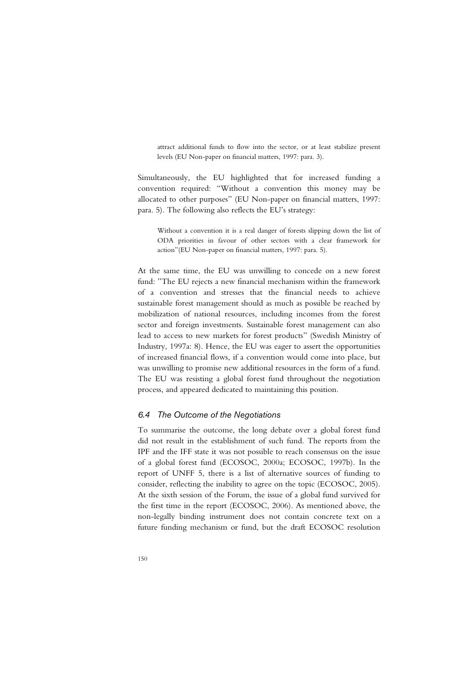attract additional funds to flow into the sector, or at least stabilize present levels (EU Non-paper on financial matters, 1997: para. 3).

Simultaneously, the EU highlighted that for increased funding a convention required: "Without a convention this money may be allocated to other purposes" (EU Non-paper on financial matters, 1997: para. 5). The following also reflects the EU's strategy:

Without a convention it is a real danger of forests slipping down the list of ODA priorities in favour of other sectors with a clear framework for action"(EU Non-paper on financial matters, 1997: para. 5).

At the same time, the EU was unwilling to concede on a new forest fund: "The EU rejects a new financial mechanism within the framework of a convention and stresses that the financial needs to achieve sustainable forest management should as much as possible be reached by mobilization of national resources, including incomes from the forest sector and foreign investments. Sustainable forest management can also lead to access to new markets for forest products" (Swedish Ministry of Industry, 1997a: 8). Hence, the EU was eager to assert the opportunities of increased financial flows, if a convention would come into place, but was unwilling to promise new additional resources in the form of a fund. The EU was resisting a global forest fund throughout the negotiation process, and appeared dedicated to maintaining this position.

### *6.4 The Outcome of the Negotiations*

To summarise the outcome, the long debate over a global forest fund did not result in the establishment of such fund. The reports from the IPF and the IFF state it was not possible to reach consensus on the issue of a global forest fund (ECOSOC, 2000a; ECOSOC, 1997b). In the report of UNFF 5, there is a list of alternative sources of funding to consider, reflecting the inability to agree on the topic (ECOSOC, 2005). At the sixth session of the Forum, the issue of a global fund survived for the first time in the report (ECOSOC, 2006). As mentioned above, the non-legally binding instrument does not contain concrete text on a future funding mechanism or fund, but the draft ECOSOC resolution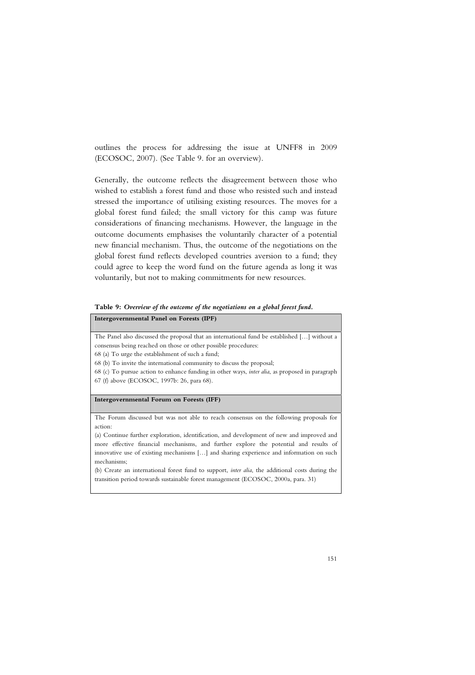outlines the process for addressing the issue at UNFF8 in 2009 (ECOSOC, 2007). (See Table 9. for an overview).

Generally, the outcome reflects the disagreement between those who wished to establish a forest fund and those who resisted such and instead stressed the importance of utilising existing resources. The moves for a global forest fund failed; the small victory for this camp was future considerations of financing mechanisms. However, the language in the outcome documents emphasises the voluntarily character of a potential new financial mechanism. Thus, the outcome of the negotiations on the global forest fund reflects developed countries aversion to a fund; they could agree to keep the word fund on the future agenda as long it was voluntarily, but not to making commitments for new resources.

**Table 9:** *Overview of the outcome of the negotiations on a global forest fund.*

### **Intergovernmental Panel on Forests (IPF)**

The Panel also discussed the proposal that an international fund be established […] without a consensus being reached on those or other possible procedures:

68 (a) To urge the establishment of such a fund;

68 (b) To invite the international community to discuss the proposal;

68 (c) To pursue action to enhance funding in other ways, *inter alia*, as proposed in paragraph 67 (f) above (ECOSOC, 1997b: 26, para 68).

### **Intergovernmental Forum on Forests (IFF)**

The Forum discussed but was not able to reach consensus on the following proposals for action:

(a) Continue further exploration, identification, and development of new and improved and more effective financial mechanisms, and further explore the potential and results of innovative use of existing mechanisms […] and sharing experience and information on such mechanisms;

(b) Create an international forest fund to support, *inter alia*, the additional costs during the transition period towards sustainable forest management (ECOSOC, 2000a, para. 31)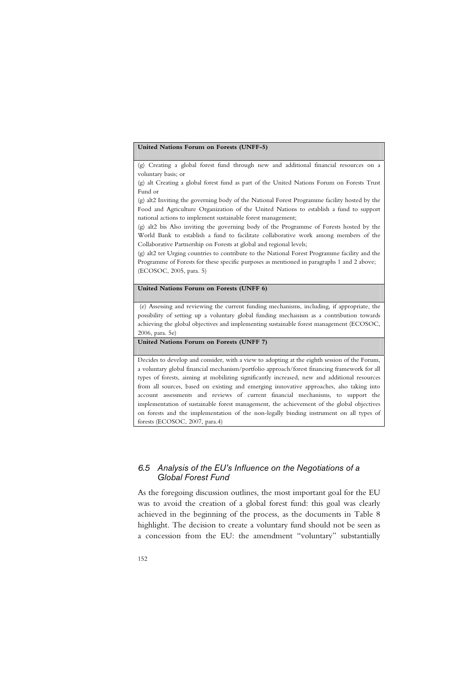#### **United Nations Forum on Forests (UNFF-5)**

(g) Creating a global forest fund through new and additional financial resources on a voluntary basis; or

(g) alt Creating a global forest fund as part of the United Nations Forum on Forests Trust Fund or

(g) alt2 Inviting the governing body of the National Forest Programme facility hosted by the Food and Agriculture Organization of the United Nations to establish a fund to support national actions to implement sustainable forest management;

(g) alt2 bis Also inviting the governing body of the Programme of Forests hosted by the World Bank to establish a fund to facilitate collaborative work among members of the Collaborative Partnership on Forests at global and regional levels;

(g) alt2 ter Urging countries to contribute to the National Forest Programme facility and the Programme of Forests for these specific purposes as mentioned in paragraphs 1 and 2 above; (ECOSOC, 2005, para. 5)

### **United Nations Forum on Forests (UNFF 6)**

 (e) Assessing and reviewing the current funding mechanisms, including, if appropriate, the possibility of setting up a voluntary global funding mechanism as a contribution towards achieving the global objectives and implementing sustainable forest management (ECOSOC, 2006, para. 5e)

**United Nations Forum on Forests (UNFF 7)** 

Decides to develop and consider, with a view to adopting at the eighth session of the Forum, a voluntary global financial mechanism/portfolio approach/forest financing framework for all types of forests, aiming at mobilizing significantly increased, new and additional resources from all sources, based on existing and emerging innovative approaches, also taking into account assessments and reviews of current financial mechanisms, to support the implementation of sustainable forest management, the achievement of the global objectives on forests and the implementation of the non-legally binding instrument on all types of forests (ECOSOC, 2007, para.4)

# *6.5 Analysis of the EU's Influence on the Negotiations of a Global Forest Fund*

As the foregoing discussion outlines, the most important goal for the EU was to avoid the creation of a global forest fund: this goal was clearly achieved in the beginning of the process, as the documents in Table 8 highlight. The decision to create a voluntary fund should not be seen as a concession from the EU: the amendment "voluntary" substantially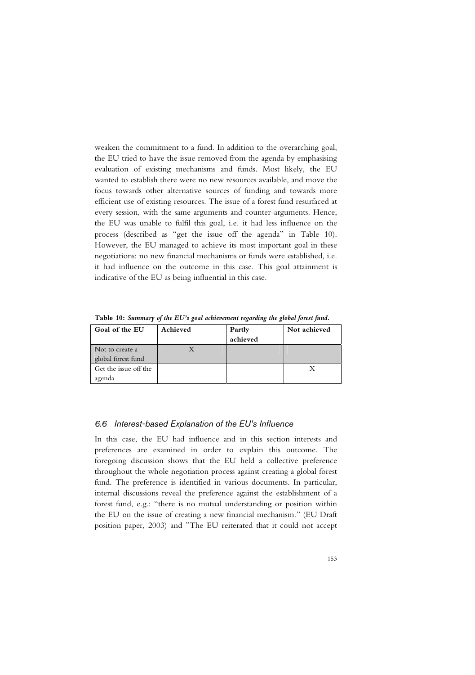weaken the commitment to a fund. In addition to the overarching goal, the EU tried to have the issue removed from the agenda by emphasising evaluation of existing mechanisms and funds. Most likely, the EU wanted to establish there were no new resources available, and move the focus towards other alternative sources of funding and towards more efficient use of existing resources. The issue of a forest fund resurfaced at every session, with the same arguments and counter-arguments. Hence, the EU was unable to fulfil this goal, i.e. it had less influence on the process (described as "get the issue off the agenda" in Table 10). However, the EU managed to achieve its most important goal in these negotiations: no new financial mechanisms or funds were established, i.e. it had influence on the outcome in this case. This goal attainment is indicative of the EU as being influential in this case.

Goal of the EU Achieved Partly **achieved Not achieved**  Not to create a global forest fund X Get the issue off the agenda  $\mathbf{X}$ 

**Table 10:** *Summary of the EU's goal achievement regarding the global forest fund.* 

### *6.6 Interest-based Explanation of the EU's Influence*

In this case, the EU had influence and in this section interests and preferences are examined in order to explain this outcome. The foregoing discussion shows that the EU held a collective preference throughout the whole negotiation process against creating a global forest fund. The preference is identified in various documents. In particular, internal discussions reveal the preference against the establishment of a forest fund, e.g.: "there is no mutual understanding or position within the EU on the issue of creating a new financial mechanism." (EU Draft position paper, 2003) and "The EU reiterated that it could not accept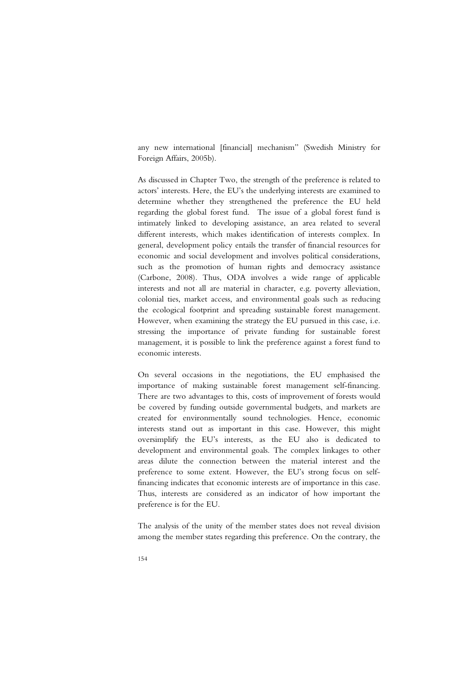any new international [financial] mechanism" (Swedish Ministry for Foreign Affairs, 2005b).

As discussed in Chapter Two, the strength of the preference is related to actors' interests. Here, the EU's the underlying interests are examined to determine whether they strengthened the preference the EU held regarding the global forest fund. The issue of a global forest fund is intimately linked to developing assistance, an area related to several different interests, which makes identification of interests complex. In general, development policy entails the transfer of financial resources for economic and social development and involves political considerations, such as the promotion of human rights and democracy assistance (Carbone, 2008). Thus, ODA involves a wide range of applicable interests and not all are material in character, e.g. poverty alleviation, colonial ties, market access, and environmental goals such as reducing the ecological footprint and spreading sustainable forest management. However, when examining the strategy the EU pursued in this case, i.e. stressing the importance of private funding for sustainable forest management, it is possible to link the preference against a forest fund to economic interests.

On several occasions in the negotiations, the EU emphasised the importance of making sustainable forest management self-financing. There are two advantages to this, costs of improvement of forests would be covered by funding outside governmental budgets, and markets are created for environmentally sound technologies. Hence, economic interests stand out as important in this case. However, this might oversimplify the EU's interests, as the EU also is dedicated to development and environmental goals. The complex linkages to other areas dilute the connection between the material interest and the preference to some extent. However, the EU's strong focus on selffinancing indicates that economic interests are of importance in this case. Thus, interests are considered as an indicator of how important the preference is for the EU.

The analysis of the unity of the member states does not reveal division among the member states regarding this preference. On the contrary, the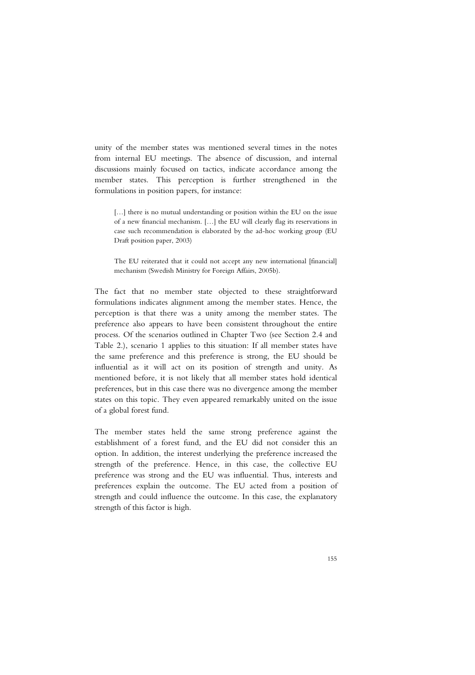unity of the member states was mentioned several times in the notes from internal EU meetings. The absence of discussion, and internal discussions mainly focused on tactics, indicate accordance among the member states. This perception is further strengthened in the formulations in position papers, for instance:

[...] there is no mutual understanding or position within the EU on the issue of a new financial mechanism. […] the EU will clearly flag its reservations in case such recommendation is elaborated by the ad-hoc working group (EU Draft position paper, 2003)

The EU reiterated that it could not accept any new international [financial] mechanism (Swedish Ministry for Foreign Affairs, 2005b).

The fact that no member state objected to these straightforward formulations indicates alignment among the member states. Hence, the perception is that there was a unity among the member states. The preference also appears to have been consistent throughout the entire process. Of the scenarios outlined in Chapter Two (see Section 2.4 and Table 2.), scenario 1 applies to this situation: If all member states have the same preference and this preference is strong, the EU should be influential as it will act on its position of strength and unity. As mentioned before, it is not likely that all member states hold identical preferences, but in this case there was no divergence among the member states on this topic. They even appeared remarkably united on the issue of a global forest fund.

The member states held the same strong preference against the establishment of a forest fund, and the EU did not consider this an option. In addition, the interest underlying the preference increased the strength of the preference. Hence, in this case, the collective EU preference was strong and the EU was influential. Thus, interests and preferences explain the outcome. The EU acted from a position of strength and could influence the outcome. In this case, the explanatory strength of this factor is high.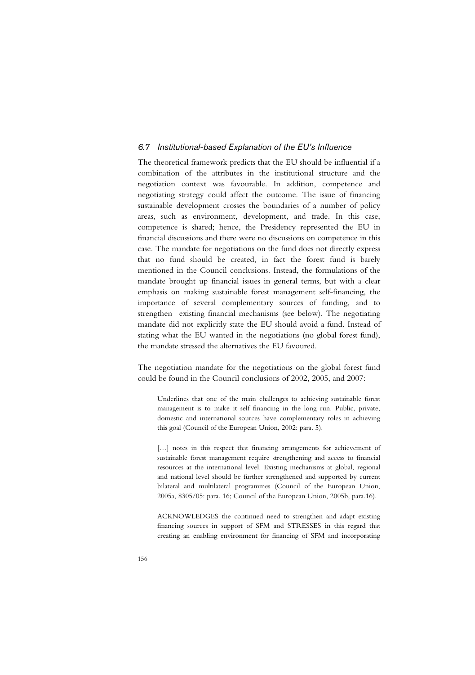# *6.7 Institutional-based Explanation of the EU's Influence*

The theoretical framework predicts that the EU should be influential if a combination of the attributes in the institutional structure and the negotiation context was favourable. In addition, competence and negotiating strategy could affect the outcome. The issue of financing sustainable development crosses the boundaries of a number of policy areas, such as environment, development, and trade. In this case, competence is shared; hence, the Presidency represented the EU in financial discussions and there were no discussions on competence in this case. The mandate for negotiations on the fund does not directly express that no fund should be created, in fact the forest fund is barely mentioned in the Council conclusions. Instead, the formulations of the mandate brought up financial issues in general terms, but with a clear emphasis on making sustainable forest management self-financing, the importance of several complementary sources of funding, and to strengthen existing financial mechanisms (see below). The negotiating mandate did not explicitly state the EU should avoid a fund. Instead of stating what the EU wanted in the negotiations (no global forest fund), the mandate stressed the alternatives the EU favoured.

The negotiation mandate for the negotiations on the global forest fund could be found in the Council conclusions of 2002, 2005, and 2007:

Underlines that one of the main challenges to achieving sustainable forest management is to make it self financing in the long run. Public, private, domestic and international sources have complementary roles in achieving this goal (Council of the European Union, 2002: para. 5).

[...] notes in this respect that financing arrangements for achievement of sustainable forest management require strengthening and access to financial resources at the international level. Existing mechanisms at global, regional and national level should be further strengthened and supported by current bilateral and multilateral programmes (Council of the European Union, 2005a, 8305/05: para. 16; Council of the European Union, 2005b, para.16).

ACKNOWLEDGES the continued need to strengthen and adapt existing financing sources in support of SFM and STRESSES in this regard that creating an enabling environment for financing of SFM and incorporating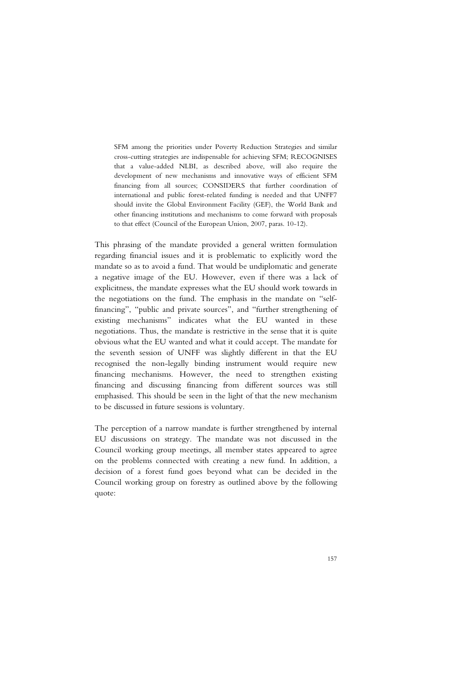SFM among the priorities under Poverty Reduction Strategies and similar cross-cutting strategies are indispensable for achieving SFM; RECOGNISES that a value-added NLBI, as described above, will also require the development of new mechanisms and innovative ways of efficient SFM financing from all sources; CONSIDERS that further coordination of international and public forest-related funding is needed and that UNFF7 should invite the Global Environment Facility (GEF), the World Bank and other financing institutions and mechanisms to come forward with proposals to that effect (Council of the European Union, 2007, paras. 10-12).

This phrasing of the mandate provided a general written formulation regarding financial issues and it is problematic to explicitly word the mandate so as to avoid a fund. That would be undiplomatic and generate a negative image of the EU. However, even if there was a lack of explicitness, the mandate expresses what the EU should work towards in the negotiations on the fund. The emphasis in the mandate on "selffinancing", "public and private sources", and "further strengthening of existing mechanisms" indicates what the EU wanted in these negotiations. Thus, the mandate is restrictive in the sense that it is quite obvious what the EU wanted and what it could accept. The mandate for the seventh session of UNFF was slightly different in that the EU recognised the non-legally binding instrument would require new financing mechanisms. However, the need to strengthen existing financing and discussing financing from different sources was still emphasised. This should be seen in the light of that the new mechanism to be discussed in future sessions is voluntary.

The perception of a narrow mandate is further strengthened by internal EU discussions on strategy. The mandate was not discussed in the Council working group meetings, all member states appeared to agree on the problems connected with creating a new fund. In addition, a decision of a forest fund goes beyond what can be decided in the Council working group on forestry as outlined above by the following quote: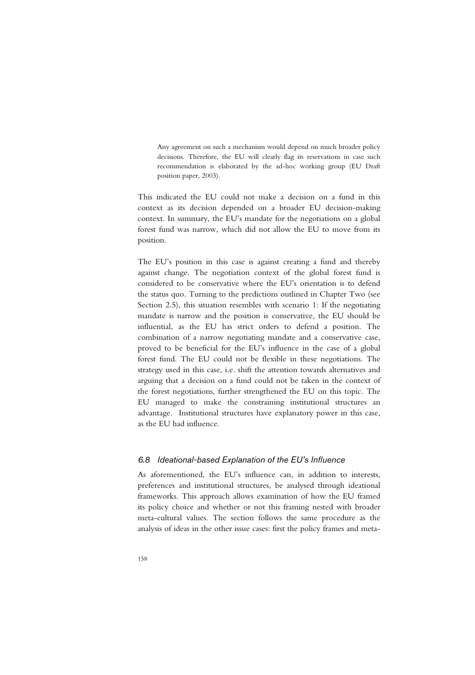Any agreement on such a mechanism would depend on much broader policy decisions. Therefore, the EU will clearly flag its reservations in case such recommendation is elaborated by the ad-hoc working group (EU Draft position paper, 2003).

This indicated the EU could not make a decision on a fund in this context as its decision depended on a broader EU decision-making context. In summary, the EU's mandate for the negotiations on a global forest fund was narrow, which did not allow the EU to move from its position.

The EU's position in this case is against creating a fund and thereby against change. The negotiation context of the global forest fund is considered to be conservative where the EU's orientation is to defend the status quo. Turning to the predictions outlined in Chapter Two (see Section 2.5), this situation resembles with scenario 1: If the negotiating mandate is narrow and the position is conservative, the EU should be influential, as the EU has strict orders to defend a position. The combination of a narrow negotiating mandate and a conservative case, proved to be beneficial for the EU's influence in the case of a global forest fund. The EU could not be flexible in these negotiations. The strategy used in this case, i.e. shift the attention towards alternatives and arguing that a decision on a fund could not be taken in the context of the forest negotiations, further strengthened the EU on this topic. The EU managed to make the constraining institutional structures an advantage. Institutional structures have explanatory power in this case, as the EU had influence.

# *6.8 Ideational-based Explanation of the EU's Influence*

As aforementioned, the EU's influence can, in addition to interests, preferences and institutional structures, be analysed through ideational frameworks. This approach allows examination of how the EU framed its policy choice and whether or not this framing nested with broader meta-cultural values. The section follows the same procedure as the analysis of ideas in the other issue cases: first the policy frames and meta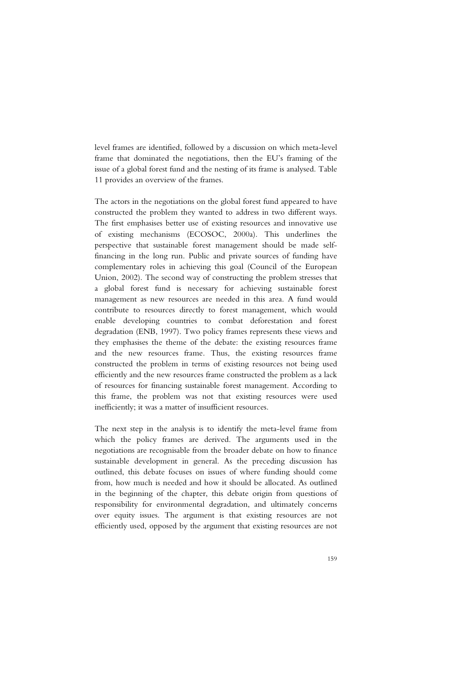level frames are identified, followed by a discussion on which meta-level frame that dominated the negotiations, then the EU's framing of the issue of a global forest fund and the nesting of its frame is analysed. Table 11 provides an overview of the frames.

The actors in the negotiations on the global forest fund appeared to have constructed the problem they wanted to address in two different ways. The first emphasises better use of existing resources and innovative use of existing mechanisms (ECOSOC, 2000a). This underlines the perspective that sustainable forest management should be made selffinancing in the long run. Public and private sources of funding have complementary roles in achieving this goal (Council of the European Union, 2002). The second way of constructing the problem stresses that a global forest fund is necessary for achieving sustainable forest management as new resources are needed in this area. A fund would contribute to resources directly to forest management, which would enable developing countries to combat deforestation and forest degradation (ENB, 1997). Two policy frames represents these views and they emphasises the theme of the debate: the existing resources frame and the new resources frame. Thus, the existing resources frame constructed the problem in terms of existing resources not being used efficiently and the new resources frame constructed the problem as a lack of resources for financing sustainable forest management. According to this frame, the problem was not that existing resources were used inefficiently; it was a matter of insufficient resources.

The next step in the analysis is to identify the meta-level frame from which the policy frames are derived. The arguments used in the negotiations are recognisable from the broader debate on how to finance sustainable development in general. As the preceding discussion has outlined, this debate focuses on issues of where funding should come from, how much is needed and how it should be allocated. As outlined in the beginning of the chapter, this debate origin from questions of responsibility for environmental degradation, and ultimately concerns over equity issues. The argument is that existing resources are not efficiently used, opposed by the argument that existing resources are not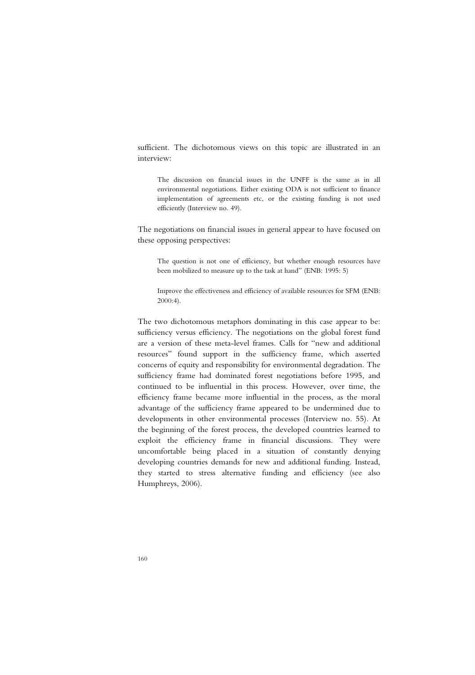sufficient. The dichotomous views on this topic are illustrated in an interview:

The discussion on financial issues in the UNFF is the same as in all environmental negotiations. Either existing ODA is not sufficient to finance implementation of agreements etc, or the existing funding is not used efficiently (Interview no. 49).

The negotiations on financial issues in general appear to have focused on these opposing perspectives:

The question is not one of efficiency, but whether enough resources have been mobilized to measure up to the task at hand" (ENB: 1995: 5)

Improve the effectiveness and efficiency of available resources for SFM (ENB: 2000:4).

The two dichotomous metaphors dominating in this case appear to be: sufficiency versus efficiency. The negotiations on the global forest fund are a version of these meta-level frames. Calls for "new and additional resources" found support in the sufficiency frame, which asserted concerns of equity and responsibility for environmental degradation. The sufficiency frame had dominated forest negotiations before 1995, and continued to be influential in this process. However, over time, the efficiency frame became more influential in the process, as the moral advantage of the sufficiency frame appeared to be undermined due to developments in other environmental processes (Interview no. 55). At the beginning of the forest process, the developed countries learned to exploit the efficiency frame in financial discussions. They were uncomfortable being placed in a situation of constantly denying developing countries demands for new and additional funding. Instead, they started to stress alternative funding and efficiency (see also Humphreys, 2006).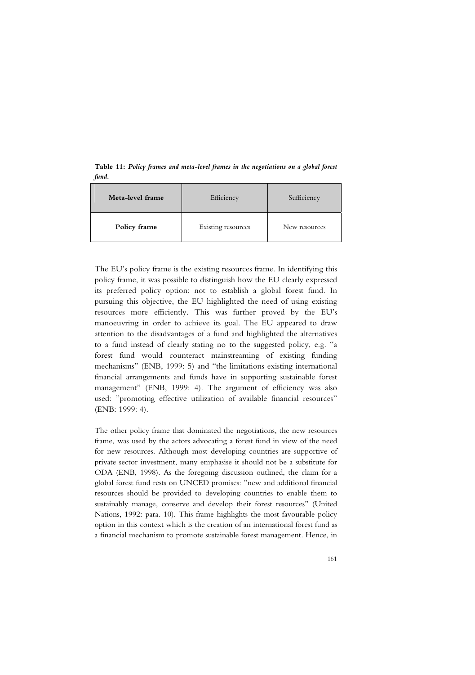**Table 11:** *Policy frames and meta-level frames in the negotiations on a global forest fund.* 

| Meta-level frame | Efficiency         | Sufficiency   |
|------------------|--------------------|---------------|
| Policy frame     | Existing resources | New resources |

The EU's policy frame is the existing resources frame. In identifying this policy frame, it was possible to distinguish how the EU clearly expressed its preferred policy option: not to establish a global forest fund. In pursuing this objective, the EU highlighted the need of using existing resources more efficiently. This was further proved by the EU's manoeuvring in order to achieve its goal. The EU appeared to draw attention to the disadvantages of a fund and highlighted the alternatives to a fund instead of clearly stating no to the suggested policy, e.g. "a forest fund would counteract mainstreaming of existing funding mechanisms" (ENB, 1999: 5) and "the limitations existing international financial arrangements and funds have in supporting sustainable forest management" (ENB, 1999: 4). The argument of efficiency was also used: "promoting effective utilization of available financial resources" (ENB: 1999: 4).

The other policy frame that dominated the negotiations, the new resources frame, was used by the actors advocating a forest fund in view of the need for new resources. Although most developing countries are supportive of private sector investment, many emphasise it should not be a substitute for ODA (ENB, 1998). As the foregoing discussion outlined, the claim for a global forest fund rests on UNCED promises: "new and additional financial resources should be provided to developing countries to enable them to sustainably manage, conserve and develop their forest resources" (United Nations, 1992: para. 10). This frame highlights the most favourable policy option in this context which is the creation of an international forest fund as a financial mechanism to promote sustainable forest management. Hence, in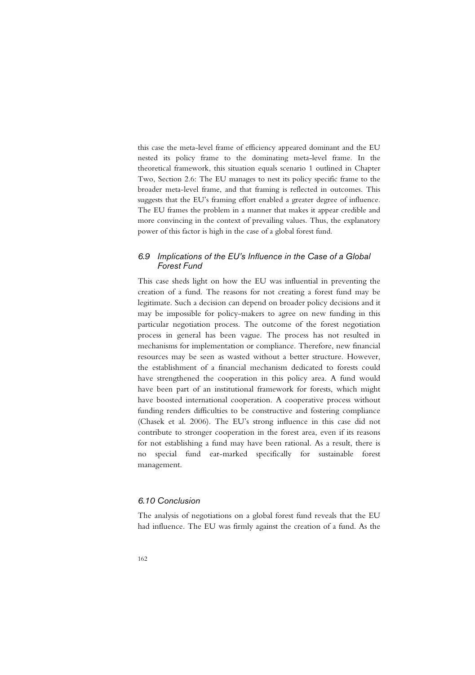this case the meta-level frame of efficiency appeared dominant and the EU nested its policy frame to the dominating meta-level frame. In the theoretical framework, this situation equals scenario 1 outlined in Chapter Two, Section 2.6: The EU manages to nest its policy specific frame to the broader meta-level frame, and that framing is reflected in outcomes. This suggests that the EU's framing effort enabled a greater degree of influence. The EU frames the problem in a manner that makes it appear credible and more convincing in the context of prevailing values. Thus, the explanatory power of this factor is high in the case of a global forest fund.

# *6.9 Implications of the EU's Influence in the Case of a Global Forest Fund*

This case sheds light on how the EU was influential in preventing the creation of a fund. The reasons for not creating a forest fund may be legitimate. Such a decision can depend on broader policy decisions and it may be impossible for policy-makers to agree on new funding in this particular negotiation process. The outcome of the forest negotiation process in general has been vague. The process has not resulted in mechanisms for implementation or compliance. Therefore, new financial resources may be seen as wasted without a better structure. However, the establishment of a financial mechanism dedicated to forests could have strengthened the cooperation in this policy area. A fund would have been part of an institutional framework for forests, which might have boosted international cooperation. A cooperative process without funding renders difficulties to be constructive and fostering compliance (Chasek et al. 2006). The EU's strong influence in this case did not contribute to stronger cooperation in the forest area, even if its reasons for not establishing a fund may have been rational. As a result, there is no special fund ear-marked specifically for sustainable forest management.

# *6.10 Conclusion*

The analysis of negotiations on a global forest fund reveals that the EU had influence. The EU was firmly against the creation of a fund. As the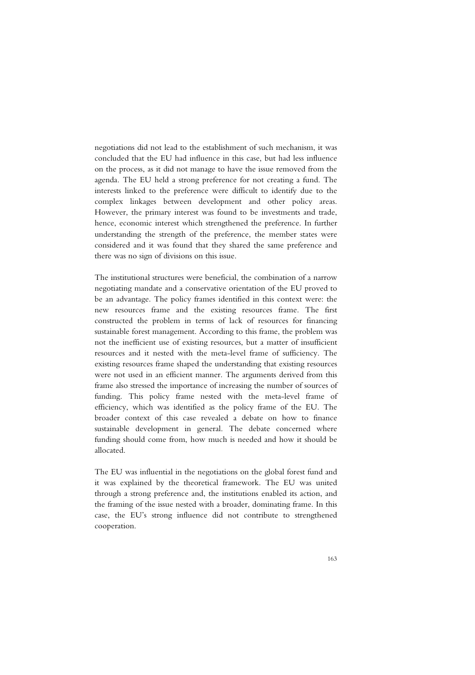negotiations did not lead to the establishment of such mechanism, it was concluded that the EU had influence in this case, but had less influence on the process, as it did not manage to have the issue removed from the agenda. The EU held a strong preference for not creating a fund. The interests linked to the preference were difficult to identify due to the complex linkages between development and other policy areas. However, the primary interest was found to be investments and trade, hence, economic interest which strengthened the preference. In further understanding the strength of the preference, the member states were considered and it was found that they shared the same preference and there was no sign of divisions on this issue.

The institutional structures were beneficial, the combination of a narrow negotiating mandate and a conservative orientation of the EU proved to be an advantage. The policy frames identified in this context were: the new resources frame and the existing resources frame. The first constructed the problem in terms of lack of resources for financing sustainable forest management. According to this frame, the problem was not the inefficient use of existing resources, but a matter of insufficient resources and it nested with the meta-level frame of sufficiency. The existing resources frame shaped the understanding that existing resources were not used in an efficient manner. The arguments derived from this frame also stressed the importance of increasing the number of sources of funding. This policy frame nested with the meta-level frame of efficiency, which was identified as the policy frame of the EU. The broader context of this case revealed a debate on how to finance sustainable development in general. The debate concerned where funding should come from, how much is needed and how it should be allocated.

The EU was influential in the negotiations on the global forest fund and it was explained by the theoretical framework. The EU was united through a strong preference and, the institutions enabled its action, and the framing of the issue nested with a broader, dominating frame. In this case, the EU's strong influence did not contribute to strengthened cooperation.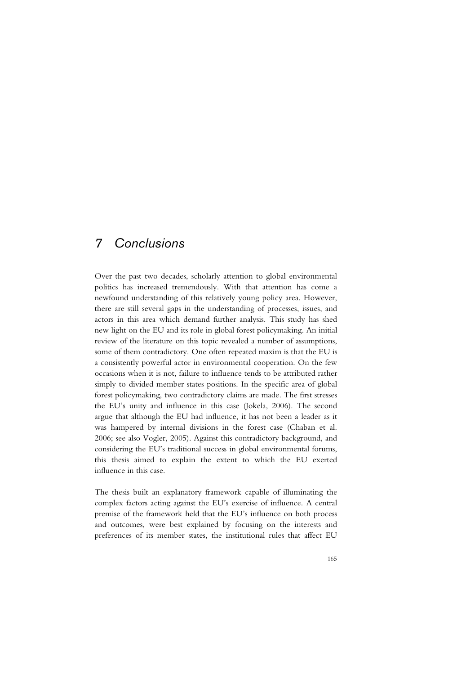# *7 Conclusions*

Over the past two decades, scholarly attention to global environmental politics has increased tremendously. With that attention has come a newfound understanding of this relatively young policy area. However, there are still several gaps in the understanding of processes, issues, and actors in this area which demand further analysis. This study has shed new light on the EU and its role in global forest policymaking. An initial review of the literature on this topic revealed a number of assumptions, some of them contradictory. One often repeated maxim is that the EU is a consistently powerful actor in environmental cooperation. On the few occasions when it is not, failure to influence tends to be attributed rather simply to divided member states positions. In the specific area of global forest policymaking, two contradictory claims are made. The first stresses the EU's unity and influence in this case (Jokela, 2006). The second argue that although the EU had influence, it has not been a leader as it was hampered by internal divisions in the forest case (Chaban et al. 2006; see also Vogler, 2005). Against this contradictory background, and considering the EU's traditional success in global environmental forums, this thesis aimed to explain the extent to which the EU exerted influence in this case.

The thesis built an explanatory framework capable of illuminating the complex factors acting against the EU's exercise of influence. A central premise of the framework held that the EU's influence on both process and outcomes, were best explained by focusing on the interests and preferences of its member states, the institutional rules that affect EU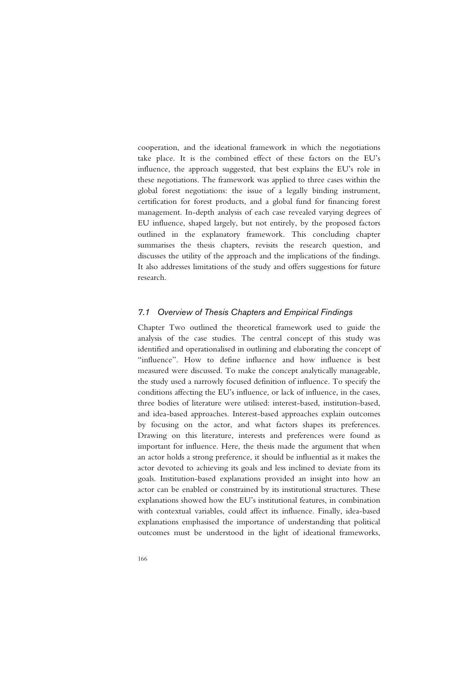cooperation, and the ideational framework in which the negotiations take place. It is the combined effect of these factors on the EU's influence, the approach suggested, that best explains the EU's role in these negotiations. The framework was applied to three cases within the global forest negotiations: the issue of a legally binding instrument, certification for forest products, and a global fund for financing forest management. In-depth analysis of each case revealed varying degrees of EU influence, shaped largely, but not entirely, by the proposed factors outlined in the explanatory framework. This concluding chapter summarises the thesis chapters, revisits the research question, and discusses the utility of the approach and the implications of the findings. It also addresses limitations of the study and offers suggestions for future research.

### *7.1 Overview of Thesis Chapters and Empirical Findings*

Chapter Two outlined the theoretical framework used to guide the analysis of the case studies. The central concept of this study was identified and operationalised in outlining and elaborating the concept of "influence". How to define influence and how influence is best measured were discussed. To make the concept analytically manageable, the study used a narrowly focused definition of influence. To specify the conditions affecting the EU's influence, or lack of influence, in the cases, three bodies of literature were utilised: interest-based, institution-based, and idea-based approaches. Interest-based approaches explain outcomes by focusing on the actor, and what factors shapes its preferences. Drawing on this literature, interests and preferences were found as important for influence. Here, the thesis made the argument that when an actor holds a strong preference, it should be influential as it makes the actor devoted to achieving its goals and less inclined to deviate from its goals. Institution-based explanations provided an insight into how an actor can be enabled or constrained by its institutional structures. These explanations showed how the EU's institutional features, in combination with contextual variables, could affect its influence. Finally, idea-based explanations emphasised the importance of understanding that political outcomes must be understood in the light of ideational frameworks,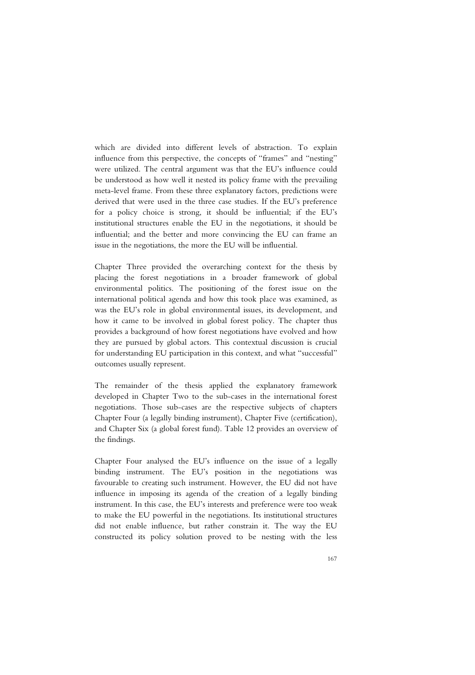which are divided into different levels of abstraction. To explain influence from this perspective, the concepts of "frames" and "nesting" were utilized. The central argument was that the EU's influence could be understood as how well it nested its policy frame with the prevailing meta-level frame. From these three explanatory factors, predictions were derived that were used in the three case studies. If the EU's preference for a policy choice is strong, it should be influential; if the EU's institutional structures enable the EU in the negotiations, it should be influential; and the better and more convincing the EU can frame an issue in the negotiations, the more the EU will be influential.

Chapter Three provided the overarching context for the thesis by placing the forest negotiations in a broader framework of global environmental politics. The positioning of the forest issue on the international political agenda and how this took place was examined, as was the EU's role in global environmental issues, its development, and how it came to be involved in global forest policy. The chapter thus provides a background of how forest negotiations have evolved and how they are pursued by global actors. This contextual discussion is crucial for understanding EU participation in this context, and what "successful" outcomes usually represent.

The remainder of the thesis applied the explanatory framework developed in Chapter Two to the sub-cases in the international forest negotiations. Those sub-cases are the respective subjects of chapters Chapter Four (a legally binding instrument), Chapter Five (certification), and Chapter Six (a global forest fund). Table 12 provides an overview of the findings.

Chapter Four analysed the EU's influence on the issue of a legally binding instrument. The EU's position in the negotiations was favourable to creating such instrument. However, the EU did not have influence in imposing its agenda of the creation of a legally binding instrument. In this case, the EU's interests and preference were too weak to make the EU powerful in the negotiations. Its institutional structures did not enable influence, but rather constrain it. The way the EU constructed its policy solution proved to be nesting with the less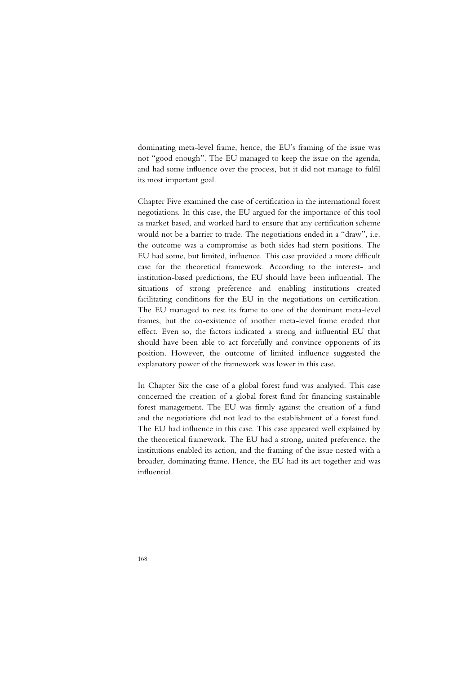dominating meta-level frame, hence, the EU's framing of the issue was not "good enough". The EU managed to keep the issue on the agenda, and had some influence over the process, but it did not manage to fulfil its most important goal.

Chapter Five examined the case of certification in the international forest negotiations. In this case, the EU argued for the importance of this tool as market based, and worked hard to ensure that any certification scheme would not be a barrier to trade. The negotiations ended in a "draw", i.e. the outcome was a compromise as both sides had stern positions. The EU had some, but limited, influence. This case provided a more difficult case for the theoretical framework. According to the interest- and institution-based predictions, the EU should have been influential. The situations of strong preference and enabling institutions created facilitating conditions for the EU in the negotiations on certification. The EU managed to nest its frame to one of the dominant meta-level frames, but the co-existence of another meta-level frame eroded that effect. Even so, the factors indicated a strong and influential EU that should have been able to act forcefully and convince opponents of its position. However, the outcome of limited influence suggested the explanatory power of the framework was lower in this case.

In Chapter Six the case of a global forest fund was analysed. This case concerned the creation of a global forest fund for financing sustainable forest management. The EU was firmly against the creation of a fund and the negotiations did not lead to the establishment of a forest fund. The EU had influence in this case. This case appeared well explained by the theoretical framework. The EU had a strong, united preference, the institutions enabled its action, and the framing of the issue nested with a broader, dominating frame. Hence, the EU had its act together and was influential.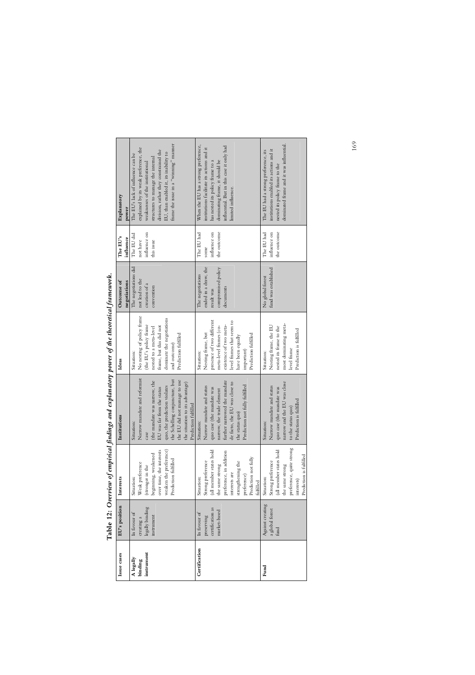|                      |                            |                               | a continual international of the production and a continual formation for the continuation of the continuation |                                          |                                         |                        |                                                                            |
|----------------------|----------------------------|-------------------------------|----------------------------------------------------------------------------------------------------------------|------------------------------------------|-----------------------------------------|------------------------|----------------------------------------------------------------------------|
| Issue cases          | EU's position              | Interests                     | Institutions                                                                                                   | Ideas                                    | Outcome of<br>negotiations              | The EU's<br>influence  | Explanatory<br>power                                                       |
| A legally<br>binding | In favour of<br>creating a | Weak preference<br>Situation: | Narrow mandate and reformist<br>Situation:                                                                     | No nesting of policy frame<br>Situation: | The negotiations did<br>not lead to the | The EU did<br>not have | explained by its weak preference, the<br>The EU's lack of influence can be |
| instrument           | legally binding            | (stronger in the              | case                                                                                                           | (the EU's policy frame                   | creation of a                           | influence on           | weaknesses of the institutional                                            |
|                      | nstrument                  | beginning, weakened           | (the mandate was narrow, the                                                                                   | nested to a meta-level                   | convention                              | this issue             | structures to manage the internal                                          |
|                      |                            | over time, the interests      | EU was far from the status                                                                                     | frame, but this did not                  |                                         |                        | division, rather they constrained the                                      |
|                      |                            | weaken the preference)        | quo, the prediction violates                                                                                   | dominate the negotiations                |                                         |                        | EU, than enabled it, its inability to                                      |
|                      |                            | Prediction fulfilled          | the Schelling conjuncture, but                                                                                 | and outcome)                             |                                         |                        | frame the issue in a "winning" manner                                      |
|                      |                            |                               | the EU did not manage to use                                                                                   | Prediction fulfilled                     |                                         |                        |                                                                            |
|                      |                            |                               | the situation to its advantage)                                                                                |                                          |                                         |                        |                                                                            |
|                      |                            |                               | Prediction fulfilled                                                                                           |                                          |                                         |                        |                                                                            |
| Certification        | In favour of               | Situation:                    | Situation:                                                                                                     | Situation:                               | The negotiations                        | The EU had             | When the EU has a strong preference,                                       |
|                      | preserving                 | Strong preference             | Narrow mandate and status                                                                                      | Nesting frame, but                       | ended in a draw, the                    | some                   | institutions facilitate its actions and it                                 |
|                      | certification as           | (all member states hold       | quo case (the mandate was                                                                                      | presence of two different                | result was                              | influence on           | has nested its policy frame to a                                           |
|                      | market-based               | the same strong               | narrow, the trade element                                                                                      | meta-level frames (co-                   | compromised policy                      | the outcome            | dominating frame, it should be                                             |
|                      |                            | preference, in addition       | further narrowed the mandate                                                                                   | existence of two meta-                   | documents                               |                        | influential. But in this case it only had                                  |
|                      |                            | interests are                 | de facto, the EU was close to                                                                                  | level frames that seem to                |                                         |                        | limited influence.                                                         |
|                      |                            | strengthening the             | the status quo)                                                                                                | have been equally                        |                                         |                        |                                                                            |
|                      |                            | preference)                   | Prediction not fully fulfilled                                                                                 | important)                               |                                         |                        |                                                                            |
|                      |                            | Prediction not fully          |                                                                                                                | Prediction fulfilled                     |                                         |                        |                                                                            |
|                      |                            | fulfilled                     |                                                                                                                |                                          |                                         |                        |                                                                            |
| Fund                 | Against creating           | Situation:                    | Situation:                                                                                                     | Situation:                               | No global forest                        | The EU had             | The EU had a strong preference, its                                        |
|                      | a global forest            | Strong preference             | Narrow mandate and status                                                                                      | Nesting frame, the EU                    | fund was established                    | influence on           | institutions enabled its actions and it                                    |
|                      | fund                       | (all member states hold       | quo case (the mandate was                                                                                      | nested its frame to the                  |                                         | the outcome            | nested its policy frame to the                                             |
|                      |                            | the same strong               | narrow and the EU was close                                                                                    | most dominating meta-                    |                                         |                        | dominated frame and it was influential.                                    |
|                      |                            | preference, quite strong      | to the status quo)                                                                                             | level frame                              |                                         |                        |                                                                            |
|                      |                            | interests)                    | Prediction is fulfilled                                                                                        | Prediction is fulfilled                  |                                         |                        |                                                                            |
|                      |                            | Prediction is fulfilled       |                                                                                                                |                                          |                                         |                        |                                                                            |

| l                                   |
|-------------------------------------|
| l                                   |
| l                                   |
|                                     |
| ١                                   |
|                                     |
| $\ddot{\phantom{a}}$                |
| l                                   |
| 5                                   |
|                                     |
|                                     |
| ļ                                   |
| $\frac{1}{2}$<br>$\frac{1}{2}$<br>l |

 $\mathsf{r}$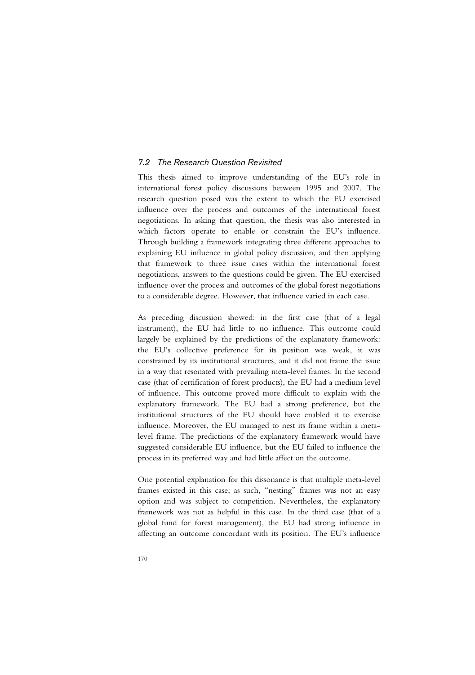# *7.2 The Research Question Revisited*

This thesis aimed to improve understanding of the EU's role in international forest policy discussions between 1995 and 2007. The research question posed was the extent to which the EU exercised influence over the process and outcomes of the international forest negotiations. In asking that question, the thesis was also interested in which factors operate to enable or constrain the EU's influence. Through building a framework integrating three different approaches to explaining EU influence in global policy discussion, and then applying that framework to three issue cases within the international forest negotiations, answers to the questions could be given. The EU exercised influence over the process and outcomes of the global forest negotiations to a considerable degree. However, that influence varied in each case.

As preceding discussion showed: in the first case (that of a legal instrument), the EU had little to no influence. This outcome could largely be explained by the predictions of the explanatory framework: the EU's collective preference for its position was weak, it was constrained by its institutional structures, and it did not frame the issue in a way that resonated with prevailing meta-level frames. In the second case (that of certification of forest products), the EU had a medium level of influence. This outcome proved more difficult to explain with the explanatory framework. The EU had a strong preference, but the institutional structures of the EU should have enabled it to exercise influence. Moreover, the EU managed to nest its frame within a metalevel frame. The predictions of the explanatory framework would have suggested considerable EU influence, but the EU failed to influence the process in its preferred way and had little affect on the outcome.

One potential explanation for this dissonance is that multiple meta-level frames existed in this case; as such, "nesting" frames was not an easy option and was subject to competition. Nevertheless, the explanatory framework was not as helpful in this case. In the third case (that of a global fund for forest management), the EU had strong influence in affecting an outcome concordant with its position. The EU's influence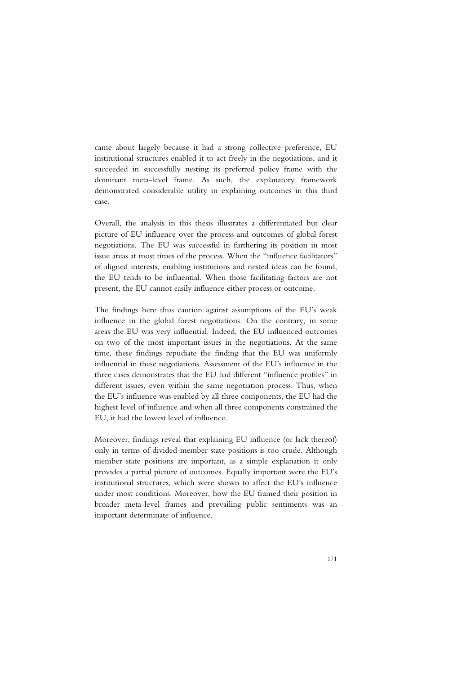came about largely because it had a strong collective preference, EU institutional structures enabled it to act freely in the negotiations, and it succeeded in successfully nesting its preferred policy frame with the dominant meta-level frame. As such, the explanatory framework demonstrated considerable utility in explaining outcomes in this third case.

Overall, the analysis in this thesis illustrates a differentiated but clear picture of EU influence over the process and outcomes of global forest negotiations. The EU was successful in furthering its position in most issue areas at most times of the process. When the "influence facilitators" of aligned interests, enabling institutions and nested ideas can be found, the EU tends to be influential. When those facilitating factors are not present, the EU cannot easily influence either process or outcome.

The findings here thus caution against assumptions of the EU's weak influence in the global forest negotiations. On the contrary, in some areas the EU was very influential. Indeed, the EU influenced outcomes on two of the most important issues in the negotiations. At the same time, these findings repudiate the finding that the EU was uniformly influential in these negotiations. Assessment of the EU's influence in the three cases demonstrates that the EU had different "influence profiles" in different issues, even within the same negotiation process. Thus, when the EU's influence was enabled by all three components, the EU had the highest level of influence and when all three components constrained the EU, it had the lowest level of influence.

Moreover, findings reveal that explaining EU influence (or lack thereof) only in terms of divided member state positions is too crude. Although member state positions are important, as a simple explanation it only provides a partial picture of outcomes. Equally important were the EU's institutional structures, which were shown to affect the EU's influence under most conditions. Moreover, how the EU framed their position in broader meta-level frames and prevailing public sentiments was an important determinate of influence.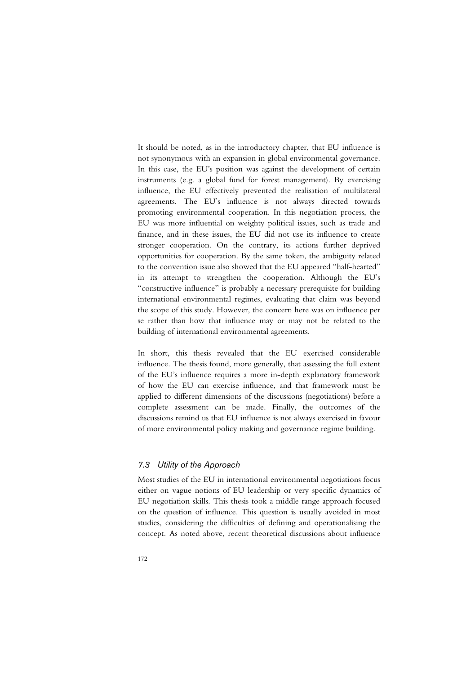It should be noted, as in the introductory chapter, that EU influence is not synonymous with an expansion in global environmental governance. In this case, the EU's position was against the development of certain instruments (e.g. a global fund for forest management). By exercising influence, the EU effectively prevented the realisation of multilateral agreements. The EU's influence is not always directed towards promoting environmental cooperation. In this negotiation process, the EU was more influential on weighty political issues, such as trade and finance, and in these issues, the EU did not use its influence to create stronger cooperation. On the contrary, its actions further deprived opportunities for cooperation. By the same token, the ambiguity related to the convention issue also showed that the EU appeared "half-hearted" in its attempt to strengthen the cooperation. Although the EU's "constructive influence" is probably a necessary prerequisite for building international environmental regimes, evaluating that claim was beyond the scope of this study. However, the concern here was on influence per se rather than how that influence may or may not be related to the building of international environmental agreements.

In short, this thesis revealed that the EU exercised considerable influence. The thesis found, more generally, that assessing the full extent of the EU's influence requires a more in-depth explanatory framework of how the EU can exercise influence, and that framework must be applied to different dimensions of the discussions (negotiations) before a complete assessment can be made. Finally, the outcomes of the discussions remind us that EU influence is not always exercised in favour of more environmental policy making and governance regime building.

# *7.3 Utility of the Approach*

Most studies of the EU in international environmental negotiations focus either on vague notions of EU leadership or very specific dynamics of EU negotiation skills. This thesis took a middle range approach focused on the question of influence. This question is usually avoided in most studies, considering the difficulties of defining and operationalising the concept. As noted above, recent theoretical discussions about influence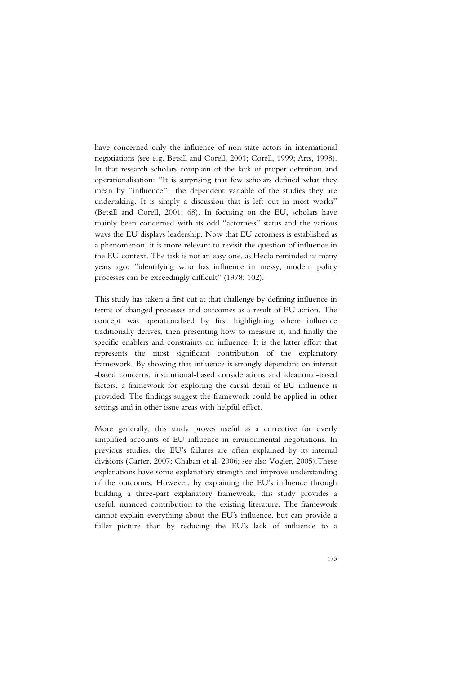have concerned only the influence of non-state actors in international negotiations (see e.g. Betsill and Corell, 2001; Corell, 1999; Arts, 1998). In that research scholars complain of the lack of proper definition and operationalisation: "It is surprising that few scholars defined what they mean by "influence"—the dependent variable of the studies they are undertaking. It is simply a discussion that is left out in most works" (Betsill and Corell, 2001: 68). In focusing on the EU, scholars have mainly been concerned with its odd "actorness" status and the various ways the EU displays leadership. Now that EU actorness is established as a phenomenon, it is more relevant to revisit the question of influence in the EU context. The task is not an easy one, as Heclo reminded us many years ago: "identifying who has influence in messy, modern policy processes can be exceedingly difficult" (1978: 102).

This study has taken a first cut at that challenge by defining influence in terms of changed processes and outcomes as a result of EU action. The concept was operationalised by first highlighting where influence traditionally derives, then presenting how to measure it, and finally the specific enablers and constraints on influence. It is the latter effort that represents the most significant contribution of the explanatory framework. By showing that influence is strongly dependant on interest -based concerns, institutional-based considerations and ideational-based factors, a framework for exploring the causal detail of EU influence is provided. The findings suggest the framework could be applied in other settings and in other issue areas with helpful effect.

More generally, this study proves useful as a corrective for overly simplified accounts of EU influence in environmental negotiations. In previous studies, the EU's failures are often explained by its internal divisions (Carter, 2007; Chaban et al. 2006; see also Vogler, 2005).These explanations have some explanatory strength and improve understanding of the outcomes. However, by explaining the EU's influence through building a three-part explanatory framework, this study provides a useful, nuanced contribution to the existing literature. The framework cannot explain everything about the EU's influence, but can provide a fuller picture than by reducing the EU's lack of influence to a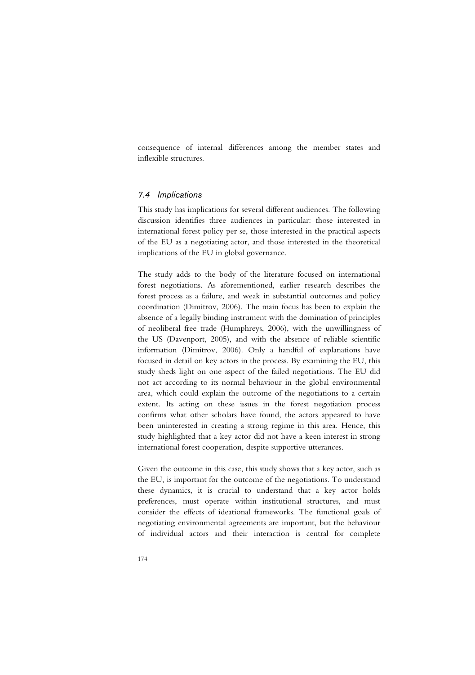consequence of internal differences among the member states and inflexible structures.

# *7.4 Implications*

This study has implications for several different audiences. The following discussion identifies three audiences in particular: those interested in international forest policy per se, those interested in the practical aspects of the EU as a negotiating actor, and those interested in the theoretical implications of the EU in global governance.

The study adds to the body of the literature focused on international forest negotiations. As aforementioned, earlier research describes the forest process as a failure, and weak in substantial outcomes and policy coordination (Dimitrov, 2006). The main focus has been to explain the absence of a legally binding instrument with the domination of principles of neoliberal free trade (Humphreys, 2006), with the unwillingness of the US (Davenport, 2005), and with the absence of reliable scientific information (Dimitrov, 2006). Only a handful of explanations have focused in detail on key actors in the process. By examining the EU, this study sheds light on one aspect of the failed negotiations. The EU did not act according to its normal behaviour in the global environmental area, which could explain the outcome of the negotiations to a certain extent. Its acting on these issues in the forest negotiation process confirms what other scholars have found, the actors appeared to have been uninterested in creating a strong regime in this area. Hence, this study highlighted that a key actor did not have a keen interest in strong international forest cooperation, despite supportive utterances.

Given the outcome in this case, this study shows that a key actor, such as the EU, is important for the outcome of the negotiations. To understand these dynamics, it is crucial to understand that a key actor holds preferences, must operate within institutional structures, and must consider the effects of ideational frameworks. The functional goals of negotiating environmental agreements are important, but the behaviour of individual actors and their interaction is central for complete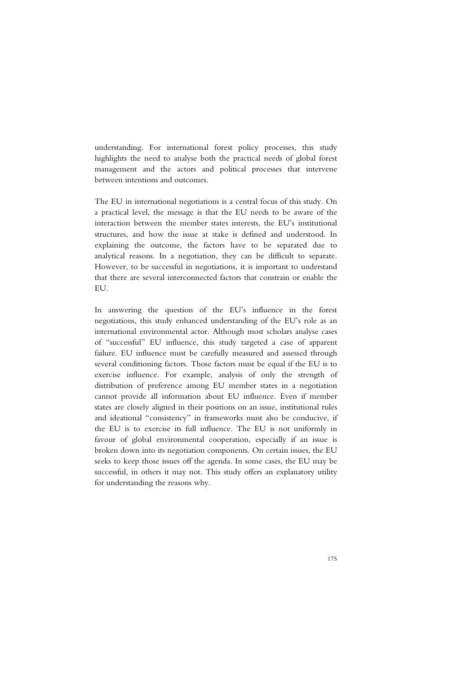understanding. For international forest policy processes, this study highlights the need to analyse both the practical needs of global forest management and the actors and political processes that intervene between intentions and outcomes.

The EU in international negotiations is a central focus of this study. On a practical level, the message is that the EU needs to be aware of the interaction between the member states interests, the EU's institutional structures, and how the issue at stake is defined and understood. In explaining the outcome, the factors have to be separated due to analytical reasons. In a negotiation, they can be difficult to separate. However, to be successful in negotiations, it is important to understand that there are several interconnected factors that constrain or enable the EU.

In answering the question of the EU's influence in the forest negotiations, this study enhanced understanding of the EU's role as an international environmental actor. Although most scholars analyse cases of "successful" EU influence, this study targeted a case of apparent failure. EU influence must be carefully measured and assessed through several conditioning factors. Those factors must be equal if the EU is to exercise influence. For example, analysis of only the strength of distribution of preference among EU member states in a negotiation cannot provide all information about EU influence. Even if member states are closely aligned in their positions on an issue, institutional rules and ideational "consistency" in frameworks must also be conducive, if the EU is to exercise its full influence. The EU is not uniformly in favour of global environmental cooperation, especially if an issue is broken down into its negotiation components. On certain issues, the EU seeks to keep those issues off the agenda. In some cases, the EU may be successful, in others it may not. This study offers an explanatory utility for understanding the reasons why.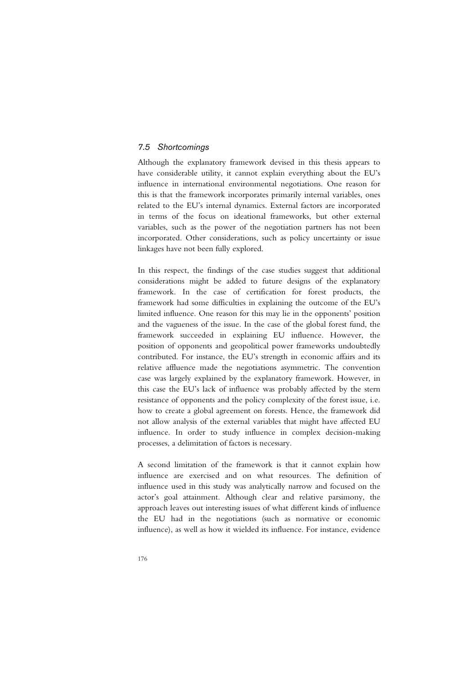# *7.5 Shortcomings*

Although the explanatory framework devised in this thesis appears to have considerable utility, it cannot explain everything about the EU's influence in international environmental negotiations. One reason for this is that the framework incorporates primarily internal variables, ones related to the EU's internal dynamics. External factors are incorporated in terms of the focus on ideational frameworks, but other external variables, such as the power of the negotiation partners has not been incorporated. Other considerations, such as policy uncertainty or issue linkages have not been fully explored.

In this respect, the findings of the case studies suggest that additional considerations might be added to future designs of the explanatory framework. In the case of certification for forest products, the framework had some difficulties in explaining the outcome of the EU's limited influence. One reason for this may lie in the opponents' position and the vagueness of the issue. In the case of the global forest fund, the framework succeeded in explaining EU influence. However, the position of opponents and geopolitical power frameworks undoubtedly contributed. For instance, the EU's strength in economic affairs and its relative affluence made the negotiations asymmetric. The convention case was largely explained by the explanatory framework. However, in this case the EU's lack of influence was probably affected by the stern resistance of opponents and the policy complexity of the forest issue, i.e. how to create a global agreement on forests. Hence, the framework did not allow analysis of the external variables that might have affected EU influence. In order to study influence in complex decision-making processes, a delimitation of factors is necessary.

A second limitation of the framework is that it cannot explain how influence are exercised and on what resources. The definition of influence used in this study was analytically narrow and focused on the actor's goal attainment. Although clear and relative parsimony, the approach leaves out interesting issues of what different kinds of influence the EU had in the negotiations (such as normative or economic influence), as well as how it wielded its influence. For instance, evidence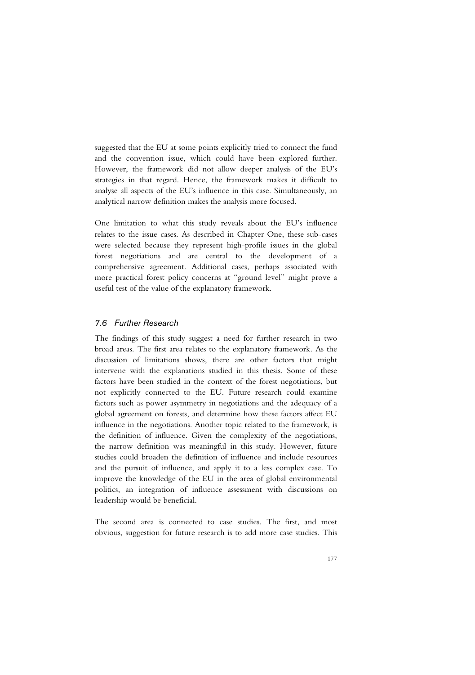suggested that the EU at some points explicitly tried to connect the fund and the convention issue, which could have been explored further. However, the framework did not allow deeper analysis of the EU's strategies in that regard. Hence, the framework makes it difficult to analyse all aspects of the EU's influence in this case. Simultaneously, an analytical narrow definition makes the analysis more focused.

One limitation to what this study reveals about the EU's influence relates to the issue cases. As described in Chapter One, these sub-cases were selected because they represent high-profile issues in the global forest negotiations and are central to the development of a comprehensive agreement. Additional cases, perhaps associated with more practical forest policy concerns at "ground level" might prove a useful test of the value of the explanatory framework.

# *7.6 Further Research*

The findings of this study suggest a need for further research in two broad areas. The first area relates to the explanatory framework. As the discussion of limitations shows, there are other factors that might intervene with the explanations studied in this thesis. Some of these factors have been studied in the context of the forest negotiations, but not explicitly connected to the EU. Future research could examine factors such as power asymmetry in negotiations and the adequacy of a global agreement on forests, and determine how these factors affect EU influence in the negotiations. Another topic related to the framework, is the definition of influence. Given the complexity of the negotiations, the narrow definition was meaningful in this study. However, future studies could broaden the definition of influence and include resources and the pursuit of influence, and apply it to a less complex case. To improve the knowledge of the EU in the area of global environmental politics, an integration of influence assessment with discussions on leadership would be beneficial.

The second area is connected to case studies. The first, and most obvious, suggestion for future research is to add more case studies. This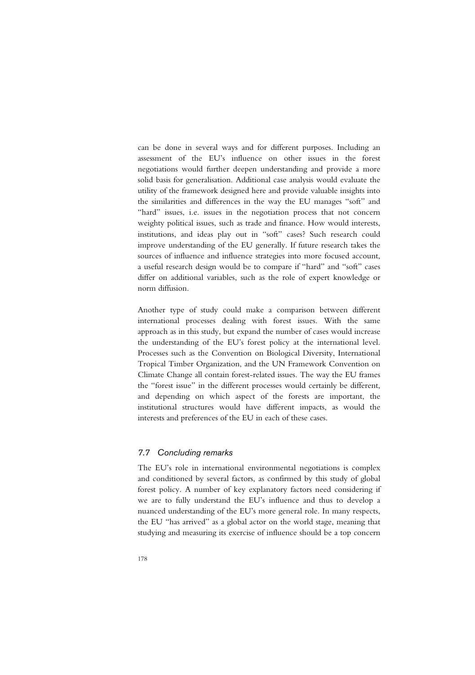can be done in several ways and for different purposes. Including an assessment of the EU's influence on other issues in the forest negotiations would further deepen understanding and provide a more solid basis for generalisation. Additional case analysis would evaluate the utility of the framework designed here and provide valuable insights into the similarities and differences in the way the EU manages "soft" and "hard" issues, i.e. issues in the negotiation process that not concern weighty political issues, such as trade and finance. How would interests, institutions, and ideas play out in "soft" cases? Such research could improve understanding of the EU generally. If future research takes the sources of influence and influence strategies into more focused account, a useful research design would be to compare if "hard" and "soft" cases differ on additional variables, such as the role of expert knowledge or norm diffusion.

Another type of study could make a comparison between different international processes dealing with forest issues. With the same approach as in this study, but expand the number of cases would increase the understanding of the EU's forest policy at the international level. Processes such as the Convention on Biological Diversity, International Tropical Timber Organization, and the UN Framework Convention on Climate Change all contain forest-related issues. The way the EU frames the "forest issue" in the different processes would certainly be different, and depending on which aspect of the forests are important, the institutional structures would have different impacts, as would the interests and preferences of the EU in each of these cases.

### *7.7 Concluding remarks*

The EU's role in international environmental negotiations is complex and conditioned by several factors, as confirmed by this study of global forest policy. A number of key explanatory factors need considering if we are to fully understand the EU's influence and thus to develop a nuanced understanding of the EU's more general role. In many respects, the EU "has arrived" as a global actor on the world stage, meaning that studying and measuring its exercise of influence should be a top concern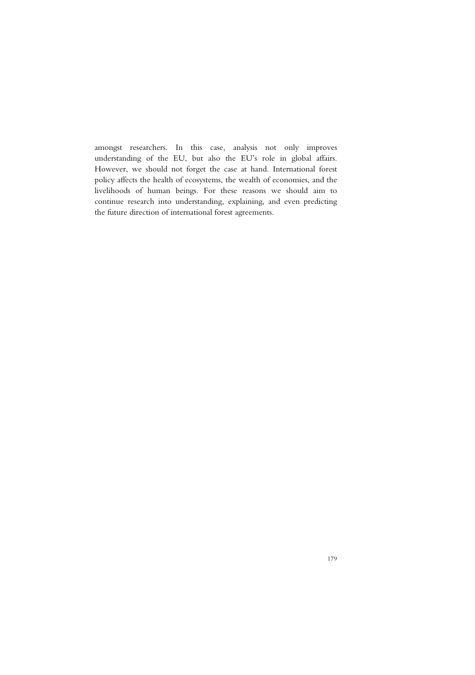amongst researchers. In this case, analysis not only improves understanding of the EU, but also the EU's role in global affairs. However, we should not forget the case at hand. International forest policy affects the health of ecosystems, the wealth of economies, and the livelihoods of human beings. For these reasons we should aim to continue research into understanding, explaining, and even predicting the future direction of international forest agreements.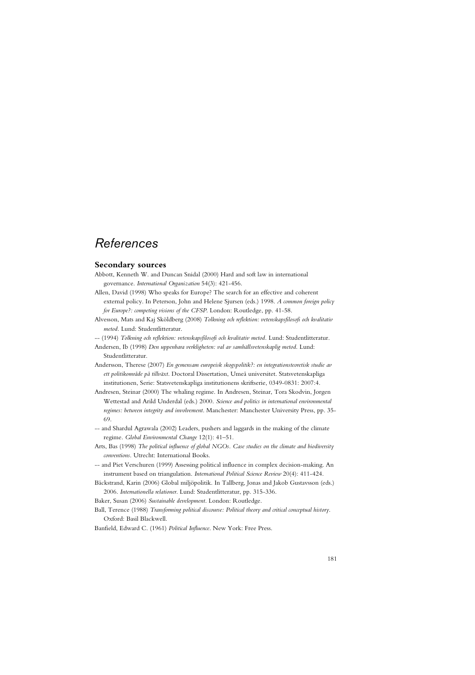# *References*

### **Secondary sources**

- Abbott, Kenneth W. and Duncan Snidal (2000) Hard and soft law in international governance. *International Organization* 54(3): 421-456.
- Allen, David (1998) Who speaks for Europe? The search for an effective and coherent external policy. In Peterson, John and Helene Sjursen (eds.) 1998. *A common foreign policy for Europe?: competing visions of the CFSP*. London: Routledge, pp. 41-58.
- Alvesson, Mats and Kaj Sköldberg (2008) *Tolkning och reflektion: vetenskapsfilosofi och kvalitativ metod*. Lund: Studentlitteratur.

-- (1994) *Tolkning och reflektion: vetenskapsfilosofi och kvalitativ metod.* Lund: Studentlitteratur.

- Andersen, Ib (1998) *Den uppenbara verkligheten: val av samhällsvetenskaplig metod*. Lund: Studentlitteratur.
- Andersson, Therese (2007) *En gemensam europeisk skogspolitik?: en integrationsteoretisk studie av ett politikområde på tillväxt*. Doctoral Dissertation, Umeå universitet. Statsvetenskapliga institutionen, Serie: Statsvetenskapliga institutionens skriftserie, 0349-0831: 2007:4.
- Andresen, Steinar (2000) The whaling regime. In Andresen, Steinar, Tora Skodvin, Jorgen Wettestad and Arild Underdal (eds.) 2000. *Science and politics in international environmental regimes: between integrity and involvement*. Manchester: Manchester University Press, pp. 35- 69.
- -- and Shardul Agrawala (2002) Leaders, pushers and laggards in the making of the climate regime. *Global Environmental Change* 12(1): 41–51.
- Arts, Bas (1998) *The political influence of global NGOs. Case studies on the climate and biodiversity conventions*. Utrecht: International Books.
- -- and Piet Verschuren (1999) Assessing political influence in complex decision-making. An instrument based on triangulation. *International Political Science Review* 20(4): 411-424.
- Bäckstrand, Karin (2006) Global miljöpolitik. In Tallberg, Jonas and Jakob Gustavsson (eds.) 2006. *Internationella relationer*. Lund: Studentlitteratur, pp. 315-336.
- Baker, Susan (2006) *Sustainable development*. London: Routledge.
- Ball, Terence (1988) *Transforming political discourse: Political theory and critical conceptual history*. Oxford: Basil Blackwell.
- Banfield, Edward C. (1961) *Political Influence*. New York: Free Press.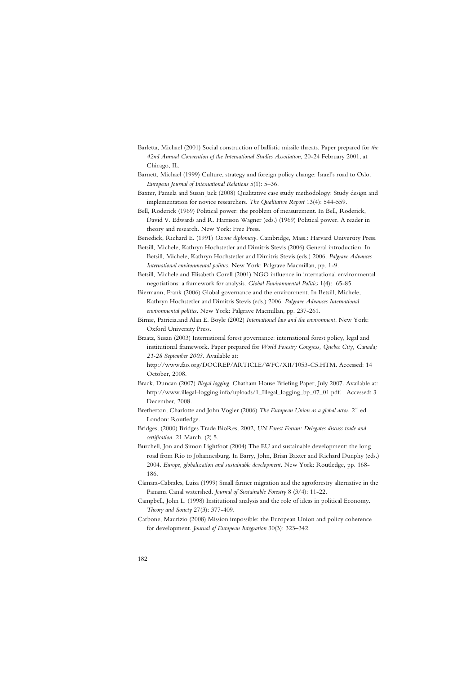- Barletta, Michael (2001) Social construction of ballistic missile threats. Paper prepared for *the 42nd Annual Convention of the International Studies Association*, 20-24 February 2001, at Chicago, IL.
- Barnett, Michael (1999) Culture, strategy and foreign policy change: Israel's road to Oslo. *European Journal of International Relations* 5(1): 5–36.
- Baxter, Pamela and Susan Jack (2008) Qualitative case study methodology: Study design and implementation for novice researchers. *The Qualitative Report* 13(4): 544-559.
- Bell, Roderick (1969) Political power: the problem of measurement. In Bell, Roderick, David V. Edwards and R. Harrison Wagner (eds.) (1969) Political power. A reader in theory and research. New York: Free Press.

Benedick, Richard E. (1991) *Ozone diplomacy.* Cambridge, Mass.: Harvard University Press.

Betsill, Michele, Kathryn Hochstetler and Dimitris Stevis (2006) General introduction. In Betsill, Michele, Kathryn Hochstetler and Dimitris Stevis (eds.) 2006. *Palgrave Advances International environmental politics*. New York: Palgrave Macmillan, pp. 1-9.

Betsill, Michele and Elisabeth Corell (2001) NGO influence in international environmental negotiations: a framework for analysis. *Global Environmental Politics* 1(4): 65-85.

Biermann, Frank (2006) Global governance and the environment. In Betsill, Michele, Kathryn Hochstetler and Dimitris Stevis (eds.) 2006. *Palgrave Advances International environmental politics*. New York: Palgrave Macmillan, pp. 237-261.

Birnie, Patricia.and Alan E. Boyle (2002) *International law and the environment*. New York: Oxford University Press.

Braatz, Susan (2003) International forest governance: international forest policy, legal and institutional framework. Paper prepared for *World Forestry Congress, Quebec City, Canada; 21-28 September 2003*. Available at:

http://www.fao.org/DOCREP/ARTICLE/WFC/XII/1053-C5.HTM. Accessed: 14 October, 2008.

- Brack, Duncan (2007) *Illegal logging*. Chatham House Briefing Paper, July 2007. Available at: http://www.illegal-logging.info/uploads/1\_Illegal\_logging\_bp\_07\_01.pdf. Accessed: 3 December, 2008.
- Bretherton, Charlotte and John Vogler (2006) *The European Union as a global actor*. 2<sup>nd</sup> ed. London: Routledge.
- Bridges, (2000) Bridges Trade BioRes, 2002, *UN Forest Forum: Delegates discuss trade and certification*. 21 March, (2) 5.
- Burchell, Jon and Simon Lightfoot (2004) The EU and sustainable development: the long road from Rio to Johannesburg. In Barry, John, Brian Baxter and Richard Dunphy (eds.) 2004. *Europe, globalization and sustainable development*. New York: Routledge, pp. 168- 186.
- Cámara-Cabrales, Luisa (1999) Small farmer migration and the agroforestry alternative in the Panama Canal watershed. *Journal of Sustainable Forestry* 8 (3/4): 11-22.
- Campbell, John L. (1998) Institutional analysis and the role of ideas in political Economy. *Theory and Society* 27(3): 377-409.
- Carbone, Maurizio (2008) Mission impossible: the European Union and policy coherence for development. *Journal of European Integration* 30(3): 323–342.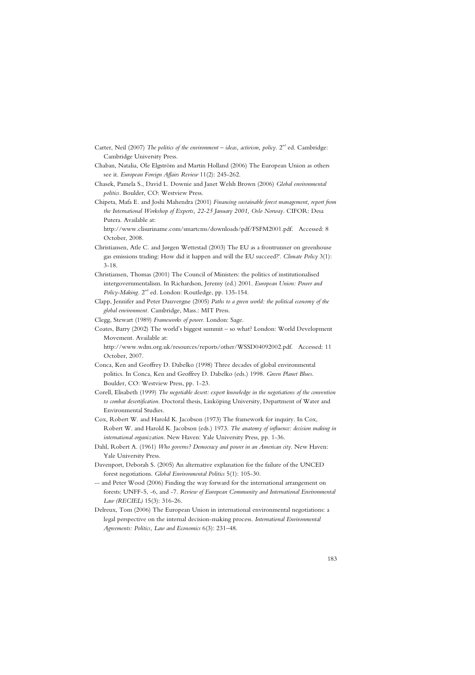- Carter, Neil (2007) *The politics of the environment* ideas, activism, policy.  $2<sup>nd</sup>$  ed. Cambridge: Cambridge University Press.
- Chaban, Natalia, Ole Elgström and Martin Holland (2006) The European Union as others see it. *European Foreign Affairs Review* 11(2): 245-262.
- Chasek, Pamela S., David L. Downie and Janet Welsh Brown (2006) *Global environmental politics.* Boulder, CO: Westview Press.
- Chipeta, Mafa E. and Joshi Mahendra (2001) *Financing sustainable forest management, report from the International Workshop of Experts, 22-25 January 2001, Oslo Norway*. CIFOR: Desa Putera. Available at:

http://www.clisuriname.com/smartcms/downloads/pdf/FSFM2001.pdf. Accessed: 8 October, 2008.

- Christiansen, Atle C. and Jørgen Wettestad (2003) The EU as a frontrunner on greenhouse gas emissions trading: How did it happen and will the EU succeed?'. *Climate Policy* 3(1): 3-18.
- Christiansen, Thomas (2001) The Council of Ministers: the politics of institutionalised intergovernmentalism. In Richardson, Jeremy (ed.) 2001. *European Union: Power and*  Policy-Making. 2<sup>nd</sup> ed. London: Routledge, pp. 135-154.

Clapp, Jennifer and Peter Dauvergne (2005) *Paths to a green world: the political economy of the global environment.* Cambridge, Mass.: MIT Press.

Clegg, Stewart (1989) *Frameworks of power.* London: Sage.

Coates, Barry (2002) The world's biggest summit – so what? London: World Development Movement. Available at:

http://www.wdm.org.uk/resources/reports/other/WSSD04092002.pdf. Accessed: 11 October, 2007.

- Conca, Ken and Geoffrey D. Dabelko (1998) Three decades of global environmental politics. In Conca, Ken and Geoffrey D. Dabelko (eds.) 1998. *Green Planet Blues*. Boulder, CO: Westview Press, pp. 1-23.
- Corell, Elisabeth (1999) *The negotiable desert: expert knowledge in the negotiations of the convention to combat desertification*. Doctoral thesis, Linköping University, Department of Water and Environmental Studies.
- Cox, Robert W. and Harold K. Jacobson (1973) The framework for inquiry. In Cox, Robert W. and Harold K. Jacobson (eds.) 1973. *The anatomy of influence: decision making in international organization*. New Haven: Yale University Press, pp. 1-36.
- Dahl, Robert A. (1961) *Who governs? Democracy and power in an American city*. New Haven: Yale University Press.
- Davenport, Deborah S. (2005) An alternative explanation for the failure of the UNCED forest negotiations. *Global Environmental Politics* 5(1): 105-30.
- -- and Peter Wood (2006) Finding the way forward for the international arrangement on forests: UNFF-5, -6, and -7. *Review of European Community and International Environmental Law (RECIEL)* 15(3): 316-26.
- Delreux, Tom (2006) The European Union in international environmental negotiations: a legal perspective on the internal decision-making process. *International Environmental Agreements: Politics, Law and Economics* 6(3): 231–48.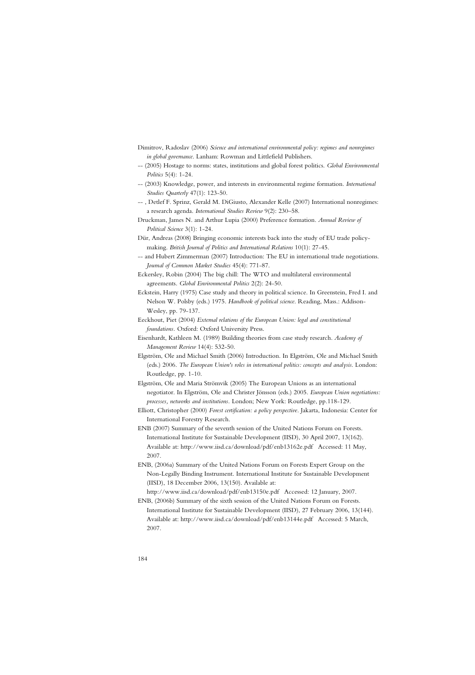- Dimitrov, Radoslav (2006) *Science and international environmental policy: regimes and nonregimes in global governance*. Lanham: Rowman and Littlefield Publishers.
- -- (2005) Hostage to norms: states, institutions and global forest politics. *Global Environmental Politics* 5(4): 1-24.
- -- (2003) Knowledge, power, and interests in environmental regime formation. *International Studies Quarterly* 47(1): 123-50.
- -- , Detlef F. Sprinz, Gerald M. DiGiusto, Alexander Kelle (2007) International nonregimes: a research agenda. *International Studies Review* 9(2): 230–58.
- Druckman, James N. and Arthur Lupia (2000) Preference formation. *Annual Review of Political Science* 3(1): 1-24.
- Dür, Andreas (2008) Bringing economic interests back into the study of EU trade policymaking. *British Journal of Politics and International Relations* 10(1): 27-45.
- -- and Hubert Zimmerman (2007) Introduction: The EU in international trade negotiations. *Journal of Common Market Studies* 45(4): 771-87.
- Eckersley, Robin (2004) The big chill: The WTO and multilateral environmental agreements. *Global Environmental Politics* 2(2): 24-50.
- Eckstein, Harry (1975) Case study and theory in political science. In Greenstein, Fred I. and Nelson W. Polsby (eds.) 1975. *Handbook of political science*. Reading, Mass.: Addison-Wesley, pp. 79-137.
- Eeckhout, Piet (2004) *External relations of the European Union: legal and constitutional foundations.* Oxford: Oxford University Press.
- Eisenhardt, Kathleen M. (1989) Building theories from case study research. *Academy of Management Review* 14(4): 532-50.
- Elgström, Ole and Michael Smith (2006) Introduction. In Elgström, Ole and Michael Smith (eds.) 2006. *The European Union's roles in international politics: concepts and analysis*. London: Routledge, pp. 1-10.
- Elgström, Ole and Maria Strömvik (2005) The European Unions as an international negotiator. In Elgström, Ole and Christer Jönsson (eds.) 2005. *European Union negotiations: processes, networks and institutions.* London; New York: Routledge, pp.118-129.
- Elliott, Christopher (2000) *Forest certification: a policy perspective*. Jakarta, Indonesia: Center for International Forestry Research.
- ENB (2007) Summary of the seventh session of the United Nations Forum on Forests. International Institute for Sustainable Development (IISD), 30 April 2007, 13(162). Available at: http://www.iisd.ca/download/pdf/enb13162e.pdf Accessed: 11 May, 2007.
- ENB, (2006a) Summary of the United Nations Forum on Forests Expert Group on the Non-Legally Binding Instrument. International Institute for Sustainable Development (IISD), 18 December 2006, 13(150). Available at:

http://www.iisd.ca/download/pdf/enb13150e.pdf Accessed: 12 January, 2007.

ENB, (2006b) Summary of the sixth session of the United Nations Forum on Forests. International Institute for Sustainable Development (IISD), 27 February 2006, 13(144). Available at: http://www.iisd.ca/download/pdf/enb13144e.pdf Accessed: 5 March, 2007.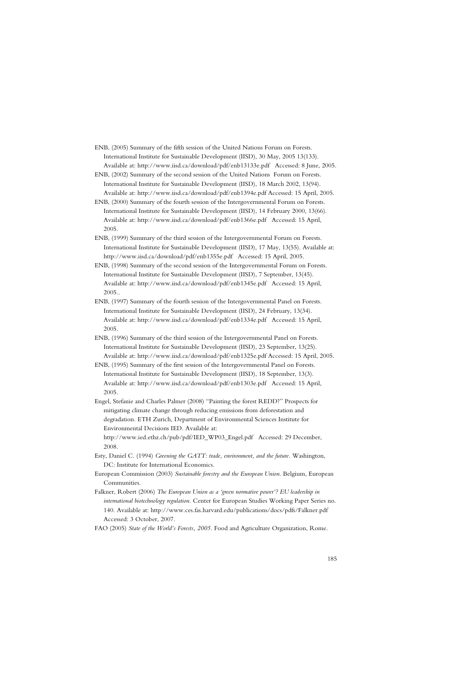ENB, (2005) Summary of the fifth session of the United Nations Forum on Forests. International Institute for Sustainable Development (IISD), 30 May, 2005 13(133). Available at: http://www.iisd.ca/download/pdf/enb13133e.pdf Accessed: 8 June, 2005.

- ENB, (2002) Summary of the second session of the United Nations Forum on Forests. International Institute for Sustainable Development (IISD), 18 March 2002, 13(94). Available at: http://www.iisd.ca/download/pdf/enb1394e.pdf Accessed: 15 April, 2005.
- ENB, (2000) Summary of the fourth session of the Intergovernmental Forum on Forests. International Institute for Sustainable Development (IISD), 14 February 2000, 13(66). Available at: http://www.iisd.ca/download/pdf/enb1366e.pdf Accessed: 15 April, 2005.
- ENB, (1999) Summary of the third session of the Intergovernmental Forum on Forests. International Institute for Sustainable Development (IISD), 17 May, 13(55). Available at: http://www.iisd.ca/download/pdf/enb1355e.pdf Accessed: 15 April, 2005.
- ENB, (1998) Summary of the second session of the Intergovernmental Forum on Forests. International Institute for Sustainable Development (IISD), 7 September, 13(45). Available at: http://www.iisd.ca/download/pdf/enb1345e.pdf Accessed: 15 April, 2005..
- ENB, (1997) Summary of the fourth session of the Intergovernmental Panel on Forests. International Institute for Sustainable Development (IISD), 24 February, 13(34). Available at: http://www.iisd.ca/download/pdf/enb1334e.pdf Accessed: 15 April, 2005.
- ENB, (1996) Summary of the third session of the Intergovernmental Panel on Forests. International Institute for Sustainable Development (IISD), 23 September, 13(25). Available at: http://www.iisd.ca/download/pdf/enb1325e.pdf Accessed: 15 April, 2005.
- ENB, (1995) Summary of the first session of the Intergovernmental Panel on Forests. International Institute for Sustainable Development (IISD), 18 September, 13(3). Available at: http://www.iisd.ca/download/pdf/enb1303e.pdf Accessed: 15 April, 2005.
- Engel, Stefanie and Charles Palmer (2008) "Painting the forest REDD?" Prospects for mitigating climate change through reducing emissions from deforestation and degradation. ETH Zurich, Department of Environmental Sciences Institute for Environmental Decisions IED. Available at:
	- http://www.ied.ethz.ch/pub/pdf/IED\_WP03\_Engel.pdf Accessed: 29 December, 2008.
- Esty, Daniel C. (1994) *Greening the GATT: trade, environment, and the future.* Washington, DC: Institute for International Economics.
- European Commission (2003) *Sustainable forestry and the European Union*. Belgium, European Communities.
- Falkner, Robert (2006) *The European Union as a 'green normative power'? EU leadership in international biotechnology regulation*. Center for European Studies Working Paper Series no. 140. Available at: http://www.ces.fas.harvard.edu/publications/docs/pdfs/Falkner.pdf Accessed: 3 October, 2007.
- FAO (2005) *State of the World's Forests, 2005.* Food and Agriculture Organization, Rome.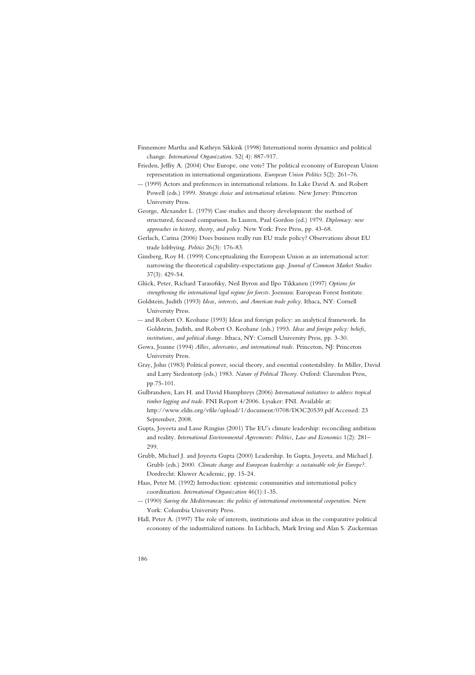- Finnemore Martha and Kathryn Sikkink (1998) International norm dynamics and political change. *International Organization.* 52( 4): 887-917.
- Frieden, Jeffry A. (2004) One Europe, one vote? The political economy of European Union representation in international organizations. *European Union Politics* 5(2): 261–76.
- -- (1999) Actors and preferences in international relations. In Lake David A. and Robert Powell (eds.) 1999. *Strategic choice and international relations.* New Jersey: Princeton University Press.
- George, Alexander L. (1979) Case studies and theory development: the method of structured, focused comparison. In Lauren, Paul Gordon (ed.) 1979. *Diplomacy: new approaches in history, theory, and policy*. New York: Free Press, pp. 43-68.

Gerlach, Carina (2006) Does business really run EU trade policy? Observations about EU trade lobbying. *Politics* 26(3): 176-83.

Ginsberg, Roy H. (1999) Conceptualizing the European Union as an international actor: narrowing the theoretical capability-expectations gap. *Journal of Common Market Studies* 37(3): 429-54.

Glück, Peter, Richard Tarasofsky, Neil Byron and Ilpo Tikkanen (1997) *Options for strengthening the international legal regime for forests*. Joensuu: European Forest Institute.

- Goldstein, Judith (1993) *Ideas, interests, and American trade policy*. Ithaca, NY: Cornell University Press.
- -- and Robert O. Keohane (1993) Ideas and foreign policy: an analytical framework. In Goldstein, Judith, and Robert O. Keohane (eds.) 1993. *Ideas and foreign policy: beliefs, institutions, and political change.* Ithaca, NY: Cornell University Press, pp. 3-30.
- Gowa, Joanne (1994) *Allies, adversaries, and international trade.* Princeton, NJ: Princeton University Press.
- Gray, John (1983) Political power, social theory, and essential contestability. In Miller, David and Larry Siedentorp (eds.) 1983. *Nature of Political Theory*. Oxford: Clarendon Press, pp.75-101.
- Gulbrandsen, Lars H. and David Humphreys (2006) *International initiatives to address tropical timber logging and trade*. FNI Report 4/2006. Lysaker: FNI. Available at: http://www.eldis.org/vfile/upload/1/document/0708/DOC20539.pdf Accessed: 23 September, 2008.
- Gupta, Joyeeta and Lasse Ringius (2001) The EU's climate leadership: reconciling ambition and reality. *International Environmental Agreements: Politics, Law and Economics* 1(2): 281– 299.
- Grubb, Michael J. and Joyeeta Gupta (2000) Leadership. In Gupta, Joyeeta, and Michael J. Grubb (eds.) 2000. *Climate change and European leadership: a sustainable role for Europe?*. Dordrecht: Kluwer Academic, pp. 15-24.
- Haas, Peter M. (1992) Introduction: epistemic communities and international policy coordination. *International Organization* 46(1):1-35.
- -- (1990) *Saving the Mediterranean: the politics of international environmental cooperation.* New York: Columbia University Press.
- Hall, Peter A. (1997) The role of interests, institutions and ideas in the comparative political economy of the industrialized nations. In Lichbach, Mark Irving and Alan S. Zuckerman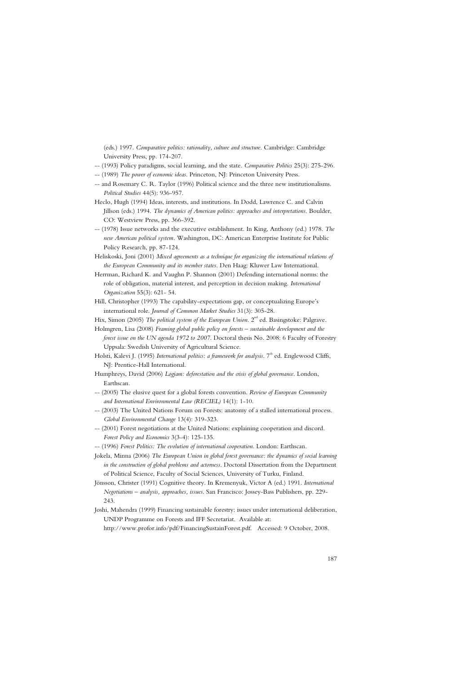(eds.) 1997. *Comparative politics: rationality, culture and structure*. Cambridge: Cambridge University Press, pp. 174-207.

- -- (1993) Policy paradigms, social learning, and the state. *Comparative Politics* 25(3): 275-296.
- -- (1989) *The power of economic ideas*. Princeton, NJ: Princeton University Press.
- -- and Rosemary C. R. Taylor (1996) Political science and the three new institutionalisms. *Political Studies* 44(5): 936-957.
- Heclo, Hugh (1994) Ideas, interests, and institutions. In Dodd, Lawrence C. and Calvin Jillson (eds.) 1994. *The dynamics of American politics: approaches and interpretations*. Boulder, CO: Westview Press, pp. 366-392.
- -- (1978) Issue networks and the executive establishment. In King, Anthony (ed.) 1978. *The new American political system.* Washington, DC: American Enterprise Institute for Public Policy Research, pp. 87-124.
- Heliskoski, Joni (2001) *Mixed agreements as a technique for organizing the international relations of the European Community and its member states*. Den Haag: Kluwer Law International.
- Herrman, Richard K. and Vaughn P. Shannon (2001) Defending international norms: the role of obligation, material interest, and perception in decision making. *International Organization* 55(3): 621- 54.
- Hill, Christopher (1993) The capability-expectations gap, or conceptualizing Europe's international role. *Journal of Common Market Studies* 31(3): 305-28.
- Hix, Simon (2005) *The political system of the European Union*. 2<sup>nd</sup> ed. Basingstoke: Palgrave.
- Holmgren, Lisa (2008) *Framing global public policy on forests sustainable development and the forest issue on the UN agenda 1972 to 2007*. Doctoral thesis No. 2008: 6 Faculty of Forestry Uppsala: Swedish University of Agricultural Science.
- Holsti, Kalevi J. (1995) *International politics: a framework for analysis*. 7<sup>th</sup> ed. Englewood Cliffs, NJ: Prentice-Hall International.
- Humphreys, David (2006) *Logjam: deforestation and the crisis of global governance*. London, Earthscan.
- -- (2005) The elusive quest for a global forests convention. *Review of European Community and International Environmental Law (RECIEL)* 14(1): 1-10.
- -- (2003) The United Nations Forum on Forests: anatomy of a stalled international process. *Global Environmental Change* 13(4): 319-323.
- -- (2001) Forest negotiations at the United Nations: explaining cooperation and discord. *Forest Policy and Economics* 3(3-4): 125-135.
- -- (1996) *Forest Politics: The evolution of international cooperation.* London: Earthscan.
- Jokela, Minna (2006) *The European Union in global forest governance: the dynamics of social learning in the construction of global problems and actorness*. Doctoral Dissertation from the Department of Political Science, Faculty of Social Sciences, University of Turku, Finland.
- Jönsson, Christer (1991) Cognitive theory. In Kremenyuk, Victor A (ed.) 1991. *International Negotiations – analysis, approaches, issues*. San Francisco: Jossey-Bass Publishers, pp. 229- 243.
- Joshi, Mahendra (1999) Financing sustainable forestry: issues under international deliberation, UNDP Programme on Forests and IFF Secretariat. Available at:

http://www.profor.info/pdf/FinancingSustainForest.pdf. Accessed: 9 October, 2008.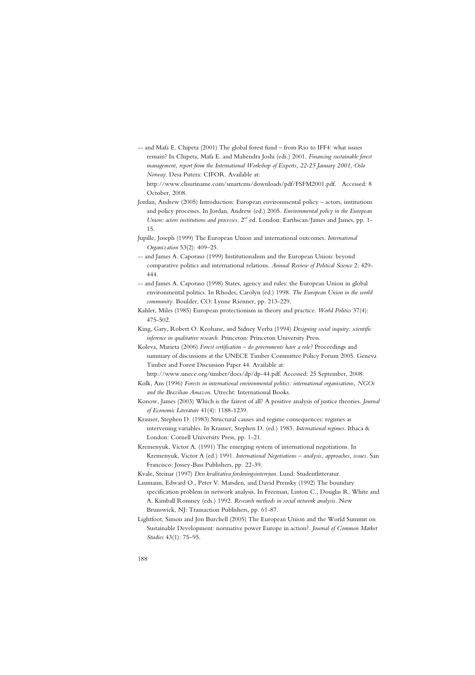-- and Mafa E. Chipeta (2001) The global forest fund – from Rio to IFF4: what issues remain? In Chipeta, Mafa E. and Mahendra Joshi (eds.) 2001. *Financing sustainable forest management, report from the International Workshop of Experts, 22-25 January 2001, Oslo Norway*. Desa Putera: CIFOR. Available at:

http://www.clisuriname.com/smartcms/downloads/pdf/FSFM2001.pdf. Accessed: 8 October, 2008.

- Jordan, Andrew (2005) Introduction: European environmental policy actors, institutions and policy processes. In Jordan, Andrew (ed.) 2005. *Environmental policy in the European Union: actors institutions and processes*. 2<sup>nd</sup> ed. London: Earthscan/James and James, pp. 1-15.
- Jupille, Joseph (1999) The European Union and international outcomes. *International Organization* 53(2): 409–25.
- -- and James A. Caporaso (1999) Institutionalism and the European Union: beyond comparative politics and international relations. *Annual Review of Political Science* 2: 429- 444.
- -- and James A. Caporaso (1998) States, agency and rules: the European Union in global environmental politics. In Rhodes, Carolyn (ed.) 1998. *The European Union in the world community.* Boulder, CO: Lynne Rienner, pp. 213-229.
- Kahler, Miles (1985) European protectionism in theory and practice. *World Politics* 37(4): 475-502.
- King, Gary, Robert O. Keohane, and Sidney Verba (1994) *Designing social inquiry: scientific inference in qualitative research.* Princeton: Princeton University Press.
- Koleva, Marieta (2006) *Forest certification do governments have a role?* Proceedings and summary of discussions at the UNECE Timber Committee Policy Forum 2005. Geneva Timber and Forest Discussion Paper 44. Available at:

http://www.unece.org/timber/docs/dp/dp-44.pdf. Accessed: 25 September, 2008.

- Kolk, Ans (1996) *Forests in international environmental politics: international organisations, NGOs and the Brazilian Amazon*. Utrecht: International Books.
- Konow, James (2003) Which is the fairest of all? A positive analysis of justice theories. *Journal of Economic Literature* 41(4): 1188-1239.
- Krasner, Stephen D. (1983) Structural causes and regime consequences: regimes as intervening variables. In Krasner, Stephen D. (ed.) 1983. *International regimes*. Ithaca & London: Cornell University Press, pp. 1-21.
- Kremenyuk, Victor A. (1991) The emerging system of international negotiations. In Kremenyuk, Victor A (ed.) 1991. *International Negotiations – analysis, approaches, issues*. San Francisco: Jossey-Bass Publishers, pp. 22-39.

Kvale, Steinar (1997) *Den kvalitativa forskningsintervjun*. Lund: Studentlitteratur.

- Laumann, Edward O., Peter V. Marsden, and David Prensky (1992) The boundary specification problem in network analysis. In Freeman, Linton C., Douglas R. White and A. Kimball Romney (eds.) 1992. *Research methods in social network analysis.* New Brunswick, NJ: Transaction Publishers, pp. 61-87.
- Lightfoot, Simon and Jon Burchell (2005) The European Union and the World Summit on Sustainable Development: normative power Europe in action?. *Journal of Common Market Studies* 43(1): 75–95.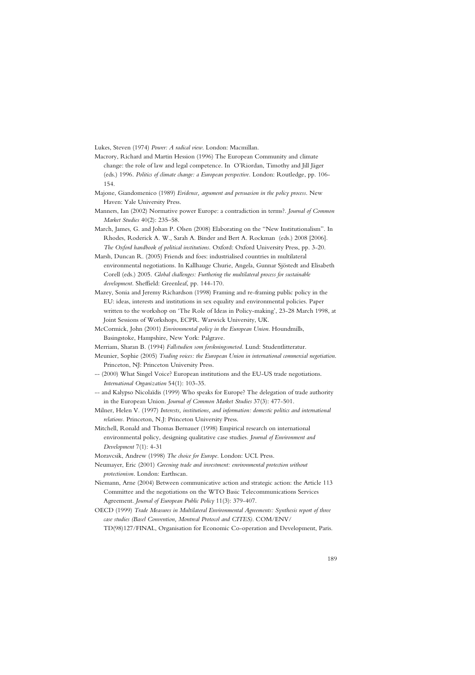Lukes, Steven (1974) *Power: A radical view*. London: Macmillan.

- Macrory, Richard and Martin Hession (1996) The European Community and climate change: the role of law and legal competence. In O'Riordan, Timothy and Jill Jäger (eds.) 1996. *Politics of climate change: a European perspective.* London: Routledge, pp. 106- 154.
- Majone, Giandomenico (1989) *Evidence, argument and persuasion in the policy process*. New Haven: Yale University Press.
- Manners, Ian (2002) Normative power Europe: a contradiction in terms?. *Journal of Common Market Studies* 40(2): 235–58.
- March, James, G. and Johan P. Olsen (2008) Elaborating on the "New Institutionalism". In Rhodes, Roderick A. W., Sarah A. Binder and Bert A. Rockman (eds.) 2008 [2006]. *The Oxford handbook of political institutions*. Oxford: Oxford University Press, pp. 3-20.
- Marsh, Duncan R. (2005) Friends and foes: industrialised countries in multilateral environmental negotiations. In Kallhauge Churie, Angela, Gunnar Sjöstedt and Elisabeth Corell (eds.) 2005. *Global challenges: Furthering the multilateral process for sustainable development*. Sheffield: Greenleaf, pp. 144-170.
- Mazey, Sonia and Jeremy Richardson (1998) Framing and re-framing public policy in the EU: ideas, interests and institutions in sex equality and environmental policies. Paper written to the workshop on 'The Role of Ideas in Policy-making', 23-28 March 1998, at Joint Sessions of Workshops, ECPR. Warwick University, UK.
- McCormick, John (2001) *Environmental policy in the European Union*. Houndmills, Basingstoke, Hampshire, New York: Palgrave.
- Merriam, Sharan B. (1994) *Fallstudien som forskningsmetod*. Lund: Studentlitteratur.
- Meunier, Sophie (2005) *Trading voices: the European Union in international commercial negotiation*. Princeton, NJ: Princeton University Press.
- -- (2000) What Singel Voice? European institutions and the EU-US trade negotiations. *International Organization* 54(1): 103-35.
- -- and Kalypso Nicolaïdis (1999) Who speaks for Europe? The delegation of trade authority in the European Union. *Journal of Common Market Studies* 37(3): 477-501.
- Milner, Helen V. (1997) *Interests, institutions, and information: domestic politics and international relations.* Princeton, N.J: Princeton University Press.
- Mitchell, Ronald and Thomas Bernauer (1998) Empirical research on international environmental policy, designing qualitative case studies. *Journal of Environment and Development* 7(1): 4-31
- Moravcsik, Andrew (1998) *The choice for Europe*. London: UCL Press.
- Neumayer, Eric (2001) *Greening trade and investment: environmental protection without protectionism*. London: Earthscan.
- Niemann, Arne (2004) Between communicative action and strategic action: the Article 113 Committee and the negotiations on the WTO Basic Telecommunications Services Agreement. *Journal of European Public Policy* 11(3): 379-407.
- OECD (1999) *Trade Measures in Multilateral Environmental Agreements: Synthesis report of three case studies (Basel Convention, Montreal Protocol and CITES)*. COM/ENV/ TD(98)127/FINAL, Organisation for Economic Co-operation and Development, Paris.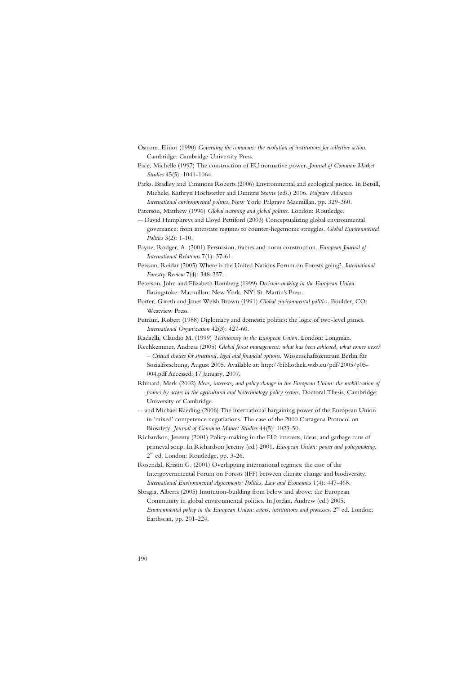- Ostrom, Elinor (1990) *Governing the commons: the evolution of institutions for collective action*. Cambridge: Cambridge University Press.
- Pace, Michelle (1997) The construction of EU normative power. *Journal of Common Market Studies* 45(5): 1041-1064.
- Parks, Bradley and Timmons Roberts (2006) Environmental and ecological justice. In Betsill, Michele, Kathryn Hochstetler and Dimitris Stevis (eds.) 2006. *Palgrave Advances International environmental politics*. New York: Palgrave Macmillan, pp. 329-360.
- Paterson, Matthew (1996) *Global warming and global politics*. London: Routledge.
- -- David Humphreys and Lloyd Pettiford (2003) Conceptualizing global environmental governance: from interstate regimes to counter-hegemonic struggles. *Global Environmental Politics* 3(2): 1-10.
- Payne, Rodger, A. (2001) Persuasion, frames and norm construction. *European Journal of International Relations* 7(1): 37-61.
- Persson, Reidar (2005) Where is the United Nations Forum on Forests going?. *International Forestry Review* 7(4): 348-357.
- Peterson, John and Elizabeth Bomberg (1999) *Decision-making in the European Union*. Basingstoke: Macmillan; New York, NY: St. Martin's Press.
- Porter, Gareth and Janet Welsh Brown (1991) *Global environmental politics.* Boulder, CO: Westview Press.
- Putnam, Robert (1988) Diplomacy and domestic politics: the logic of two-level games. *International Organization* 42(3): 427-60.

Radaelli, Claudio M. (1999) *Technocracy in the European Union*. London: Longman.

- Rechkemmer, Andreas (2005) *Global forest management: what has been achieved, what comes next? – Critical choices for structural, legal and financial options*. Wissenschaftszentrum Berlin für Sozialforschung, August 2005. Available at: http://bibliothek.wzb.eu/pdf/2005/p05- 004.pdf Accessed: 17 January, 2007.
- Rhinard, Mark (2002) *Ideas, interests, and policy change in the European Union: the mobilization of frames by actors in the agricultural and biotechnology policy sectors*. Doctoral Thesis, Cambridge: University of Cambridge.
- -- and Michael Kaeding (2006) The international bargaining power of the European Union in 'mixed' competence negotiations. The case of the 2000 Cartagena Protocol on Biosafety. *Journal of Common Market Studies* 44(5): 1023-50.
- Richardson, Jeremy (2001) Policy-making in the EU: interests, ideas, and garbage cans of primeval soup. In Richardson Jeremy (ed.) 2001. *European Union: power and policymaking*. 2<sup>nd</sup> ed. London: Routledge, pp. 3-26.
- Rosendal, Kristin G. (2001) Overlapping international regimes: the case of the Intergovernmental Forum on Forests (IFF) between climate change and biodiversity. *International Environmental Agreements: Politics, Law and Economics* 1(4): 447-468.
- Sbragia, Alberta (2005) Institution-building from below and above: the European Community in global environmental politics. In Jordan, Andrew (ed.) 2005. *Environmental policy in the European Union: actors, institutions and processes.* 2<sup>nd</sup> ed. London:

Earthscan, pp. 201-224.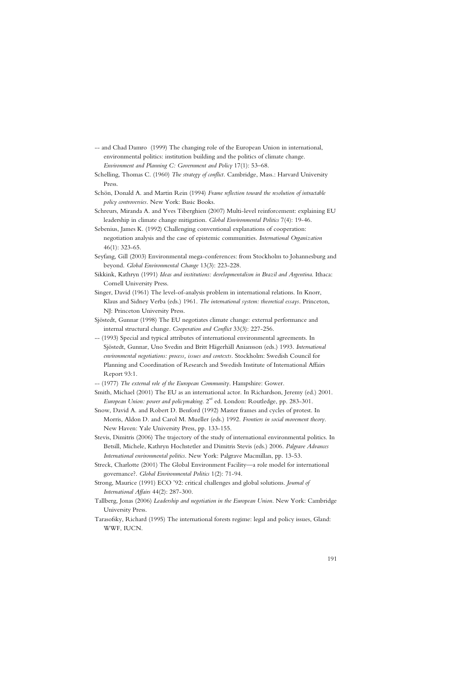- -- and Chad Damro (1999) The changing role of the European Union in international, environmental politics: institution building and the politics of climate change. *Environment and Planning C: Government and Policy* 17(1): 53–68.
- Schelling, Thomas C. (1960) *The strategy of conflict.* Cambridge, Mass.: Harvard University Press.
- Schön, Donald A. and Martin Rein (1994) *Frame reflection toward the resolution of intractable policy controversies*. New York: Basic Books.
- Schreurs, Miranda A. and Yves Tiberghien (2007) Multi-level reinforcement: explaining EU leadership in climate change mitigation. *Global Environmental Politics* 7(4): 19-46.
- Sebenius, James K. (1992) Challenging conventional explanations of cooperation: negotiation analysis and the case of epistemic communities. *International Organization*  46(1): 323-65.
- Seyfang, Gill (2003) Environmental mega-conferences: from Stockholm to Johannesburg and beyond. *Global Environmental Change* 13(3): 223-228.
- Sikkink, Kathryn (1991) *Ideas and institutions: developmentalism in Brazil and Argentina*. Ithaca: Cornell University Press.
- Singer, David (1961) The level-of-analysis problem in international relations. In Knorr, Klaus and Sidney Verba (eds.) 1961. *The international system: theoretical essays*. Princeton, NJ: Princeton University Press.
- Sjöstedt, Gunnar (1998) The EU negotiates climate change: external performance and internal structural change. *Cooperation and Conflict* 33(3): 227-256.
- -- (1993) Special and typical attributes of international environmental agreements. In Sjöstedt, Gunnar, Uno Svedin and Britt Hägerhäll Aniansson (eds.) 1993. *International environmental negotiations: process, issues and contexts.* Stockholm: Swedish Council for Planning and Coordination of Research and Swedish Institute of International Affairs Report 93:1.
- -- (1977) *The external role of the European Community*. Hampshire: Gower.
- Smith, Michael (2001) The EU as an international actor. In Richardson, Jeremy (ed.) 2001. *European Union: power and policymaking*. 2<sup>nd</sup> ed. London: Routledge, pp. 283-301.
- Snow, David A. and Robert D. Benford (1992) Master frames and cycles of protest. In Morris, Aldon D. and Carol M. Mueller (eds.) 1992. *Frontiers in social movement theory*. New Haven: Yale University Press, pp. 133-155.
- Stevis, Dimitris (2006) The trajectory of the study of international environmental politics. In Betsill, Michele, Kathryn Hochstetler and Dimitris Stevis (eds.) 2006. *Palgrave Advances International environmental politics*. New York: Palgrave Macmillan, pp. 13-53.
- Streck, Charlotte (2001) The Global Environment Facility—a role model for international governance?. *Global Environmental Politics* 1(2): 71-94.
- Strong, Maurice (1991) ECO '92: critical challenges and global solutions. *Journal of International Affairs* 44(2): 287-300.
- Tallberg, Jonas (2006) *Leadership and negotiation in the European Union*. New York: Cambridge University Press.
- Tarasofsky, Richard (1995) The international forests regime: legal and policy issues, Gland: WWF, IUCN.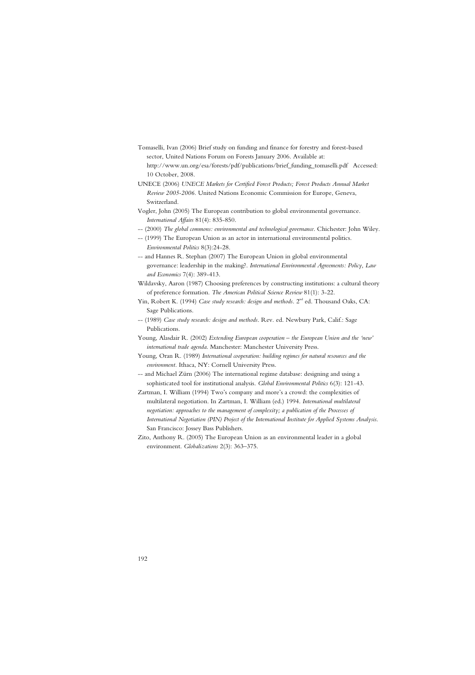- Tomaselli, Ivan (2006) Brief study on funding and finance for forestry and forest-based sector, United Nations Forum on Forests January 2006. Available at: http://www.un.org/esa/forests/pdf/publications/brief\_funding\_tomaselli.pdf Accessed: 10 October, 2008.
- UNECE (2006) *UNECE Markets for Certified Forest Products; Forest Products Annual Market Review 2005-2006.* United Nations Economic Commission for Europe, Geneva, Switzerland.
- Vogler, John (2005) The European contribution to global environmental governance. *International Affairs* 81(4): 835-850.
- -- (2000) *The global commons: environmental and technological governance*. Chichester: John Wiley.
- -- (1999) The European Union as an actor in international environmental politics. *Environmental Politics* 8(3):24-28.
- -- and Hannes R. Stephan (2007) The European Union in global environmental governance: leadership in the making?. *International Environmental Agreements: Policy, Law and Economics* 7(4): 389-413.
- Wildavsky, Aaron (1987) Choosing preferences by constructing institutions: a cultural theory of preference formation. *The American Political Science Review* 81(1): 3-22.
- Yin, Robert K. (1994) *Case study research: design and methods*. 2<sup>nd</sup> ed. Thousand Oaks, CA: Sage Publications.
- -- (1989) *Case study research: design and methods*. Rev. ed. Newbury Park, Calif.: Sage Publications.
- Young, Alasdair R. (2002) *Extending European cooperation the European Union and the 'new' international trade agenda*. Manchester: Manchester University Press.
- Young, Oran R. (1989) *International cooperation: building regimes for natural resources and the environment.* Ithaca, NY: Cornell University Press.
- -- and Michael Zürn (2006) The international regime database: designing and using a sophisticated tool for institutional analysis. *Global Environmental Politics* 6(3): 121-43.
- Zartman, I. William (1994) Two's company and more's a crowd: the complexities of multilateral negotiation. In Zartman, I. William (ed.) 1994. *International multilateral negotiation: approaches to the management of complexity; a publication of the Processes of International Negotiation (PIN) Project of the International Institute for Applied Systems Analysis*. San Francisco: Jossey Bass Publishers.
- Zito, Anthony R. (2005) The European Union as an environmental leader in a global environment. *Globalizations* 2(3): 363–375.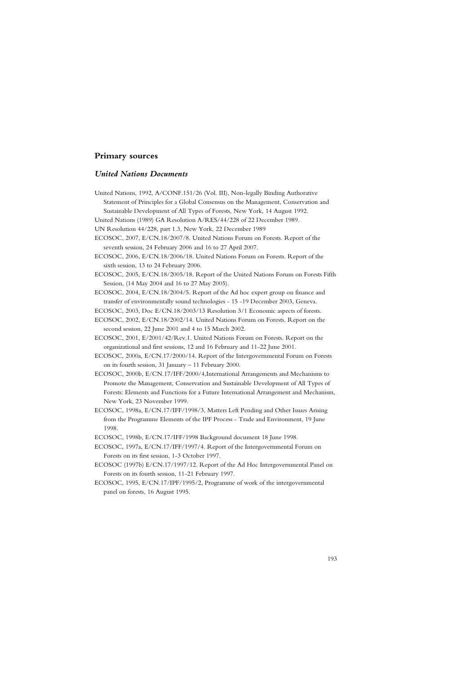# **Primary sources**

## *United Nations Documents*

| United Nations, 1992, A/CONF.151/26 (Vol. III), Non-legally Binding Authorative       |
|---------------------------------------------------------------------------------------|
| Statement of Principles for a Global Consensus on the Management, Conservation and    |
| Sustainable Development of All Types of Forests, New York, 14 August 1992.            |
| United Nations (1989) GA Resolution A/RES/44/228 of 22 December 1989.                 |
| UN Resolution 44/228, part 1.3, New York, 22 December 1989                            |
| ECOSOC, 2007, E/CN.18/2007/8. United Nations Forum on Forests. Report of the          |
| seventh session, 24 February 2006 and 16 to 27 April 2007.                            |
| ECOSOC, 2006, E/CN.18/2006/18. United Nations Forum on Forests. Report of the         |
| sixth session, 13 to 24 February 2006.                                                |
| ECOSOC, 2005, E/CN.18/2005/18. Report of the United Nations Forum on Forests Fifth    |
| Session, (14 May 2004 and 16 to 27 May 2005).                                         |
| ECOSOC, 2004, E/CN.18/2004/5. Report of the Ad hoc expert group on finance and        |
| transfer of environmentally sound technologies - 15 -19 December 2003, Geneva.        |
| ECOSOC, 2003, Doc E/CN.18/2003/13 Resolution 3/1 Economic aspects of forests.         |
| ECOSOC, 2002, E/CN.18/2002/14. United Nations Forum on Forests. Report on the         |
| second session, 22 June 2001 and 4 to 15 March 2002.                                  |
| ECOSOC, 2001, E/2001/42/Rev.1. United Nations Forum on Forests. Report on the         |
| organizational and first sessions, 12 and 16 February and 11-22 June 2001.            |
| ECOSOC, 2000a, E/CN.17/2000/14. Report of the Intergovernmental Forum on Forests      |
| on its fourth session, 31 January - 11 February 2000.                                 |
| ECOSOC, 2000b, E/CN.17/IFF/2000/4,International Arrangements and Mechanisms to        |
| Promote the Management, Conservation and Sustainable Development of All Types of      |
| Forests: Elements and Functions for a Future International Arrangement and Mechanism, |
| New York, 23 November 1999.                                                           |
| ECOSOC, 1998a, E/CN.17/IFF/1998/3, Matters Left Pending and Other Issues Arising      |
| from the Programme Elements of the IPF Process - Trade and Environment, 19 June       |
| 1998.                                                                                 |

ECOSOC, 1998b, E/CN.17/IFF/1998 Background document 18 June 1998.

ECOSOC, 1997a, E/CN.17/IFF/1997/4. Report of the Intergovernmental Forum on Forests on its first session, 1-3 October 1997.

ECOSOC (1997b) E/CN.17/1997/12. Report of the Ad Hoc Intergovernmental Panel on Forests on its fourth session, 11-21 February 1997.

ECOSOC, 1995, E/CN.17/IPF/1995/2, Programme of work of the intergovernmental panel on forests, 16 August 1995.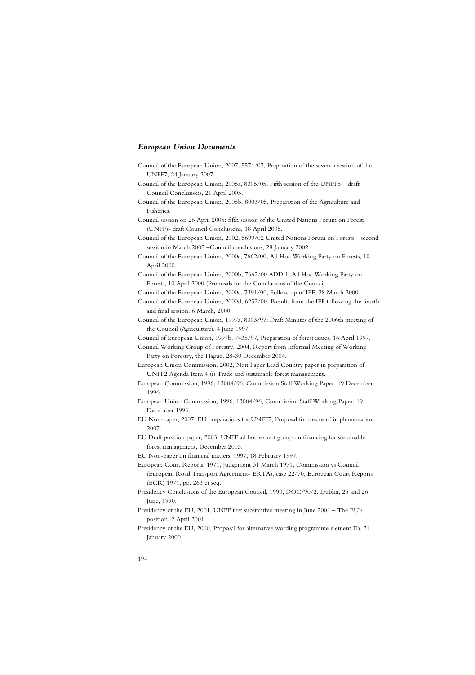### *European Union Documents*

- Council of the European Union, 2007, 5574/07, Preparation of the seventh session of the UNFF7, 24 January 2007.
- Council of the European Union, 2005a, 8305/05, Fifth session of the UNFF5 draft Council Conclusions, 21 April 2005.
- Council of the European Union, 2005b, 8003/05, Preparation of the Agriculture and Fisheries.
- Council session on 26 April 2005: fifth session of the United Nations Forum on Forests (UNFF)- draft Council Conclusions, 18 April 2005.

Council of the European Union, 2002, 5699/02 United Nations Forum on Forests – second session in March 2002 –Council conclusions, 28 January 2002.

Council of the European Union, 2000a, 7662/00, Ad Hoc Working Party on Forests, 10 April 2000.

Council of the European Union, 2000b, 7662/00 ADD 1, Ad Hoc Working Party on Forests, 10 April 2000 (Proposals for the Conclusions of the Council.

Council of the European Union, 2000c, 7391/00, Follow up of IFF, 28 March 2000.

Council of the European Union, 2000d, 6252/00, Results from the IFF following the fourth and final session, 6 March, 2000.

Council of the European Union, 1997a, 8303/97; Draft Minutes of the 2006th meeting of the Council (Agriculture), 4 June 1997.

Council of European Union, 1997b, 7435/97, Preparation of forest issues, 16 April 1997.

Council Working Group of Forestry, 2004, Report from Informal Meeting of Working Party on Forestry, the Hague, 28-30 December 2004.

European Union Commission, 2002, Non Paper Lead Country paper in preparation of UNFF2 Agenda Item 4 (i) Trade and sustainable forest management.

European Commission, 1996, 13004/96, Commission Staff Working Paper, 19 December 1996.

- European Union Commission, 1996, 13004/96, Commission Staff Working Paper, 19 December 1996.
- EU Non-paper, 2007, EU preparations for UNFF7, Proposal for means of implementation, 2007.
- EU Draft position paper, 2003, UNFF ad hoc expert group on financing for sustainable forest management, December 2003.

EU Non-paper on financial matters, 1997, 18 February 1997.

European Court Reports, 1971, Judgement 31 March 1971, Commission vs Council (European Road Transport Agreement- ERTA), case 22/70, European Court Reports (ECR) 1971, pp. 263 et seq.

- Presidency Conclusions of the European Council, 1990, DOC/90/2. Dublin, 25 and 26 June, 1990.
- Presidency of the EU, 2001, UNFF first substantive meeting in June 2001 The EU's position, 2 April 2001.
- Presidency of the EU, 2000, Proposal for alternative wording programme element IIa, 21 January 2000.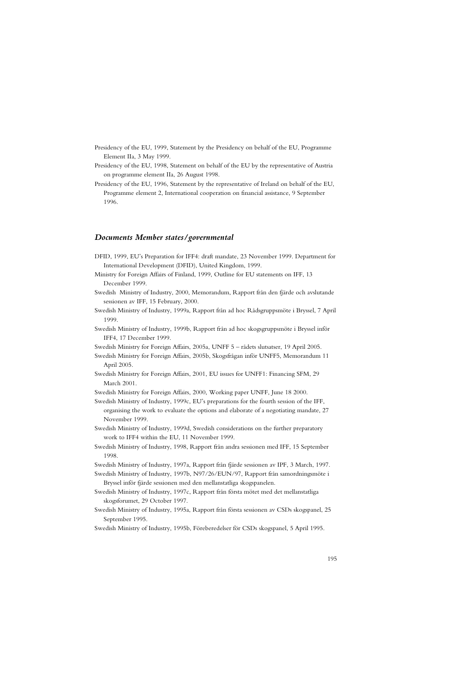Presidency of the EU, 1999, Statement by the Presidency on behalf of the EU, Programme Element IIa, 3 May 1999.

- Presidency of the EU, 1998, Statement on behalf of the EU by the representative of Austria on programme element IIa, 26 August 1998.
- Presidency of the EU, 1996, Statement by the representative of Ireland on behalf of the EU, Programme element 2, International cooperation on financial assistance, 9 September 1996.

### *Documents Member states/governmental*

- DFID, 1999, EU's Preparation for IFF4: draft mandate, 23 November 1999. Department for International Development (DFID), United Kingdom, 1999.
- Ministry for Foreign Affairs of Finland, 1999, Outline for EU statements on IFF, 13 December 1999.
- Swedish Ministry of Industry, 2000, Memorandum, Rapport från den fjärde och avslutande sessionen av IFF, 15 February, 2000.
- Swedish Ministry of Industry, 1999a, Rapport från ad hoc Rådsgruppsmöte i Bryssel, 7 April 1999.
- Swedish Ministry of Industry, 1999b, Rapport från ad hoc skogsgruppsmöte i Bryssel inför IFF4, 17 December 1999.

Swedish Ministry for Foreign Affairs, 2005a, UNFF 5 – rådets slutsatser, 19 April 2005.

- Swedish Ministry for Foreign Affairs, 2005b, Skogsfrågan inför UNFF5, Memorandum 11 April 2005.
- Swedish Ministry for Foreign Affairs, 2001, EU issues for UNFF1: Financing SFM, 29 March 2001.

Swedish Ministry for Foreign Affairs, 2000, Working paper UNFF, June 18 2000.

- Swedish Ministry of Industry, 1999c, EU's preparations for the fourth session of the IFF, organising the work to evaluate the options and elaborate of a negotiating mandate, 27 November 1999.
- Swedish Ministry of Industry, 1999d, Swedish considerations on the further preparatory work to IFF4 within the EU, 11 November 1999.
- Swedish Ministry of Industry, 1998, Rapport från andra sessionen med IFF, 15 September 1998.
- Swedish Ministry of Industry, 1997a, Rapport från fjärde sessionen av IPF, 3 March, 1997.
- Swedish Ministry of Industry, 1997b, N97/26/EUN/97, Rapport från samordningsmöte i Bryssel inför fjärde sessionen med den mellanstatliga skogspanelen.
- Swedish Ministry of Industry, 1997c, Rapport från första mötet med det mellanstatliga skogsforumet, 29 October 1997.
- Swedish Ministry of Industry, 1995a, Rapport från första sessionen av CSDs skogspanel, 25 September 1995.
- Swedish Ministry of Industry, 1995b, Föreberedelser för CSDs skogspanel, 5 April 1995.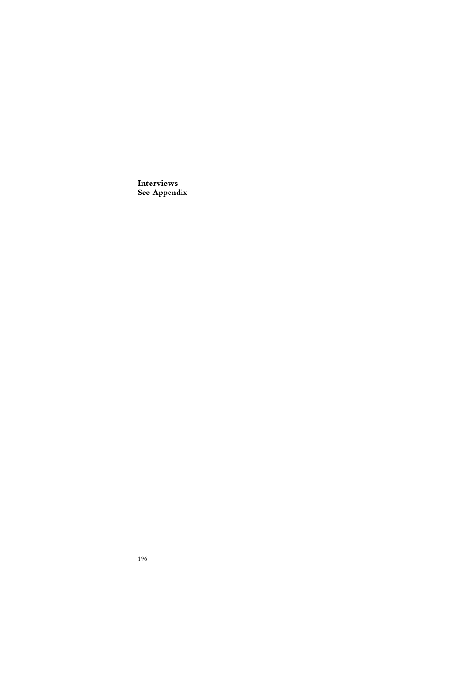**Interviews See Appendix**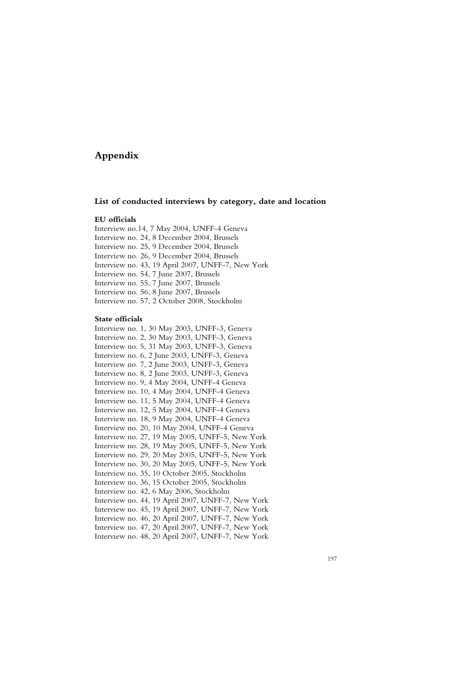# **Appendix**

### **List of conducted interviews by category, date and location**

### **EU officials**

Interview no.14, 7 May 2004, UNFF-4 Geneva Interview no. 24, 8 December 2004, Brussels Interview no. 25, 9 December 2004, Brussels Interview no. 26, 9 December 2004, Brussels Interview no. 43, 19 April 2007, UNFF-7, New York Interview no. 54, 7 June 2007, Brussels Interview no. 55, 7 June 2007, Brussels Interview no. 56, 8 June 2007, Brussels Interview no. 57, 2 October 2008, Stockholm

### **State officials**

Interview no. 1, 30 May 2003, UNFF-3, Geneva Interview no. 2, 30 May 2003, UNFF-3, Geneva Interview no. 5, 31 May 2003, UNFF-3, Geneva Interview no. 6, 2 June 2003, UNFF-3, Geneva Interview no. 7, 2 June 2003, UNFF-3, Geneva Interview no. 8, 2 June 2003, UNFF-3, Geneva Interview no. 9, 4 May 2004, UNFF-4 Geneva Interview no. 10, 4 May 2004, UNFF-4 Geneva Interview no. 11, 5 May 2004, UNFF-4 Geneva Interview no. 12, 5 May 2004, UNFF-4 Geneva Interview no. 18, 9 May 2004, UNFF-4 Geneva Interview no. 20, 10 May 2004, UNFF-4 Geneva Interview no. 27, 19 May 2005, UNFF-5, New York Interview no. 28, 19 May 2005, UNFF-5, New York Interview no. 29, 20 May 2005, UNFF-5, New York Interview no. 30, 20 May 2005, UNFF-5, New York Interview no. 35, 10 October 2005, Stockholm Interview no. 36, 15 October 2005, Stockholm Interview no. 42, 6 May 2006, Stockholm Interview no. 44, 19 April 2007, UNFF-7, New York Interview no. 45, 19 April 2007, UNFF-7, New York Interview no. 46, 20 April 2007, UNFF-7, New York Interview no. 47, 20 April 2007, UNFF-7, New York Interview no. 48, 20 April 2007, UNFF-7, New York